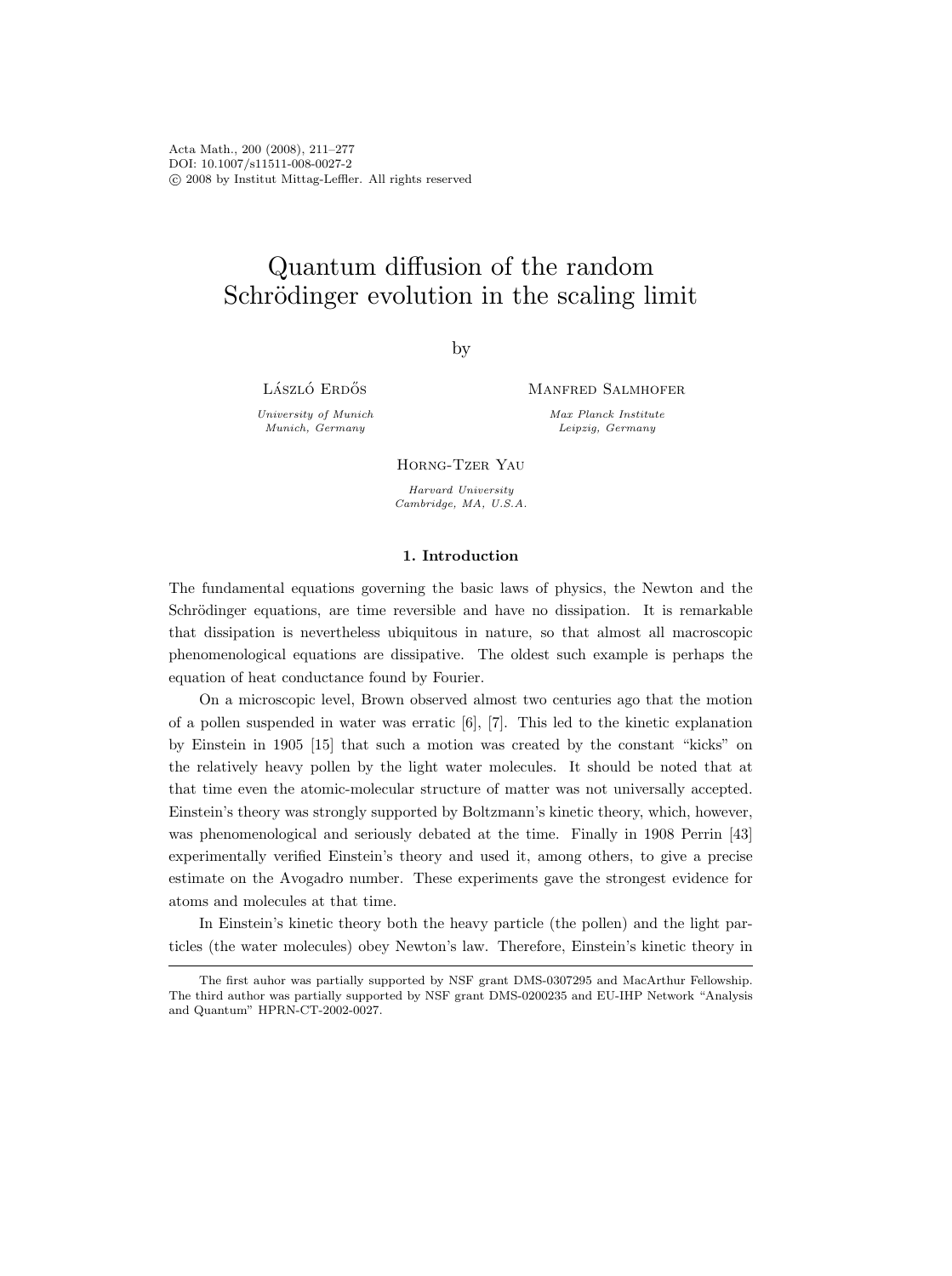Acta Math., 200 (2008), 211–277 DOI: 10.1007/s11511-008-0027-2 c 2008 by Institut Mittag-Leffler. All rights reserved

# Quantum diffusion of the random Schrödinger evolution in the scaling limit

by

László Erdős

University of Munich Munich, Germany

Manfred Salmhofer

Max Planck Institute Leipzig, Germany

Horng-Tzer Yau

Harvard University Cambridge, MA, U.S.A.

## 1. Introduction

The fundamental equations governing the basic laws of physics, the Newton and the Schrödinger equations, are time reversible and have no dissipation. It is remarkable that dissipation is nevertheless ubiquitous in nature, so that almost all macroscopic phenomenological equations are dissipative. The oldest such example is perhaps the equation of heat conductance found by Fourier.

On a microscopic level, Brown observed almost two centuries ago that the motion of a pollen suspended in water was erratic [6], [7]. This led to the kinetic explanation by Einstein in 1905 [15] that such a motion was created by the constant "kicks" on the relatively heavy pollen by the light water molecules. It should be noted that at that time even the atomic-molecular structure of matter was not universally accepted. Einstein's theory was strongly supported by Boltzmann's kinetic theory, which, however, was phenomenological and seriously debated at the time. Finally in 1908 Perrin [43] experimentally verified Einstein's theory and used it, among others, to give a precise estimate on the Avogadro number. These experiments gave the strongest evidence for atoms and molecules at that time.

In Einstein's kinetic theory both the heavy particle (the pollen) and the light particles (the water molecules) obey Newton's law. Therefore, Einstein's kinetic theory in

The first auhor was partially supported by NSF grant DMS-0307295 and MacArthur Fellowship. The third author was partially supported by NSF grant DMS-0200235 and EU-IHP Network "Analysis and Quantum" HPRN-CT-2002-0027.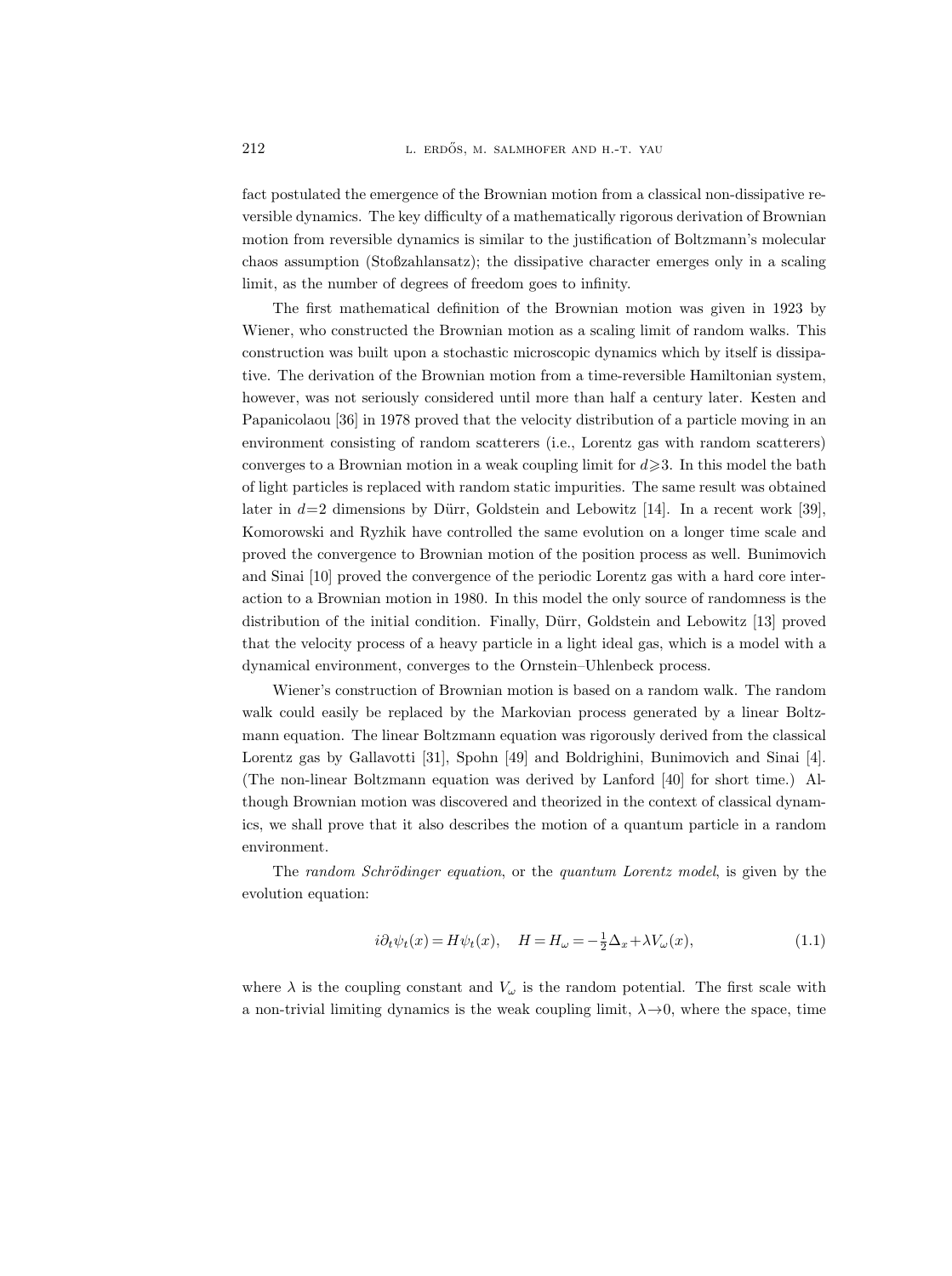fact postulated the emergence of the Brownian motion from a classical non-dissipative reversible dynamics. The key difficulty of a mathematically rigorous derivation of Brownian motion from reversible dynamics is similar to the justification of Boltzmann's molecular chaos assumption (Stoßzahlansatz); the dissipative character emerges only in a scaling limit, as the number of degrees of freedom goes to infinity.

The first mathematical definition of the Brownian motion was given in 1923 by Wiener, who constructed the Brownian motion as a scaling limit of random walks. This construction was built upon a stochastic microscopic dynamics which by itself is dissipative. The derivation of the Brownian motion from a time-reversible Hamiltonian system, however, was not seriously considered until more than half a century later. Kesten and Papanicolaou [36] in 1978 proved that the velocity distribution of a particle moving in an environment consisting of random scatterers (i.e., Lorentz gas with random scatterers) converges to a Brownian motion in a weak coupling limit for  $d \geq 3$ . In this model the bath of light particles is replaced with random static impurities. The same result was obtained later in  $d=2$  dimensions by Dürr, Goldstein and Lebowitz [14]. In a recent work [39], Komorowski and Ryzhik have controlled the same evolution on a longer time scale and proved the convergence to Brownian motion of the position process as well. Bunimovich and Sinai [10] proved the convergence of the periodic Lorentz gas with a hard core interaction to a Brownian motion in 1980. In this model the only source of randomness is the distribution of the initial condition. Finally, Dürr, Goldstein and Lebowitz [13] proved that the velocity process of a heavy particle in a light ideal gas, which is a model with a dynamical environment, converges to the Ornstein–Uhlenbeck process.

Wiener's construction of Brownian motion is based on a random walk. The random walk could easily be replaced by the Markovian process generated by a linear Boltzmann equation. The linear Boltzmann equation was rigorously derived from the classical Lorentz gas by Gallavotti [31], Spohn [49] and Boldrighini, Bunimovich and Sinai [4]. (The non-linear Boltzmann equation was derived by Lanford [40] for short time.) Although Brownian motion was discovered and theorized in the context of classical dynamics, we shall prove that it also describes the motion of a quantum particle in a random environment.

The random Schrödinger equation, or the quantum Lorentz model, is given by the evolution equation:

$$
i\partial_t \psi_t(x) = H\psi_t(x), \quad H = H_\omega = -\frac{1}{2}\Delta_x + \lambda V_\omega(x),\tag{1.1}
$$

where  $\lambda$  is the coupling constant and  $V_{\omega}$  is the random potential. The first scale with a non-trivial limiting dynamics is the weak coupling limit,  $\lambda \rightarrow 0$ , where the space, time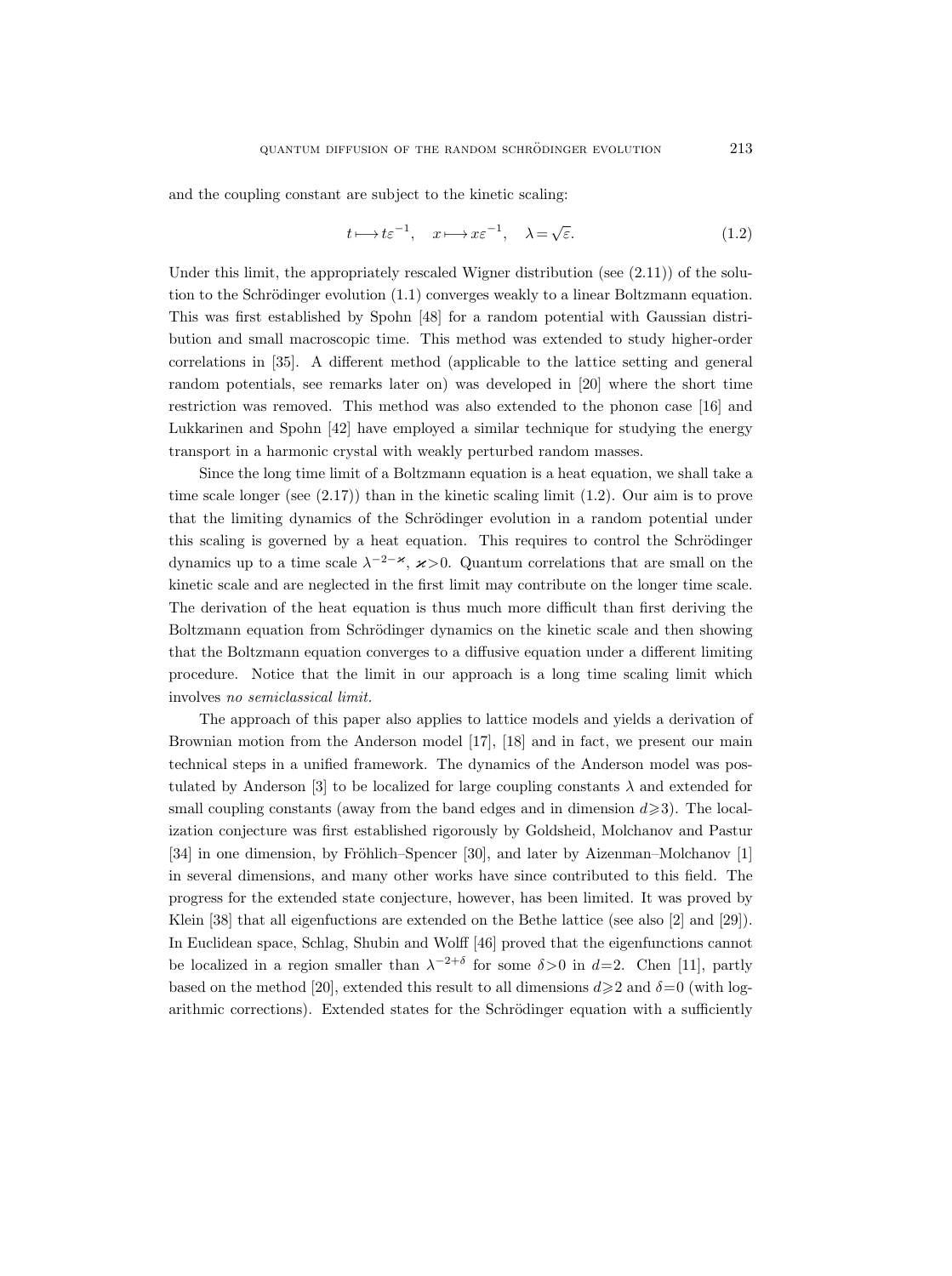and the coupling constant are subject to the kinetic scaling:

$$
t \longmapsto t\varepsilon^{-1}, \quad x \longmapsto x\varepsilon^{-1}, \quad \lambda = \sqrt{\varepsilon}.\tag{1.2}
$$

Under this limit, the appropriately rescaled Wigner distribution (see  $(2.11)$ ) of the solution to the Schrödinger evolution  $(1.1)$  converges weakly to a linear Boltzmann equation. This was first established by Spohn [48] for a random potential with Gaussian distribution and small macroscopic time. This method was extended to study higher-order correlations in [35]. A different method (applicable to the lattice setting and general random potentials, see remarks later on) was developed in [20] where the short time restriction was removed. This method was also extended to the phonon case [16] and Lukkarinen and Spohn [42] have employed a similar technique for studying the energy transport in a harmonic crystal with weakly perturbed random masses.

Since the long time limit of a Boltzmann equation is a heat equation, we shall take a time scale longer (see (2.17)) than in the kinetic scaling limit (1.2). Our aim is to prove that the limiting dynamics of the Schrödinger evolution in a random potential under this scaling is governed by a heat equation. This requires to control the Schrödinger dynamics up to a time scale  $\lambda^{-2-\varkappa}$ ,  $\varkappa > 0$ . Quantum correlations that are small on the kinetic scale and are neglected in the first limit may contribute on the longer time scale. The derivation of the heat equation is thus much more difficult than first deriving the Boltzmann equation from Schrödinger dynamics on the kinetic scale and then showing that the Boltzmann equation converges to a diffusive equation under a different limiting procedure. Notice that the limit in our approach is a long time scaling limit which involves no semiclassical limit.

The approach of this paper also applies to lattice models and yields a derivation of Brownian motion from the Anderson model [17], [18] and in fact, we present our main technical steps in a unified framework. The dynamics of the Anderson model was postulated by Anderson [3] to be localized for large coupling constants  $\lambda$  and extended for small coupling constants (away from the band edges and in dimension  $d \geq 3$ ). The localization conjecture was first established rigorously by Goldsheid, Molchanov and Pastur  $[34]$  in one dimension, by Fröhlich–Spencer [30], and later by Aizenman–Molchanov [1] in several dimensions, and many other works have since contributed to this field. The progress for the extended state conjecture, however, has been limited. It was proved by Klein [38] that all eigenfuctions are extended on the Bethe lattice (see also [2] and [29]). In Euclidean space, Schlag, Shubin and Wolff [46] proved that the eigenfunctions cannot be localized in a region smaller than  $\lambda^{-2+\delta}$  for some  $\delta > 0$  in  $d=2$ . Chen [11], partly based on the method [20], extended this result to all dimensions  $d \geq 2$  and  $\delta = 0$  (with logarithmic corrections). Extended states for the Schrödinger equation with a sufficiently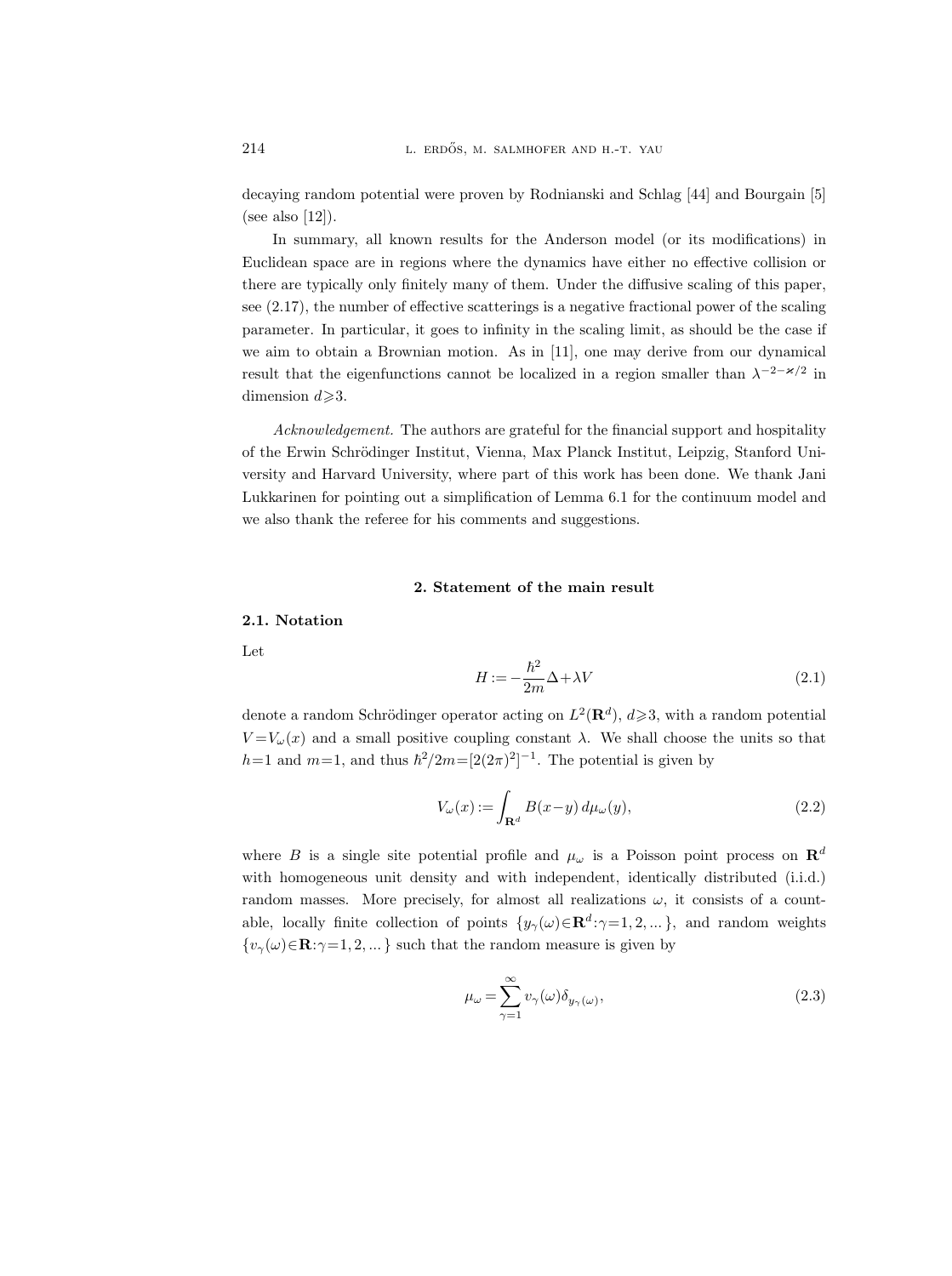decaying random potential were proven by Rodnianski and Schlag [44] and Bourgain [5] (see also [12]).

In summary, all known results for the Anderson model (or its modifications) in Euclidean space are in regions where the dynamics have either no effective collision or there are typically only finitely many of them. Under the diffusive scaling of this paper, see (2.17), the number of effective scatterings is a negative fractional power of the scaling parameter. In particular, it goes to infinity in the scaling limit, as should be the case if we aim to obtain a Brownian motion. As in [11], one may derive from our dynamical result that the eigenfunctions cannot be localized in a region smaller than  $\lambda^{-2-\varkappa/2}$  in dimension  $d \geqslant 3$ .

Acknowledgement. The authors are grateful for the financial support and hospitality of the Erwin Schrödinger Institut, Vienna, Max Planck Institut, Leipzig, Stanford University and Harvard University, where part of this work has been done. We thank Jani Lukkarinen for pointing out a simplification of Lemma 6.1 for the continuum model and we also thank the referee for his comments and suggestions.

## 2. Statement of the main result

#### 2.1. Notation

Let

$$
H := -\frac{\hbar^2}{2m}\Delta + \lambda V\tag{2.1}
$$

denote a random Schrödinger operator acting on  $L^2(\mathbf{R}^d)$ ,  $d\geqslant 3$ , with a random potential  $V = V_{\omega}(x)$  and a small positive coupling constant  $\lambda$ . We shall choose the units so that  $h=1$  and  $m=1$ , and thus  $\hbar^2/2m=[2(2\pi)^2]^{-1}$ . The potential is given by

$$
V_{\omega}(x) := \int_{\mathbf{R}^d} B(x - y) \, d\mu_{\omega}(y),\tag{2.2}
$$

where B is a single site potential profile and  $\mu_{\omega}$  is a Poisson point process on  $\mathbb{R}^{d}$ with homogeneous unit density and with independent, identically distributed (i.i.d.) random masses. More precisely, for almost all realizations  $\omega$ , it consists of a countable, locally finite collection of points  $\{y_\gamma(\omega) \in \mathbf{R}^d : \gamma = 1, 2, ...\}$ , and random weights  $\{v_{\gamma}(\omega)\in\mathbf{R}:\gamma=1,2,...\}$  such that the random measure is given by

$$
\mu_{\omega} = \sum_{\gamma=1}^{\infty} v_{\gamma}(\omega) \delta_{y_{\gamma}(\omega)},
$$
\n(2.3)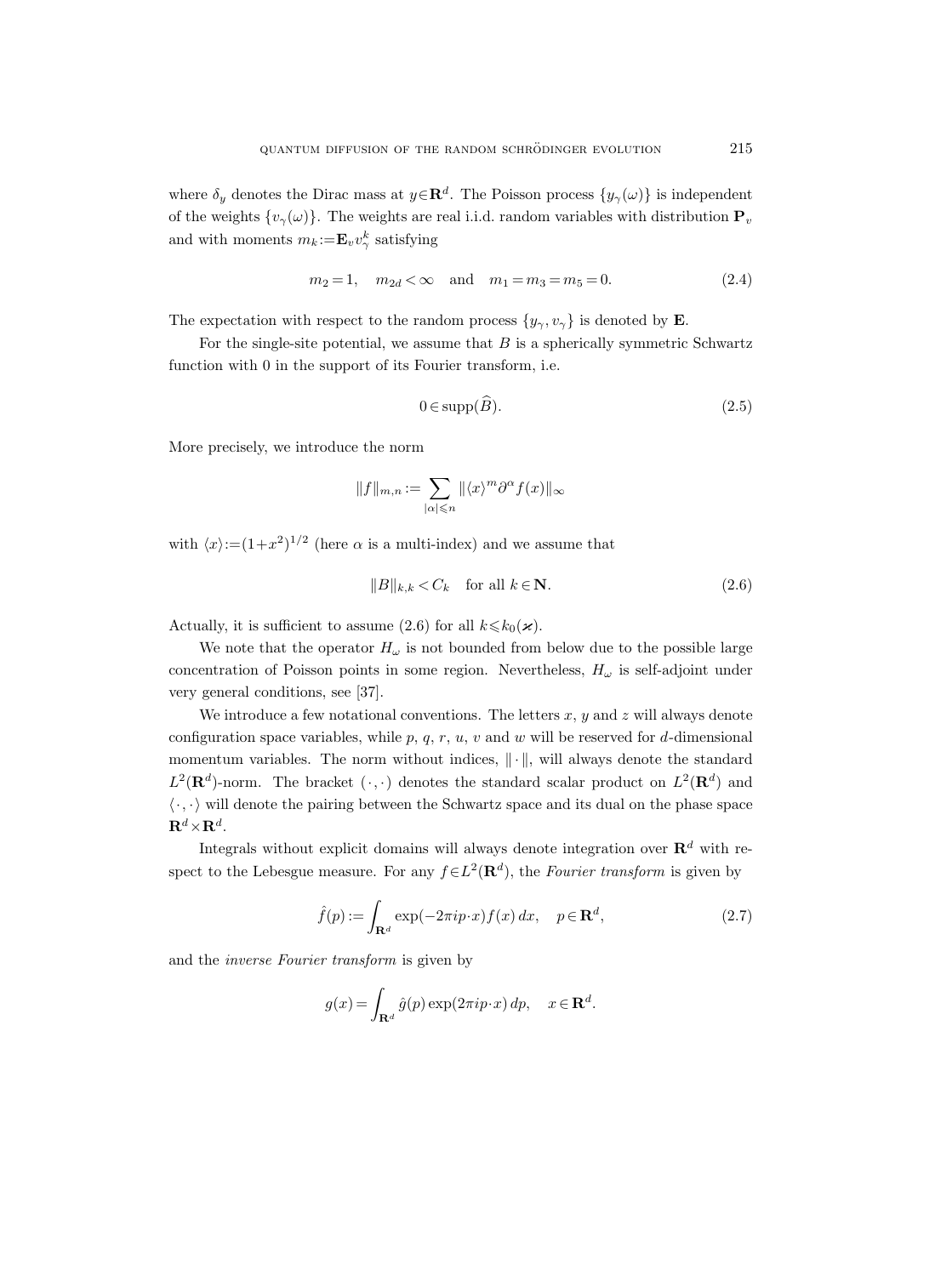where  $\delta_y$  denotes the Dirac mass at  $y \in \mathbf{R}^d$ . The Poisson process  $\{y_\gamma(\omega)\}$  is independent of the weights  $\{v_{\gamma}(\omega)\}\$ . The weights are real i.i.d. random variables with distribution  $P_{v}$ and with moments  $m_k := \mathbf{E}_v v_{\gamma}^k$  satisfying

$$
m_2 = 1
$$
,  $m_{2d} < \infty$  and  $m_1 = m_3 = m_5 = 0$ . (2.4)

The expectation with respect to the random process  $\{y_{\gamma}, v_{\gamma}\}\$ is denoted by **E**.

For the single-site potential, we assume that  $B$  is a spherically symmetric Schwartz function with 0 in the support of its Fourier transform, i.e.

$$
0 \in \text{supp}(\widehat{B}).\tag{2.5}
$$

More precisely, we introduce the norm

$$
||f||_{m,n} := \sum_{|\alpha| \leqslant n} ||\langle x \rangle^m \partial^\alpha f(x)||_{\infty}
$$

with  $\langle x \rangle := (1+x^2)^{1/2}$  (here  $\alpha$  is a multi-index) and we assume that

$$
||B||_{k,k} < C_k \quad \text{for all } k \in \mathbf{N}.
$$
 (2.6)

Actually, it is sufficient to assume (2.6) for all  $k \leq k_0(\varkappa)$ .

We note that the operator  $H_{\omega}$  is not bounded from below due to the possible large concentration of Poisson points in some region. Nevertheless,  $H_{\omega}$  is self-adjoint under very general conditions, see [37].

We introduce a few notational conventions. The letters  $x, y$  and  $z$  will always denote configuration space variables, while  $p, q, r, u, v$  and w will be reserved for d-dimensional momentum variables. The norm without indices,  $\|\cdot\|$ , will always denote the standard  $L^2(\mathbf{R}^d)$ -norm. The bracket  $(\cdot, \cdot)$  denotes the standard scalar product on  $L^2(\mathbf{R}^d)$  and  $\langle \cdot, \cdot \rangle$  will denote the pairing between the Schwartz space and its dual on the phase space  $\mathbf{R}^d {\times} \mathbf{R}^d.$ 

Integrals without explicit domains will always denote integration over  $\mathbb{R}^d$  with respect to the Lebesgue measure. For any  $f \in L^2(\mathbf{R}^d)$ , the Fourier transform is given by

$$
\hat{f}(p) := \int_{\mathbf{R}^d} \exp(-2\pi i p \cdot x) f(x) dx, \quad p \in \mathbf{R}^d,
$$
\n(2.7)

and the inverse Fourier transform is given by

$$
g(x) = \int_{\mathbf{R}^d} \hat{g}(p) \exp(2\pi i p \cdot x) \, dp, \quad x \in \mathbf{R}^d.
$$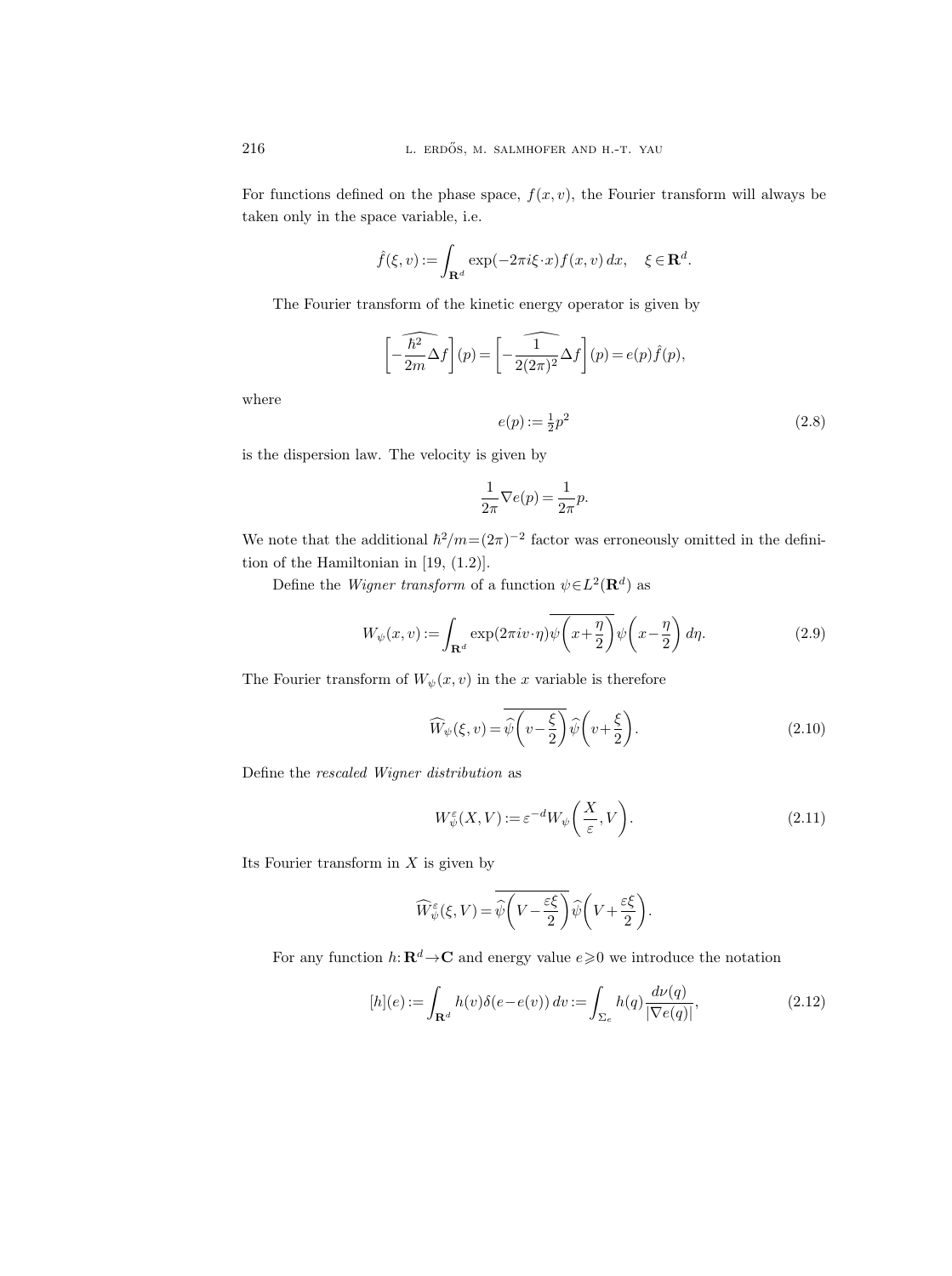For functions defined on the phase space,  $f(x, v)$ , the Fourier transform will always be taken only in the space variable, i.e.

$$
\hat{f}(\xi, v) := \int_{\mathbf{R}^d} \exp(-2\pi i \xi \cdot x) f(x, v) \, dx, \quad \xi \in \mathbf{R}^d.
$$

The Fourier transform of the kinetic energy operator is given by

$$
\left[-\widehat{\frac{\hbar^2}{2m}}\Delta f\right](p) = \left[-\widehat{\frac{1}{2(2\pi)^2}}\Delta f\right](p) = e(p)\widehat{f}(p),
$$

$$
e(p) := \frac{1}{2}p^2
$$
(2.8)

is the dispersion law. The velocity is given by

$$
\frac{1}{2\pi}\nabla e(p)=\frac{1}{2\pi}p.
$$

We note that the additional  $\hbar^2/m=(2\pi)^{-2}$  factor was erroneously omitted in the definition of the Hamiltonian in [19, (1.2)].

Define the *Wigner transform* of a function  $\psi \in L^2(\mathbf{R}^d)$  as

$$
W_{\psi}(x,v) := \int_{\mathbf{R}^d} \exp(2\pi i v \cdot \eta) \overline{\psi\left(x + \frac{\eta}{2}\right)} \psi\left(x - \frac{\eta}{2}\right) d\eta. \tag{2.9}
$$

The Fourier transform of  $W_\psi(x,v)$  in the  $x$  variable is therefore

$$
\widehat{W}_{\psi}(\xi, v) = \overline{\widehat{\psi}\left(v - \frac{\xi}{2}\right)} \widehat{\psi}\left(v + \frac{\xi}{2}\right).
$$
\n(2.10)

Define the rescaled Wigner distribution as

$$
W^{\varepsilon}_{\psi}(X,V) := \varepsilon^{-d} W_{\psi}\bigg(\frac{X}{\varepsilon},V\bigg). \tag{2.11}
$$

Its Fourier transform in  $X$  is given by

$$
\widehat{W}_{\psi}^{\varepsilon}(\xi, V) = \overline{\widehat{\psi}\left(V - \frac{\varepsilon \xi}{2}\right)} \widehat{\psi}\left(V + \frac{\varepsilon \xi}{2}\right).
$$

For any function  $h: \mathbf{R}^d \to \mathbf{C}$  and energy value  $e \geq 0$  we introduce the notation

$$
[h](e) := \int_{\mathbf{R}^d} h(v)\delta(e - e(v)) dv := \int_{\Sigma_e} h(q) \frac{d\nu(q)}{|\nabla e(q)|},
$$
\n(2.12)

where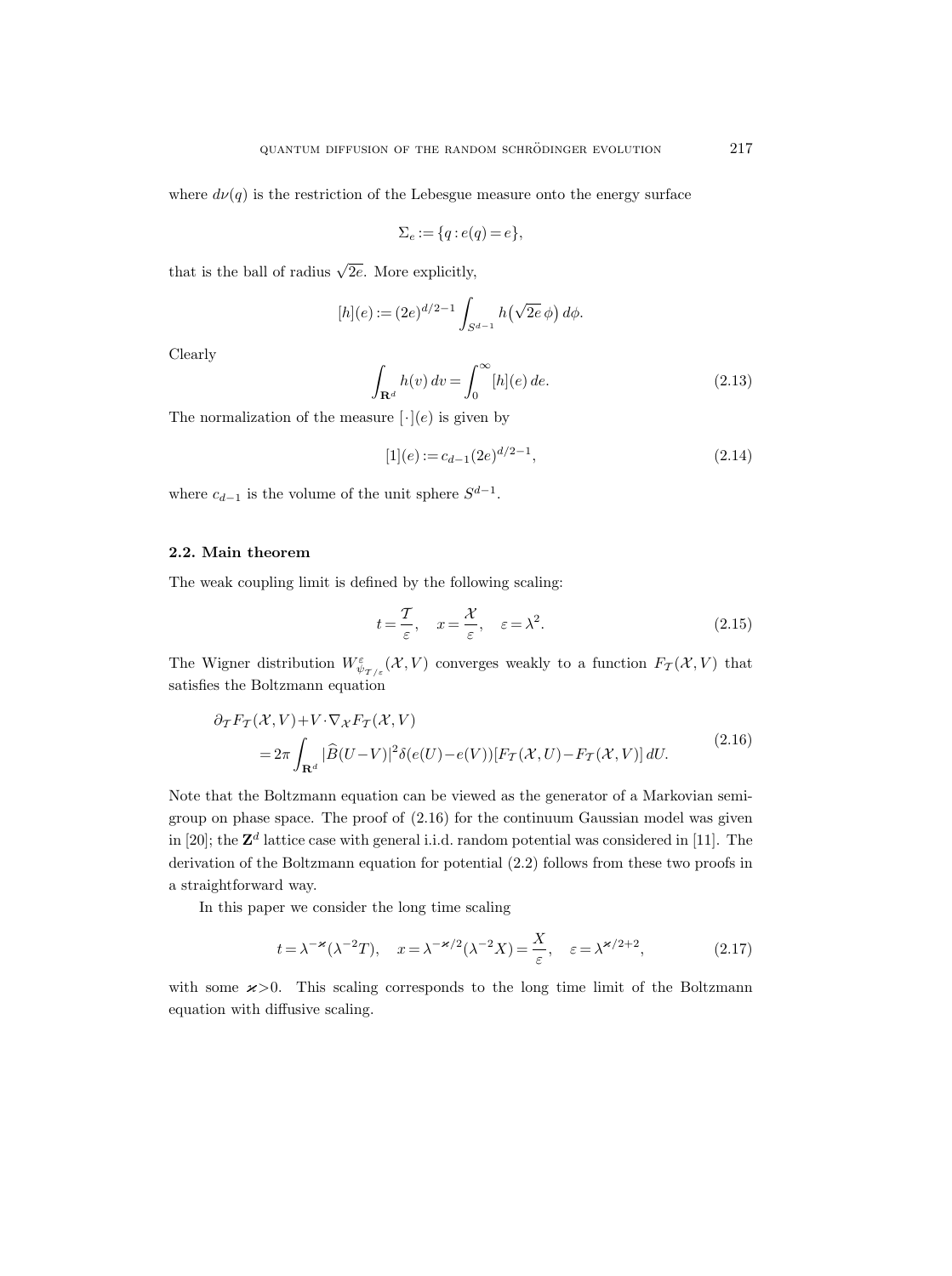where  $d\nu(q)$  is the restriction of the Lebesgue measure onto the energy surface

$$
\Sigma_e := \{q : e(q) = e\},\
$$

that is the ball of radius  $\sqrt{2e}$ . More explicitly,

$$
[h](e) := (2e)^{d/2 - 1} \int_{S^{d-1}} h(\sqrt{2e} \phi) d\phi.
$$

Clearly

$$
\int_{\mathbf{R}^d} h(v) dv = \int_0^\infty [h](e) de.
$$
\n(2.13)

The normalization of the measure  $[\cdot](e)$  is given by

$$
[1](e) := c_{d-1}(2e)^{d/2 - 1},\tag{2.14}
$$

where  $c_{d-1}$  is the volume of the unit sphere  $S^{d-1}$ .

### 2.2. Main theorem

The weak coupling limit is defined by the following scaling:

$$
t = \frac{T}{\varepsilon}, \quad x = \frac{\mathcal{X}}{\varepsilon}, \quad \varepsilon = \lambda^2. \tag{2.15}
$$

The Wigner distribution  $W^{\varepsilon}_{\psi_{T/\varepsilon}}(\mathcal{X}, V)$  converges weakly to a function  $F_{T}(\mathcal{X}, V)$  that satisfies the Boltzmann equation

$$
\partial_{\mathcal{T}} F_{\mathcal{T}}(\mathcal{X}, V) + V \cdot \nabla_{\mathcal{X}} F_{\mathcal{T}}(\mathcal{X}, V) \n= 2\pi \int_{\mathbf{R}^d} |\widehat{B}(U - V)|^2 \delta(e(U) - e(V)) [F_{\mathcal{T}}(\mathcal{X}, U) - F_{\mathcal{T}}(\mathcal{X}, V)] dU.
$$
\n(2.16)

Note that the Boltzmann equation can be viewed as the generator of a Markovian semigroup on phase space. The proof of  $(2.16)$  for the continuum Gaussian model was given in [20]; the  $\mathbf{Z}^d$  lattice case with general i.i.d. random potential was considered in [11]. The derivation of the Boltzmann equation for potential (2.2) follows from these two proofs in a straightforward way.

In this paper we consider the long time scaling

$$
t = \lambda^{-\varkappa} (\lambda^{-2} T), \quad x = \lambda^{-\varkappa/2} (\lambda^{-2} X) = \frac{X}{\varepsilon}, \quad \varepsilon = \lambda^{\varkappa/2 + 2}, \tag{2.17}
$$

with some  $\varkappa > 0$ . This scaling corresponds to the long time limit of the Boltzmann equation with diffusive scaling.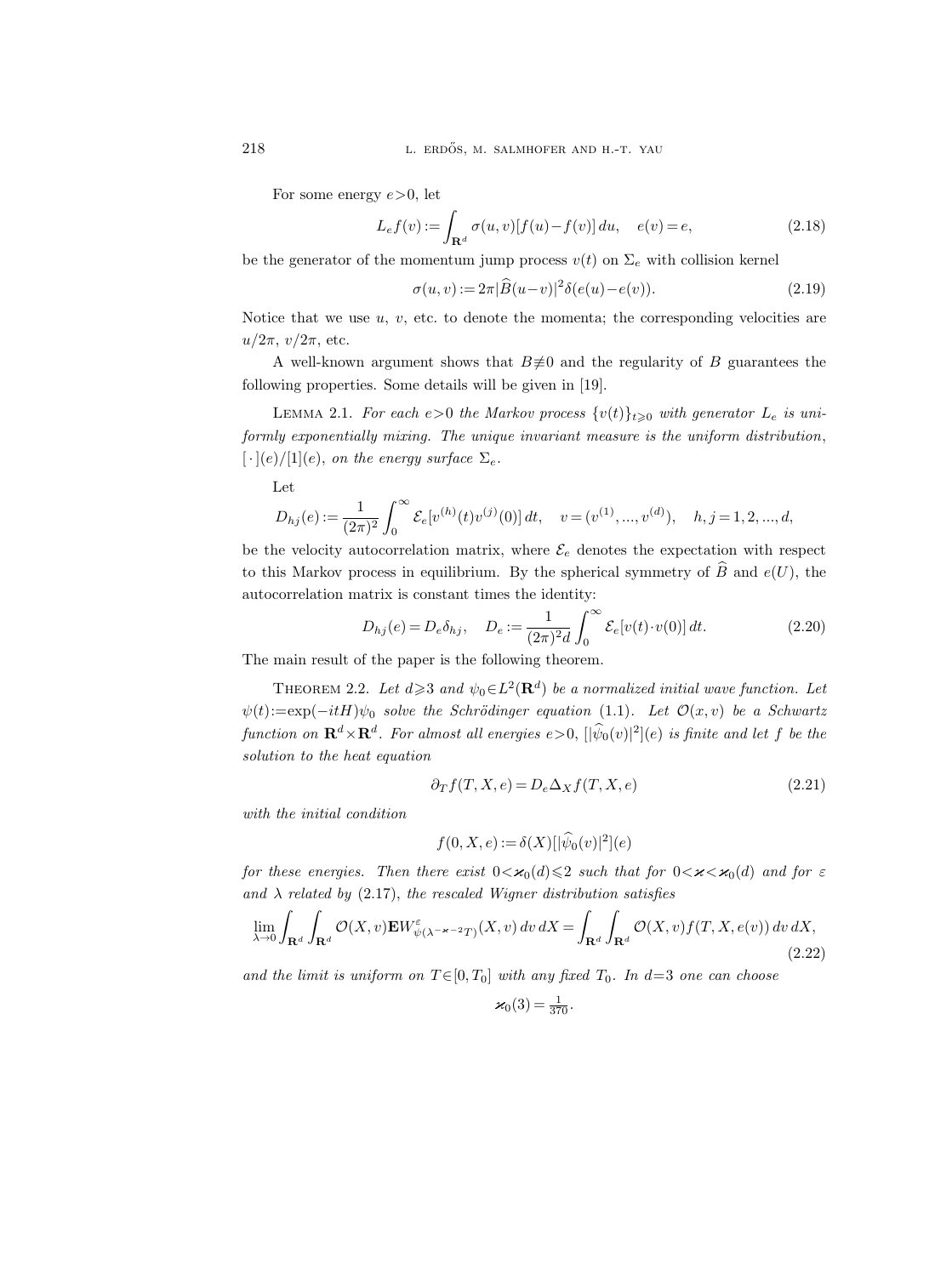For some energy  $e > 0$ , let

$$
L_{e}f(v) := \int_{\mathbf{R}^{d}} \sigma(u, v)[f(u) - f(v)] du, \quad e(v) = e,
$$
\n(2.18)

be the generator of the momentum jump process  $v(t)$  on  $\Sigma_e$  with collision kernel

$$
\sigma(u,v) := 2\pi |\widehat{B}(u-v)|^2 \delta(e(u)-e(v)). \tag{2.19}
$$

Notice that we use  $u, v$ , etc. to denote the momenta; the corresponding velocities are  $u/2\pi$ ,  $v/2\pi$ , etc.

A well-known argument shows that  $B\neq 0$  and the regularity of B guarantees the following properties. Some details will be given in [19].

LEMMA 2.1. For each  $\epsilon > 0$  the Markov process  $\{v(t)\}_{t\geq 0}$  with generator  $L_e$  is uniformly exponentially mixing. The unique invariant measure is the uniform distribution,  $[\cdot](e)/[1](e)$ , on the energy surface  $\Sigma_e$ .

Let

$$
D_{hj}(e) := \frac{1}{(2\pi)^2} \int_0^\infty \mathcal{E}_e[v^{(h)}(t)v^{(j)}(0)] dt, \quad v = (v^{(1)}, ..., v^{(d)}), \quad h, j = 1, 2, ..., d,
$$

be the velocity autocorrelation matrix, where  $\mathcal{E}_e$  denotes the expectation with respect to this Markov process in equilibrium. By the spherical symmetry of  $\widehat{B}$  and  $e(U)$ , the autocorrelation matrix is constant times the identity:

$$
D_{hj}(e) = D_e \delta_{hj}, \quad D_e := \frac{1}{(2\pi)^2 d} \int_0^\infty \mathcal{E}_e[v(t) \cdot v(0)] dt.
$$
 (2.20)

The main result of the paper is the following theorem.

THEOREM 2.2. Let  $d \geqslant 3$  and  $\psi_0 \in L^2(\mathbf{R}^d)$  be a normalized initial wave function. Let  $\psi(t) := \exp(-itH)\psi_0$  solve the Schrödinger equation (1.1). Let  $\mathcal{O}(x, v)$  be a Schwartz function on  $\mathbf{R}^d \times \mathbf{R}^d$ . For almost all energies  $e > 0$ ,  $[|\psi_0(v)|^2](e)$  is finite and let f be the solution to the heat equation

$$
\partial_T f(T, X, e) = D_e \Delta_X f(T, X, e) \tag{2.21}
$$

with the initial condition

$$
f(0, X, e) := \delta(X)[|\widehat{\psi}_0(v)|^2](e)
$$

for these energies. Then there exist  $0 < \varkappa_0(d) \leqslant 2$  such that for  $0 < \varkappa < \varkappa_0(d)$  and for  $\varepsilon$ and  $\lambda$  related by (2.17), the rescaled Wigner distribution satisfies

$$
\lim_{\lambda \to 0} \int_{\mathbf{R}^d} \int_{\mathbf{R}^d} \mathcal{O}(X, v) \mathbf{E} W_{\psi(\lambda^{-\varkappa - 2}T)}^{\varepsilon}(X, v) \, dv \, dX = \int_{\mathbf{R}^d} \int_{\mathbf{R}^d} \mathcal{O}(X, v) f(T, X, e(v)) \, dv \, dX,
$$
\n(2.22)

and the limit is uniform on  $T \in [0, T_0]$  with any fixed  $T_0$ . In  $d=3$  one can choose

$$
\varkappa_0(3) = \frac{1}{370}.
$$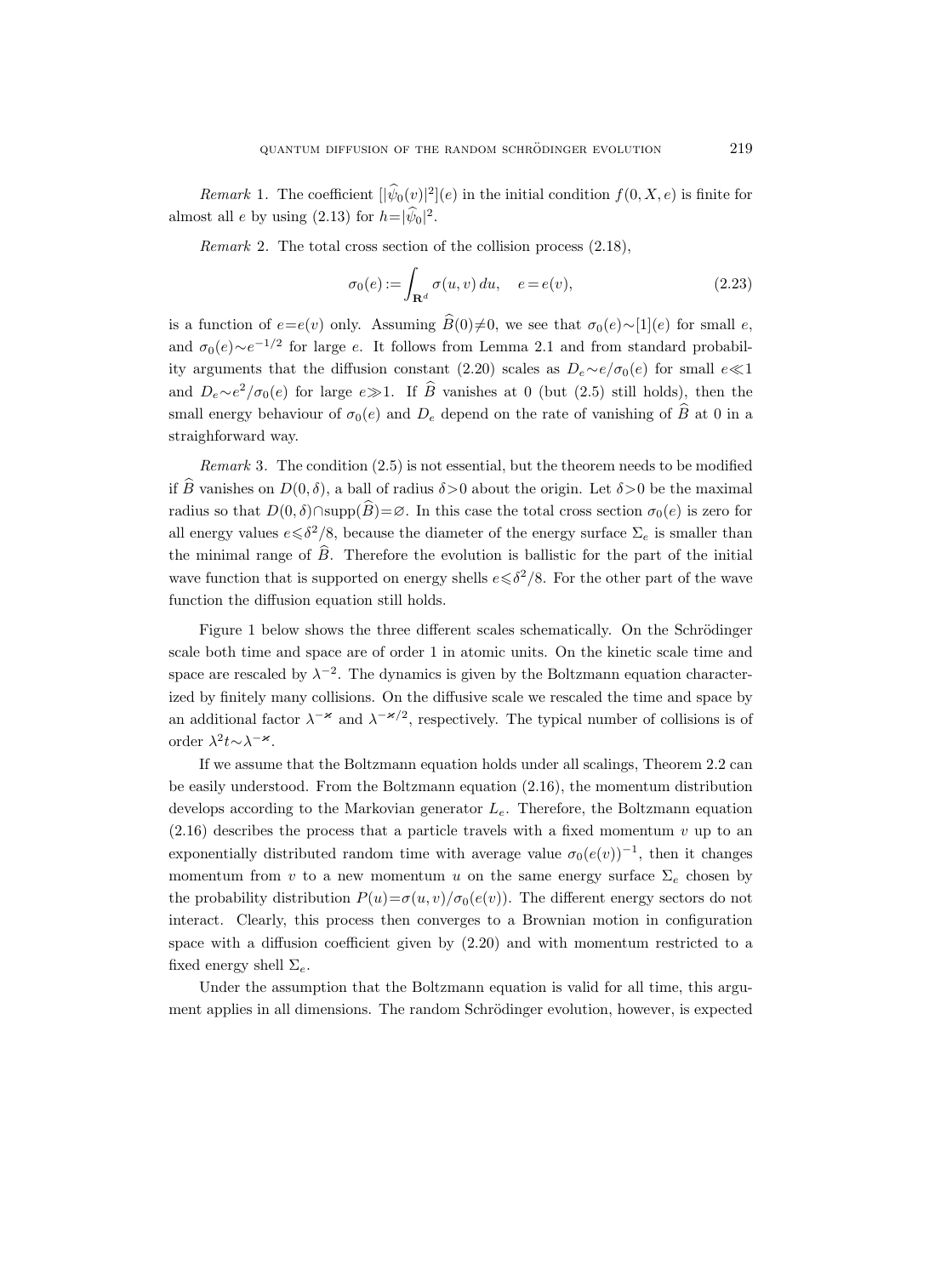*Remark* 1. The coefficient  $[|\psi_0(v)|^2](e)$  in the initial condition  $f(0, X, e)$  is finite for almost all *e* by using  $(2.13)$  for  $h=|\psi_0|^2$ .

Remark 2. The total cross section of the collision process  $(2.18)$ ,

$$
\sigma_0(e) := \int_{\mathbf{R}^d} \sigma(u, v) du, \quad e = e(v), \tag{2.23}
$$

is a function of  $e=e(v)$  only. Assuming  $\widehat{B}(0)\neq0$ , we see that  $\sigma_0(e)\sim[1](e)$  for small e, and  $\sigma_0(e) \sim e^{-1/2}$  for large e. It follows from Lemma 2.1 and from standard probability arguments that the diffusion constant (2.20) scales as  $D_e \sim e/\sigma_0(e)$  for small  $e \ll 1$ and  $D_e \sim e^2/\sigma_0(e)$  for large  $e \gg 1$ . If B vanishes at 0 (but (2.5) still holds), then the small energy behaviour of  $\sigma_0(e)$  and  $D_e$  depend on the rate of vanishing of  $\widehat{B}$  at 0 in a straighforward way.

Remark 3. The condition (2.5) is not essential, but the theorem needs to be modified if  $\widehat{B}$  vanishes on  $D(0, \delta)$ , a ball of radius  $\delta > 0$  about the origin. Let  $\delta > 0$  be the maximal radius so that  $D(0, \delta) \cap \text{supp}(\widehat{B}) = \emptyset$ . In this case the total cross section  $\sigma_0(e)$  is zero for all energy values  $e \le \delta^2/8$ , because the diameter of the energy surface  $\Sigma_e$  is smaller than the minimal range of  $\widehat{B}$ . Therefore the evolution is ballistic for the part of the initial wave function that is supported on energy shells  $e \le \delta^2/8$ . For the other part of the wave function the diffusion equation still holds.

Figure 1 below shows the three different scales schematically. On the Schrödinger scale both time and space are of order 1 in atomic units. On the kinetic scale time and space are rescaled by  $\lambda^{-2}$ . The dynamics is given by the Boltzmann equation characterized by finitely many collisions. On the diffusive scale we rescaled the time and space by an additional factor  $\lambda^{-\varkappa}$  and  $\lambda^{-\varkappa/2}$ , respectively. The typical number of collisions is of order  $\lambda^2 t \sim \lambda^{-\varkappa}$ .

If we assume that the Boltzmann equation holds under all scalings, Theorem 2.2 can be easily understood. From the Boltzmann equation (2.16), the momentum distribution develops according to the Markovian generator  $L_e$ . Therefore, the Boltzmann equation  $(2.16)$  describes the process that a particle travels with a fixed momentum v up to an exponentially distributed random time with average value  $\sigma_0(e(v))^{-1}$ , then it changes momentum from v to a new momentum u on the same energy surface  $\Sigma_e$  chosen by the probability distribution  $P(u) = \sigma(u, v) / \sigma_0(e(v))$ . The different energy sectors do not interact. Clearly, this process then converges to a Brownian motion in configuration space with a diffusion coefficient given by (2.20) and with momentum restricted to a fixed energy shell  $\Sigma_e$ .

Under the assumption that the Boltzmann equation is valid for all time, this argument applies in all dimensions. The random Schrödinger evolution, however, is expected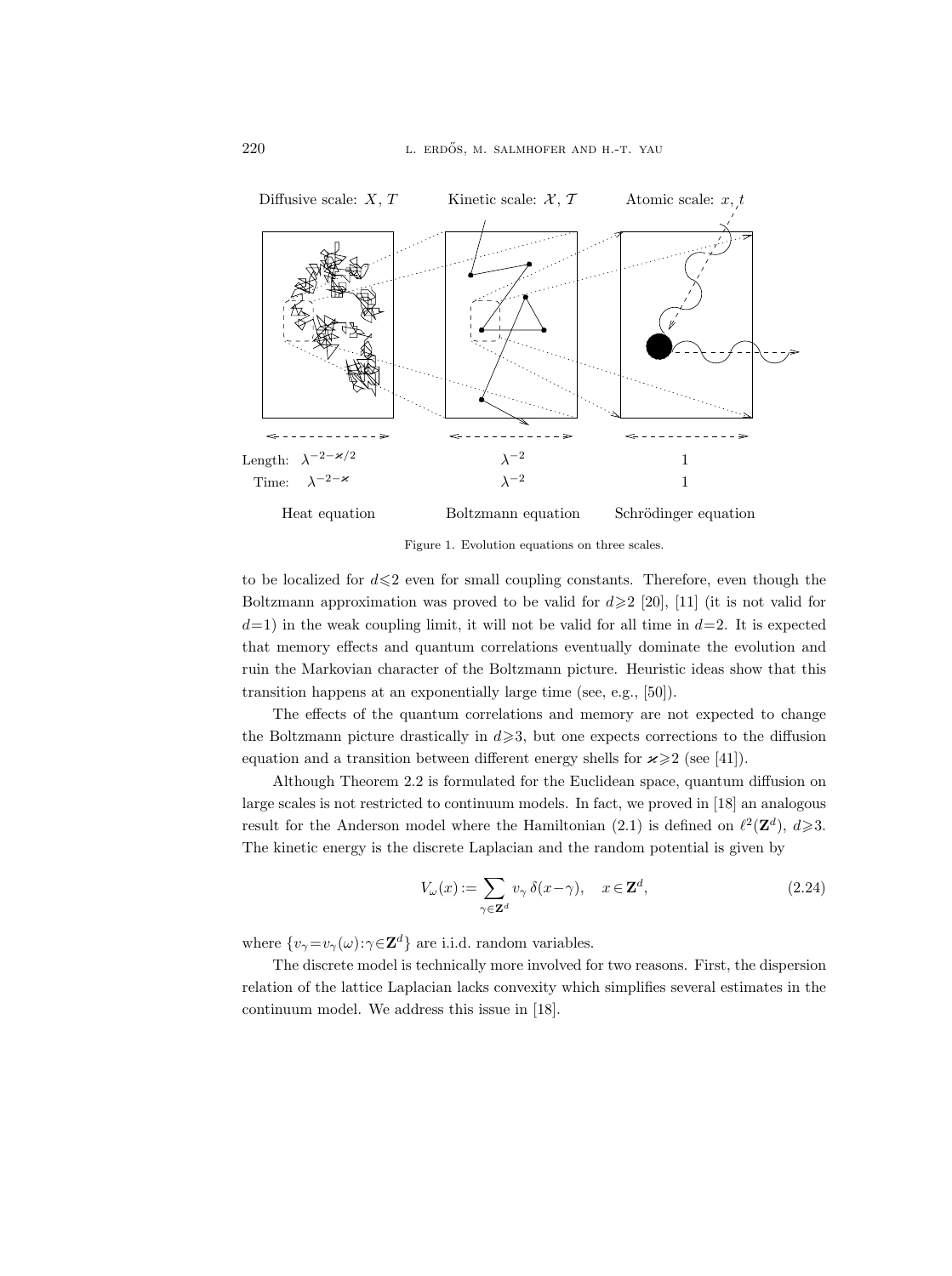

Figure 1. Evolution equations on three scales.

to be localized for  $d \leq 2$  even for small coupling constants. Therefore, even though the Boltzmann approximation was proved to be valid for  $d \geq 2$  [20], [11] (it is not valid for  $d=1$ ) in the weak coupling limit, it will not be valid for all time in  $d=2$ . It is expected that memory effects and quantum correlations eventually dominate the evolution and ruin the Markovian character of the Boltzmann picture. Heuristic ideas show that this transition happens at an exponentially large time (see, e.g., [50]).

The effects of the quantum correlations and memory are not expected to change the Boltzmann picture drastically in  $d \geqslant 3$ , but one expects corrections to the diffusion equation and a transition between different energy shells for  $\varkappa \geq 2$  (see [41]).

Although Theorem 2.2 is formulated for the Euclidean space, quantum diffusion on large scales is not restricted to continuum models. In fact, we proved in [18] an analogous result for the Anderson model where the Hamiltonian (2.1) is defined on  $\ell^2(\mathbf{Z}^d)$ ,  $d\geqslant 3$ . The kinetic energy is the discrete Laplacian and the random potential is given by

$$
V_{\omega}(x) := \sum_{\gamma \in \mathbf{Z}^d} v_{\gamma} \, \delta(x - \gamma), \quad x \in \mathbf{Z}^d,\tag{2.24}
$$

where  $\{v_{\gamma} = v_{\gamma}(\omega) : \gamma \in \mathbb{Z}^d\}$  are i.i.d. random variables.

The discrete model is technically more involved for two reasons. First, the dispersion relation of the lattice Laplacian lacks convexity which simplifies several estimates in the continuum model. We address this issue in [18].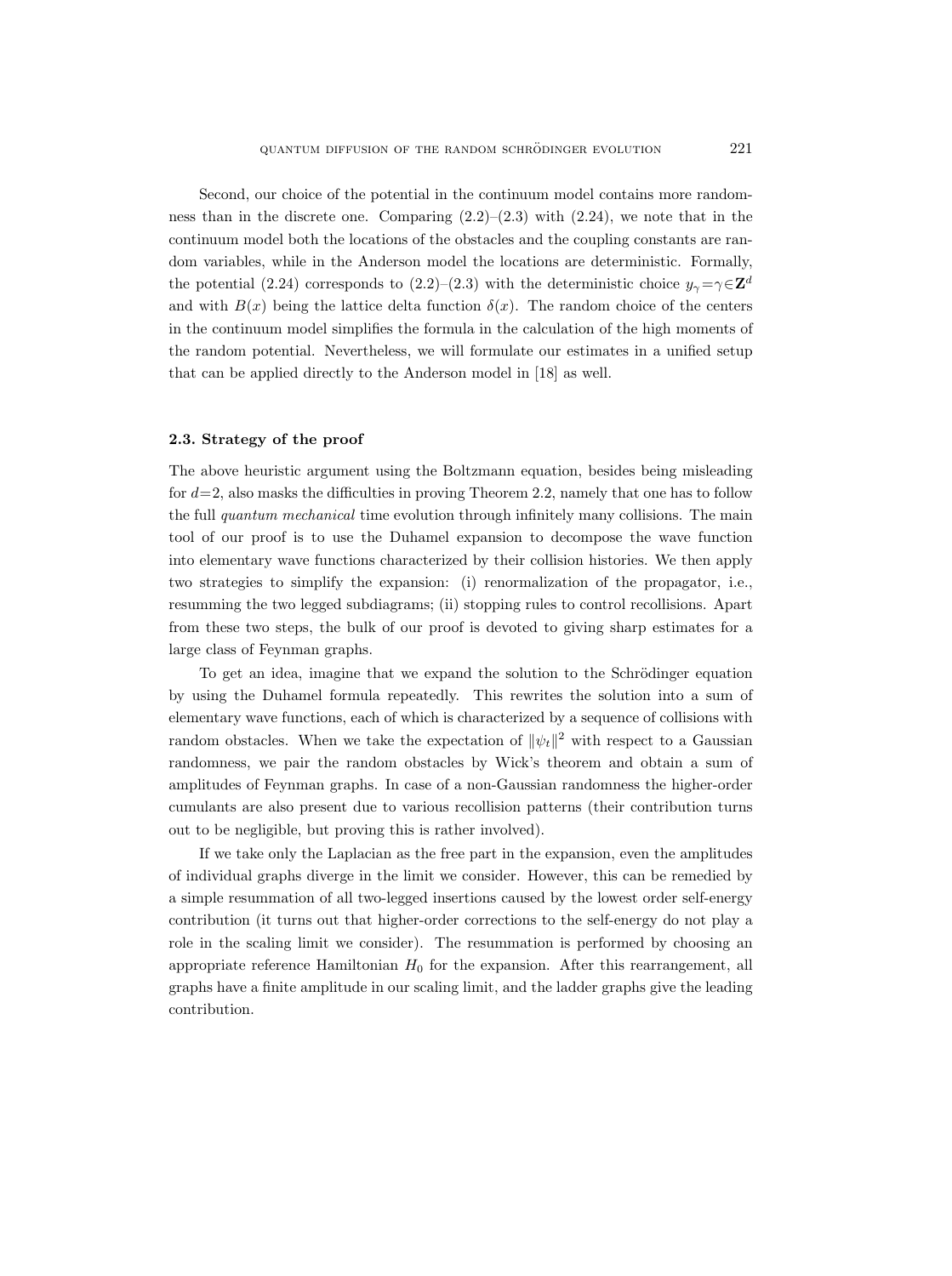Second, our choice of the potential in the continuum model contains more randomness than in the discrete one. Comparing  $(2.2)$ – $(2.3)$  with  $(2.24)$ , we note that in the continuum model both the locations of the obstacles and the coupling constants are random variables, while in the Anderson model the locations are deterministic. Formally, the potential (2.24) corresponds to (2.2)–(2.3) with the deterministic choice  $y_{\gamma} = \gamma \in \mathbb{Z}^d$ and with  $B(x)$  being the lattice delta function  $\delta(x)$ . The random choice of the centers in the continuum model simplifies the formula in the calculation of the high moments of the random potential. Nevertheless, we will formulate our estimates in a unified setup that can be applied directly to the Anderson model in [18] as well.

#### 2.3. Strategy of the proof

The above heuristic argument using the Boltzmann equation, besides being misleading for  $d=2$ , also masks the difficulties in proving Theorem 2.2, namely that one has to follow the full *quantum mechanical* time evolution through infinitely many collisions. The main tool of our proof is to use the Duhamel expansion to decompose the wave function into elementary wave functions characterized by their collision histories. We then apply two strategies to simplify the expansion: (i) renormalization of the propagator, i.e., resumming the two legged subdiagrams; (ii) stopping rules to control recollisions. Apart from these two steps, the bulk of our proof is devoted to giving sharp estimates for a large class of Feynman graphs.

To get an idea, imagine that we expand the solution to the Schrödinger equation by using the Duhamel formula repeatedly. This rewrites the solution into a sum of elementary wave functions, each of which is characterized by a sequence of collisions with random obstacles. When we take the expectation of  $\|\psi_t\|^2$  with respect to a Gaussian randomness, we pair the random obstacles by Wick's theorem and obtain a sum of amplitudes of Feynman graphs. In case of a non-Gaussian randomness the higher-order cumulants are also present due to various recollision patterns (their contribution turns out to be negligible, but proving this is rather involved).

If we take only the Laplacian as the free part in the expansion, even the amplitudes of individual graphs diverge in the limit we consider. However, this can be remedied by a simple resummation of all two-legged insertions caused by the lowest order self-energy contribution (it turns out that higher-order corrections to the self-energy do not play a role in the scaling limit we consider). The resummation is performed by choosing an appropriate reference Hamiltonian  $H_0$  for the expansion. After this rearrangement, all graphs have a finite amplitude in our scaling limit, and the ladder graphs give the leading contribution.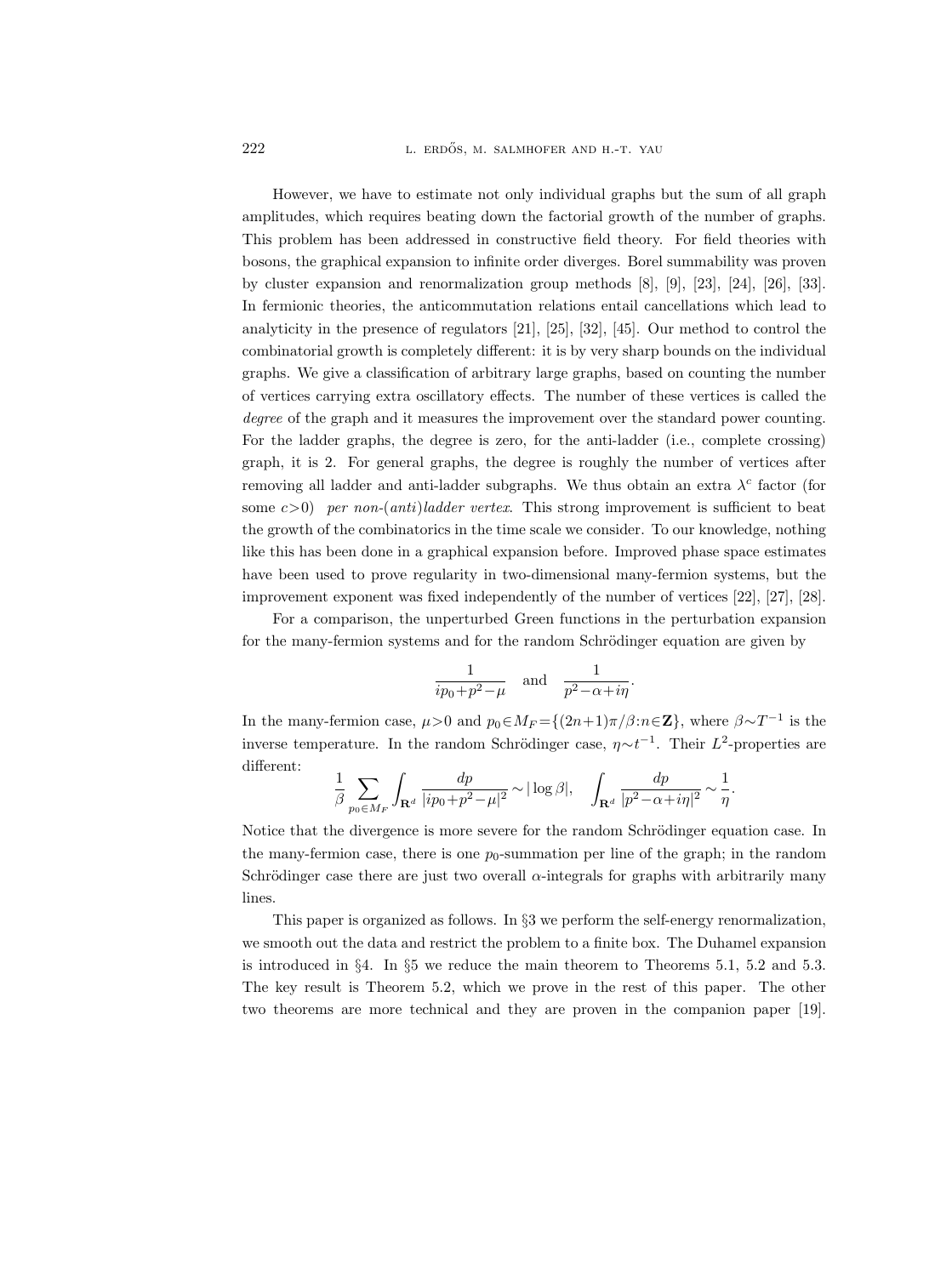222 L. ERDŐS, M. SALMHOFER AND H.-T. YAU

However, we have to estimate not only individual graphs but the sum of all graph amplitudes, which requires beating down the factorial growth of the number of graphs. This problem has been addressed in constructive field theory. For field theories with bosons, the graphical expansion to infinite order diverges. Borel summability was proven by cluster expansion and renormalization group methods [8], [9], [23], [24], [26], [33]. In fermionic theories, the anticommutation relations entail cancellations which lead to analyticity in the presence of regulators [21], [25], [32], [45]. Our method to control the combinatorial growth is completely different: it is by very sharp bounds on the individual graphs. We give a classification of arbitrary large graphs, based on counting the number of vertices carrying extra oscillatory effects. The number of these vertices is called the degree of the graph and it measures the improvement over the standard power counting. For the ladder graphs, the degree is zero, for the anti-ladder (i.e., complete crossing) graph, it is 2. For general graphs, the degree is roughly the number of vertices after removing all ladder and anti-ladder subgraphs. We thus obtain an extra  $\lambda^c$  factor (for some  $c>0$ ) per non-(anti)ladder vertex. This strong improvement is sufficient to beat the growth of the combinatorics in the time scale we consider. To our knowledge, nothing like this has been done in a graphical expansion before. Improved phase space estimates have been used to prove regularity in two-dimensional many-fermion systems, but the improvement exponent was fixed independently of the number of vertices [22], [27], [28].

For a comparison, the unperturbed Green functions in the perturbation expansion for the many-fermion systems and for the random Schrödinger equation are given by

$$
\frac{1}{ip_0 + p^2 - \mu} \quad \text{and} \quad \frac{1}{p^2 - \alpha + i\eta}.
$$

In the many-fermion case,  $\mu > 0$  and  $p_0 \in M_F = \{(2n+1)\pi/\beta : n \in \mathbb{Z}\}$ , where  $\beta \sim T^{-1}$  is the inverse temperature. In the random Schrödinger case,  $\eta \sim t^{-1}$ . Their  $L^2$ -properties are different:

$$
\frac{1}{\beta}\sum_{p_0\in M_F}\int_{\mathbf{R}^d}\frac{dp}{|ip_0+p^2-\mu|^2}\sim|\log\beta|,\quad \int_{\mathbf{R}^d}\frac{dp}{|p^2-\alpha+i\eta|^2}\sim\frac{1}{\eta}.
$$

Notice that the divergence is more severe for the random Schrödinger equation case. In the many-fermion case, there is one  $p_0$ -summation per line of the graph; in the random Schrödinger case there are just two overall  $\alpha$ -integrals for graphs with arbitrarily many lines.

This paper is organized as follows. In §3 we perform the self-energy renormalization, we smooth out the data and restrict the problem to a finite box. The Duhamel expansion is introduced in §4. In §5 we reduce the main theorem to Theorems 5.1, 5.2 and 5.3. The key result is Theorem 5.2, which we prove in the rest of this paper. The other two theorems are more technical and they are proven in the companion paper [19].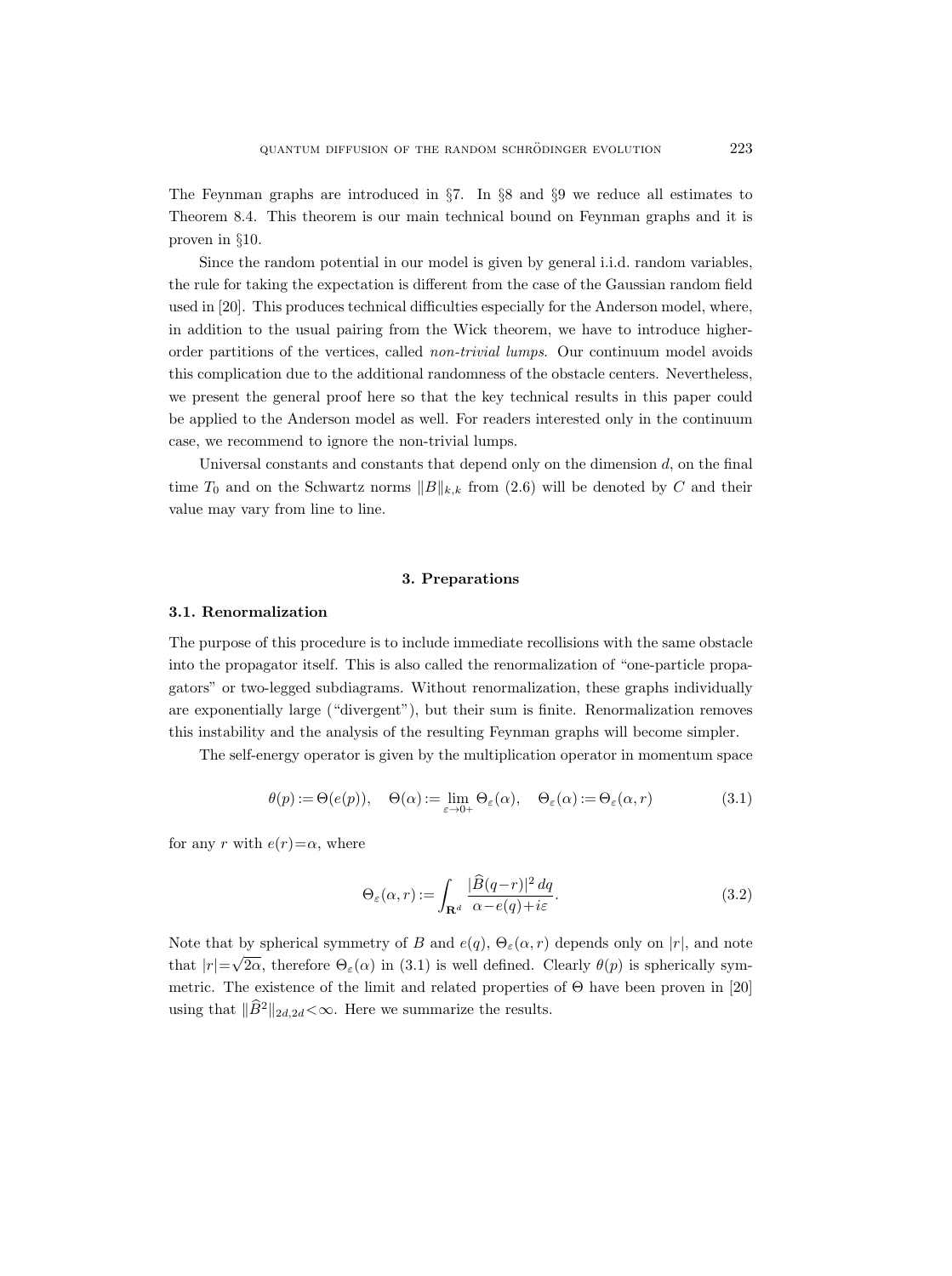The Feynman graphs are introduced in §7. In §8 and §9 we reduce all estimates to Theorem 8.4. This theorem is our main technical bound on Feynman graphs and it is proven in §10.

Since the random potential in our model is given by general i.i.d. random variables, the rule for taking the expectation is different from the case of the Gaussian random field used in [20]. This produces technical difficulties especially for the Anderson model, where, in addition to the usual pairing from the Wick theorem, we have to introduce higherorder partitions of the vertices, called non-trivial lumps. Our continuum model avoids this complication due to the additional randomness of the obstacle centers. Nevertheless, we present the general proof here so that the key technical results in this paper could be applied to the Anderson model as well. For readers interested only in the continuum case, we recommend to ignore the non-trivial lumps.

Universal constants and constants that depend only on the dimension  $d$ , on the final time  $T_0$  and on the Schwartz norms  $||B||_{k,k}$  from (2.6) will be denoted by C and their value may vary from line to line.

## 3. Preparations

#### 3.1. Renormalization

The purpose of this procedure is to include immediate recollisions with the same obstacle into the propagator itself. This is also called the renormalization of "one-particle propagators" or two-legged subdiagrams. Without renormalization, these graphs individually are exponentially large ("divergent"), but their sum is finite. Renormalization removes this instability and the analysis of the resulting Feynman graphs will become simpler.

The self-energy operator is given by the multiplication operator in momentum space

$$
\theta(p) := \Theta(e(p)), \quad \Theta(\alpha) := \lim_{\varepsilon \to 0+} \Theta_{\varepsilon}(\alpha), \quad \Theta_{\varepsilon}(\alpha) := \Theta_{\varepsilon}(\alpha, r)
$$
\n(3.1)

for any r with  $e(r)=\alpha$ , where

$$
\Theta_{\varepsilon}(\alpha, r) := \int_{\mathbf{R}^d} \frac{|\widehat{B}(q-r)|^2 dq}{\alpha - e(q) + i\varepsilon}.
$$
\n(3.2)

Note that by spherical symmetry of B and  $e(q)$ ,  $\Theta_{\varepsilon}(\alpha, r)$  depends only on  $|r|$ , and note that  $|r|=$ √ 2 $\alpha$ , therefore  $\Theta_{\varepsilon}(\alpha)$  in (3.1) is well defined. Clearly  $\theta(p)$  is spherically symmetric. The existence of the limit and related properties of  $\Theta$  have been proven in [20] using that  $\|\widehat{B}^2\|_{2d,2d} < \infty$ . Here we summarize the results.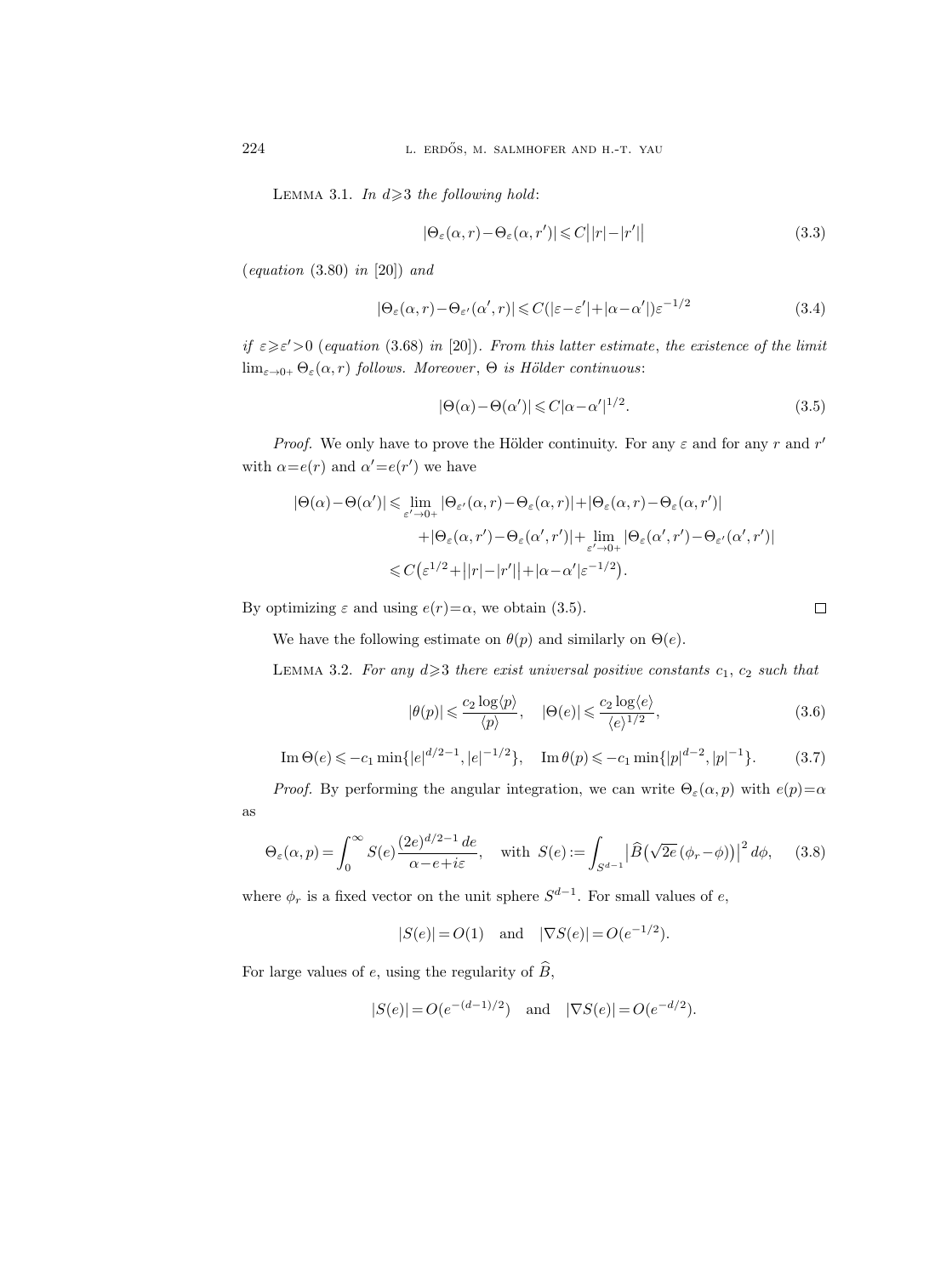LEMMA 3.1. In  $d \geq 3$  the following hold:

$$
|\Theta_{\varepsilon}(\alpha, r) - \Theta_{\varepsilon}(\alpha, r')| \leq C||r| - |r'|| \qquad (3.3)
$$

 $\left( equation\ (3.80)\ in\ [20] \right)$  and

$$
|\Theta_{\varepsilon}(\alpha, r) - \Theta_{\varepsilon'}(\alpha', r)| \leq C(|\varepsilon - \varepsilon'| + |\alpha - \alpha'|)\varepsilon^{-1/2}
$$
\n(3.4)

if  $\epsilon \geq \epsilon' > 0$  (equation (3.68) in [20]). From this latter estimate, the existence of the limit  $\lim_{\varepsilon \to 0+} \Theta_{\varepsilon}(\alpha, r)$  follows. Moreover,  $\Theta$  is Hölder continuous:

$$
|\Theta(\alpha) - \Theta(\alpha')| \leq C|\alpha - \alpha'|^{1/2}.
$$
\n(3.5)

*Proof.* We only have to prove the Hölder continuity. For any  $\varepsilon$  and for any r and r' with  $\alpha = e(r)$  and  $\alpha' = e(r')$  we have

$$
|\Theta(\alpha) - \Theta(\alpha')| \leq \lim_{\varepsilon' \to 0+} |\Theta_{\varepsilon'}(\alpha, r) - \Theta_{\varepsilon}(\alpha, r)| + |\Theta_{\varepsilon}(\alpha, r) - \Theta_{\varepsilon}(\alpha, r')|
$$
  
+ 
$$
|\Theta_{\varepsilon}(\alpha, r') - \Theta_{\varepsilon}(\alpha', r')| + \lim_{\varepsilon' \to 0+} |\Theta_{\varepsilon}(\alpha', r') - \Theta_{\varepsilon'}(\alpha', r')|
$$
  

$$
\leq C \left( \varepsilon^{1/2} + ||r| - |r'|| + |\alpha - \alpha'| \varepsilon^{-1/2} \right).
$$

By optimizing  $\varepsilon$  and using  $e(r)=\alpha$ , we obtain (3.5).

$$
\qquad \qquad \Box
$$

We have the following estimate on  $\theta(p)$  and similarly on  $\Theta(e)$ .

LEMMA 3.2. For any  $d \geq 3$  there exist universal positive constants  $c_1, c_2$  such that

$$
|\theta(p)| \leqslant \frac{c_2 \log \langle p \rangle}{\langle p \rangle}, \quad |\Theta(e)| \leqslant \frac{c_2 \log \langle e \rangle}{\langle e \rangle^{1/2}}, \tag{3.6}
$$

Im 
$$
\Theta(e) \leq -c_1 \min\{|e|^{d/2-1}, |e|^{-1/2}\}, \quad \text{Im } \theta(p) \leq -c_1 \min\{|p|^{d-2}, |p|^{-1}\}.
$$
 (3.7)

*Proof.* By performing the angular integration, we can write  $\Theta_{\varepsilon}(\alpha, p)$  with  $e(p)=\alpha$ 

$$
\Theta_{\varepsilon}(\alpha, p) = \int_0^{\infty} S(e) \frac{(2e)^{d/2 - 1} de}{\alpha - e + i\varepsilon}, \quad \text{with } S(e) := \int_{S^{d-1}} \left| \widehat{B}(\sqrt{2e} (\phi_r - \phi)) \right|^2 d\phi, \quad (3.8)
$$

where  $\phi_r$  is a fixed vector on the unit sphere  $S^{d-1}$ . For small values of e,

$$
|S(e)| = O(1)
$$
 and  $|\nabla S(e)| = O(e^{-1/2}).$ 

For large values of e, using the regularity of  $\widehat{B}$ ,

$$
|S(e)| = O(e^{-(d-1)/2}) \quad \text{and} \quad |\nabla S(e)| = O(e^{-d/2}).
$$

as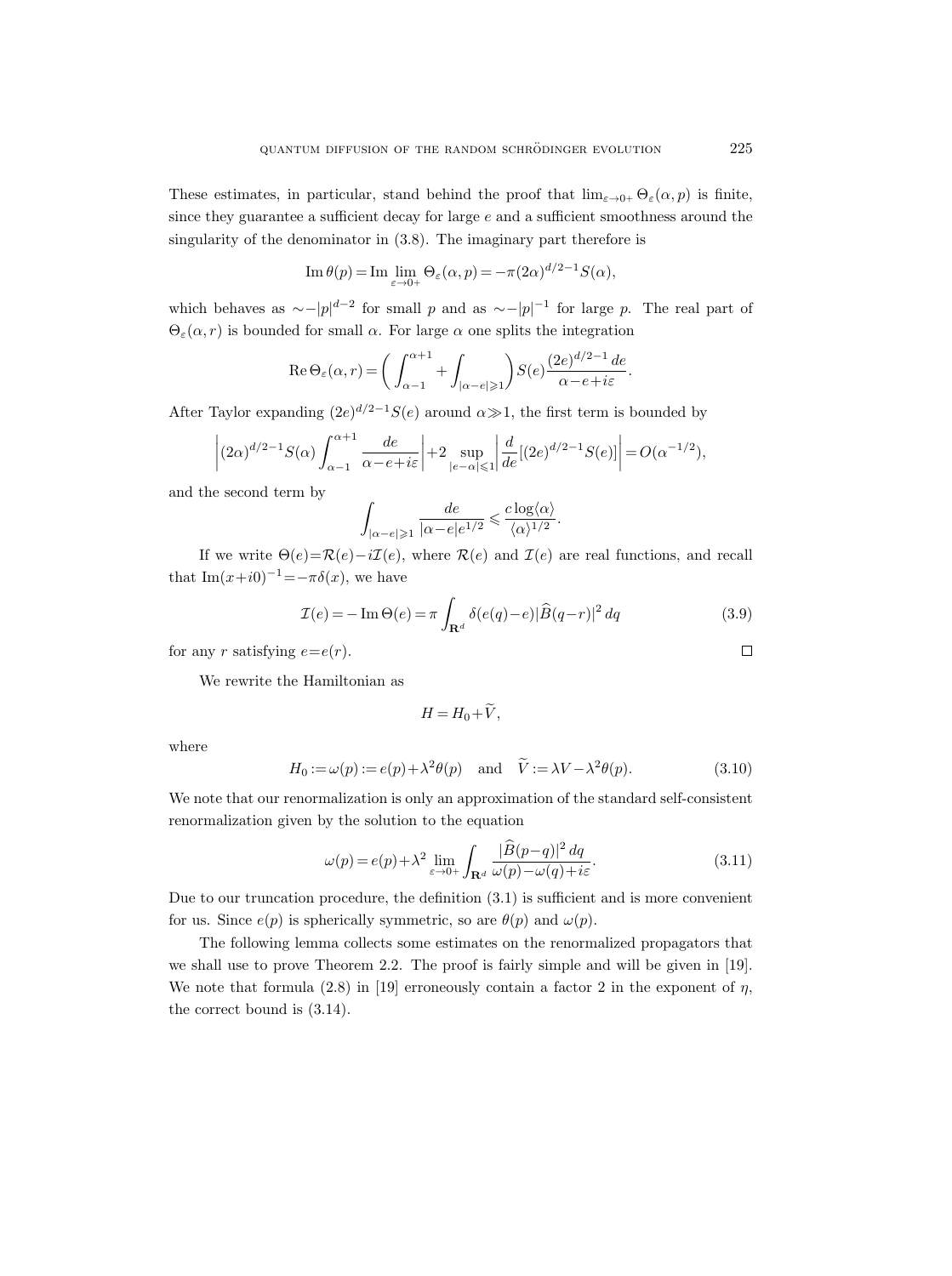These estimates, in particular, stand behind the proof that  $\lim_{\varepsilon \to 0+} \Theta_{\varepsilon}(\alpha, p)$  is finite, since they guarantee a sufficient decay for large  $e$  and a sufficient smoothness around the singularity of the denominator in (3.8). The imaginary part therefore is

Im 
$$
\theta(p)
$$
 = Im  $\lim_{\varepsilon \to 0+} \Theta_{\varepsilon}(\alpha, p) = -\pi (2\alpha)^{d/2-1} S(\alpha),$ 

which behaves as  $\sim -|p|^{d-2}$  for small p and as  $\sim -|p|^{-1}$  for large p. The real part of  $\Theta_{\varepsilon}(\alpha, r)$  is bounded for small  $\alpha$ . For large  $\alpha$  one splits the integration

Re 
$$
\Theta_{\varepsilon}(\alpha, r) = \left(\int_{\alpha-1}^{\alpha+1} + \int_{|\alpha-e| \geq 1} \right) S(e) \frac{(2e)^{d/2-1} de}{\alpha - e + i\varepsilon}
$$

After Taylor expanding  $(2e)^{d/2-1}S(e)$  around  $\alpha \gg 1$ , the first term is bounded by

$$
\left| (2\alpha)^{d/2-1} S(\alpha) \int_{\alpha-1}^{\alpha+1} \frac{de}{\alpha-e+i\varepsilon} \right| + 2 \sup_{|e-\alpha| \leq 1} \left| \frac{d}{de} [(2e)^{d/2-1} S(e)] \right| = O(\alpha^{-1/2}),
$$

and the second term by

$$
\int_{|\alpha-e|\geqslant 1}\frac{de}{|\alpha-e|e^{1/2}}\leqslant \frac{c\log \langle\alpha\rangle}{\langle\alpha\rangle^{1/2}}.
$$

If we write  $\Theta(e) = \mathcal{R}(e) - i\mathcal{I}(e)$ , where  $\mathcal{R}(e)$  and  $\mathcal{I}(e)$  are real functions, and recall that Im $(x+i0)^{-1}=-\pi\delta(x)$ , we have

$$
\mathcal{I}(e) = -\operatorname{Im}\Theta(e) = \pi \int_{\mathbf{R}^d} \delta(e(q) - e) |\widehat{B}(q - r)|^2 dq \qquad (3.9)
$$

.

for any r satisfying  $e=e(r)$ .

We rewrite the Hamiltonian as

$$
H = H_0 + V,
$$

where

$$
H_0 := \omega(p) := e(p) + \lambda^2 \theta(p) \quad \text{and} \quad \widetilde{V} := \lambda V - \lambda^2 \theta(p). \tag{3.10}
$$

We note that our renormalization is only an approximation of the standard self-consistent renormalization given by the solution to the equation

$$
\omega(p) = e(p) + \lambda^2 \lim_{\varepsilon \to 0+} \int_{\mathbf{R}^d} \frac{|\widehat{B}(p-q)|^2 dq}{\omega(p) - \omega(q) + i\varepsilon}.
$$
\n(3.11)

Due to our truncation procedure, the definition (3.1) is sufficient and is more convenient for us. Since  $e(p)$  is spherically symmetric, so are  $\theta(p)$  and  $\omega(p)$ .

The following lemma collects some estimates on the renormalized propagators that we shall use to prove Theorem 2.2. The proof is fairly simple and will be given in [19]. We note that formula (2.8) in [19] erroneously contain a factor 2 in the exponent of  $\eta$ , the correct bound is (3.14).

 $\Box$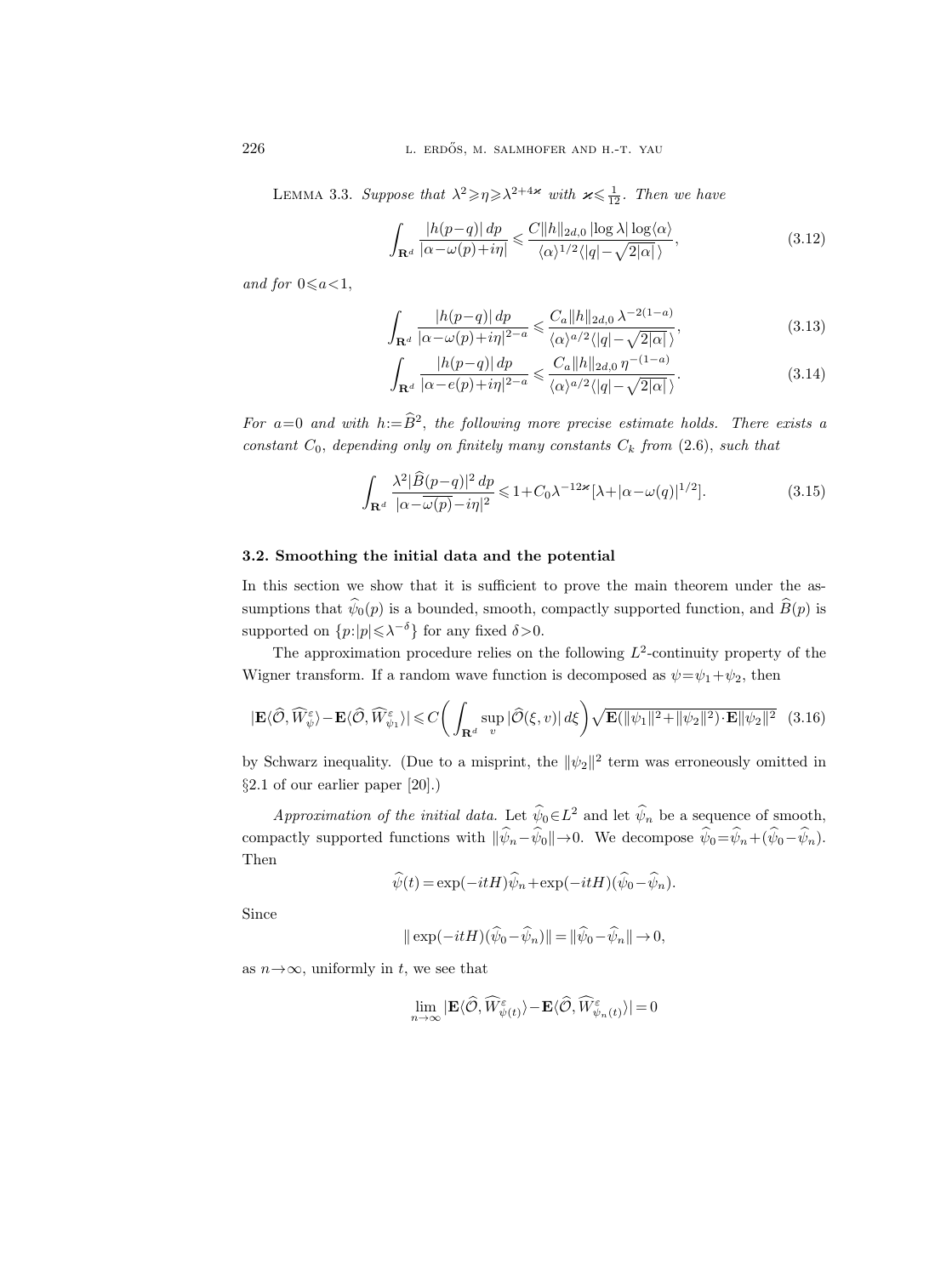LEMMA 3.3. Suppose that  $\lambda^2 \ge \eta \ge \lambda^{2+4\varkappa}$  with  $\varkappa \le \frac{1}{12}$ . Then we have

$$
\int_{\mathbf{R}^d} \frac{|h(p-q)| \, dp}{|\alpha - \omega(p) + i\eta|} \leq \frac{C \|h\|_{2d,0} \left| \log \lambda \right| \log \langle \alpha \rangle}{\langle \alpha \rangle^{1/2} \langle |q| - \sqrt{2|\alpha|} \rangle},\tag{3.12}
$$

and for  $0 \leq a < 1$ ,

$$
\int_{\mathbf{R}^d} \frac{|h(p-q)| \, dp}{|\alpha - \omega(p) + i\eta|^{2-a}} \leq \frac{C_a \|h\|_{2d,0} \lambda^{-2(1-a)}}{\langle \alpha \rangle^{a/2} \langle |q| - \sqrt{2|\alpha|} \rangle},\tag{3.13}
$$

$$
\int_{\mathbf{R}^d} \frac{|h(p-q)| \, dp}{|\alpha - e(p) + i\eta|^{2-a}} \leq \frac{C_a \|h\|_{2d,0} \, \eta^{-(1-a)}}{\langle \alpha \rangle^{a/2} \langle |q| - \sqrt{2|\alpha|} \rangle}.\tag{3.14}
$$

For  $a=0$  and with  $h:=B^2$ , the following more precise estimate holds. There exists a constant  $C_0$ , depending only on finitely many constants  $C_k$  from (2.6), such that

$$
\int_{\mathbf{R}^d} \frac{\lambda^2 |\widehat{B}(p-q)|^2 dp}{|\alpha - \overline{\omega}(p) - i\eta|^2} \leq 1 + C_0 \lambda^{-12\kappa} [\lambda + |\alpha - \omega(q)|^{1/2}].
$$
\n(3.15)

#### 3.2. Smoothing the initial data and the potential

In this section we show that it is sufficient to prove the main theorem under the assumptions that  $\widehat{\psi}_0(p)$  is a bounded, smooth, compactly supported function, and  $\widehat{B}(p)$  is supported on  $\{p: |p| \leq \lambda^{-\delta}\}$  for any fixed  $\delta > 0$ .

The approximation procedure relies on the following  $L^2$ -continuity property of the Wigner transform. If a random wave function is decomposed as  $\psi = \psi_1 + \psi_2$ , then

$$
|\mathbf{E}\langle\widehat{\mathcal{O}},\widehat{W}_{\psi}^{\varepsilon}\rangle-\mathbf{E}\langle\widehat{\mathcal{O}},\widehat{W}_{\psi_{1}}^{\varepsilon}\rangle|\leq C\bigg(\int_{\mathbf{R}^{d}}\sup_{v}|\widehat{\mathcal{O}}(\xi,v)|\,d\xi\bigg)\sqrt{\mathbf{E}(\|\psi_{1}\|^{2}+\|\psi_{2}\|^{2})\cdot\mathbf{E}\|\psi_{2}\|^{2}}\quad(3.16)
$$

by Schwarz inequality. (Due to a misprint, the  $\|\psi_2\|^2$  term was erroneously omitted in §2.1 of our earlier paper [20].)

Approximation of the initial data. Let  $\hat{\psi}_0 \in L^2$  and let  $\hat{\psi}_n$  be a sequence of smooth, compactly supported functions with  $\|\hat{\psi}_n-\hat{\psi}_0\|\rightarrow 0$ . We decompose  $\hat{\psi}_0=\hat{\psi}_n+(\hat{\psi}_0-\hat{\psi}_n)$ . Then

$$
\widehat{\psi}(t) = \exp(-itH)\widehat{\psi}_n + \exp(-itH)(\widehat{\psi}_0 - \widehat{\psi}_n).
$$

Since

$$
\|\exp(-itH)(\widehat{\psi}_0-\widehat{\psi}_n)\|=\|\widehat{\psi}_0-\widehat{\psi}_n\|\to 0,
$$

as  $n \rightarrow \infty$ , uniformly in t, we see that

$$
\lim_{n \to \infty} |\mathbf{E}\langle \widehat{\mathcal{O}}, \widehat{W}_{\psi(t)}^{\varepsilon} \rangle - \mathbf{E}\langle \widehat{\mathcal{O}}, \widehat{W}_{\psi_n(t)}^{\varepsilon} \rangle| = 0
$$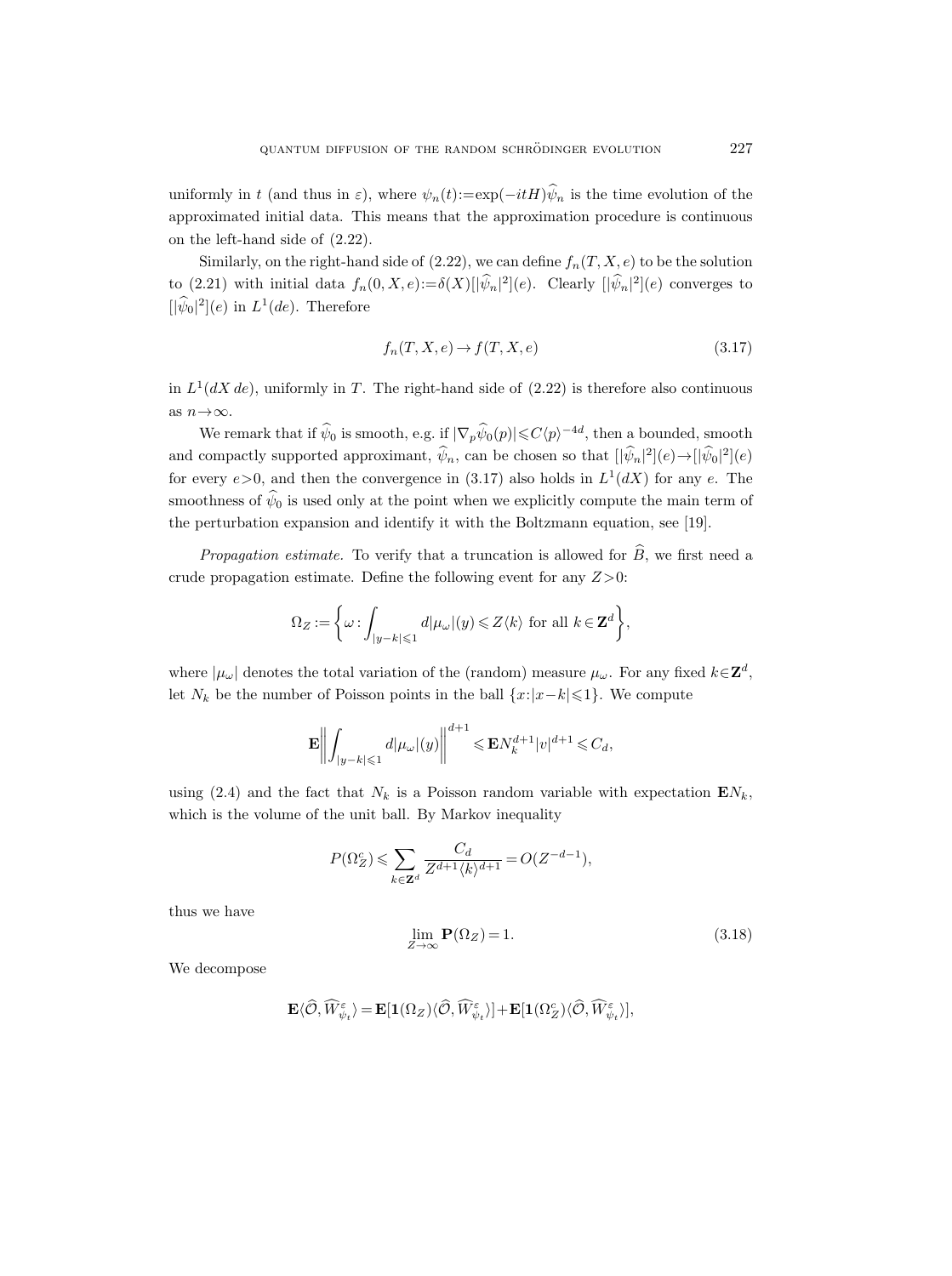uniformly in t (and thus in  $\varepsilon$ ), where  $\psi_n(t) := \exp(-itH)\hat{\psi}_n$  is the time evolution of the approximated initial data. This means that the approximation procedure is continuous on the left-hand side of (2.22).

Similarly, on the right-hand side of  $(2.22)$ , we can define  $f_n(T, X, e)$  to be the solution to (2.21) with initial data  $f_n(0, X, e) := \delta(X)[|\psi_n|^2](e)$ . Clearly  $[|\psi_n|^2](e)$  converges to  $[|\psi_0|^2](e)$  in  $L^1(de)$ . Therefore

$$
f_n(T, X, e) \to f(T, X, e) \tag{3.17}
$$

in  $L^1(dX de)$ , uniformly in T. The right-hand side of  $(2.22)$  is therefore also continuous as  $n{\rightarrow}\infty.$ 

We remark that if  $\hat{\psi}_0$  is smooth, e.g. if  $|\nabla_p \hat{\psi}_0(p)| \leq C \langle p \rangle^{-4d}$ , then a bounded, smooth and compactly supported approximant,  $\hat{\psi}_n$ , can be chosen so that  $[|\hat{\psi}_n|^2](e) \rightarrow |[\hat{\psi}_0|^2](e)$ for every  $e > 0$ , and then the convergence in (3.17) also holds in  $L^1(dX)$  for any e. The smoothness of  $\hat{\psi}_0$  is used only at the point when we explicitly compute the main term of the perturbation expansion and identify it with the Boltzmann equation, see [19].

*Propagation estimate.* To verify that a truncation is allowed for  $\widehat{B}$ , we first need a crude propagation estimate. Define the following event for any  $Z>0$ :

$$
\Omega_Z:=\bigg\{\omega\text{ :}\int_{|y-k|\leqslant 1}d|\mu_\omega|(y)\leqslant Z\langle k\rangle\text{ for all }k\in\mathbf{Z}^d\bigg\},
$$

where  $|\mu_{\omega}|$  denotes the total variation of the (random) measure  $\mu_{\omega}$ . For any fixed  $k \in \mathbb{Z}^d$ , let  $N_k$  be the number of Poisson points in the ball  $\{x:|x-k|\leq 1\}$ . We compute

$$
\mathbf{E}\bigg\|\int_{|y-k|\leqslant 1}d|\mu_{\omega}|(y)\bigg\|^{d+1}\leqslant \mathbf{E} N_k^{d+1}|v|^{d+1}\leqslant C_d,
$$

using (2.4) and the fact that  $N_k$  is a Poisson random variable with expectation  $EN_k$ , which is the volume of the unit ball. By Markov inequality

$$
P(\Omega_Z^c) \leqslant \sum_{k \in \mathbf{Z}^d} \frac{C_d}{Z^{d+1} \langle k \rangle^{d+1}} = O(Z^{-d-1}),
$$

thus we have

$$
\lim_{Z \to \infty} \mathbf{P}(\Omega_Z) = 1. \tag{3.18}
$$

We decompose

$$
\mathbf{E} \langle \hat{\mathcal{O}}, \widehat{W}^{\varepsilon}_{\psi_t} \rangle = \mathbf{E}[\mathbf{1}(\Omega_Z) \langle \hat{\mathcal{O}}, \widehat{W}^{\varepsilon}_{\psi_t} \rangle] + \mathbf{E}[\mathbf{1}(\Omega_Z^c) \langle \hat{\mathcal{O}}, \widehat{W}^{\varepsilon}_{\psi_t} \rangle],
$$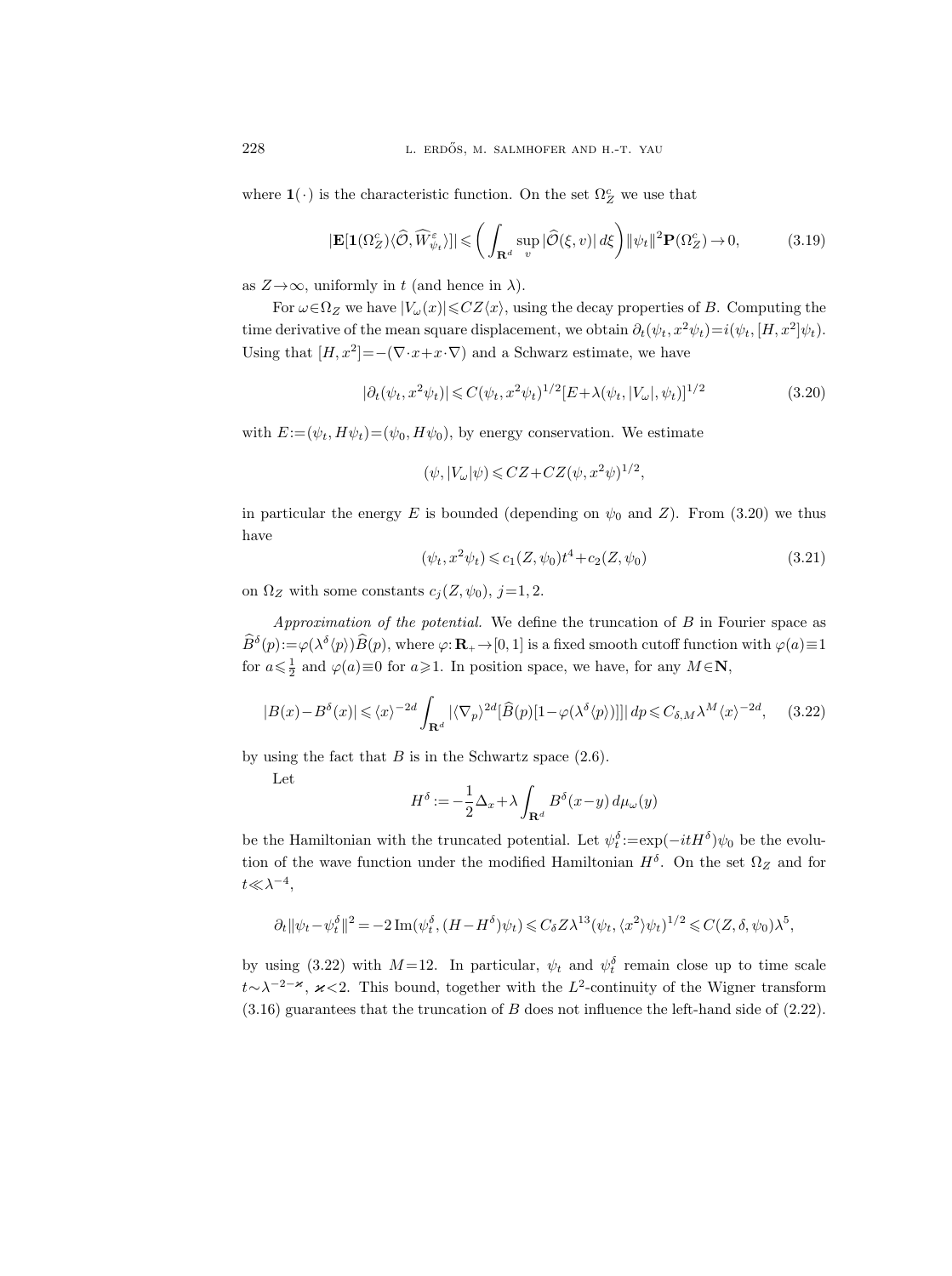where  $\mathbf{1}(\cdot)$  is the characteristic function. On the set  $\Omega_Z^c$  we use that

$$
|\mathbf{E}[\mathbf{1}(\Omega_Z^c)\langle\hat{\mathcal{O}}, \widehat{W}_{\psi_t}^{\varepsilon})]|\leqslant \bigg(\int_{\mathbf{R}^d} \sup_v |\widehat{\mathcal{O}}(\xi, v)| d\xi\bigg) \|\psi_t\|^2 \mathbf{P}(\Omega_Z^c)\to 0,\tag{3.19}
$$

as  $Z \rightarrow \infty$ , uniformly in t (and hence in  $\lambda$ ).

For  $\omega \in \Omega_Z$  we have  $|V_\omega(x)| \leqslant CZ\langle x \rangle$ , using the decay properties of B. Computing the time derivative of the mean square displacement, we obtain  $\partial_t(\psi_t, x^2 \psi_t) = i(\psi_t, [H, x^2] \psi_t)$ . Using that  $[H, x^2] = -(\nabla \cdot x + x \cdot \nabla)$  and a Schwarz estimate, we have

$$
|\partial_t(\psi_t, x^2 \psi_t)| \leq C(\psi_t, x^2 \psi_t)^{1/2} [E + \lambda(\psi_t, |V_\omega|, \psi_t)]^{1/2}
$$
(3.20)

with  $E:=(\psi_t, H\psi_t)=(\psi_0, H\psi_0)$ , by energy conservation. We estimate

$$
(\psi, |V_{\omega}|\psi) \le CZ + CZ(\psi, x^2\psi)^{1/2}
$$

in particular the energy E is bounded (depending on  $\psi_0$  and Z). From (3.20) we thus have

$$
(\psi_t, x^2 \psi_t) \leqslant c_1(Z, \psi_0)t^4 + c_2(Z, \psi_0)
$$
\n
$$
(3.21)
$$

,

on  $\Omega_Z$  with some constants  $c_j(Z, \psi_0), j=1, 2$ .

Approximation of the potential. We define the truncation of  $B$  in Fourier space as  $\widehat{B}^{\delta}(p) := \varphi(\lambda^{\delta}(p))\widehat{B}(p)$ , where  $\varphi: \mathbf{R}_{+} \to [0, 1]$  is a fixed smooth cutoff function with  $\varphi(a) \equiv 1$ for  $a \leq \frac{1}{2}$  and  $\varphi(a) \equiv 0$  for  $a \geq 1$ . In position space, we have, for any  $M \in \mathbb{N}$ ,

$$
|B(x) - B^{\delta}(x)| \le \langle x \rangle^{-2d} \int_{\mathbf{R}^d} |\langle \nabla_p \rangle^{2d} [\widehat{B}(p)[1 - \varphi(\lambda^{\delta} \langle p \rangle)]]| dp \le C_{\delta, M} \lambda^M \langle x \rangle^{-2d}, \quad (3.22)
$$

by using the fact that  $B$  is in the Schwartz space  $(2.6)$ .

Let

$$
H^{\delta} := -\frac{1}{2}\Delta_x + \lambda \int_{\mathbf{R}^d} B^{\delta}(x-y) \, d\mu_\omega(y)
$$

be the Hamiltonian with the truncated potential. Let  $\psi_t^{\delta} := \exp(-itH^{\delta})\psi_0$  be the evolution of the wave function under the modified Hamiltonian  $H^{\delta}$ . On the set  $\Omega_Z$  and for  $t\ll \lambda^{-4},$ 

$$
\partial_t \|\psi_t - \psi_t^{\delta}\|^2 = -2\operatorname{Im}(\psi_t^{\delta}, (H - H^{\delta})\psi_t) \leq C_{\delta} Z \lambda^{13} (\psi_t, \langle x^2 \rangle \psi_t)^{1/2} \leq C(Z, \delta, \psi_0) \lambda^5,
$$

by using (3.22) with  $M=12$ . In particular,  $\psi_t$  and  $\psi_t^{\delta}$  remain close up to time scale t∼ $\lambda^{-2-\varkappa}$ ,  $\varkappa$ <2. This bound, together with the L<sup>2</sup>-continuity of the Wigner transform  $(3.16)$  guarantees that the truncation of B does not influence the left-hand side of  $(2.22)$ .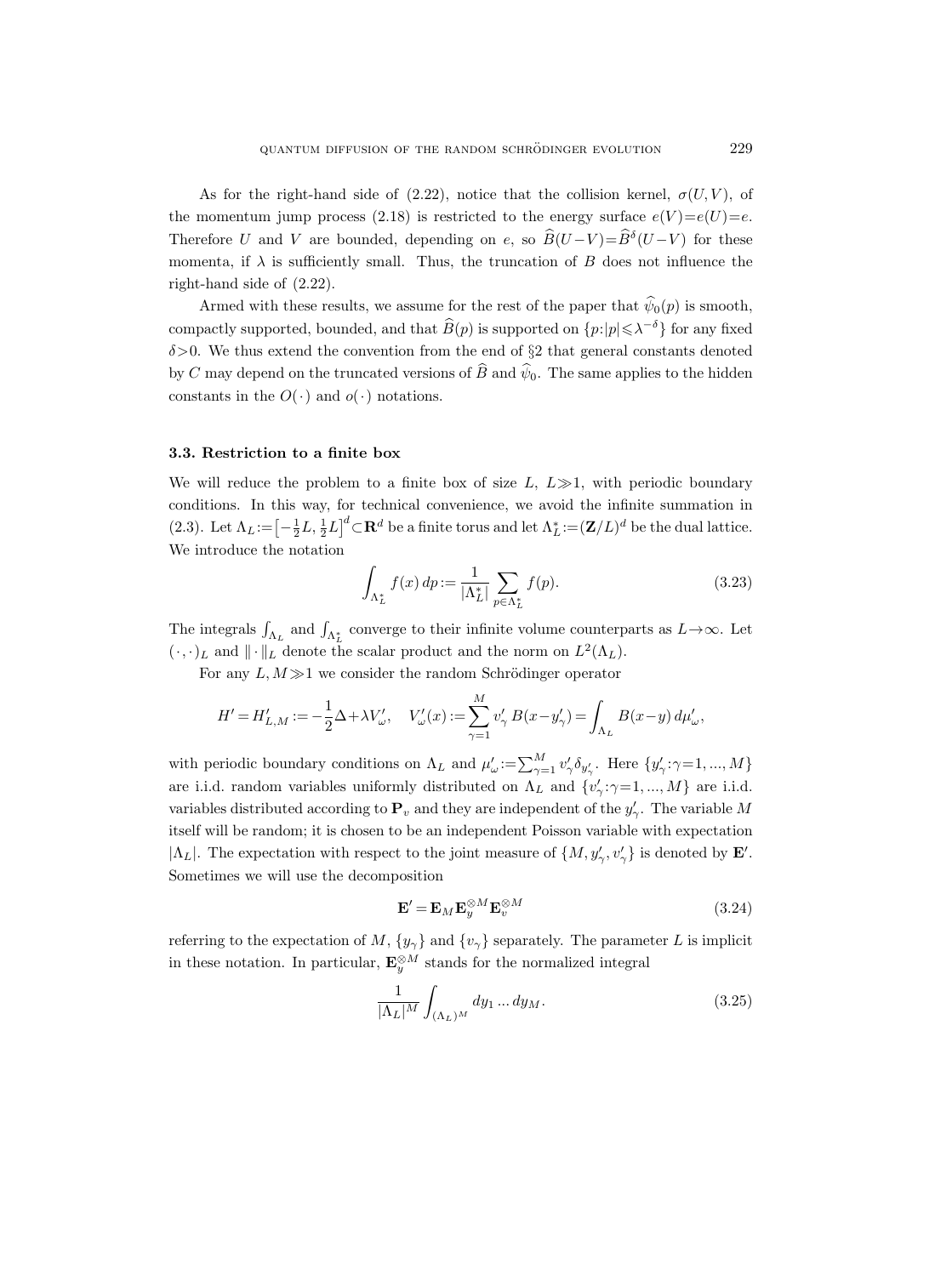As for the right-hand side of (2.22), notice that the collision kernel,  $\sigma(U, V)$ , of the momentum jump process (2.18) is restricted to the energy surface  $e(V) = e(U) = e$ . Therefore U and V are bounded, depending on e, so  $B(U-V) = B<sup>δ</sup>(U-V)$  for these momenta, if  $\lambda$  is sufficiently small. Thus, the truncation of B does not influence the right-hand side of (2.22).

Armed with these results, we assume for the rest of the paper that  $\widehat{\psi}_0(p)$  is smooth, compactly supported, bounded, and that  $\widehat{B}(p)$  is supported on  $\{p:|p|\leq \lambda^{-\delta}\}$  for any fixed  $\delta$ >0. We thus extend the convention from the end of  $\S$ 2 that general constants denoted by C may depend on the truncated versions of  $\hat{B}$  and  $\hat{\psi}_0$ . The same applies to the hidden constants in the  $O(\cdot)$  and  $o(\cdot)$  notations.

#### 3.3. Restriction to a finite box

We will reduce the problem to a finite box of size  $L, L \gg 1$ , with periodic boundary conditions. In this way, for technical convenience, we avoid the infinite summation in (2.3). Let  $\Lambda_L := \left[-\frac{1}{2}L, \frac{1}{2}L\right]^d \subset \mathbf{R}^d$  be a finite torus and let  $\Lambda_L^* := (\mathbf{Z}/L)^d$  be the dual lattice. We introduce the notation

$$
\int_{\Lambda_L^*} f(x) \, dp := \frac{1}{|\Lambda_L^*|} \sum_{p \in \Lambda_L^*} f(p). \tag{3.23}
$$

The integrals  $\int_{\Lambda_L}$  and  $\int_{\Lambda_L^*}$  converge to their infinite volume counterparts as  $L \to \infty$ . Let  $(\cdot, \cdot)_L$  and  $\|\cdot\|_L$  denote the scalar product and the norm on  $L^2(\Lambda_L)$ .

For any  $L, M \gg 1$  we consider the random Schrödinger operator

$$
H'=H'_{L,M}:=-\frac{1}{2}\Delta+\lambda V'_{\omega},\quad V'_{\omega}(x):=\sum_{\gamma=1}^M v'_{\gamma}\,B(x-y'_{\gamma})=\int_{\Lambda_L}B(x-y)\,d\mu'_{\omega},
$$

with periodic boundary conditions on  $\Lambda_L$  and  $\mu'_{\omega} := \sum_{\gamma=1}^M v'_{\gamma} \delta_{y'_{\gamma}}$ . Here  $\{y'_{\gamma} : \gamma=1, ..., M\}$ are i.i.d. random variables uniformly distributed on  $\Lambda_L$  and  $\{v'_\gamma : \gamma = 1, ..., M\}$  are i.i.d. variables distributed according to  $P_v$  and they are independent of the  $y'_\gamma$ . The variable M itself will be random; it is chosen to be an independent Poisson variable with expectation  $|\Lambda_L|$ . The expectation with respect to the joint measure of  $\{M, y'_\gamma, v'_\gamma\}$  is denoted by **E'**. Sometimes we will use the decomposition

$$
\mathbf{E}' = \mathbf{E}_M \mathbf{E}_y^{\otimes M} \mathbf{E}_v^{\otimes M}
$$
 (3.24)

referring to the expectation of M,  $\{y_\gamma\}$  and  $\{v_\gamma\}$  separately. The parameter L is implicit in these notation. In particular,  $\mathbf{E}_y^{\otimes M}$  stands for the normalized integral

$$
\frac{1}{|\Lambda_L|^M} \int_{(\Lambda_L)^M} dy_1 \dots dy_M.
$$
 (3.25)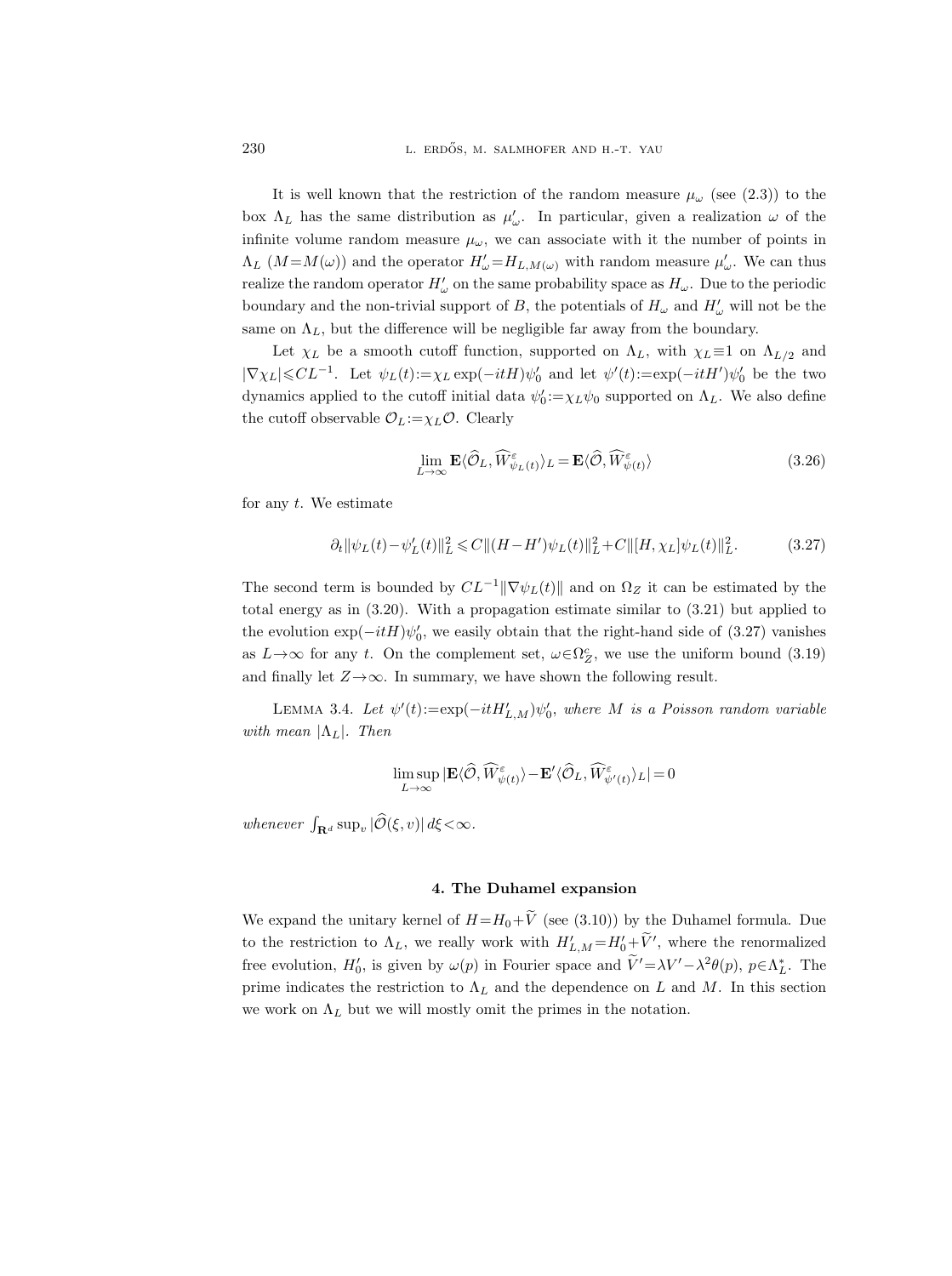It is well known that the restriction of the random measure  $\mu_{\omega}$  (see (2.3)) to the box  $\Lambda_L$  has the same distribution as  $\mu'_\omega$ . In particular, given a realization  $\omega$  of the infinite volume random measure  $\mu_{\omega}$ , we can associate with it the number of points in  $\Lambda_L$  ( $M = M(\omega)$ ) and the operator  $H'_{\omega} = H_{L,M(\omega)}$  with random measure  $\mu'_{\omega}$ . We can thus realize the random operator  $H'_{\omega}$  on the same probability space as  $H_{\omega}$ . Due to the periodic boundary and the non-trivial support of B, the potentials of  $H_{\omega}$  and  $H'_{\omega}$  will not be the same on  $\Lambda_L$ , but the difference will be negligible far away from the boundary.

Let  $\chi_L$  be a smooth cutoff function, supported on  $\Lambda_L$ , with  $\chi_L \equiv 1$  on  $\Lambda_{L/2}$  and  $|\nabla \chi_L| \leqslant CL^{-1}$ . Let  $\psi_L(t) := \chi_L \exp(-itH)\psi_0'$  and let  $\psi'(t) := \exp(-itH')\psi_0'$  be the two dynamics applied to the cutoff initial data  $\psi_0' := \chi_L \psi_0$  supported on  $\Lambda_L$ . We also define the cutoff observable  $\mathcal{O}_L:=\chi_L\mathcal{O}$ . Clearly

$$
\lim_{L \to \infty} \mathbf{E} \langle \widehat{\mathcal{O}}_L, \widehat{W}_{\psi_L(t)}^{\varepsilon} \rangle_L = \mathbf{E} \langle \widehat{\mathcal{O}}, \widehat{W}_{\psi(t)}^{\varepsilon} \rangle \tag{3.26}
$$

for any  $t$ . We estimate

$$
\partial_t \|\psi_L(t) - \psi'_L(t)\|_{L}^2 \leq C \|(H - H')\psi_L(t)\|_{L}^2 + C \|[H, \chi_L]\psi_L(t)\|_{L}^2. \tag{3.27}
$$

The second term is bounded by  $CL^{-1}||\nabla \psi_L(t)||$  and on  $\Omega_Z$  it can be estimated by the total energy as in (3.20). With a propagation estimate similar to (3.21) but applied to the evolution  $\exp(-itH)\psi_0'$ , we easily obtain that the right-hand side of (3.27) vanishes as  $L \rightarrow \infty$  for any t. On the complement set,  $\omega \in \Omega_Z^c$ , we use the uniform bound (3.19) and finally let  $Z \rightarrow \infty$ . In summary, we have shown the following result.

LEMMA 3.4. Let  $\psi'(t) := \exp(-itH'_{L,M})\psi'_{0}$ , where M is a Poisson random variable with mean  $|\Lambda_L|$ . Then

$$
\limsup_{L\to\infty}|\mathbf{E}\langle\widehat{\mathcal{O}},\widehat{W}_{\psi(t)}^{\varepsilon}\rangle-\mathbf{E}'\langle\widehat{\mathcal{O}}_L,\widehat{W}_{\psi'(t)}^{\varepsilon}\rangle_{L}|=0
$$

whenever  $\int_{\mathbf{R}^d} \sup_v |\tilde{\mathcal{O}}(\xi, v)| d\xi < \infty$ .

#### 4. The Duhamel expansion

We expand the unitary kernel of  $H=H_0+\widetilde{V}$  (see (3.10)) by the Duhamel formula. Due to the restriction to  $\Lambda_L$ , we really work with  $H'_{L,M} = H'_0 + V'$ , where the renormalized free evolution,  $H'_0$ , is given by  $\omega(p)$  in Fourier space and  $\tilde{V}' = \lambda V' - \lambda^2 \theta(p)$ ,  $p \in \Lambda_L^*$ . The prime indicates the restriction to  $\Lambda_L$  and the dependence on L and M. In this section we work on  $\Lambda_L$  but we will mostly omit the primes in the notation.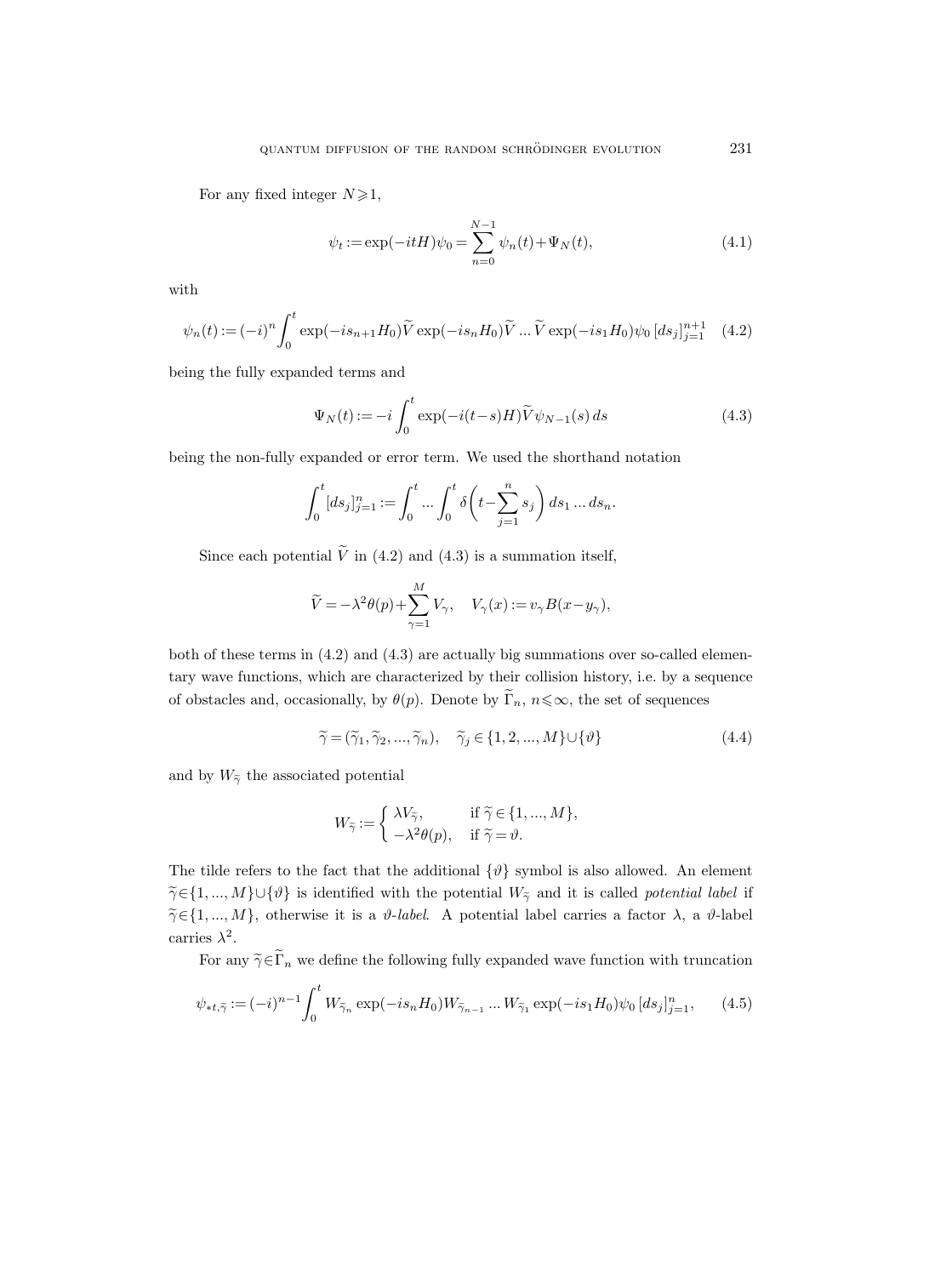For any fixed integer  $N \geq 1$ ,

$$
\psi_t := \exp(-itH)\psi_0 = \sum_{n=0}^{N-1} \psi_n(t) + \Psi_N(t),\tag{4.1}
$$

with

$$
\psi_n(t) := (-i)^n \int_0^t \exp(-is_{n+1}H_0) \widetilde{V} \exp(-is_nH_0) \widetilde{V} \dots \widetilde{V} \exp(-is_1H_0) \psi_0 [ds_j]_{j=1}^{n+1} \quad (4.2)
$$

being the fully expanded terms and

$$
\Psi_N(t) := -i \int_0^t \exp(-i(t-s)H)\widetilde{V}\psi_{N-1}(s) ds \qquad (4.3)
$$

being the non-fully expanded or error term. We used the shorthand notation

$$
\int_0^t [ds_j]_{j=1}^n := \int_0^t \dots \int_0^t \delta\left(t - \sum_{j=1}^n s_j\right) ds_1 \dots ds_n.
$$

Since each potential  $\tilde{V}$  in (4.2) and (4.3) is a summation itself,

$$
\widetilde{V} = -\lambda^2 \theta(p) + \sum_{\gamma=1}^M V_{\gamma}, \quad V_{\gamma}(x) := v_{\gamma} B(x - y_{\gamma}),
$$

both of these terms in (4.2) and (4.3) are actually big summations over so-called elementary wave functions, which are characterized by their collision history, i.e. by a sequence of obstacles and, occasionally, by  $\theta(p)$ . Denote by  $\widetilde{\Gamma}_n$ ,  $n \leq \infty$ , the set of sequences

$$
\widetilde{\gamma} = (\widetilde{\gamma}_1, \widetilde{\gamma}_2, ..., \widetilde{\gamma}_n), \quad \widetilde{\gamma}_j \in \{1, 2, ..., M\} \cup \{\vartheta\}
$$
\n(4.4)

and by  $W_{\tilde{\gamma}}$  the associated potential

$$
W_{\widetilde{\gamma}} := \begin{cases} \lambda V_{\widetilde{\gamma}}, & \text{if } \widetilde{\gamma} \in \{1, ..., M\}, \\ -\lambda^2 \theta(p), & \text{if } \widetilde{\gamma} = \vartheta. \end{cases}
$$

The tilde refers to the fact that the additional  $\{\vartheta\}$  symbol is also allowed. An element  $\widetilde{\gamma} \in \{1, ..., M\} \cup \{\vartheta\}$  is identified with the potential  $W_{\widetilde{\gamma}}$  and it is called *potential label* if  $\widetilde{\gamma} \in \{1, ..., M\}$ , otherwise it is a  $\vartheta$ -label. A potential label carries a factor  $\lambda$ , a  $\vartheta$ -label carries  $\lambda^2$ .

For any  $\tilde{\gamma} \in \tilde{\Gamma}_n$  we define the following fully expanded wave function with truncation

$$
\psi_{*t,\tilde{\gamma}} := (-i)^{n-1} \int_0^t W_{\tilde{\gamma}_n} \exp(-is_n H_0) W_{\tilde{\gamma}_{n-1}} \dots W_{\tilde{\gamma}_1} \exp(-is_1 H_0) \psi_0 \left[ ds_j \right]_{j=1}^n, \qquad (4.5)
$$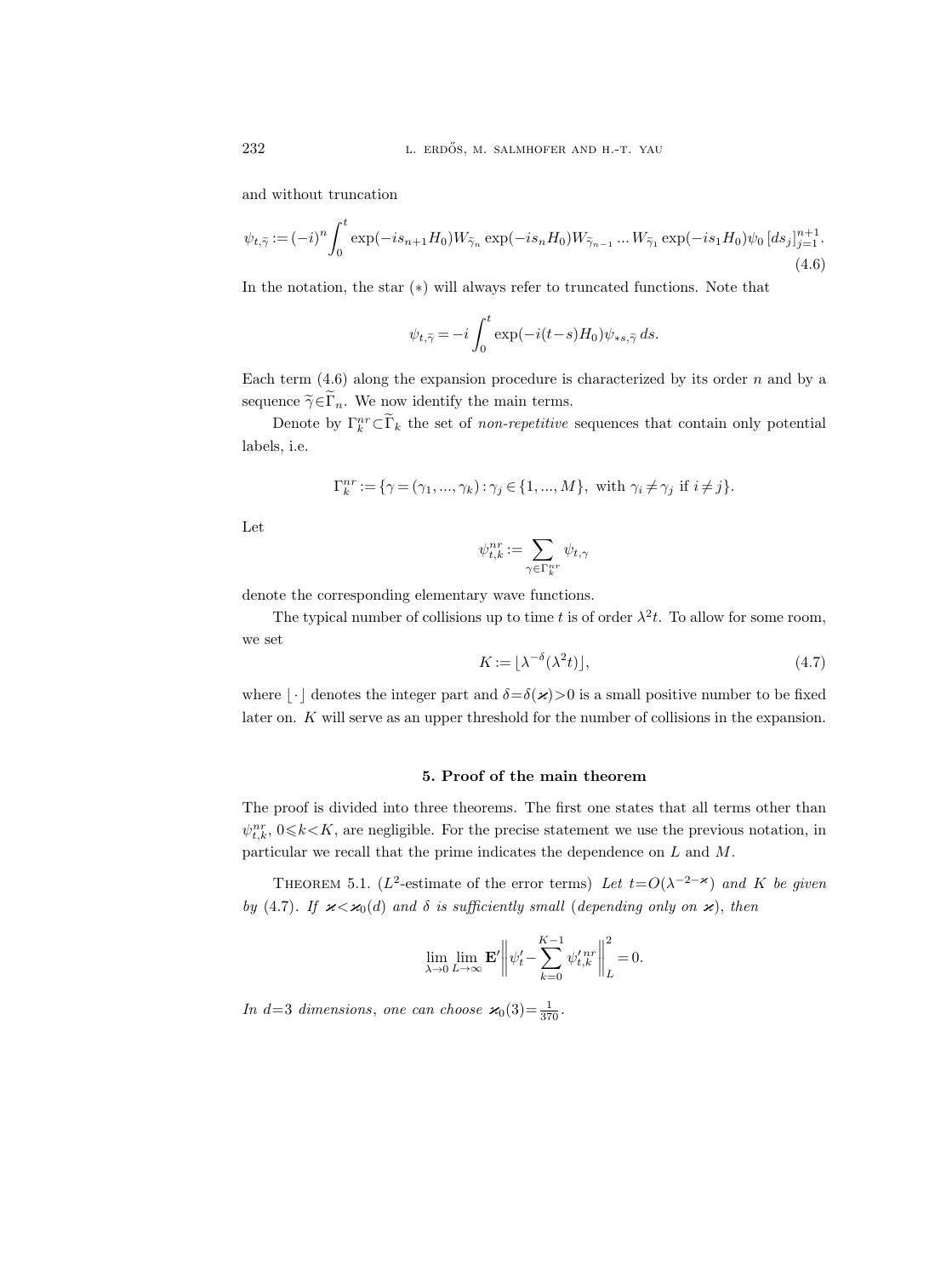and without truncation

$$
\psi_{t,\tilde{\gamma}} := (-i)^n \int_0^t \exp(-is_{n+1}H_0) W_{\tilde{\gamma}_n} \exp(-is_nH_0) W_{\tilde{\gamma}_{n-1}} \dots W_{\tilde{\gamma}_1} \exp(-is_1H_0) \psi_0 \left[ ds_j \right]_{j=1}^{n+1}.
$$
\n(4.6)

In the notation, the star (∗) will always refer to truncated functions. Note that

$$
\psi_{t,\widetilde{\gamma}} = -i \int_0^t \exp(-i(t-s)H_0)\psi_{\ast s,\widetilde{\gamma}} ds.
$$

Each term  $(4.6)$  along the expansion procedure is characterized by its order n and by a sequence  $\widetilde{\gamma} \in \widetilde{\Gamma}_n$ . We now identify the main terms.

Denote by  $\Gamma_k^{nr} \subset \Gamma_k$  the set of *non-repetitive* sequences that contain only potential labels, i.e.

$$
\Gamma_k^{nr} := \{ \gamma = (\gamma_1, ..., \gamma_k) : \gamma_j \in \{1, ..., M\}, \text{ with } \gamma_i \neq \gamma_j \text{ if } i \neq j \}.
$$

Let

$$
\psi_{t,k}^{nr}:=\sum_{\gamma\in\Gamma_k^{nr}}\psi_{t,\gamma}
$$

denote the corresponding elementary wave functions.

The typical number of collisions up to time t is of order  $\lambda^2 t$ . To allow for some room, we set

$$
K := \lfloor \lambda^{-\delta} (\lambda^2 t) \rfloor,\tag{4.7}
$$

where  $\lfloor \cdot \rfloor$  denotes the integer part and  $\delta = \delta(\varkappa) > 0$  is a small positive number to be fixed later on. K will serve as an upper threshold for the number of collisions in the expansion.

## 5. Proof of the main theorem

The proof is divided into three theorems. The first one states that all terms other than  $\psi_{t,k}^{nr}, 0 \le k \le K$ , are negligible. For the precise statement we use the previous notation, in particular we recall that the prime indicates the dependence on L and M.

THEOREM 5.1. (L<sup>2</sup>-estimate of the error terms) Let  $t=O(\lambda^{-2-\varkappa})$  and K be given by (4.7). If  $\varkappa < \varkappa_0(d)$  and  $\delta$  is sufficiently small (depending only on  $\varkappa$ ), then

$$
\lim_{\lambda\to 0}\lim_{L\to\infty}\mathbf{E}'\bigg\|\psi_t'-\sum_{k=0}^{K-1}\psi_{t,k}^{\prime\,nr}\bigg\|_L^2=0.
$$

In d=3 dimensions, one can choose  $\varkappa_0(3) = \frac{1}{370}$ .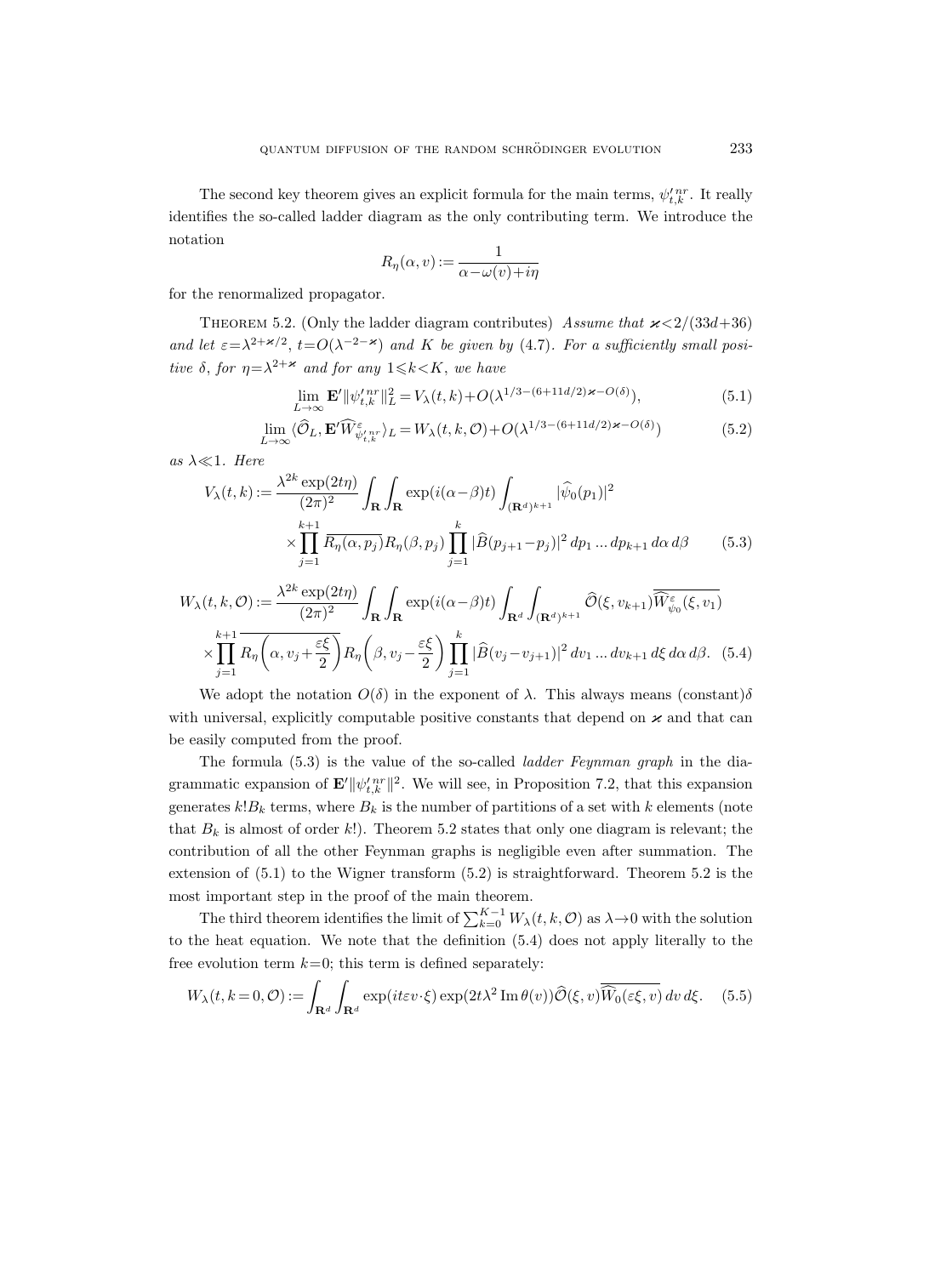The second key theorem gives an explicit formula for the main terms,  $\psi_{t,k}^{\prime nr}$ . It really identifies the so-called ladder diagram as the only contributing term. We introduce the notation

$$
R_{\eta}(\alpha, v) := \frac{1}{\alpha - \omega(v) + i\eta}
$$

for the renormalized propagator.

THEOREM 5.2. (Only the ladder diagram contributes) Assume that  $\varkappa < 2/(33d+36)$ and let  $\varepsilon = \lambda^{2+\varkappa/2}$ ,  $t = O(\lambda^{-2-\varkappa})$  and K be given by (4.7). For a sufficiently small positive  $\delta$ , for  $\eta = \lambda^{2+\varkappa}$  and for any  $1 \le k \le K$ , we have

$$
\lim_{L \to \infty} \mathbf{E}' \|\psi_{t,k}^{\prime \, nr}\|_{L}^{2} = V_{\lambda}(t,k) + O(\lambda^{1/3 - (6 + 11d/2)\varkappa - O(\delta)}),\tag{5.1}
$$

$$
\lim_{L \to \infty} \langle \widehat{\mathcal{O}}_L, \mathbf{E}' \widehat{W}_{\psi'_{t,k}}^{\varepsilon} \rangle_L = W_{\lambda}(t,k,\mathcal{O}) + O(\lambda^{1/3 - (6 + 11d/2)\varkappa - O(\delta)})
$$
(5.2)

as  $\lambda \ll 1$ . Here

$$
V_{\lambda}(t,k) := \frac{\lambda^{2k} \exp(2t\eta)}{(2\pi)^2} \int_{\mathbf{R}} \int_{\mathbf{R}} \exp(i(\alpha - \beta)t) \int_{(\mathbf{R}^d)^{k+1}} |\widehat{\psi}_0(p_1)|^2
$$
  
 
$$
\times \prod_{j=1}^{k+1} \overline{R_{\eta}(\alpha, p_j)} R_{\eta}(\beta, p_j) \prod_{j=1}^k |\widehat{B}(p_{j+1} - p_j)|^2 dp_1 ... dp_{k+1} d\alpha d\beta \qquad (5.3)
$$

$$
W_{\lambda}(t,k,\mathcal{O}) := \frac{\lambda^{2k} \exp(2t\eta)}{(2\pi)^2} \int_{\mathbf{R}} \int_{\mathbf{R}} \exp(i(\alpha-\beta)t) \int_{\mathbf{R}^d} \int_{(\mathbf{R}^d)^{k+1}} \widehat{\mathcal{O}}(\xi, v_{k+1}) \overline{\widehat{W}_{\psi_0}^{\varepsilon}(\xi, v_1)}
$$

$$
\times \prod_{j=1}^{k+1} R_{\eta} \left( \alpha, v_j + \frac{\varepsilon \xi}{2} \right) R_{\eta} \left( \beta, v_j - \frac{\varepsilon \xi}{2} \right) \prod_{j=1}^k |\widehat{B}(v_j - v_{j+1})|^2 dv_1 \dots dv_{k+1} d\xi d\alpha d\beta. \tag{5.4}
$$

We adopt the notation  $O(\delta)$  in the exponent of  $\lambda$ . This always means (constant) $\delta$ with universal, explicitly computable positive constants that depend on  $\varkappa$  and that can be easily computed from the proof.

The formula (5.3) is the value of the so-called ladder Feynman graph in the diagrammatic expansion of  $\mathbf{E'}\|\psi_{t,k}^{\prime\,nr}\|^{2}$ . We will see, in Proposition 7.2, that this expansion generates  $k!B_k$  terms, where  $B_k$  is the number of partitions of a set with k elements (note that  $B_k$  is almost of order k!). Theorem 5.2 states that only one diagram is relevant; the contribution of all the other Feynman graphs is negligible even after summation. The extension of (5.1) to the Wigner transform (5.2) is straightforward. Theorem 5.2 is the most important step in the proof of the main theorem.

The third theorem identifies the limit of  $\sum_{k=0}^{K-1} W_{\lambda}(t, k, \mathcal{O})$  as  $\lambda \to 0$  with the solution to the heat equation. We note that the definition (5.4) does not apply literally to the free evolution term  $k=0$ ; this term is defined separately:

$$
W_{\lambda}(t, k=0, \mathcal{O}) := \int_{\mathbf{R}^d} \int_{\mathbf{R}^d} \exp(it\varepsilon v \cdot \xi) \exp(2t\lambda^2 \operatorname{Im} \theta(v)) \widehat{\mathcal{O}}(\xi, v) \overline{\widehat{W}_0(\varepsilon \xi, v)} dv d\xi. \tag{5.5}
$$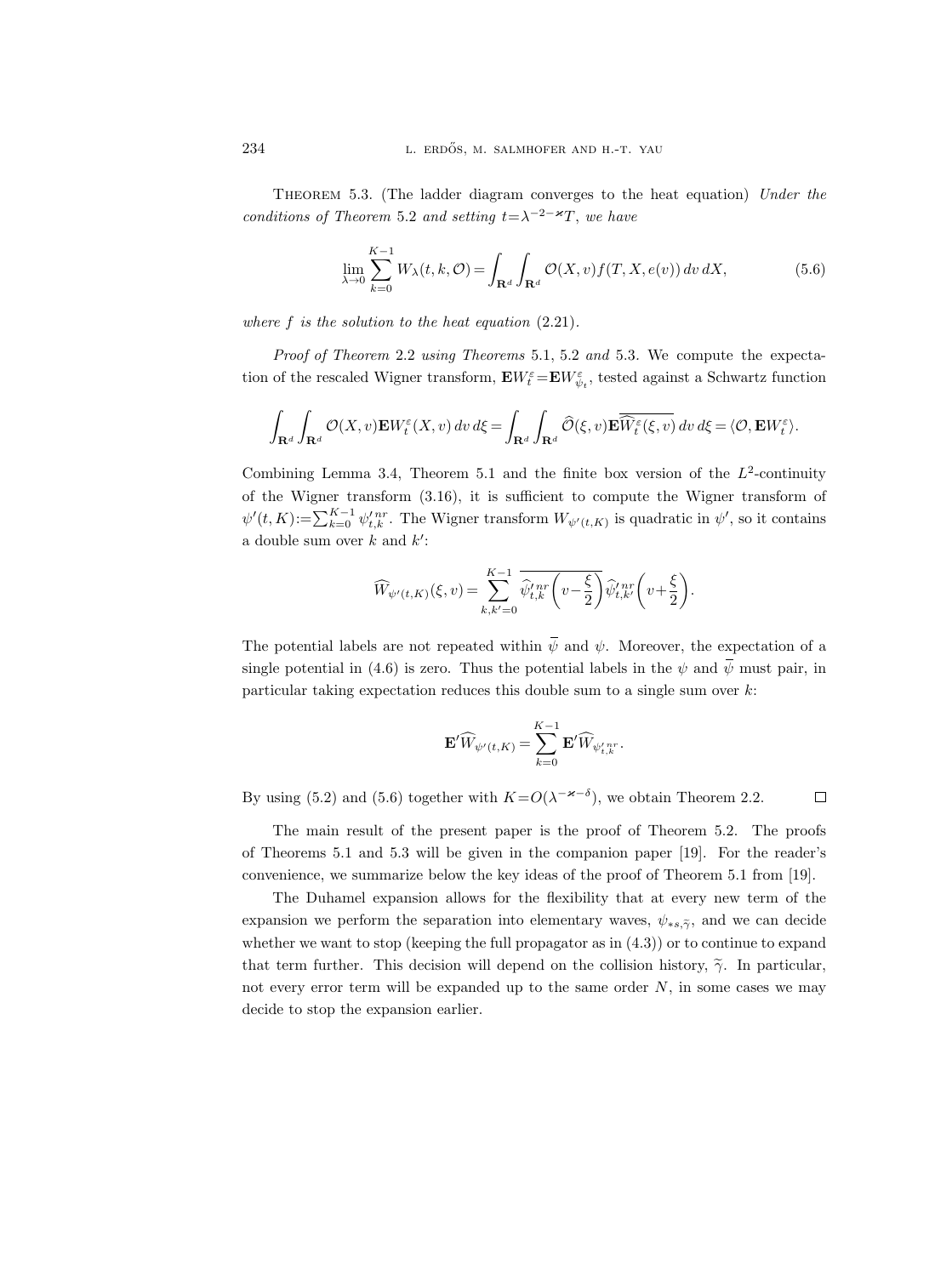THEOREM 5.3. (The ladder diagram converges to the heat equation) Under the conditions of Theorem 5.2 and setting  $t = \lambda^{-2-\varkappa}T$ , we have

$$
\lim_{\lambda \to 0} \sum_{k=0}^{K-1} W_{\lambda}(t, k, \mathcal{O}) = \int_{\mathbf{R}^d} \int_{\mathbf{R}^d} \mathcal{O}(X, v) f(T, X, e(v)) \, dv \, dX,\tag{5.6}
$$

where  $f$  is the solution to the heat equation  $(2.21)$ .

Proof of Theorem 2.2 using Theorems 5.1, 5.2 and 5.3. We compute the expectation of the rescaled Wigner transform,  ${\bf E} W_{t}^{\varepsilon}\!=\!{\bf E} W_{\psi_{t}}^{\varepsilon},$  tested against a Schwartz function

$$
\int_{\mathbf{R}^d} \int_{\mathbf{R}^d} \mathcal{O}(X,v) \mathbf{E} W_t^{\varepsilon}(X,v) dv d\xi = \int_{\mathbf{R}^d} \int_{\mathbf{R}^d} \widehat{\mathcal{O}}(\xi,v) \mathbf{E} \overline{\widehat{W}_t^{\varepsilon}(\xi,v)} dv d\xi = \langle \mathcal{O}, \mathbf{E} W_t^{\varepsilon} \rangle.
$$

Combining Lemma 3.4, Theorem 5.1 and the finite box version of the  $L^2$ -continuity of the Wigner transform (3.16), it is sufficient to compute the Wigner transform of  $\psi'(t,K) := \sum_{k=0}^{K-1} \psi'_{t,k}^{nr}$ . The Wigner transform  $W_{\psi'(t,K)}$  is quadratic in  $\psi'$ , so it contains a double sum over  $k$  and  $k'$ :

$$
\widehat{W}_{\psi'(t,K)}(\xi,v) = \sum_{k,k'=0}^{K-1} \overline{\widehat{\psi}_{t,k}^{n}r} \left(v - \frac{\xi}{2}\right) \widehat{\psi}_{t,k'}^{n}r} \left(v + \frac{\xi}{2}\right).
$$

The potential labels are not repeated within  $\bar{\psi}$  and  $\psi$ . Moreover, the expectation of a single potential in (4.6) is zero. Thus the potential labels in the  $\psi$  and  $\bar{\psi}$  must pair, in particular taking expectation reduces this double sum to a single sum over k:

$$
\mathbf{E}'\widehat{W}_{\psi'(t,K)}=\sum_{k=0}^{K-1}\mathbf{E}'\widehat{W}_{\psi'_{t,k}}{^{n}}^{\!\!n}
$$

.

By using (5.2) and (5.6) together with  $K = O(\lambda^{-\varkappa - \delta})$ , we obtain Theorem 2.2.  $\Box$ 

The main result of the present paper is the proof of Theorem 5.2. The proofs of Theorems 5.1 and 5.3 will be given in the companion paper [19]. For the reader's convenience, we summarize below the key ideas of the proof of Theorem 5.1 from [19].

The Duhamel expansion allows for the flexibility that at every new term of the expansion we perform the separation into elementary waves,  $\psi_{*,\tilde{\gamma}}$ , and we can decide whether we want to stop (keeping the full propagator as in  $(4.3)$ ) or to continue to expand that term further. This decision will depend on the collision history,  $\tilde{\gamma}$ . In particular, not every error term will be expanded up to the same order  $N$ , in some cases we may decide to stop the expansion earlier.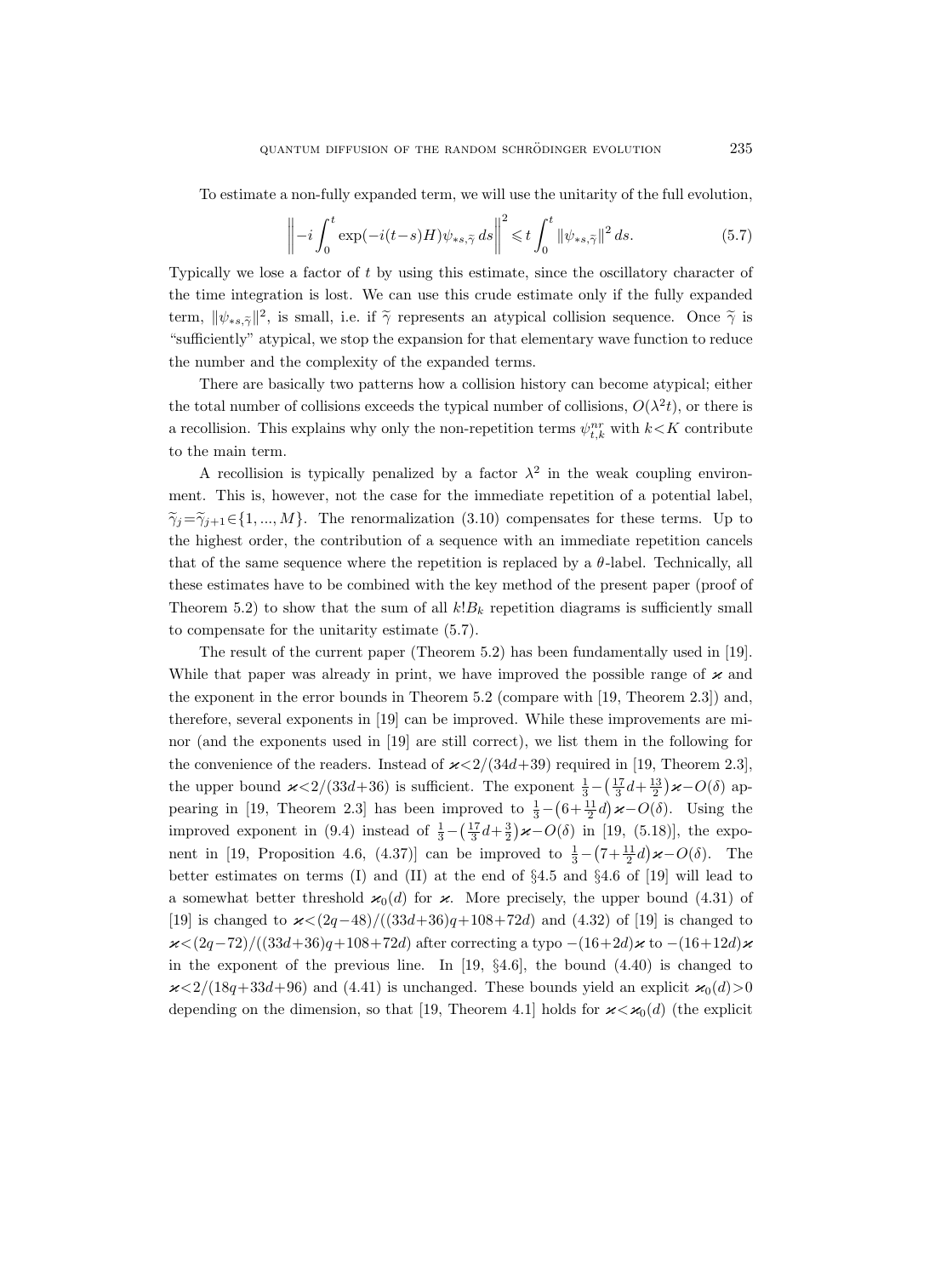To estimate a non-fully expanded term, we will use the unitarity of the full evolution,

$$
\left\| -i \int_0^t \exp(-i(t-s)H)\psi_{\ast s,\widetilde{\gamma}} ds \right\|^2 \leq t \int_0^t \|\psi_{\ast s,\widetilde{\gamma}}\|^2 ds. \tag{5.7}
$$

Typically we lose a factor of t by using this estimate, since the oscillatory character of the time integration is lost. We can use this crude estimate only if the fully expanded term,  $\|\psi_{\ast s,\tilde{\gamma}}\|^2$ , is small, i.e. if  $\tilde{\gamma}$  represents an atypical collision sequence. Once  $\tilde{\gamma}$  is "sufficiently" atypical, we stop the expansion for that elementary wave function to reduce the number and the complexity of the expanded terms.

There are basically two patterns how a collision history can become atypical; either the total number of collisions exceeds the typical number of collisions,  $O(\lambda^2 t)$ , or there is a recollision. This explains why only the non-repetition terms  $\psi_{t,k}^{nr}$  with  $k\!<\!K$  contribute to the main term.

A recollision is typically penalized by a factor  $\lambda^2$  in the weak coupling environment. This is, however, not the case for the immediate repetition of a potential label,  $\tilde{\gamma}_i=\tilde{\gamma}_{i+1}\in\{1,...,M\}$ . The renormalization (3.10) compensates for these terms. Up to the highest order, the contribution of a sequence with an immediate repetition cancels that of the same sequence where the repetition is replaced by a  $\theta$ -label. Technically, all these estimates have to be combined with the key method of the present paper (proof of Theorem 5.2) to show that the sum of all  $k!B_k$  repetition diagrams is sufficiently small to compensate for the unitarity estimate (5.7).

The result of the current paper (Theorem 5.2) has been fundamentally used in [19]. While that paper was already in print, we have improved the possible range of  $\varkappa$  and the exponent in the error bounds in Theorem 5.2 (compare with [19, Theorem 2.3]) and, therefore, several exponents in [19] can be improved. While these improvements are minor (and the exponents used in [19] are still correct), we list them in the following for the convenience of the readers. Instead of  $\varkappa < 2/(34d+39)$  required in [19, Theorem 2.3], the upper bound  $\varkappa < 2/(33d+36)$  is sufficient. The exponent  $\frac{1}{3} - (\frac{17}{3}d + \frac{13}{2})\varkappa - O(\delta)$  appearing in [19, Theorem 2.3] has been improved to  $\frac{1}{3} - (6 + \frac{11}{2}d)\varkappa - O(\delta)$ . Using the improved exponent in (9.4) instead of  $\frac{1}{3} - (\frac{17}{3}d + \frac{3}{2})\varkappa - O(\delta)$  in [19, (5.18)], the exponent in [19, Proposition 4.6, (4.37)] can be improved to  $\frac{1}{3} - (7 + \frac{11}{2}d)\varkappa - O(\delta)$ . The better estimates on terms  $(I)$  and  $(II)$  at the end of  $\S 4.5$  and  $\S 4.6$  of  $[19]$  will lead to a somewhat better threshold  $\varkappa_0(d)$  for  $\varkappa$ . More precisely, the upper bound (4.31) of [19] is changed to  $x < (2q-48)/((33d+36)q+108+72d)$  and (4.32) of [19] is changed to  $x < (2q-72)/((33d+36)q+108+72d)$  after correcting a typo  $-(16+2d)x$  to  $-(16+12d)x$ in the exponent of the previous line. In  $[19, \, \S4.6]$ , the bound  $(4.40)$  is changed to  $\alpha < 2/(18q+33d+96)$  and (4.41) is unchanged. These bounds yield an explicit  $\varkappa_0(d) > 0$ depending on the dimension, so that [19, Theorem 4.1] holds for  $\varkappa < \varkappa_0(d)$  (the explicit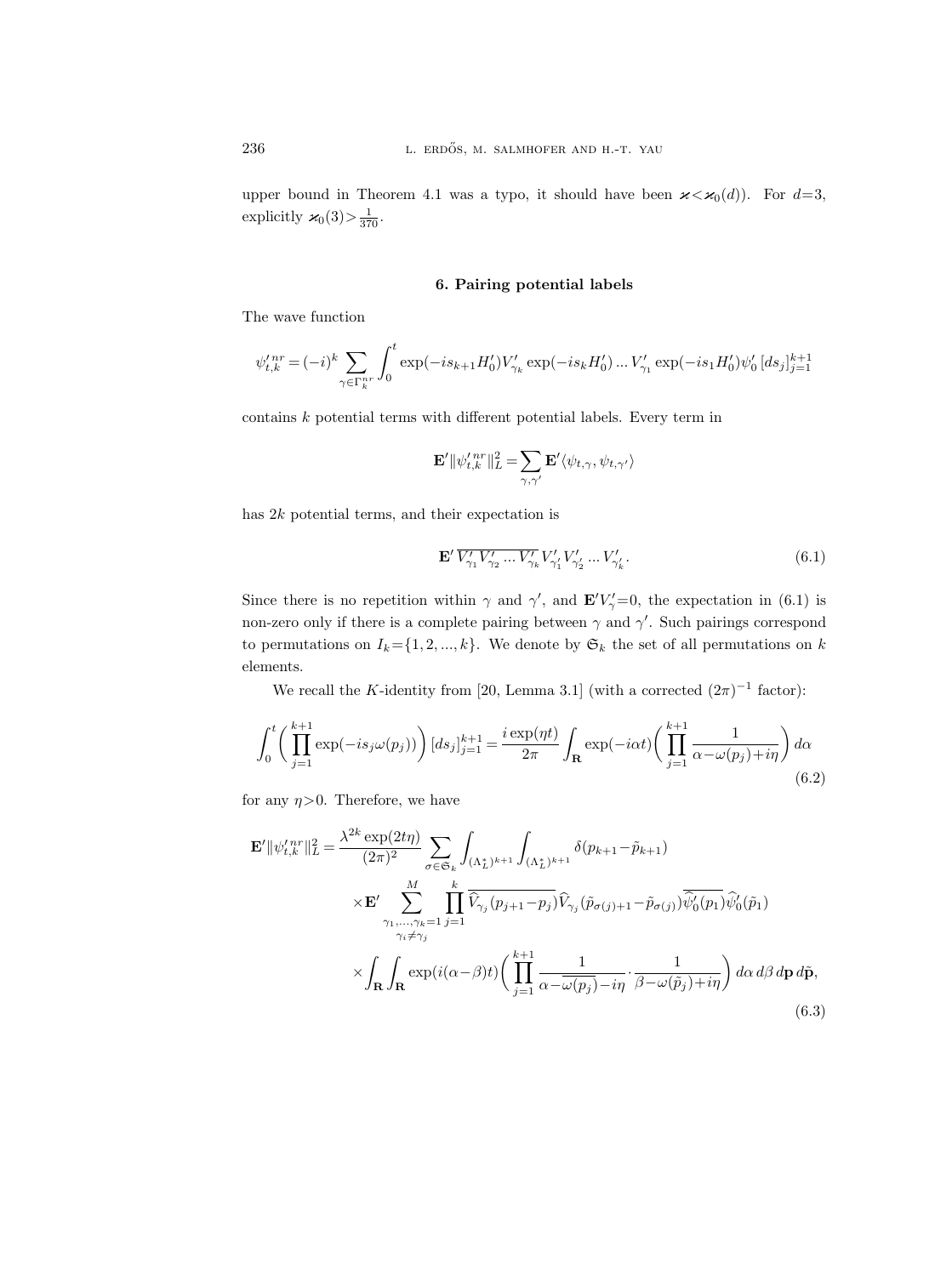upper bound in Theorem 4.1 was a typo, it should have been  $\varkappa < \varkappa_0(d)$ ). For  $d=3$ , explicitly  $\varkappa_0(3) > \frac{1}{370}$ .

## 6. Pairing potential labels

The wave function

$$
\psi_{t,k}^{\prime \, nr} = (-i)^k \sum_{\gamma \in \Gamma_k^{nr}} \int_0^t \exp(-is_{k+1}H_0^{\prime}) V_{\gamma_k}^{\prime} \exp(-is_kH_0^{\prime}) \dots V_{\gamma_1}^{\prime} \exp(-is_1H_0^{\prime}) \psi_0^{\prime} \, [ds_j]_{j=1}^{k+1}
$$

contains k potential terms with different potential labels. Every term in

$$
\mathbf{E}'\|\psi_{t,k}^{\prime\,nr}\|_{L}^{2}=\sum_{\gamma,\gamma'}\mathbf{E}'\langle\psi_{t,\gamma},\psi_{t,\gamma'}\rangle
$$

has 2k potential terms, and their expectation is

$$
\mathbf{E}' \, \overline{V'_{\gamma_1} V'_{\gamma_2} \dots V'_{\gamma_k}} \, V'_{\gamma'_1} V'_{\gamma'_2} \dots V'_{\gamma'_k}.
$$
\n(6.1)

Since there is no repetition within  $\gamma$  and  $\gamma'$ , and  $\mathbf{E}'V'_{\gamma}=0$ , the expectation in (6.1) is non-zero only if there is a complete pairing between  $\gamma$  and  $\gamma'$ . Such pairings correspond to permutations on  $I_k = \{1, 2, ..., k\}$ . We denote by  $\mathfrak{S}_k$  the set of all permutations on k elements.

We recall the K-identity from [20, Lemma 3.1] (with a corrected  $(2\pi)^{-1}$  factor):

$$
\int_0^t \left( \prod_{j=1}^{k+1} \exp(-is_j \omega(p_j)) \right) [ds_j]_{j=1}^{k+1} = \frac{i \exp(\eta t)}{2\pi} \int_{\mathbf{R}} \exp(-i\alpha t) \left( \prod_{j=1}^{k+1} \frac{1}{\alpha - \omega(p_j) + i\eta} \right) d\alpha
$$
\n(6.2)

for any  $\eta > 0$ . Therefore, we have

$$
\mathbf{E}' \|\psi_{t,k}^{\prime nr}\|_{L}^{2} = \frac{\lambda^{2k} \exp(2t\eta)}{(2\pi)^{2}} \sum_{\sigma \in \mathfrak{S}_{k}} \int_{(\Lambda_{L}^{*})^{k+1}} \int_{(\Lambda_{L}^{*})^{k+1}} \delta(p_{k+1} - \tilde{p}_{k+1})
$$
\n
$$
\times \mathbf{E}' \sum_{\substack{\gamma_{1}, \dots, \gamma_{k}=1 \ j=1}}^{M} \prod_{j=1}^{k} \overline{\hat{V}_{\gamma_{j}}(p_{j+1} - p_{j})} \hat{V}_{\gamma_{j}}(\tilde{p}_{\sigma(j)+1} - \tilde{p}_{\sigma(j)}) \overline{\hat{\psi}_{0}^{\prime}(p_{1})} \hat{\psi}_{0}^{\prime}(\tilde{p}_{1})
$$
\n
$$
\times \int_{\mathbf{R}} \int_{\mathbf{R}} \exp(i(\alpha - \beta)t) \left(\prod_{j=1}^{k+1} \frac{1}{\alpha - \overline{\omega(p_{j})} - i\eta} \cdot \frac{1}{\beta - \omega(\tilde{p}_{j}) + i\eta}\right) d\alpha \, d\beta \, d\mathbf{p} \, d\tilde{\mathbf{p}},\tag{6.3}
$$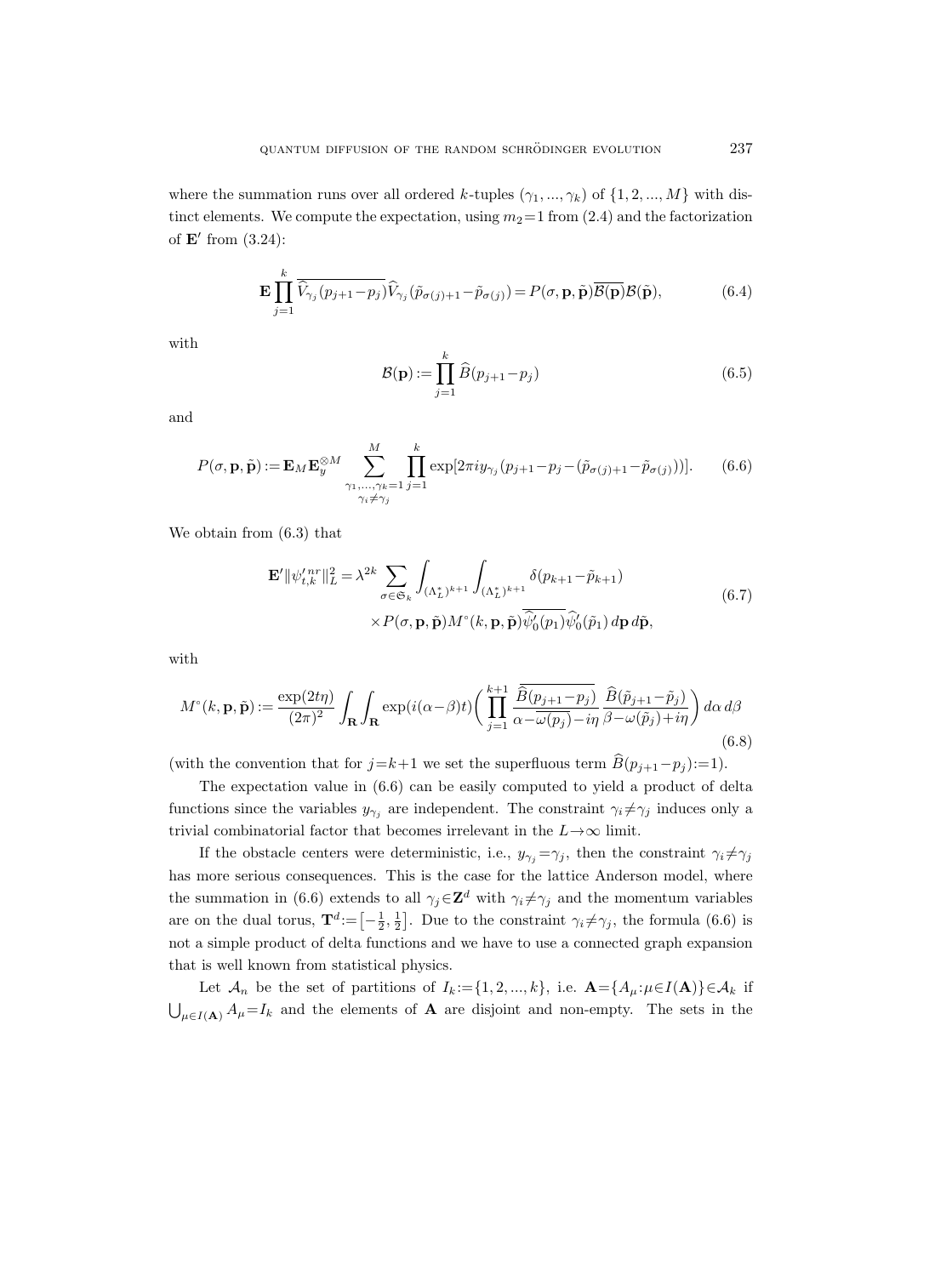where the summation runs over all ordered k-tuples  $(\gamma_1, ..., \gamma_k)$  of  $\{1, 2, ..., M\}$  with distinct elements. We compute the expectation, using  $m_2=1$  from (2.4) and the factorization of  $\mathbf{E}'$  from  $(3.24)$ :

$$
\mathbf{E} \prod_{j=1}^{k} \overline{\widehat{V}_{\gamma_j}(p_{j+1} - p_j)} \widehat{V}_{\gamma_j}(\widetilde{p}_{\sigma(j)+1} - \widetilde{p}_{\sigma(j)}) = P(\sigma, \mathbf{p}, \widetilde{\mathbf{p}}) \overline{\mathcal{B}(\mathbf{p})} \mathcal{B}(\widetilde{\mathbf{p}}),
$$
(6.4)

with

$$
\mathcal{B}(\mathbf{p}) := \prod_{j=1}^{k} \widehat{B}(p_{j+1} - p_j) \tag{6.5}
$$

and

$$
P(\sigma, \mathbf{p}, \tilde{\mathbf{p}}) := \mathbf{E}_M \mathbf{E}_{y}^{\otimes M} \sum_{\substack{\gamma_1, \dots, \gamma_k = 1 \\ \gamma_i \neq \gamma_j}}^{M} \prod_{j=1}^{k} \exp[2\pi i y_{\gamma_j} (p_{j+1} - p_j - (\tilde{p}_{\sigma(j)+1} - \tilde{p}_{\sigma(j)}))]. \tag{6.6}
$$

We obtain from (6.3) that

$$
\mathbf{E}' \|\psi_{t,k}^{\prime \, nr}\|_{L}^{2} = \lambda^{2k} \sum_{\sigma \in \mathfrak{S}_{k}} \int_{(\Lambda_{L}^{*})^{k+1}} \int_{(\Lambda_{L}^{*})^{k+1}} \delta(p_{k+1} - \tilde{p}_{k+1}) \times P(\sigma, \mathbf{p}, \tilde{\mathbf{p}}) M^{\circ}(k, \mathbf{p}, \tilde{\mathbf{p}}) \overline{\widehat{\psi}_{0}^{\prime}(p_{1})} \widehat{\psi}_{0}^{\prime}(\tilde{p}_{1}) d\mathbf{p} d\tilde{\mathbf{p}},
$$
\n(6.7)

with

$$
M^{\circ}(k, \mathbf{p}, \tilde{\mathbf{p}}) := \frac{\exp(2t\eta)}{(2\pi)^{2}} \int_{\mathbf{R}} \int_{\mathbf{R}} \exp(i(\alpha - \beta)t) \left( \prod_{j=1}^{k+1} \frac{\overline{\hat{B}(p_{j+1} - p_{j})}}{\alpha - \overline{\omega(p_{j})} - i\eta} \overline{\hat{B}(\tilde{p}_{j+1} - \tilde{p}_{j})} \right) d\alpha d\beta
$$
\n(6.8)

(with the convention that for  $j=k+1$  we set the superfluous term  $B(p_{j+1}-p_j) :=1$ ).

The expectation value in (6.6) can be easily computed to yield a product of delta functions since the variables  $y_{\gamma_j}$  are independent. The constraint  $\gamma_i \neq \gamma_j$  induces only a trivial combinatorial factor that becomes irrelevant in the  $L{\to}\infty$  limit.

If the obstacle centers were deterministic, i.e.,  $y_{\gamma_i} = \gamma_j$ , then the constraint  $\gamma_i \neq \gamma_j$ has more serious consequences. This is the case for the lattice Anderson model, where the summation in (6.6) extends to all  $\gamma_j \in \mathbb{Z}^d$  with  $\gamma_i \neq \gamma_j$  and the momentum variables are on the dual torus,  $\mathbf{T}^d := \left[-\frac{1}{2}, \frac{1}{2}\right]$ . Due to the constraint  $\gamma_i \neq \gamma_j$ , the formula (6.6) is not a simple product of delta functions and we have to use a connected graph expansion that is well known from statistical physics.

Let  $\mathcal{A}_n$  be the set of partitions of  $I_k := \{1, 2, ..., k\}$ , i.e.  $\mathbf{A} = \{A_\mu : \mu \in I(\mathbf{A})\} \in \mathcal{A}_k$  if  $\bigcup_{\mu \in I(\mathbf{A})} A_{\mu} = I_k$  and the elements of **A** are disjoint and non-empty. The sets in the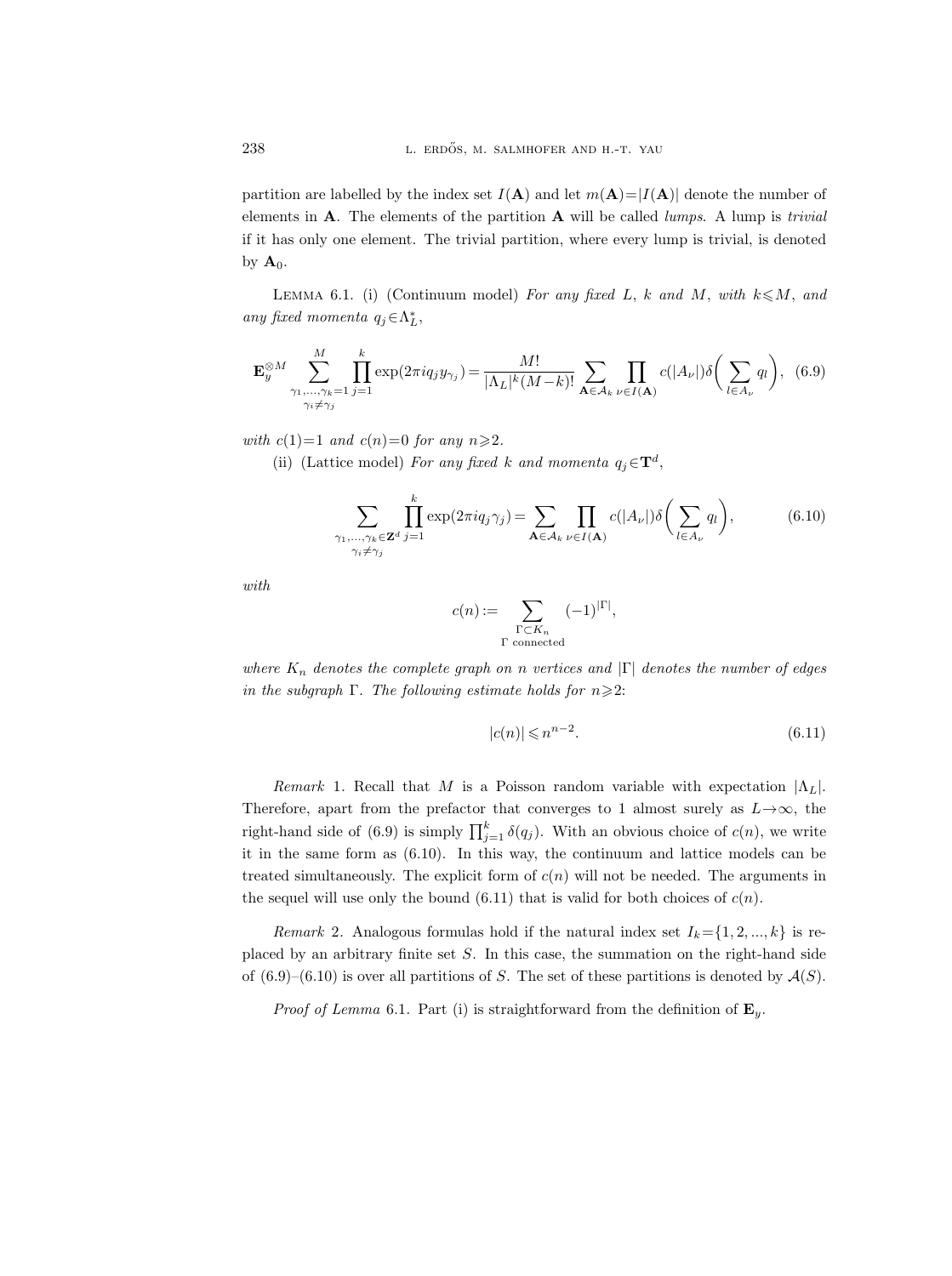partition are labelled by the index set  $I(A)$  and let  $m(A)=|I(A)|$  denote the number of elements in  $A$ . The elements of the partition  $A$  will be called *lumps*. A lump is *trivial* if it has only one element. The trivial partition, where every lump is trivial, is denoted by  $A_0$ .

LEMMA 6.1. (i) (Continuum model) For any fixed L, k and M, with  $k \le M$ , and any fixed momenta  $q_j \in \Lambda_L^*$ ,

$$
\mathbf{E}_{y}^{\otimes M} \sum_{\substack{\gamma_{1}, \dots, \gamma_{k}=1 \ j=1}}^{M} \prod_{j=1}^{k} \exp(2\pi i q_{j} y_{\gamma_{j}}) = \frac{M!}{|\Lambda_{L}|^{k} (M-k)!} \sum_{\mathbf{A} \in \mathcal{A}_{k}} \prod_{\nu \in I(\mathbf{A})} c(|A_{\nu}|) \delta\left(\sum_{l \in A_{\nu}} q_{l}\right), \tag{6.9}
$$

with  $c(1)=1$  and  $c(n)=0$  for any  $n \geq 2$ .

(ii) (Lattice model) For any fixed k and momenta  $q_j \in \mathbf{T}^d$ ,

$$
\sum_{\substack{\gamma_1,\ldots,\gamma_k \in \mathbf{Z}^d \\ \gamma_i \neq \gamma_j}} \prod_{j=1}^k \exp(2\pi i q_j \gamma_j) = \sum_{\mathbf{A} \in \mathcal{A}_k} \prod_{\nu \in I(\mathbf{A})} c(|A_{\nu}|) \delta\left(\sum_{l \in A_{\nu}} q_l\right),\tag{6.10}
$$

with

$$
c(n) := \sum_{\substack{\Gamma \subset K_n \\ \Gamma \text{ connected}}} (-1)^{|\Gamma|},
$$

where  $K_n$  denotes the complete graph on n vertices and  $|\Gamma|$  denotes the number of edges in the subgraph  $\Gamma$ . The following estimate holds for  $n \geqslant 2$ :

$$
|c(n)| \leqslant n^{n-2}.\tag{6.11}
$$

Remark 1. Recall that M is a Poisson random variable with expectation  $|\Lambda_L|$ . Therefore, apart from the prefactor that converges to 1 almost surely as  $L \rightarrow \infty$ , the right-hand side of (6.9) is simply  $\prod_{j=1}^{k} \delta(q_j)$ . With an obvious choice of  $c(n)$ , we write it in the same form as (6.10). In this way, the continuum and lattice models can be treated simultaneously. The explicit form of  $c(n)$  will not be needed. The arguments in the sequel will use only the bound  $(6.11)$  that is valid for both choices of  $c(n)$ .

Remark 2. Analogous formulas hold if the natural index set  $I_k = \{1, 2, ..., k\}$  is replaced by an arbitrary finite set S. In this case, the summation on the right-hand side of  $(6.9)$ – $(6.10)$  is over all partitions of S. The set of these partitions is denoted by  $\mathcal{A}(S)$ .

*Proof of Lemma* 6.1. Part (i) is straightforward from the definition of  $\mathbf{E}_y$ .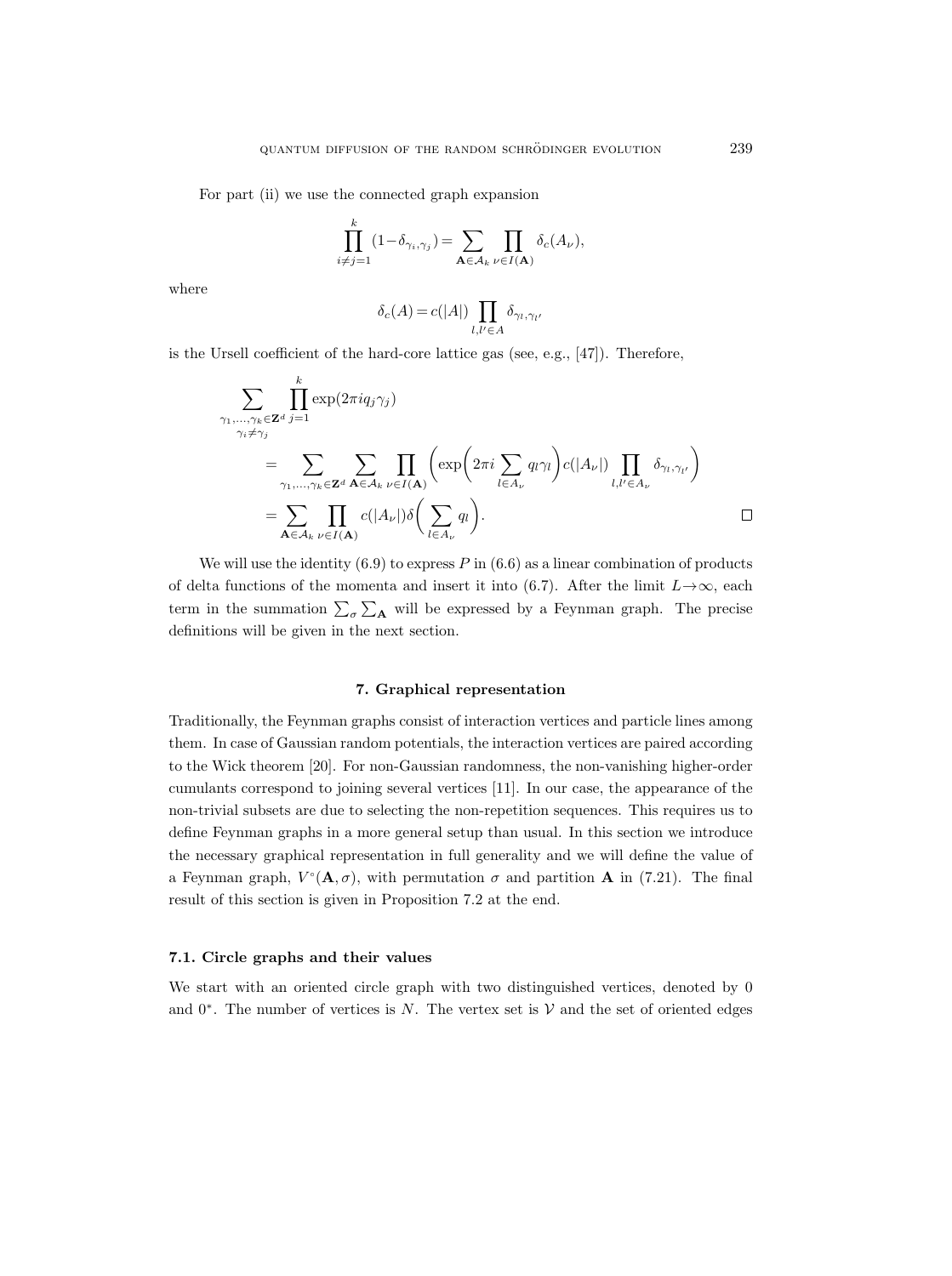For part (ii) we use the connected graph expansion

$$
\prod_{i \neq j=1}^k (1 - \delta_{\gamma_i, \gamma_j}) = \sum_{\mathbf{A} \in \mathcal{A}_k} \prod_{\nu \in I(\mathbf{A})} \delta_c(A_{\nu}),
$$

where

$$
\delta_c(A) = c(|A|) \prod_{l,l' \in A} \delta_{\gamma_l,\gamma_{l'}}
$$

is the Ursell coefficient of the hard-core lattice gas (see, e.g., [47]). Therefore,

$$
\sum_{\substack{\gamma_1,\ldots,\gamma_k \in \mathbf{Z}^d \\ \gamma_i \neq \gamma_j}} \prod_{j=1}^k \exp(2\pi i q_j \gamma_j)
$$
\n
$$
= \sum_{\substack{\gamma_1,\ldots,\gamma_k \in \mathbf{Z}^d \\ \mathbf{A} \in \mathcal{A}_k}} \sum_{\nu \in I(\mathbf{A})} \prod_{\nu \in I(\mathbf{A})} \left( \exp\left(2\pi i \sum_{l \in A_{\nu}} q_l \gamma_l \right) c(|A_{\nu}|) \prod_{l,l' \in A_{\nu}} \delta_{\gamma_l,\gamma_{l'}} \right)
$$
\n
$$
= \sum_{\mathbf{A} \in \mathcal{A}_k} \prod_{\nu \in I(\mathbf{A})} c(|A_{\nu}|) \delta\left(\sum_{l \in A_{\nu}} q_l\right).
$$

We will use the identity  $(6.9)$  to express P in  $(6.6)$  as a linear combination of products of delta functions of the momenta and insert it into (6.7). After the limit  $L \rightarrow \infty$ , each term in the summation  $\sum_{\sigma} \sum_{\bf A}$  will be expressed by a Feynman graph. The precise definitions will be given in the next section.

## 7. Graphical representation

Traditionally, the Feynman graphs consist of interaction vertices and particle lines among them. In case of Gaussian random potentials, the interaction vertices are paired according to the Wick theorem [20]. For non-Gaussian randomness, the non-vanishing higher-order cumulants correspond to joining several vertices [11]. In our case, the appearance of the non-trivial subsets are due to selecting the non-repetition sequences. This requires us to define Feynman graphs in a more general setup than usual. In this section we introduce the necessary graphical representation in full generality and we will define the value of a Feynman graph,  $V^{\circ}(\mathbf{A}, \sigma)$ , with permutation  $\sigma$  and partition **A** in (7.21). The final result of this section is given in Proposition 7.2 at the end.

## 7.1. Circle graphs and their values

We start with an oriented circle graph with two distinguished vertices, denoted by 0 and  $0^*$ . The number of vertices is N. The vertex set is V and the set of oriented edges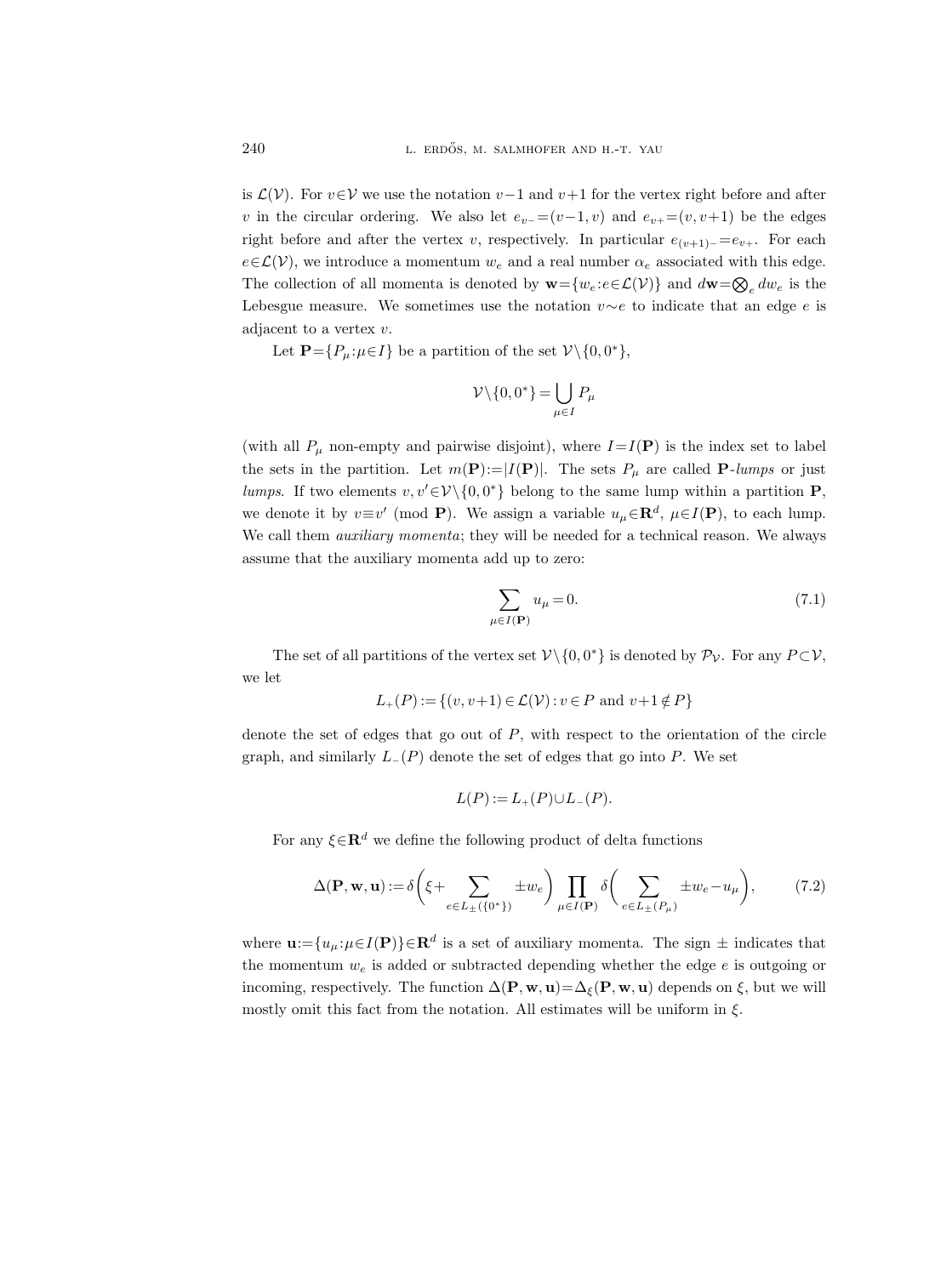is  $\mathcal{L}(\mathcal{V})$ . For  $v \in \mathcal{V}$  we use the notation  $v-1$  and  $v+1$  for the vertex right before and after v in the circular ordering. We also let  $e_v = (v-1, v)$  and  $e_v = (v, v+1)$  be the edges right before and after the vertex v, respectively. In particular  $e_{(v+1)-} = e_{v+}$ . For each  $e\in\mathcal{L}(\mathcal{V})$ , we introduce a momentum  $w_e$  and a real number  $\alpha_e$  associated with this edge. The collection of all momenta is denoted by  $\mathbf{w} = \{w_e : e \in \mathcal{L}(\mathcal{V})\}$  and  $d\mathbf{w} = \bigotimes_e dw_e$  is the Lebesgue measure. We sometimes use the notation  $v \sim e$  to indicate that an edge e is adjacent to a vertex v.

Let  $\mathbf{P} = \{P_{\mu} : \mu \in I\}$  be a partition of the set  $\mathcal{V} \setminus \{0, 0^*\},$ 

$$
\mathcal{V}\backslash\{0,0^*\}=\bigcup_{\mu\in I}P_\mu
$$

(with all  $P_\mu$  non-empty and pairwise disjoint), where  $I=I(\mathbf{P})$  is the index set to label the sets in the partition. Let  $m(\mathbf{P}) = |I(\mathbf{P})|$ . The sets  $P_{\mu}$  are called **P**-lumps or just lumps. If two elements  $v, v' \in V \setminus \{0, 0^*\}$  belong to the same lump within a partition **P**, we denote it by  $v \equiv v' \pmod{P}$ . We assign a variable  $u_{\mu} \in \mathbb{R}^d$ ,  $\mu \in I(\mathbb{P})$ , to each lump. We call them *auxiliary momenta*; they will be needed for a technical reason. We always assume that the auxiliary momenta add up to zero:

$$
\sum_{\mu \in I(\mathbf{P})} u_{\mu} = 0. \tag{7.1}
$$

The set of all partitions of the vertex set  $\mathcal{V} \setminus \{0, 0^*\}$  is denoted by  $\mathcal{P}_{\mathcal{V}}$ . For any  $P \subset \mathcal{V}$ , we let

$$
L_{+}(P) := \{(v, v+1) \in \mathcal{L}(\mathcal{V}) : v \in P \text{ and } v+1 \notin P\}
$$

denote the set of edges that go out of  $P$ , with respect to the orientation of the circle graph, and similarly  $L_-(P)$  denote the set of edges that go into P. We set

$$
L(P) := L_{+}(P) \cup L_{-}(P).
$$

For any  $\xi \in \mathbf{R}^d$  we define the following product of delta functions

$$
\Delta(\mathbf{P}, \mathbf{w}, \mathbf{u}) := \delta \left( \xi + \sum_{e \in L_{\pm}(\{0^*\})} \pm w_e \right) \prod_{\mu \in I(\mathbf{P})} \delta \left( \sum_{e \in L_{\pm}(P_{\mu})} \pm w_e - u_{\mu} \right), \tag{7.2}
$$

where  $\mathbf{u}:=\{u_{\mu}:\mu\in I(\mathbf{P})\}\in\mathbf{R}^{d}$  is a set of auxiliary momenta. The sign  $\pm$  indicates that the momentum  $w_e$  is added or subtracted depending whether the edge  $e$  is outgoing or incoming, respectively. The function  $\Delta(\mathbf{P}, \mathbf{w}, \mathbf{u}) = \Delta_{\xi}(\mathbf{P}, \mathbf{w}, \mathbf{u})$  depends on  $\xi$ , but we will mostly omit this fact from the notation. All estimates will be uniform in  $\xi$ .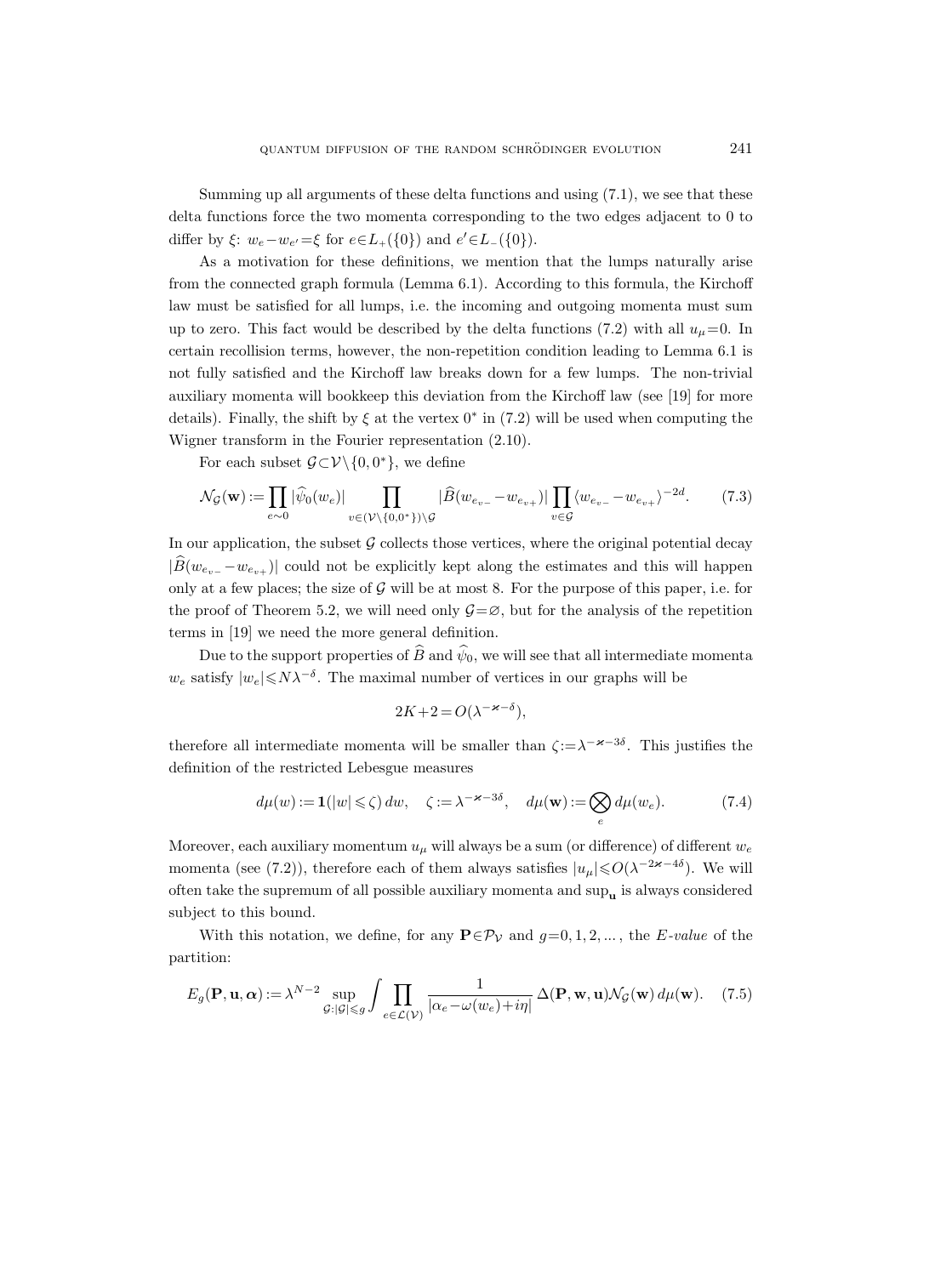Summing up all arguments of these delta functions and using (7.1), we see that these delta functions force the two momenta corresponding to the two edges adjacent to 0 to differ by  $\xi$ :  $w_e - w_{e'} = \xi$  for  $e \in L_+(\{0\})$  and  $e' \in L_-(\{0\})$ .

As a motivation for these definitions, we mention that the lumps naturally arise from the connected graph formula (Lemma 6.1). According to this formula, the Kirchoff law must be satisfied for all lumps, i.e. the incoming and outgoing momenta must sum up to zero. This fact would be described by the delta functions (7.2) with all  $u_{\mu}=0$ . In certain recollision terms, however, the non-repetition condition leading to Lemma 6.1 is not fully satisfied and the Kirchoff law breaks down for a few lumps. The non-trivial auxiliary momenta will bookkeep this deviation from the Kirchoff law (see [19] for more details). Finally, the shift by  $\xi$  at the vertex  $0^*$  in (7.2) will be used when computing the Wigner transform in the Fourier representation (2.10).

For each subset  $\mathcal{G} \subset \mathcal{V} \setminus \{0, 0^*\}$ , we define

$$
\mathcal{N}_{\mathcal{G}}(\mathbf{w}) := \prod_{e \sim 0} |\widehat{\psi}_0(w_e)| \prod_{v \in (\mathcal{V} \setminus \{0, 0^*\}) \setminus \mathcal{G}} |\widehat{B}(w_{e_{v-}} - w_{e_{v+}})| \prod_{v \in \mathcal{G}} \langle w_{e_{v-}} - w_{e_{v+}} \rangle^{-2d}.
$$
 (7.3)

In our application, the subset  $\mathcal G$  collects those vertices, where the original potential decay  $|\widetilde{B}(w_{e_{n-}} - w_{e_{n+}})|$  could not be explicitly kept along the estimates and this will happen only at a few places; the size of  $\mathcal G$  will be at most 8. For the purpose of this paper, i.e. for the proof of Theorem 5.2, we will need only  $\mathcal{G}=\emptyset$ , but for the analysis of the repetition terms in [19] we need the more general definition.

Due to the support properties of  $\widehat{B}$  and  $\widehat{\psi}_0$ , we will see that all intermediate momenta  $w_e$  satisfy  $|w_e| \le N\lambda^{-\delta}$ . The maximal number of vertices in our graphs will be

$$
2K + 2 = O(\lambda^{-\varkappa - \delta}),
$$

therefore all intermediate momenta will be smaller than  $\zeta := \lambda^{-\varkappa - 3\delta}$ . This justifies the definition of the restricted Lebesgue measures

$$
d\mu(w) := \mathbf{1}(|w| \le \zeta) dw, \quad \zeta := \lambda^{-\varkappa - 3\delta}, \quad d\mu(\mathbf{w}) := \bigotimes_e d\mu(w_e). \tag{7.4}
$$

Moreover, each auxiliary momentum  $u_{\mu}$  will always be a sum (or difference) of different  $w_e$ momenta (see (7.2)), therefore each of them always satisfies  $|u_{\mu}| \leq O(\lambda^{-2\varkappa - 4\delta})$ . We will often take the supremum of all possible auxiliary momenta and  $\sup_{u}$  is always considered subject to this bound.

With this notation, we define, for any  $\mathbf{P} \in \mathcal{P}_\mathcal{V}$  and  $g=0,1,2,...$ , the E-value of the partition:

$$
E_g(\mathbf{P}, \mathbf{u}, \alpha) := \lambda^{N-2} \sup_{\mathcal{G}: |\mathcal{G}| \le g} \int \prod_{e \in \mathcal{L}(\mathcal{V})} \frac{1}{|\alpha_e - \omega(w_e) + i\eta|} \Delta(\mathbf{P}, \mathbf{w}, \mathbf{u}) \mathcal{N}_{\mathcal{G}}(\mathbf{w}) d\mu(\mathbf{w}). \tag{7.5}
$$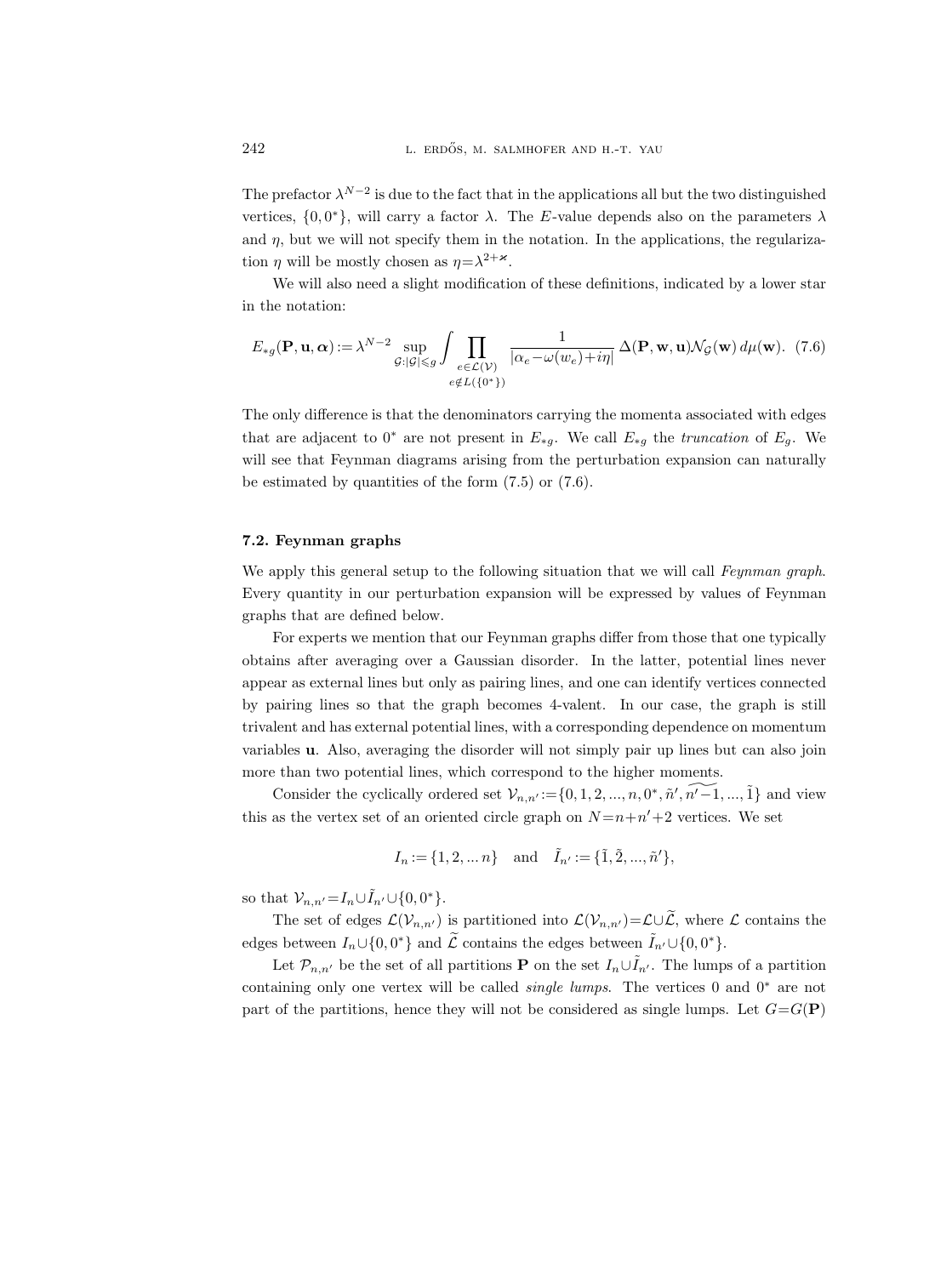The prefactor  $\lambda^{N-2}$  is due to the fact that in the applications all but the two distinguished vertices,  $\{0,0^*\}$ , will carry a factor  $\lambda$ . The E-value depends also on the parameters  $\lambda$ and  $\eta$ , but we will not specify them in the notation. In the applications, the regularization  $\eta$  will be mostly chosen as  $\eta = \lambda^{2+\varkappa}$ .

We will also need a slight modification of these definitions, indicated by a lower star in the notation:

$$
E_{*g}(\mathbf{P}, \mathbf{u}, \alpha) := \lambda^{N-2} \sup_{\mathcal{G}: |\mathcal{G}| \leq g} \int \prod_{\substack{e \in \mathcal{L}(\mathcal{V}) \\ e \notin L(\{0^*\})}} \frac{1}{|\alpha_e - \omega(w_e) + i\eta|} \Delta(\mathbf{P}, \mathbf{w}, \mathbf{u}) \mathcal{N}_{\mathcal{G}}(\mathbf{w}) d\mu(\mathbf{w}). \tag{7.6}
$$

The only difference is that the denominators carrying the momenta associated with edges that are adjacent to 0<sup>∗</sup> are not present in  $E_{*g}$ . We call  $E_{*g}$  the *truncation* of  $E_g$ . We will see that Feynman diagrams arising from the perturbation expansion can naturally be estimated by quantities of the form  $(7.5)$  or  $(7.6)$ .

## 7.2. Feynman graphs

We apply this general setup to the following situation that we will call Feynman graph. Every quantity in our perturbation expansion will be expressed by values of Feynman graphs that are defined below.

For experts we mention that our Feynman graphs differ from those that one typically obtains after averaging over a Gaussian disorder. In the latter, potential lines never appear as external lines but only as pairing lines, and one can identify vertices connected by pairing lines so that the graph becomes 4-valent. In our case, the graph is still trivalent and has external potential lines, with a corresponding dependence on momentum variables u. Also, averaging the disorder will not simply pair up lines but can also join more than two potential lines, which correspond to the higher moments.

Consider the cyclically ordered set  $\mathcal{V}_{n,n'} := \{0, 1, 2, ..., n, 0^*, \widetilde{n}', \widetilde{n'-1}, ..., \widetilde{1}\}$  and view this as the vertex set of an oriented circle graph on  $N = n + n' + 2$  vertices. We set

$$
I_n := \{1, 2, \dots n\}
$$
 and  $\tilde{I}_{n'} := \{\tilde{1}, \tilde{2}, \dots, \tilde{n}'\},\$ 

so that  $\mathcal{V}_{n,n'} = I_n \cup \tilde{I}_{n'} \cup \{0,0\}$ .

The set of edges  $\mathcal{L}(\mathcal{V}_{n,n'})$  is partitioned into  $\mathcal{L}(\mathcal{V}_{n,n'})=\mathcal{L}\cup\widetilde{\mathcal{L}}$ , where  $\mathcal L$  contains the edges between  $I_n \cup \{0, 0^*\}$  and  $\widetilde{\mathcal{L}}$  contains the edges between  $\widetilde{I}_{n'} \cup \{0, 0^*\}.$ 

Let  $\mathcal{P}_{n,n'}$  be the set of all partitions **P** on the set  $I_n \cup I_{n'}$ . The lumps of a partition containing only one vertex will be called *single lumps*. The vertices 0 and  $0^*$  are not part of the partitions, hence they will not be considered as single lumps. Let  $G = G(\mathbf{P})$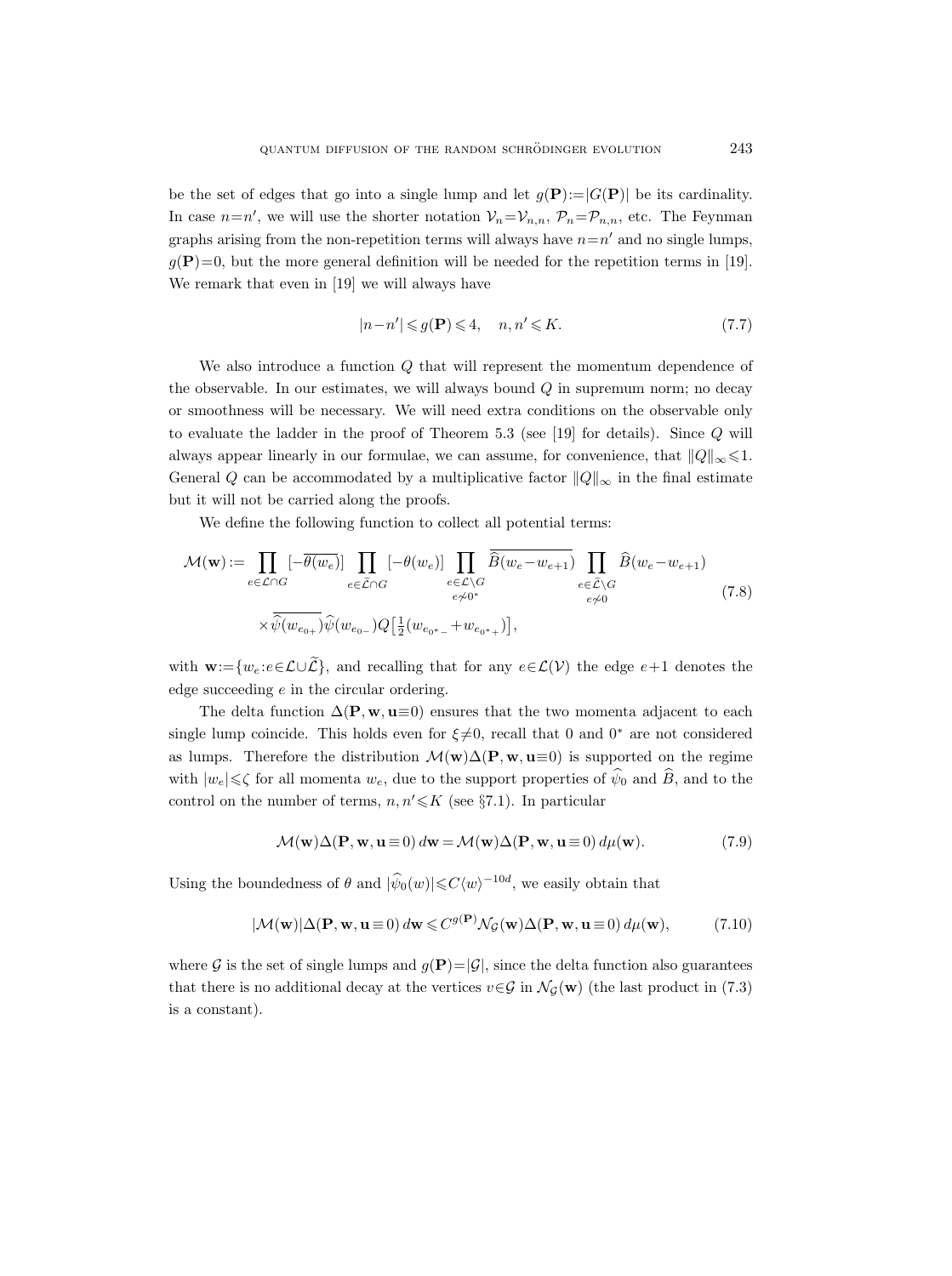be the set of edges that go into a single lump and let  $g(\mathbf{P}) = |G(\mathbf{P})|$  be its cardinality. In case  $n=n'$ , we will use the shorter notation  $V_n=V_{n,n}$ ,  $P_n=P_{n,n}$ , etc. The Feynman graphs arising from the non-repetition terms will always have  $n=n'$  and no single lumps,  $g(\mathbf{P})=0$ , but the more general definition will be needed for the repetition terms in [19]. We remark that even in [19] we will always have

$$
|n - n'| \leqslant g(\mathbf{P}) \leqslant 4, \quad n, n' \leqslant K. \tag{7.7}
$$

We also introduce a function  $Q$  that will represent the momentum dependence of the observable. In our estimates, we will always bound  $Q$  in supremum norm; no decay or smoothness will be necessary. We will need extra conditions on the observable only to evaluate the ladder in the proof of Theorem 5.3 (see [19] for details). Since Q will always appear linearly in our formulae, we can assume, for convenience, that  $||Q||_{\infty} \leq 1$ . General Q can be accommodated by a multiplicative factor  $||Q||_{\infty}$  in the final estimate but it will not be carried along the proofs.

We define the following function to collect all potential terms:

$$
\mathcal{M}(\mathbf{w}) := \prod_{e \in \mathcal{L} \cap G} \left[ -\overline{\theta(w_e)} \right] \prod_{e \in \widetilde{\mathcal{L}} \cap G} \left[ -\theta(w_e) \right] \prod_{e \in \mathcal{L} \setminus G} \overline{\widehat{B}(w_e - w_{e+1})} \prod_{e \in \widetilde{\mathcal{L}} \setminus G} \widehat{B}(w_e - w_{e+1})
$$
\n
$$
\times \overline{\widehat{\psi}(w_{e_0+})} \widehat{\psi}(w_{e_0-}) Q \left[ \frac{1}{2} (w_{e_0*-} + w_{e_0*+}) \right],
$$
\n(7.8)

with  $\mathbf{w}:=\{w_e:e\in\mathcal{L}\cup\widetilde{\mathcal{L}}\}$ , and recalling that for any  $e\in\mathcal{L}(\mathcal{V})$  the edge  $e+1$  denotes the edge succeeding e in the circular ordering.

The delta function  $\Delta(\mathbf{P}, \mathbf{w}, \mathbf{u} \equiv 0)$  ensures that the two momenta adjacent to each single lump coincide. This holds even for  $\xi \neq 0$ , recall that 0 and 0<sup>\*</sup> are not considered as lumps. Therefore the distribution  $\mathcal{M}(w) \Delta(P, w, u \equiv 0)$  is supported on the regime with  $|w_e|\leqslant\zeta$  for all momenta  $w_e$ , due to the support properties of  $\hat{\psi}_0$  and  $\hat{B}$ , and to the control on the number of terms,  $n, n' \leq K$  (see §7.1). In particular

$$
\mathcal{M}(\mathbf{w})\Delta(\mathbf{P}, \mathbf{w}, \mathbf{u} \equiv 0) d\mathbf{w} = \mathcal{M}(\mathbf{w})\Delta(\mathbf{P}, \mathbf{w}, \mathbf{u} \equiv 0) d\mu(\mathbf{w}).
$$
\n(7.9)

Using the boundedness of  $\theta$  and  $|\hat{\psi}_0(w)| \leq C \langle w \rangle^{-10d}$ , we easily obtain that

$$
|\mathcal{M}(\mathbf{w})|\Delta(\mathbf{P}, \mathbf{w}, \mathbf{u} \equiv 0) d\mathbf{w} \leq C^{g(\mathbf{P})} \mathcal{N}_{\mathcal{G}}(\mathbf{w}) \Delta(\mathbf{P}, \mathbf{w}, \mathbf{u} \equiv 0) d\mu(\mathbf{w}), \tag{7.10}
$$

where G is the set of single lumps and  $g(\mathbf{P})=|\mathcal{G}|$ , since the delta function also guarantees that there is no additional decay at the vertices  $v \in \mathcal{G}$  in  $\mathcal{N}_{\mathcal{G}}(\mathbf{w})$  (the last product in (7.3) is a constant).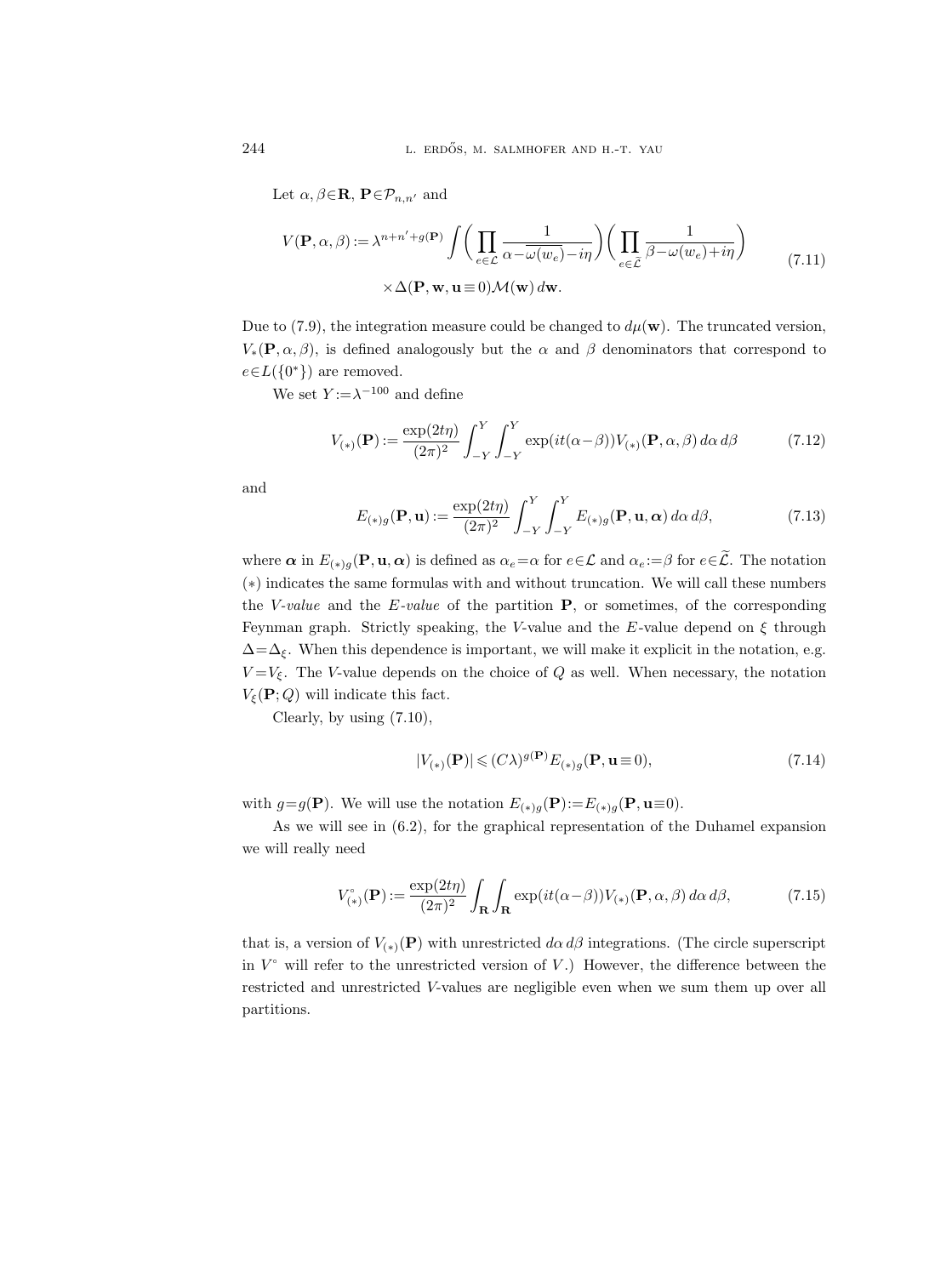Let  $\alpha, \beta \in \mathbf{R}$ ,  $\mathbf{P} \in \mathcal{P}_{n,n'}$  and

$$
V(\mathbf{P}, \alpha, \beta) := \lambda^{n+n'+g(\mathbf{P})} \int \bigg( \prod_{e \in \mathcal{L}} \frac{1}{\alpha - \overline{\omega(w_e)} - i\eta} \bigg) \bigg( \prod_{e \in \widetilde{\mathcal{L}}} \frac{1}{\beta - \omega(w_e) + i\eta} \bigg) \tag{7.11}
$$

$$
\times \Delta(\mathbf{P}, \mathbf{w}, \mathbf{u} \equiv 0) \mathcal{M}(\mathbf{w}) d\mathbf{w}.
$$

Due to (7.9), the integration measure could be changed to  $d\mu(\mathbf{w})$ . The truncated version,  $V_*(\mathbf{P}, \alpha, \beta)$ , is defined analogously but the  $\alpha$  and  $\beta$  denominators that correspond to  $e \in L({0^*})$  are removed.

We set  $Y := \lambda^{-100}$  and define

$$
V_{(*)}(\mathbf{P}) := \frac{\exp(2t\eta)}{(2\pi)^2} \int_{-Y}^{Y} \int_{-Y}^{Y} \exp(it(\alpha - \beta)) V_{(*)}(\mathbf{P}, \alpha, \beta) d\alpha d\beta \tag{7.12}
$$

and

$$
E_{(*)g}(\mathbf{P}, \mathbf{u}) := \frac{\exp(2t\eta)}{(2\pi)^2} \int_{-Y}^{Y} \int_{-Y}^{Y} E_{(*)g}(\mathbf{P}, \mathbf{u}, \alpha) d\alpha d\beta,
$$
 (7.13)

where  $\alpha$  in  $E_{(*)g}(\mathbf{P}, \mathbf{u}, \alpha)$  is defined as  $\alpha_e = \alpha$  for  $e \in \mathcal{L}$  and  $\alpha_e := \beta$  for  $e \in \tilde{\mathcal{L}}$ . The notation (∗) indicates the same formulas with and without truncation. We will call these numbers the V-value and the  $E$ -value of the partition  $P$ , or sometimes, of the corresponding Feynman graph. Strictly speaking, the V-value and the E-value depend on  $\xi$  through  $\Delta = \Delta_{\xi}$ . When this dependence is important, we will make it explicit in the notation, e.g.  $V = V_{\xi}$ . The V-value depends on the choice of Q as well. When necessary, the notation  $V_{\xi}(\mathbf{P};Q)$  will indicate this fact.

Clearly, by using (7.10),

$$
|V_{(*)}(\mathbf{P})| \leqslant (C\lambda)^{g(\mathbf{P})} E_{(*)g}(\mathbf{P}, \mathbf{u} \equiv 0), \tag{7.14}
$$

with  $g=g(\mathbf{P})$ . We will use the notation  $E_{(*)g}(\mathbf{P}):=E_{(*)g}(\mathbf{P},\mathbf{u}\equiv 0)$ .

As we will see in (6.2), for the graphical representation of the Duhamel expansion we will really need

$$
V_{(*)}^{\circ}(\mathbf{P}) := \frac{\exp(2t\eta)}{(2\pi)^2} \int_{\mathbf{R}} \int_{\mathbf{R}} \exp(it(\alpha - \beta)) V_{(*)}(\mathbf{P}, \alpha, \beta) d\alpha d\beta, \tag{7.15}
$$

that is, a version of  $V_{(*)}(\mathbf{P})$  with unrestricted  $d\alpha d\beta$  integrations. (The circle superscript in  $V^{\circ}$  will refer to the unrestricted version of  $V$ .) However, the difference between the restricted and unrestricted V-values are negligible even when we sum them up over all partitions.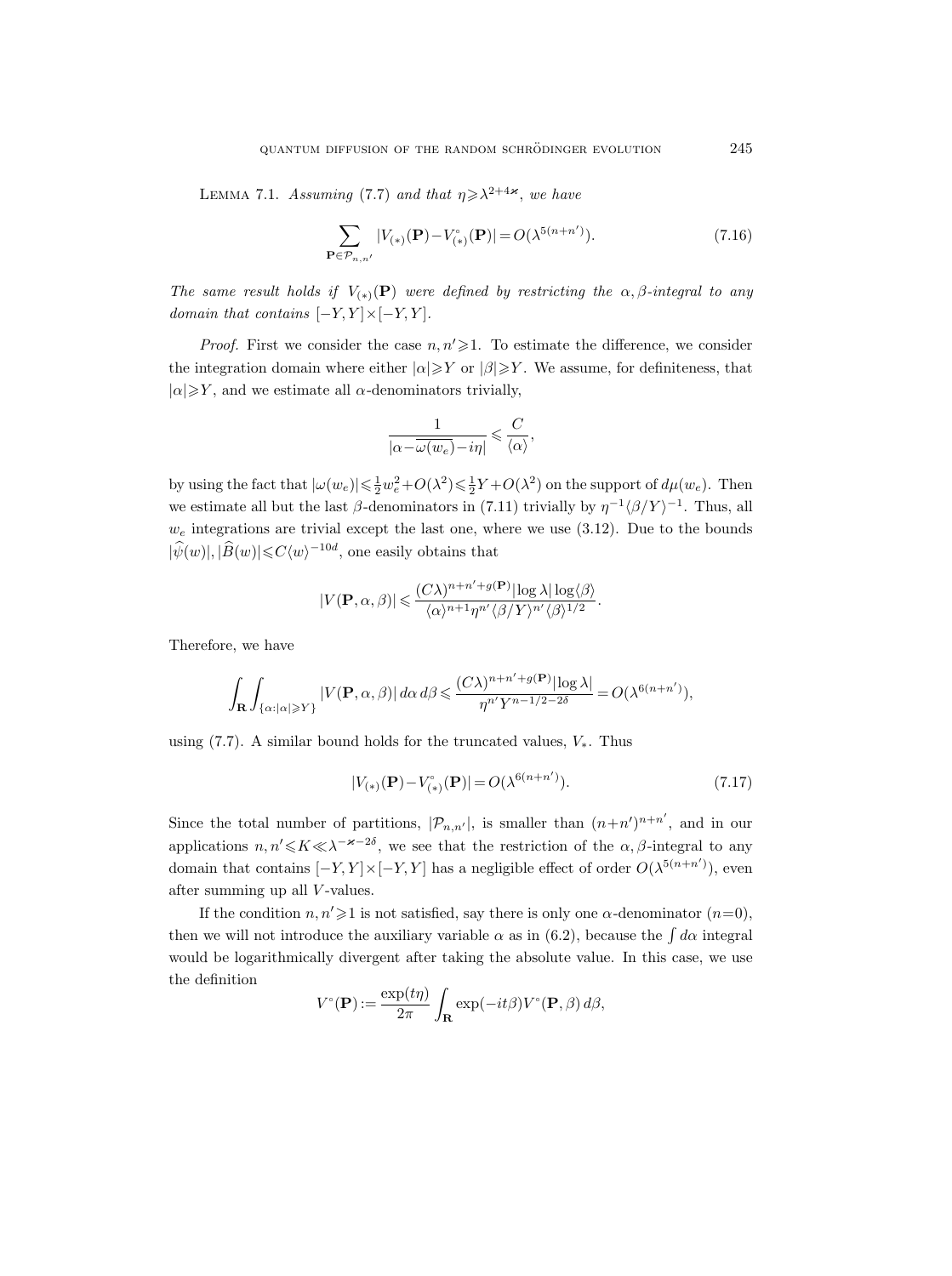LEMMA 7.1. Assuming (7.7) and that  $\eta \geq \lambda^{2+4\varkappa}$ , we have

$$
\sum_{\mathbf{P}\in\mathcal{P}_{n,n'}}|V_{(*)}(\mathbf{P})-V_{(*)}^{\circ}(\mathbf{P})|=O(\lambda^{5(n+n')}).\tag{7.16}
$$

The same result holds if  $V_{(*)}(\mathbf{P})$  were defined by restricting the  $\alpha, \beta$ -integral to any domain that contains  $[-Y, Y] \times [-Y, Y]$ .

*Proof.* First we consider the case  $n, n' \geq 1$ . To estimate the difference, we consider the integration domain where either  $|\alpha| \geq Y$  or  $|\beta| \geq Y$ . We assume, for definiteness, that  $|\alpha| \geq Y$ , and we estimate all  $\alpha$ -denominators trivially,

$$
\frac{1}{|\alpha{-}\overline{\omega(w_e)}-i\eta|} \leqslant \frac{C}{\langle\alpha\rangle},
$$

by using the fact that  $|\omega(w_e)| \leq \frac{1}{2}w_e^2 + O(\lambda^2) \leq \frac{1}{2}Y + O(\lambda^2)$  on the support of  $d\mu(w_e)$ . Then we estimate all but the last  $\beta$ -denominators in (7.11) trivially by  $\eta^{-1} \langle \beta/Y \rangle^{-1}$ . Thus, all  $w_e$  integrations are trivial except the last one, where we use  $(3.12)$ . Due to the bounds  $|\widehat{\psi}(w)|, |\widehat{B}(w)| \leq C \langle w \rangle^{-10d}$ , one easily obtains that

$$
|V(\mathbf{P}, \alpha, \beta)| \leqslant \frac{(C\lambda)^{n+n'+g(\mathbf{P})}|\log \lambda| \log \langle \beta \rangle}{\langle \alpha \rangle^{n+1} \eta^{n'} \langle \beta \rangle Y \rangle^{n'} \langle \beta \rangle^{1/2}}.
$$

Therefore, we have

$$
\int_{\mathbf{R}} \int_{\{\alpha : |\alpha| \geqslant Y\}} |V(\mathbf{P}, \alpha, \beta)| d\alpha d\beta \leqslant \frac{(C\lambda)^{n+n'+g(\mathbf{P})}|\log \lambda|}{\eta^{n'} Y^{n-1/2-2\delta}} = O(\lambda^{6(n+n')}),
$$

using (7.7). A similar bound holds for the truncated values,  $V_*$ . Thus

$$
|V_{(*)}(\mathbf{P}) - V_{(*)}^{\circ}(\mathbf{P})| = O(\lambda^{6(n+n')}).
$$
\n(7.17)

Since the total number of partitions,  $|\mathcal{P}_{n,n'}|$ , is smaller than  $(n+n')^{n+n'}$ , and in our applications  $n, n' \leq K \leq \lambda^{-\varkappa-2\delta}$ , we see that the restriction of the  $\alpha, \beta$ -integral to any domain that contains  $[-Y, Y] \times [-Y, Y]$  has a negligible effect of order  $O(\lambda^{5(n+n')})$ , even after summing up all V-values.

If the condition  $n, n' \geq 1$  is not satisfied, say there is only one  $\alpha$ -denominator  $(n=0)$ , then we will not introduce the auxiliary variable  $\alpha$  as in (6.2), because the  $\int d\alpha$  integral would be logarithmically divergent after taking the absolute value. In this case, we use the definition

$$
V^{\circ}(\mathbf{P}) := \frac{\exp(t\eta)}{2\pi} \int_{\mathbf{R}} \exp(-it\beta) V^{\circ}(\mathbf{P}, \beta) d\beta,
$$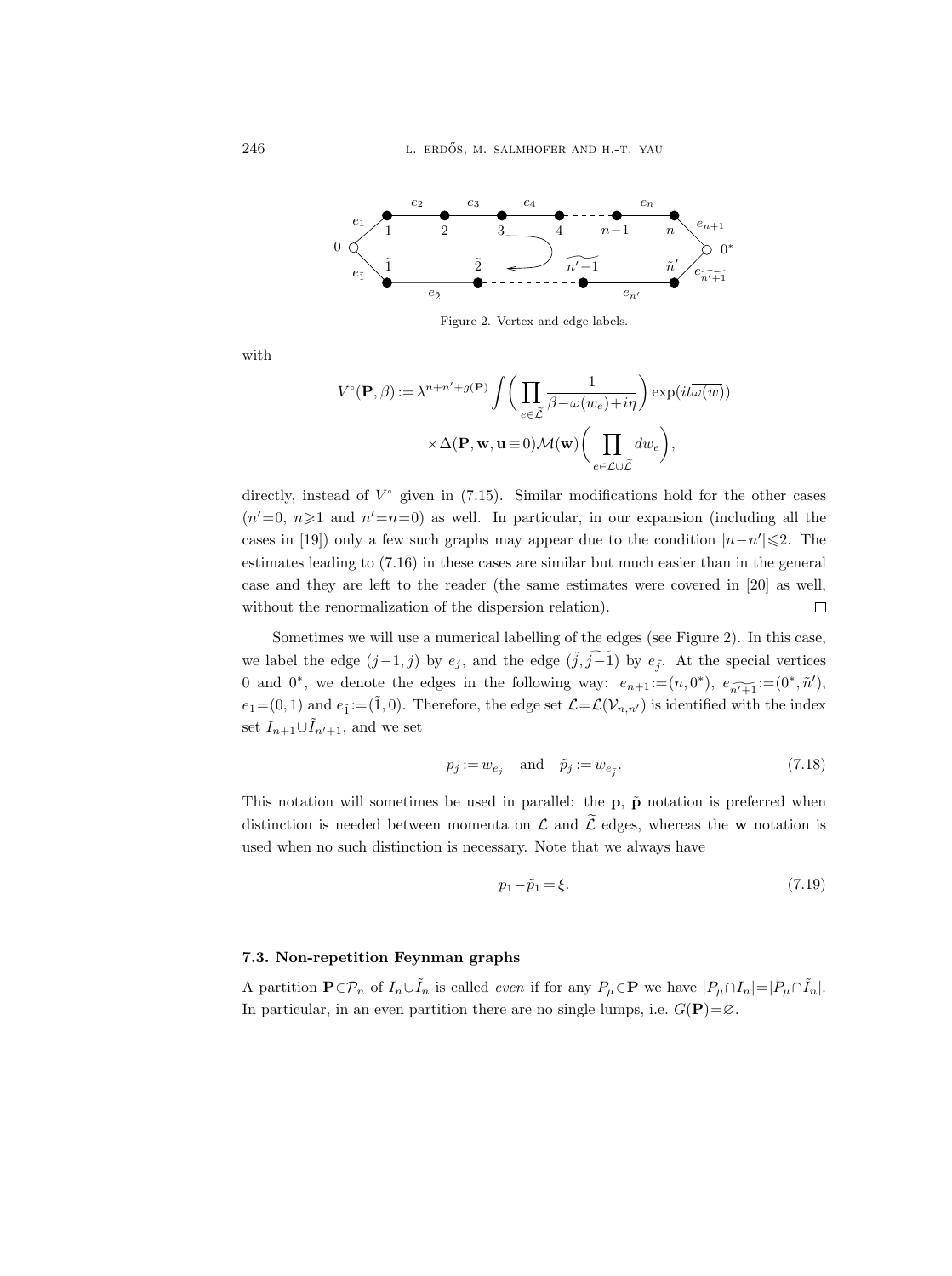

Figure 2. Vertex and edge labels.

with

$$
V^{\circ}(\mathbf{P}, \beta) := \lambda^{n+n'+g(\mathbf{P})} \int \bigg( \prod_{e \in \tilde{\mathcal{L}}} \frac{1}{\beta - \omega(w_e) + i\eta} \bigg) \exp(it\overline{\omega(w)})
$$

$$
\times \Delta(\mathbf{P}, \mathbf{w}, \mathbf{u} \equiv 0) \mathcal{M}(\mathbf{w}) \bigg( \prod_{e \in \mathcal{L} \cup \tilde{\mathcal{L}}} dw_e \bigg),
$$

directly, instead of  $V^{\circ}$  given in (7.15). Similar modifications hold for the other cases  $(n'=0, n\geq 1$  and  $n'=n=0)$  as well. In particular, in our expansion (including all the cases in [19]) only a few such graphs may appear due to the condition  $|n-n'|\leq 2$ . The estimates leading to (7.16) in these cases are similar but much easier than in the general case and they are left to the reader (the same estimates were covered in [20] as well, without the renormalization of the dispersion relation).  $\Box$ 

Sometimes we will use a numerical labelling of the edges (see Figure 2). In this case, we label the edge  $(j-1, j)$  by  $e_j$ , and the edge  $(\tilde{j}, \tilde{j-1})$  by  $e_{\tilde{j}}$ . At the special vertices 0 and 0<sup>\*</sup>, we denote the edges in the following way:  $e_{n+1} := (n, 0^*), e_{n \widetilde{n+1}} := (0^*, \widetilde{n}'),$  $e_1 = (0, 1)$  and  $e_{\tilde{1}} := (\tilde{1}, 0)$ . Therefore, the edge set  $\mathcal{L} = \mathcal{L}(\mathcal{V}_{n,n'})$  is identified with the index set  $I_{n+1}\cup I_{n'+1}$ , and we set

$$
p_j := w_{e_j} \quad \text{and} \quad \tilde{p}_j := w_{e_{\tilde{j}}}.\tag{7.18}
$$

This notation will sometimes be used in parallel: the  $\bf{p}$ ,  $\tilde{\bf{p}}$  notation is preferred when distinction is needed between momenta on  $\mathcal L$  and  $\widetilde{\mathcal L}$  edges, whereas the w notation is used when no such distinction is necessary. Note that we always have

$$
p_1 - \tilde{p}_1 = \xi. \tag{7.19}
$$

## 7.3. Non-repetition Feynman graphs

A partition  $\mathbf{P} \in \mathcal{P}_n$  of  $I_n \cup I_n$  is called *even* if for any  $P_\mu \in \mathbf{P}$  we have  $|P_\mu \cap I_n| = |P_\mu \cap I_n|$ . In particular, in an even partition there are no single lumps, i.e.  $G(\mathbf{P})=\varnothing$ .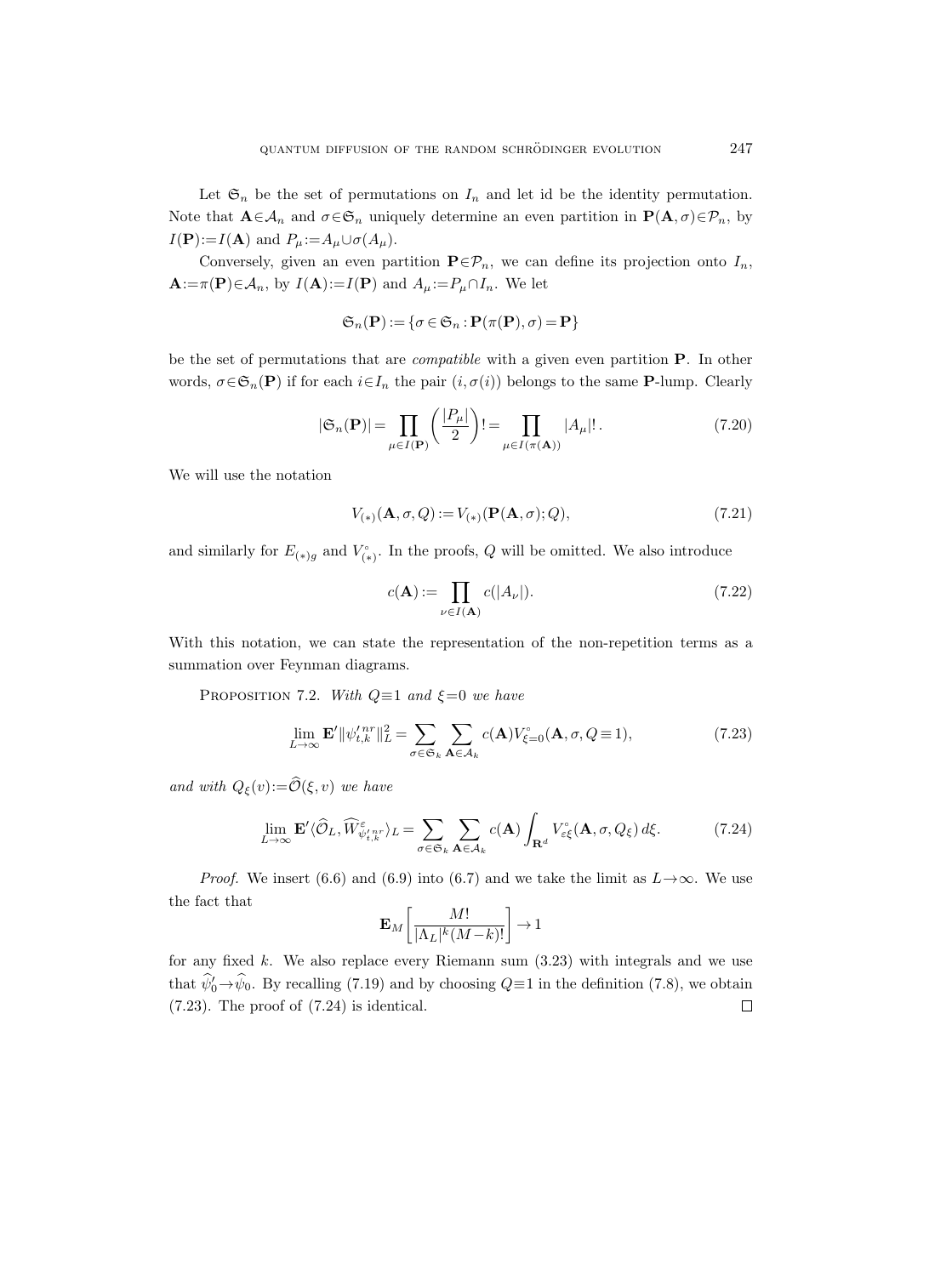Let  $\mathfrak{S}_n$  be the set of permutations on  $I_n$  and let id be the identity permutation. Note that  $\mathbf{A} \in \mathcal{A}_n$  and  $\sigma \in \mathfrak{S}_n$  uniquely determine an even partition in  $\mathbf{P}(\mathbf{A}, \sigma) \in \mathcal{P}_n$ , by  $I(\mathbf{P}):=I(\mathbf{A})$  and  $P_{\mu}:=A_{\mu}\cup \sigma(A_{\mu}).$ 

Conversely, given an even partition  $\mathbf{P} \in \mathcal{P}_n$ , we can define its projection onto  $I_n$ ,  $\mathbf{A}:=\pi(\mathbf{P})\in\mathcal{A}_n$ , by  $I(\mathbf{A}):=I(\mathbf{P})$  and  $A_\mu:=P_\mu\cap I_n$ . We let

$$
\mathfrak{S}_n(\mathbf{P})\!:=\!\{\sigma\!\in\!\mathfrak{S}_n\!:\!\mathbf{P}(\pi(\mathbf{P}),\sigma)\!=\!\mathbf{P}\}
$$

be the set of permutations that are *compatible* with a given even partition **P**. In other words,  $\sigma \in \mathfrak{S}_n(\mathbf{P})$  if for each  $i \in I_n$  the pair  $(i, \sigma(i))$  belongs to the same **P**-lump. Clearly

$$
|\mathfrak{S}_n(\mathbf{P})| = \prod_{\mu \in I(\mathbf{P})} \left( \frac{|P_\mu|}{2} \right)! = \prod_{\mu \in I(\pi(\mathbf{A}))} |A_\mu|! \,. \tag{7.20}
$$

We will use the notation

$$
V_{(*)}(A, \sigma, Q) := V_{(*)}(P(A, \sigma); Q), \tag{7.21}
$$

and similarly for  $E_{(*)g}$  and  $V_{(*)}^{\circ}$  $\binom{r}{(*)}$ . In the proofs, Q will be omitted. We also introduce

$$
c(\mathbf{A}) := \prod_{\nu \in I(\mathbf{A})} c(|A_{\nu}|). \tag{7.22}
$$

With this notation, we can state the representation of the non-repetition terms as a summation over Feynman diagrams.

PROPOSITION 7.2. With  $Q \equiv 1$  and  $\xi = 0$  we have

$$
\lim_{L \to \infty} \mathbf{E}' \|\psi_{t,k}^{\prime n r}\|_{L}^{2} = \sum_{\sigma \in \mathfrak{S}_{k}} \sum_{\mathbf{A} \in \mathcal{A}_{k}} c(\mathbf{A}) V_{\xi=0}^{\circ}(\mathbf{A}, \sigma, Q \equiv 1), \tag{7.23}
$$

and with  $Q_{\xi}(v):=\widehat{\mathcal{O}}(\xi, v)$  we have

$$
\lim_{L \to \infty} \mathbf{E}' \langle \hat{\mathcal{O}}_L, \widehat{W}^{\varepsilon}_{\psi'_{t,k}} \rangle_L = \sum_{\sigma \in \mathfrak{S}_k} \sum_{\mathbf{A} \in \mathcal{A}_k} c(\mathbf{A}) \int_{\mathbf{R}^d} V^{\circ}_{\varepsilon \xi}(\mathbf{A}, \sigma, Q_{\xi}) d\xi.
$$
 (7.24)

*Proof.* We insert (6.6) and (6.9) into (6.7) and we take the limit as  $L \rightarrow \infty$ . We use the fact that

$$
\mathbf{E}_M\left[\frac{M!}{|\Lambda_L|^k (M-k)!}\right] \to 1
$$

for any fixed  $k$ . We also replace every Riemann sum  $(3.23)$  with integrals and we use that  $\hat{\psi}_0^{\prime}\rightarrow\hat{\psi}_0$ . By recalling (7.19) and by choosing  $Q\equiv 1$  in the definition (7.8), we obtain (7.23). The proof of (7.24) is identical.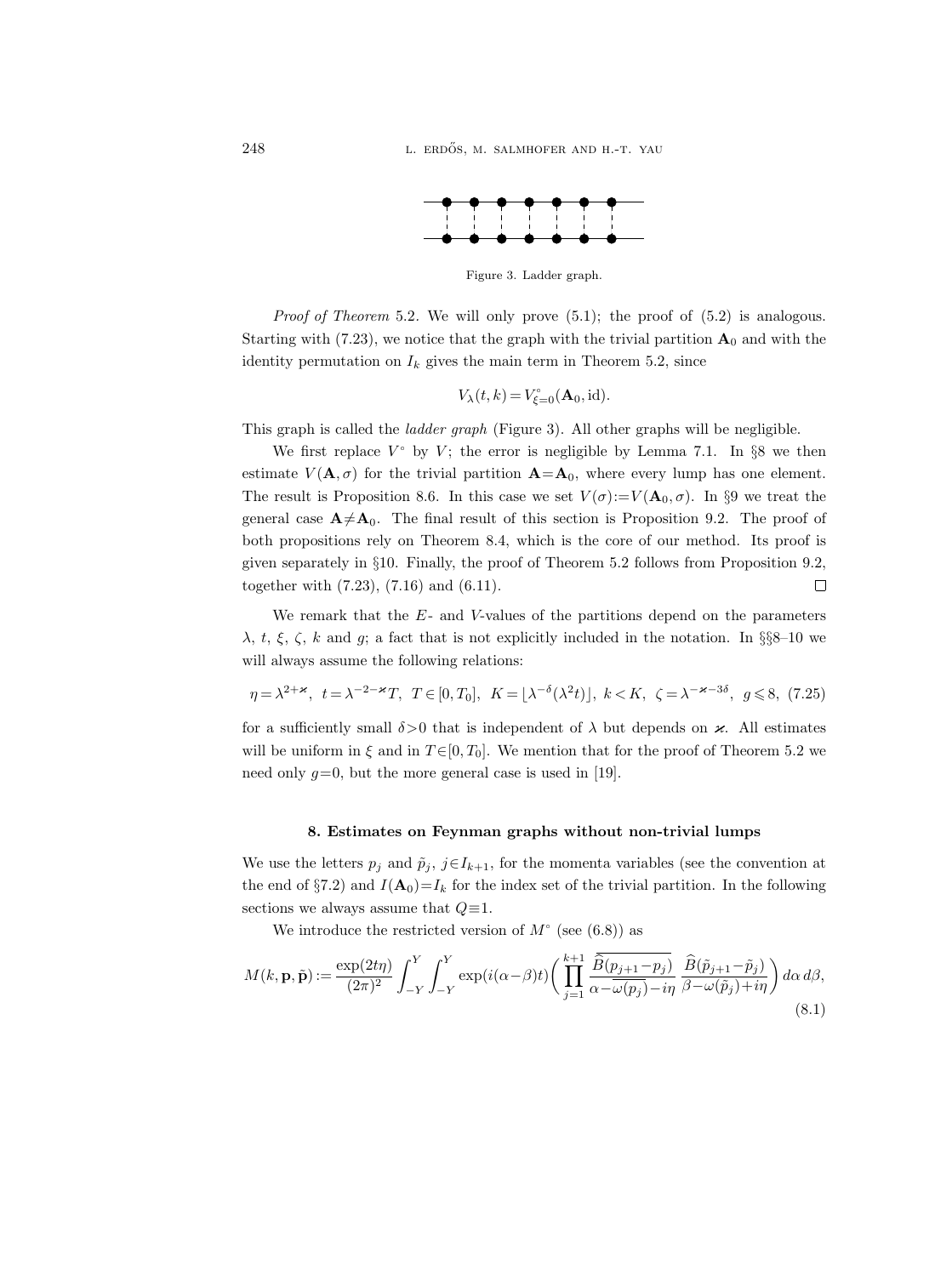

Figure 3. Ladder graph.

*Proof of Theorem 5.2.* We will only prove  $(5.1)$ ; the proof of  $(5.2)$  is analogous. Starting with (7.23), we notice that the graph with the trivial partition  $\mathbf{A}_0$  and with the identity permutation on  $I_k$  gives the main term in Theorem 5.2, since

$$
V_{\lambda}(t,k) = V_{\xi=0}^{\circ}(\mathbf{A}_0, \text{id}).
$$

This graph is called the *ladder graph* (Figure 3). All other graphs will be negligible.

We first replace  $V^{\circ}$  by  $V$ ; the error is negligible by Lemma 7.1. In §8 we then estimate  $V(\mathbf{A}, \sigma)$  for the trivial partition  $\mathbf{A}=\mathbf{A}_0$ , where every lump has one element. The result is Proposition 8.6. In this case we set  $V(\sigma) := V(\mathbf{A}_0, \sigma)$ . In §9 we treat the general case  $A \neq A_0$ . The final result of this section is Proposition 9.2. The proof of both propositions rely on Theorem 8.4, which is the core of our method. Its proof is given separately in §10. Finally, the proof of Theorem 5.2 follows from Proposition 9.2, together with (7.23), (7.16) and (6.11).  $\Box$ 

We remark that the  $E$ - and V-values of the partitions depend on the parameters  $\lambda$ , t,  $\xi$ ,  $\zeta$ , k and g; a fact that is not explicitly included in the notation. In §§8–10 we will always assume the following relations:

$$
\eta = \lambda^{2+\varkappa}, \ t = \lambda^{-2-\varkappa} T, \ T \in [0, T_0], \ K = \lfloor \lambda^{-\delta} (\lambda^2 t) \rfloor, \ k < K, \ \zeta = \lambda^{-\varkappa - 3\delta}, \ g \leqslant 8, (7.25)
$$

for a sufficiently small  $\delta > 0$  that is independent of  $\lambda$  but depends on  $\varkappa$ . All estimates will be uniform in  $\xi$  and in  $T \in [0, T_0]$ . We mention that for the proof of Theorem 5.2 we need only  $g=0$ , but the more general case is used in [19].

#### 8. Estimates on Feynman graphs without non-trivial lumps

We use the letters  $p_j$  and  $\tilde{p}_j$ ,  $j \in I_{k+1}$ , for the momenta variables (see the convention at the end of §7.2) and  $I(\mathbf{A}_0) = I_k$  for the index set of the trivial partition. In the following sections we always assume that  $Q \equiv 1$ .

We introduce the restricted version of  $M^{\circ}$  (see (6.8)) as

$$
M(k, \mathbf{p}, \tilde{\mathbf{p}}) := \frac{\exp(2t\eta)}{(2\pi)^2} \int_{-Y}^{Y} \int_{-Y}^{Y} \exp(i(\alpha - \beta)t) \left( \prod_{j=1}^{k+1} \frac{\overline{\widehat{B}(p_{j+1} - p_j)}}{\alpha - \overline{\omega(p_j)} - i\eta} \frac{\widehat{B}(\tilde{p}_{j+1} - \tilde{p}_j)}{\beta - \omega(\tilde{p}_j) + i\eta} \right) d\alpha d\beta,
$$
\n(8.1)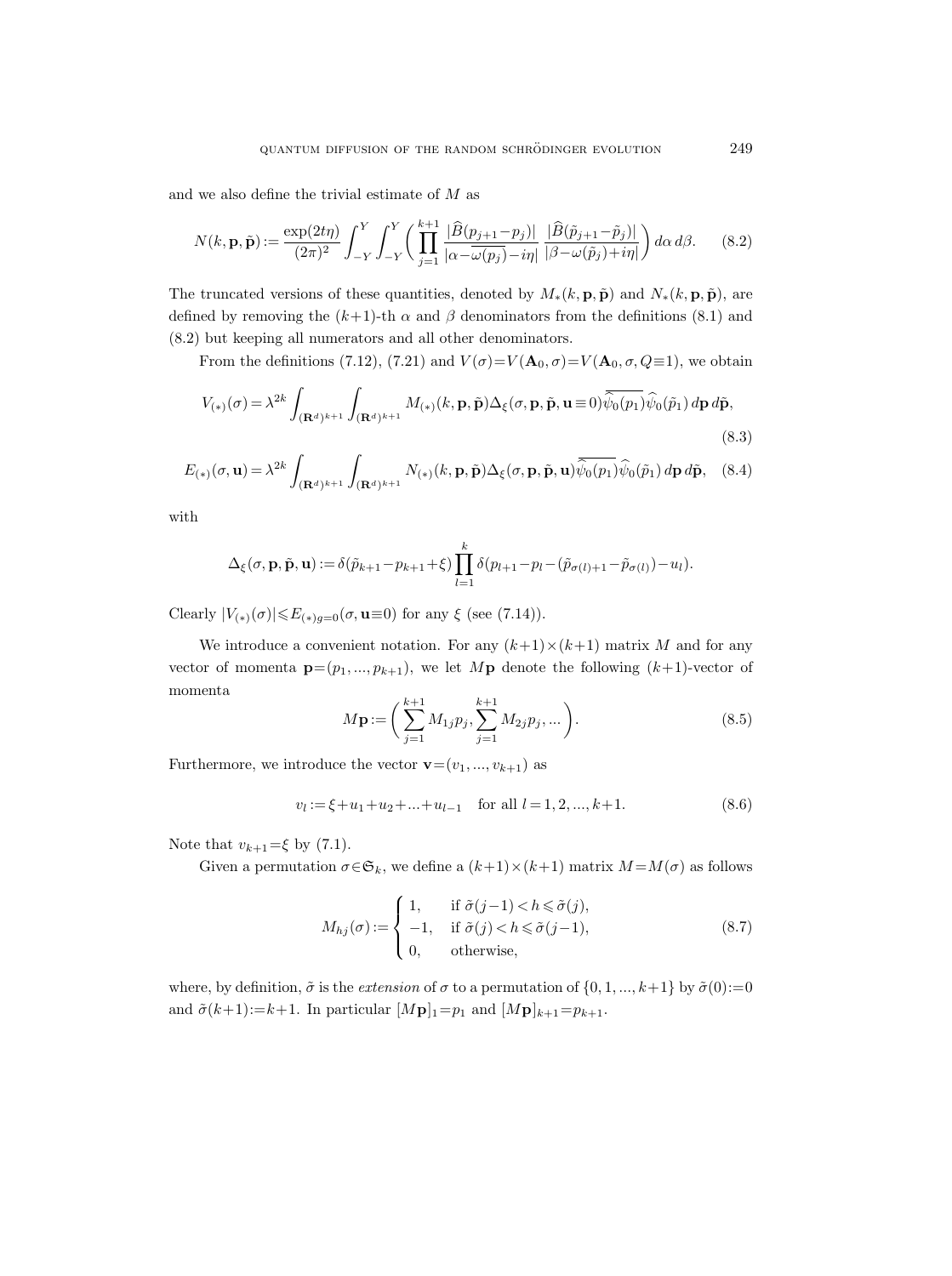and we also define the trivial estimate of  $M$  as

$$
N(k, \mathbf{p}, \tilde{\mathbf{p}}) := \frac{\exp(2t\eta)}{(2\pi)^2} \int_{-Y}^{Y} \int_{-Y}^{Y} \left( \prod_{j=1}^{k+1} \frac{|\widehat{B}(p_{j+1} - p_j)|}{|\alpha - \omega(p_j) - i\eta|} \frac{|\widehat{B}(\tilde{p}_{j+1} - \tilde{p}_j)|}{|\beta - \omega(\tilde{p}_j) + i\eta|} \right) d\alpha d\beta. \tag{8.2}
$$

The truncated versions of these quantities, denoted by  $M_*(k, \mathbf{p}, \tilde{\mathbf{p}})$  and  $N_*(k, \mathbf{p}, \tilde{\mathbf{p}})$ , are defined by removing the  $(k+1)$ -th  $\alpha$  and  $\beta$  denominators from the definitions (8.1) and (8.2) but keeping all numerators and all other denominators.

From the definitions (7.12), (7.21) and  $V(\sigma) = V(\mathbf{A}_0, \sigma) = V(\mathbf{A}_0, \sigma, Q \equiv 1)$ , we obtain

$$
V_{(*)}(\sigma) = \lambda^{2k} \int_{(\mathbf{R}^d)^{k+1}} \int_{(\mathbf{R}^d)^{k+1}} M_{(*)}(k, \mathbf{p}, \tilde{\mathbf{p}}) \Delta_{\xi}(\sigma, \mathbf{p}, \tilde{\mathbf{p}}, \mathbf{u} \equiv 0) \overline{\hat{\psi}_0(p_1)} \hat{\psi}_0(\tilde{p}_1) d\mathbf{p} d\tilde{\mathbf{p}},
$$
\n(8.3)

$$
E_{(*)}(\sigma, \mathbf{u}) = \lambda^{2k} \int_{(\mathbf{R}^d)^{k+1}} \int_{(\mathbf{R}^d)^{k+1}} N_{(*)}(k, \mathbf{p}, \tilde{\mathbf{p}}) \Delta_{\xi}(\sigma, \mathbf{p}, \tilde{\mathbf{p}}, \mathbf{u}) \overline{\hat{\psi}_0(p_1)} \hat{\psi}_0(\tilde{p}_1) d\mathbf{p} d\tilde{\mathbf{p}}, \quad (8.4)
$$

with

$$
\Delta_{\xi}(\sigma, \mathbf{p}, \tilde{\mathbf{p}}, \mathbf{u}) := \delta(\tilde{p}_{k+1} - p_{k+1} + \xi) \prod_{l=1}^{k} \delta(p_{l+1} - p_l - (\tilde{p}_{\sigma(l)+1} - \tilde{p}_{\sigma(l)}) - u_l).
$$

Clearly  $|V_{(*)}(\sigma)| \le E_{(*)g=0}(\sigma, \mathbf{u}\equiv 0)$  for any  $\xi$  (see (7.14)).

We introduce a convenient notation. For any  $(k+1) \times (k+1)$  matrix M and for any vector of momenta  $\mathbf{p}=(p_1,...,p_{k+1}),$  we let  $M\mathbf{p}$  denote the following  $(k+1)$ -vector of momenta

$$
M\mathbf{p} := \left(\sum_{j=1}^{k+1} M_{1j} p_j, \sum_{j=1}^{k+1} M_{2j} p_j, \dots\right). \tag{8.5}
$$

Furthermore, we introduce the vector  $\mathbf{v}=(v_1, ..., v_{k+1})$  as

$$
v_l := \xi + u_1 + u_2 + \dots + u_{l-1} \quad \text{for all } l = 1, 2, \dots, k+1.
$$
 (8.6)

Note that  $v_{k+1} = \xi$  by (7.1).

Given a permutation  $\sigma \in \mathfrak{S}_k$ , we define a  $(k+1) \times (k+1)$  matrix  $M = M(\sigma)$  as follows

$$
M_{hj}(\sigma) := \begin{cases} 1, & \text{if } \tilde{\sigma}(j-1) < h \le \tilde{\sigma}(j), \\ -1, & \text{if } \tilde{\sigma}(j) < h \le \tilde{\sigma}(j-1), \\ 0, & \text{otherwise,} \end{cases} \tag{8.7}
$$

where, by definition,  $\tilde{\sigma}$  is the *extension* of  $\sigma$  to a permutation of  $\{0, 1, ..., k+1\}$  by  $\tilde{\sigma}(0) := 0$ and  $\tilde{\sigma}(k+1):=k+1$ . In particular  $[M\mathbf{p}]_1=p_1$  and  $[M\mathbf{p}]_{k+1}=p_{k+1}$ .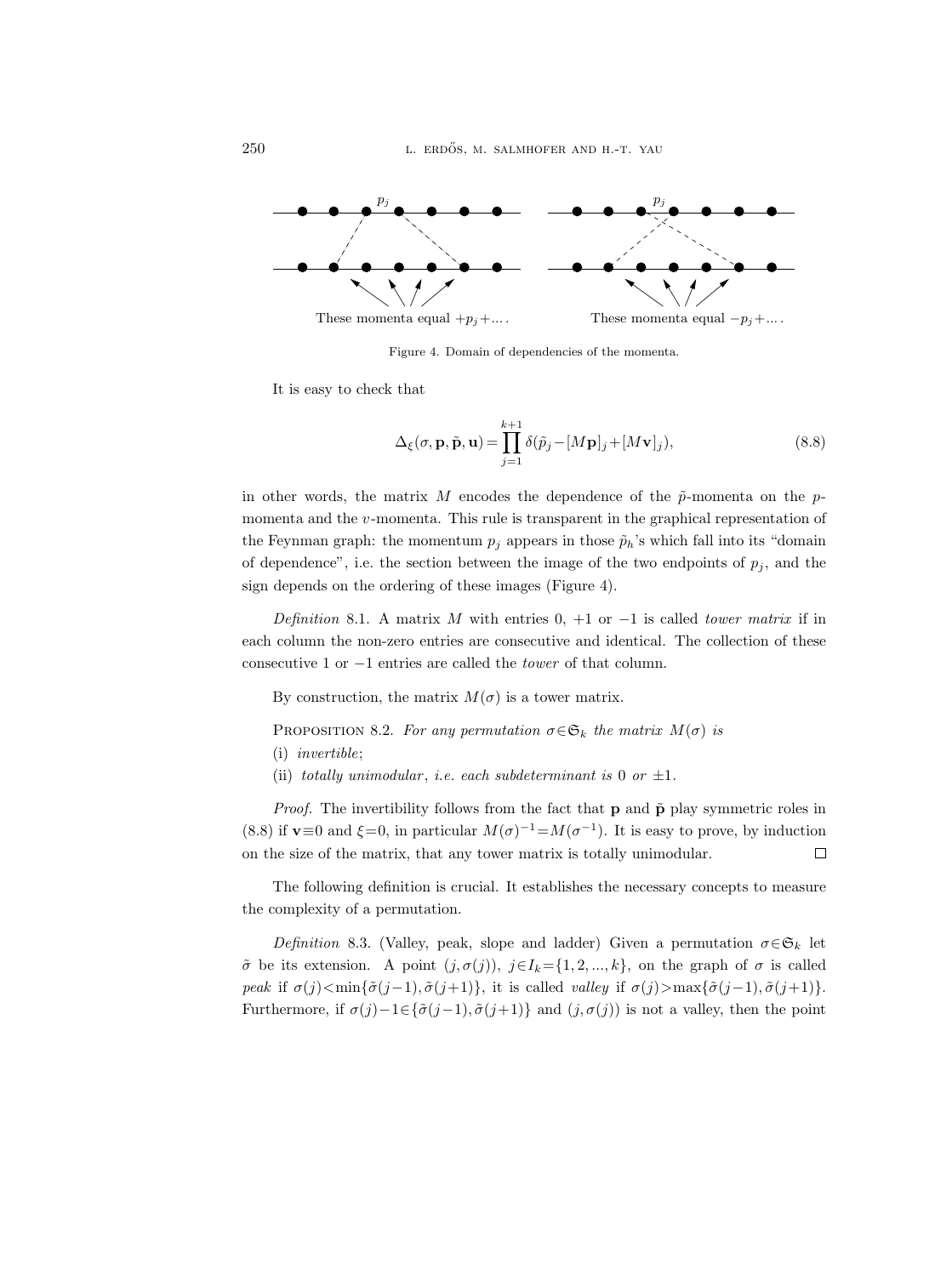

Figure 4. Domain of dependencies of the momenta.

It is easy to check that

$$
\Delta_{\xi}(\sigma, \mathbf{p}, \tilde{\mathbf{p}}, \mathbf{u}) = \prod_{j=1}^{k+1} \delta(\tilde{p}_j - [M\mathbf{p}]_j + [M\mathbf{v}]_j),
$$
\n(8.8)

in other words, the matrix M encodes the dependence of the  $\tilde{p}$ -momenta on the pmomenta and the v-momenta. This rule is transparent in the graphical representation of the Feynman graph: the momentum  $p_i$  appears in those  $\tilde{p}_h$ 's which fall into its "domain" of dependence", i.e. the section between the image of the two endpoints of  $p_i$ , and the sign depends on the ordering of these images (Figure 4).

Definition 8.1. A matrix M with entries  $0, +1$  or  $-1$  is called tower matrix if in each column the non-zero entries are consecutive and identical. The collection of these consecutive 1 or −1 entries are called the tower of that column.

By construction, the matrix  $M(\sigma)$  is a tower matrix.

PROPOSITION 8.2. For any permutation  $\sigma \in \mathfrak{S}_k$  the matrix  $M(\sigma)$  is

- (i) invertible;
- (ii) totally unimodular, i.e. each subdeterminant is 0 or  $\pm 1$ .

*Proof.* The invertibility follows from the fact that  $p$  and  $\tilde{p}$  play symmetric roles in (8.8) if **v**≡0 and  $\xi=0$ , in particular  $M(\sigma)^{-1} = M(\sigma^{-1})$ . It is easy to prove, by induction on the size of the matrix, that any tower matrix is totally unimodular.  $\Box$ 

The following definition is crucial. It establishes the necessary concepts to measure the complexity of a permutation.

Definition 8.3. (Valley, peak, slope and ladder) Given a permutation  $\sigma \in \mathfrak{S}_k$  let  $\tilde{\sigma}$  be its extension. A point  $(j, \sigma(j))$ ,  $j \in I_k = \{1, 2, ..., k\}$ , on the graph of  $\sigma$  is called peak if  $\sigma(j)$ <min{ $\tilde{\sigma}(j-1), \tilde{\sigma}(j+1)$ }, it is called valley if  $\sigma(j)$ >max{ $\tilde{\sigma}(j-1), \tilde{\sigma}(j+1)$ }. Furthermore, if  $\sigma(j)-1\in\{\tilde{\sigma}(j-1),\tilde{\sigma}(j+1)\}\$  and  $(j,\sigma(j))$  is not a valley, then the point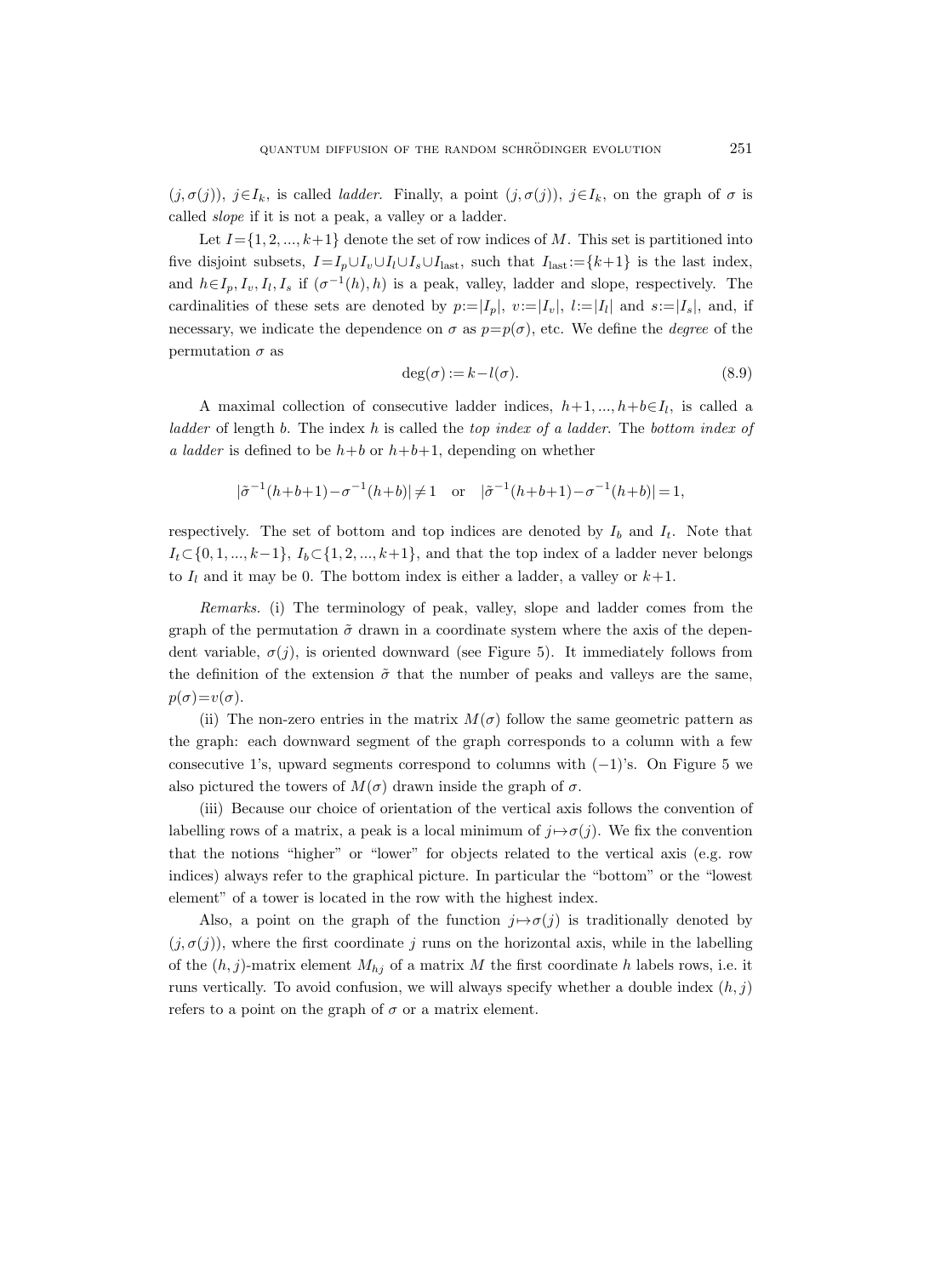$(j, \sigma(j))$ ,  $j \in I_k$ , is called *ladder*. Finally, a point  $(j, \sigma(j))$ ,  $j \in I_k$ , on the graph of  $\sigma$  is called slope if it is not a peak, a valley or a ladder.

Let  $I = \{1, 2, ..., k+1\}$  denote the set of row indices of M. This set is partitioned into five disjoint subsets,  $I=I_p\cup I_l\cup I_l\cup I_s\cup I_{\text{last}}$ , such that  $I_{\text{last}}:=\{k+1\}$  is the last index, and  $h \in I_p, I_v, I_l, I_s$  if  $(\sigma^{-1}(h), h)$  is a peak, valley, ladder and slope, respectively. The cardinalities of these sets are denoted by  $p:=|I_p|, v:=|I_v|, l:=|I_l|$  and  $s:=|I_s|$ , and, if necessary, we indicate the dependence on  $\sigma$  as  $p=p(\sigma)$ , etc. We define the *degree* of the permutation  $\sigma$  as

$$
\deg(\sigma) := k - l(\sigma). \tag{8.9}
$$

A maximal collection of consecutive ladder indices,  $h+1, ..., h+b\in I_l$ , is called a ladder of length b. The index h is called the top index of a ladder. The bottom index of a ladder is defined to be  $h+b$  or  $h+b+1$ , depending on whether

$$
|\tilde{\sigma}^{-1}(h+b+1)-\sigma^{-1}(h+b)| \neq 1 \quad \text{or} \quad |\tilde{\sigma}^{-1}(h+b+1)-\sigma^{-1}(h+b)| = 1,
$$

respectively. The set of bottom and top indices are denoted by  $I_b$  and  $I_t$ . Note that  $I_t \subset \{0, 1, ..., k-1\}, I_b \subset \{1, 2, ..., k+1\},$  and that the top index of a ladder never belongs to  $I_l$  and it may be 0. The bottom index is either a ladder, a valley or  $k+1$ .

Remarks. (i) The terminology of peak, valley, slope and ladder comes from the graph of the permutation  $\tilde{\sigma}$  drawn in a coordinate system where the axis of the dependent variable,  $\sigma(j)$ , is oriented downward (see Figure 5). It immediately follows from the definition of the extension  $\tilde{\sigma}$  that the number of peaks and valleys are the same,  $p(\sigma)=v(\sigma)$ .

(ii) The non-zero entries in the matrix  $M(\sigma)$  follow the same geometric pattern as the graph: each downward segment of the graph corresponds to a column with a few consecutive 1's, upward segments correspond to columns with  $(-1)$ 's. On Figure 5 we also pictured the towers of  $M(\sigma)$  drawn inside the graph of  $\sigma$ .

(iii) Because our choice of orientation of the vertical axis follows the convention of labelling rows of a matrix, a peak is a local minimum of  $j \mapsto \sigma(j)$ . We fix the convention that the notions "higher" or "lower" for objects related to the vertical axis (e.g. row indices) always refer to the graphical picture. In particular the "bottom" or the "lowest element" of a tower is located in the row with the highest index.

Also, a point on the graph of the function  $j \mapsto \sigma(j)$  is traditionally denoted by  $(j, \sigma(j))$ , where the first coordinate j runs on the horizontal axis, while in the labelling of the  $(h, j)$ -matrix element  $M_{hj}$  of a matrix M the first coordinate h labels rows, i.e. it runs vertically. To avoid confusion, we will always specify whether a double index  $(h, j)$ refers to a point on the graph of  $\sigma$  or a matrix element.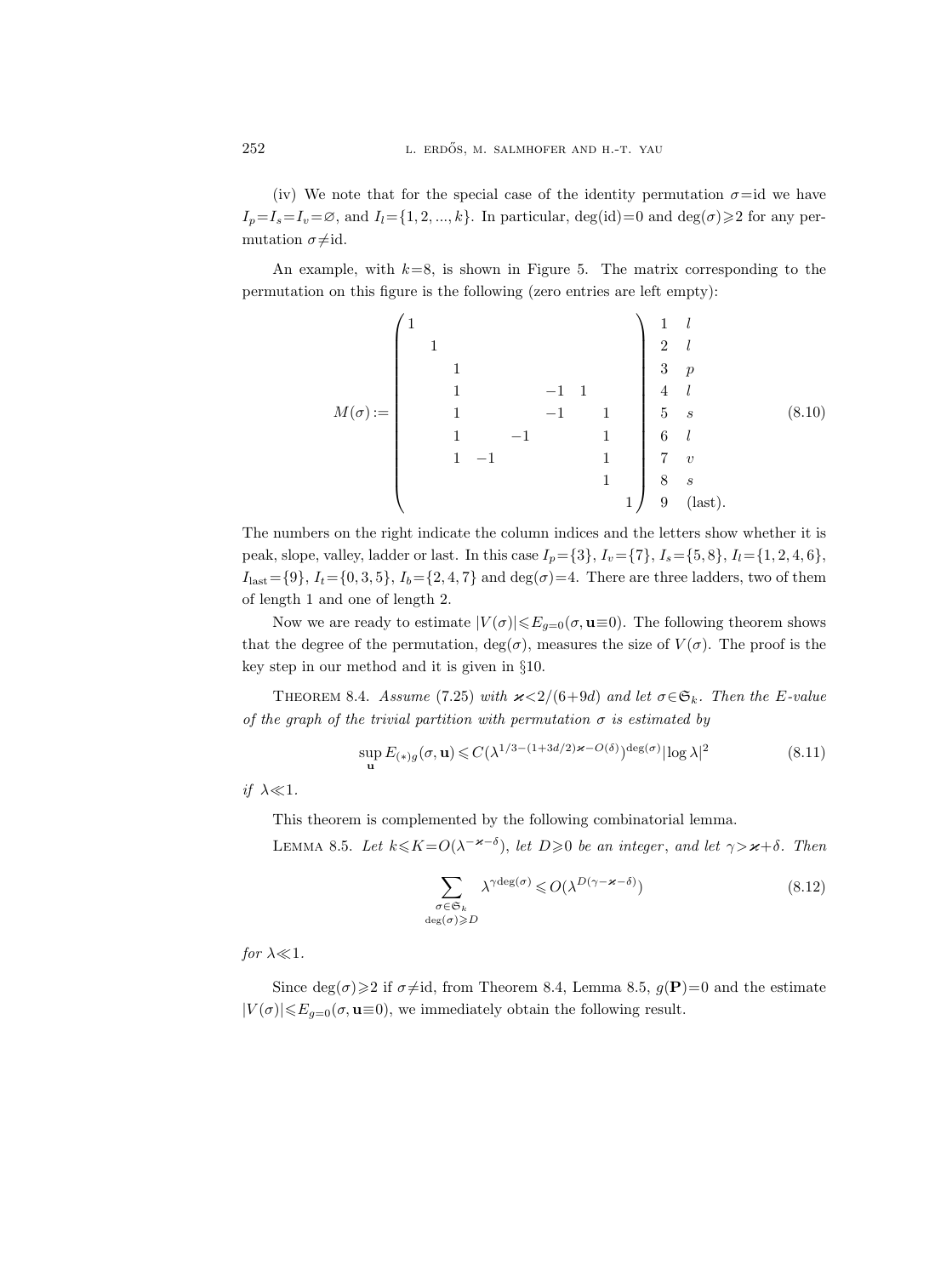(iv) We note that for the special case of the identity permutation  $\sigma$ =id we have  $I_p=I_s=I_v=\emptyset$ , and  $I_l=\{1, 2, ..., k\}$ . In particular, deg(id)=0 and deg( $\sigma$ ) $\geq$  2 for any permutation  $\sigma \neq id$ .

An example, with  $k=8$ , is shown in Figure 5. The matrix corresponding to the permutation on this figure is the following (zero entries are left empty):

M(σ) := 1 1 1 1 −1 1 1 −1 1 1 −1 1 1 −1 1 1 1 1 l 2 l 3 p 4 l 5 s 6 l 7 v 8 s 9 (last). (8.10)

The numbers on the right indicate the column indices and the letters show whether it is peak, slope, valley, ladder or last. In this case  $I_p = \{3\}, I_v = \{7\}, I_s = \{5, 8\}, I_l = \{1, 2, 4, 6\}$ ,  $I_{\text{last}} = \{9\}, I_t = \{0, 3, 5\}, I_b = \{2, 4, 7\}$  and  $\deg(\sigma) = 4$ . There are three ladders, two of them of length 1 and one of length 2.

Now we are ready to estimate  $|V(\sigma)| \leq E_{g=0}(\sigma, \mathbf{u} \equiv 0)$ . The following theorem shows that the degree of the permutation,  $deg(\sigma)$ , measures the size of  $V(\sigma)$ . The proof is the key step in our method and it is given in §10.

THEOREM 8.4. Assume (7.25) with  $\varkappa < 2/(6+9d)$  and let  $\sigma \in \mathfrak{S}_k$ . Then the E-value of the graph of the trivial partition with permutation  $\sigma$  is estimated by

$$
\sup_{\mathbf{u}} E_{(*)g}(\sigma, \mathbf{u}) \leq C(\lambda^{1/3 - (1+3d/2)\varkappa - O(\delta)})^{\deg(\sigma)} |\log \lambda|^2 \tag{8.11}
$$

if  $\lambda \ll 1$ .

This theorem is complemented by the following combinatorial lemma.

LEMMA 8.5. Let  $k \le K = O(\lambda^{-\varkappa-\delta})$ , let  $D \ge 0$  be an integer, and let  $\gamma > \varkappa + \delta$ . Then

$$
\sum_{\substack{\sigma \in \mathfrak{S}_k \\ \deg(\sigma) \ge D}} \lambda^{\gamma \deg(\sigma)} \le O(\lambda^{D(\gamma - \varkappa - \delta)}) \tag{8.12}
$$

for  $\lambda \ll 1$ .

Since deg( $\sigma$ ) $\geq$ 2 if  $\sigma \neq id$ , from Theorem 8.4, Lemma 8.5,  $g(\mathbf{P})=0$  and the estimate  $|V(\sigma)| \leq E_{g=0}(\sigma, \mathbf{u} \equiv 0)$ , we immediately obtain the following result.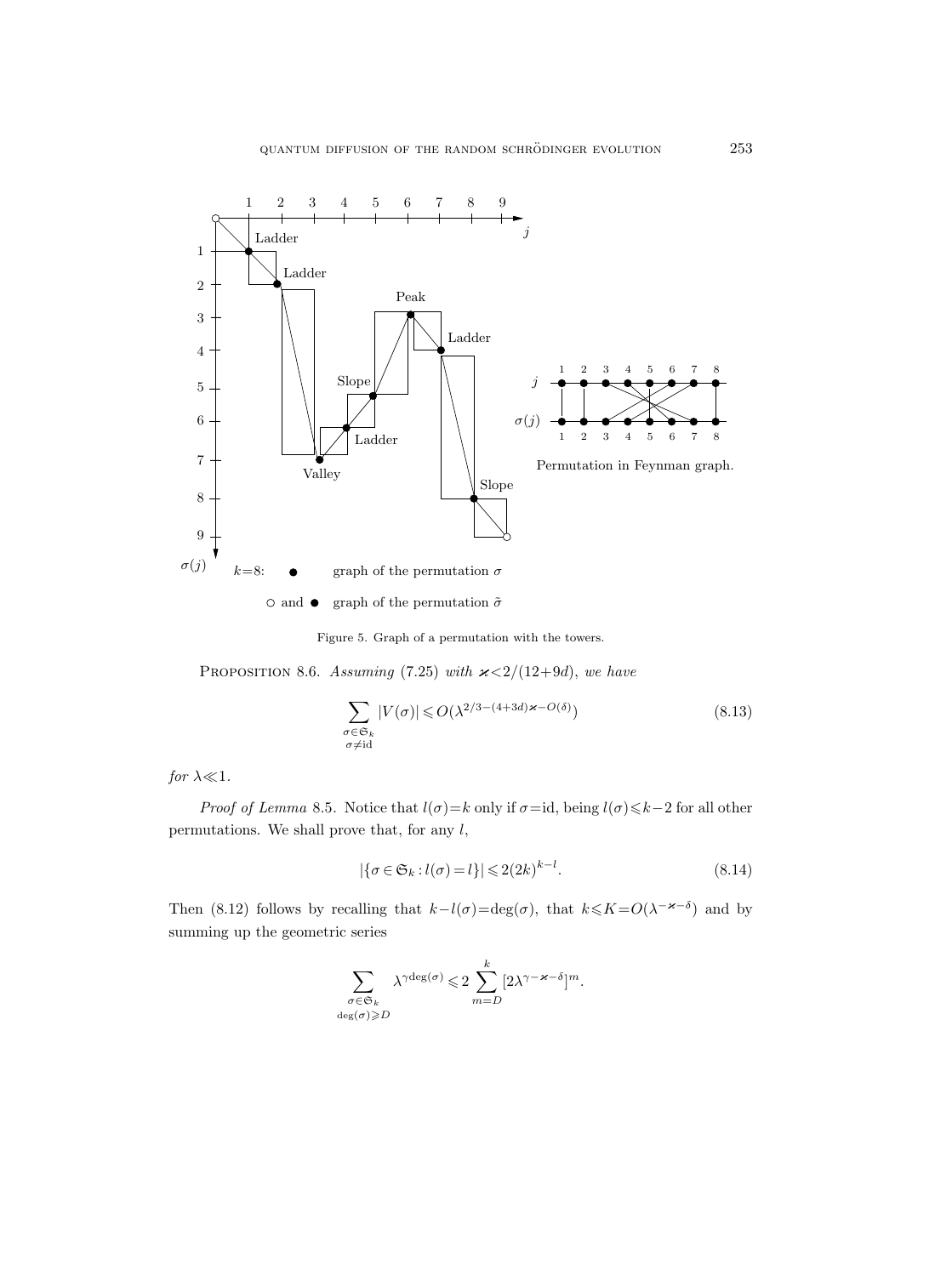

Figure 5. Graph of a permutation with the towers.

PROPOSITION 8.6. Assuming (7.25) with  $\varkappa < 2/(12+9d)$ , we have

$$
\sum_{\substack{\sigma \in \mathfrak{S}_k \\ \sigma \neq \text{id}}} |V(\sigma)| \leqslant O(\lambda^{2/3 - (4+3d)\varkappa - O(\delta)})\tag{8.13}
$$

for  $\lambda \ll 1$ .

*Proof of Lemma* 8.5. Notice that  $l(\sigma)=k$  only if  $\sigma=i\mathrm{d}$ , being  $l(\sigma)\leq k-2$  for all other permutations. We shall prove that, for any  $l$ ,

$$
|\{\sigma \in \mathfrak{S}_k : l(\sigma) = l\}| \leqslant 2(2k)^{k-l}.\tag{8.14}
$$

Then (8.12) follows by recalling that  $k-l(\sigma) = \deg(\sigma)$ , that  $k \le K = O(\lambda^{-\varkappa-\delta})$  and by summing up the geometric series

$$
\sum_{\substack{\sigma \in \mathfrak{S}_k \\ \deg(\sigma) \geqslant D}} \lambda^{\gamma \deg(\sigma)} \leqslant 2 \sum_{m=D}^k [2 \lambda^{\gamma - \varkappa - \delta}]^m.
$$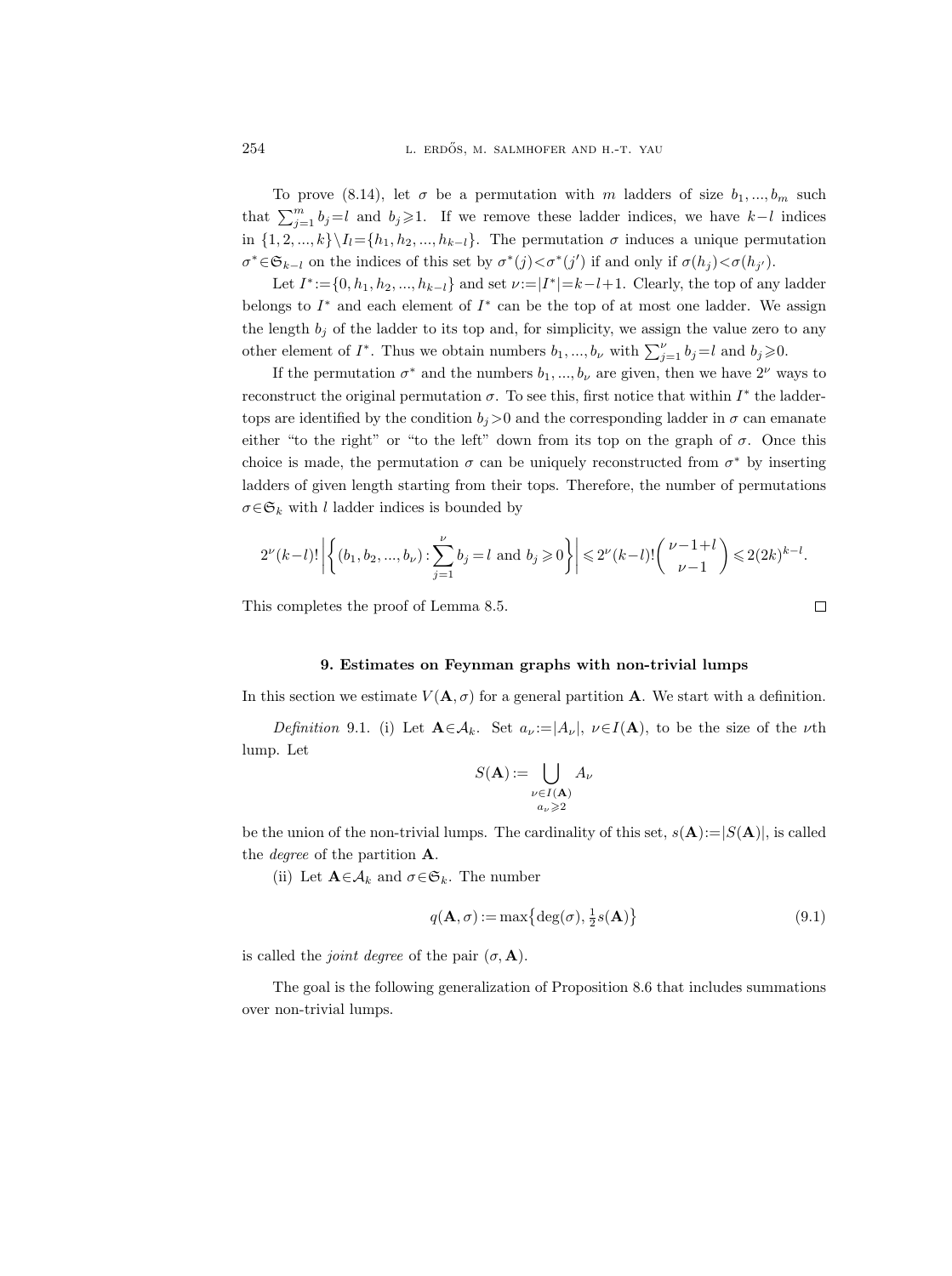To prove (8.14), let  $\sigma$  be a permutation with m ladders of size  $b_1, ..., b_m$  such that  $\sum_{j=1}^{m} b_j = l$  and  $b_j \geq 1$ . If we remove these ladder indices, we have  $k-l$  indices in  $\{1, 2, ..., k\}\setminus I_l = \{h_1, h_2, ..., h_{k-l}\}.$  The permutation  $\sigma$  induces a unique permutation  $\sigma^* \in \mathfrak{S}_{k-l}$  on the indices of this set by  $\sigma^*(j) < \sigma^*(j')$  if and only if  $\sigma(h_j) < \sigma(h_{j'})$ .

Let  $I^* := \{0, h_1, h_2, ..., h_{k-l}\}\$  and set  $\nu := |I^*| = k - l + 1$ . Clearly, the top of any ladder belongs to  $I^*$  and each element of  $I^*$  can be the top of at most one ladder. We assign the length  $b_j$  of the ladder to its top and, for simplicity, we assign the value zero to any other element of  $I^*$ . Thus we obtain numbers  $b_1, ..., b_{\nu}$  with  $\sum_{j=1}^{\nu} b_j = l$  and  $b_j \geqslant 0$ .

If the permutation  $\sigma^*$  and the numbers  $b_1, ..., b_{\nu}$  are given, then we have  $2^{\nu}$  ways to reconstruct the original permutation  $\sigma$ . To see this, first notice that within  $I^*$  the laddertops are identified by the condition  $b_j>0$  and the corresponding ladder in  $\sigma$  can emanate either "to the right" or "to the left" down from its top on the graph of  $\sigma$ . Once this choice is made, the permutation  $\sigma$  can be uniquely reconstructed from  $\sigma^*$  by inserting ladders of given length starting from their tops. Therefore, the number of permutations  $\sigma \in \mathfrak{S}_k$  with l ladder indices is bounded by

$$
2^{\nu}(k-l)! \left| \left\{ (b_1, b_2, ..., b_{\nu}) : \sum_{j=1}^{\nu} b_j = l \text{ and } b_j \ge 0 \right\} \right| \le 2^{\nu}(k-l)! \binom{\nu-1+l}{\nu-1} \le 2(2k)^{k-l}.
$$

This completes the proof of Lemma 8.5.

#### 9. Estimates on Feynman graphs with non-trivial lumps

In this section we estimate  $V(\mathbf{A}, \sigma)$  for a general partition A. We start with a definition.

Definition 9.1. (i) Let  $\mathbf{A} \in \mathcal{A}_k$ . Set  $a_{\nu} := |A_{\nu}|$ ,  $\nu \in I(\mathbf{A})$ , to be the size of the  $\nu$ th lump. Let

$$
S(\mathbf{A}) := \bigcup_{\substack{\nu \in I(\mathbf{A}) \\ a_{\nu} \geqslant 2}} A_{\nu}
$$

be the union of the non-trivial lumps. The cardinality of this set,  $s(A)=|S(A)|$ , is called the degree of the partition A.

(ii) Let  $\mathbf{A} \in \mathcal{A}_k$  and  $\sigma \in \mathfrak{S}_k$ . The number

$$
q(\mathbf{A}, \sigma) := \max\{\deg(\sigma), \frac{1}{2}s(\mathbf{A})\}\tag{9.1}
$$

is called the *joint degree* of the pair  $(\sigma, \mathbf{A})$ .

The goal is the following generalization of Proposition 8.6 that includes summations over non-trivial lumps.

$$
\Box
$$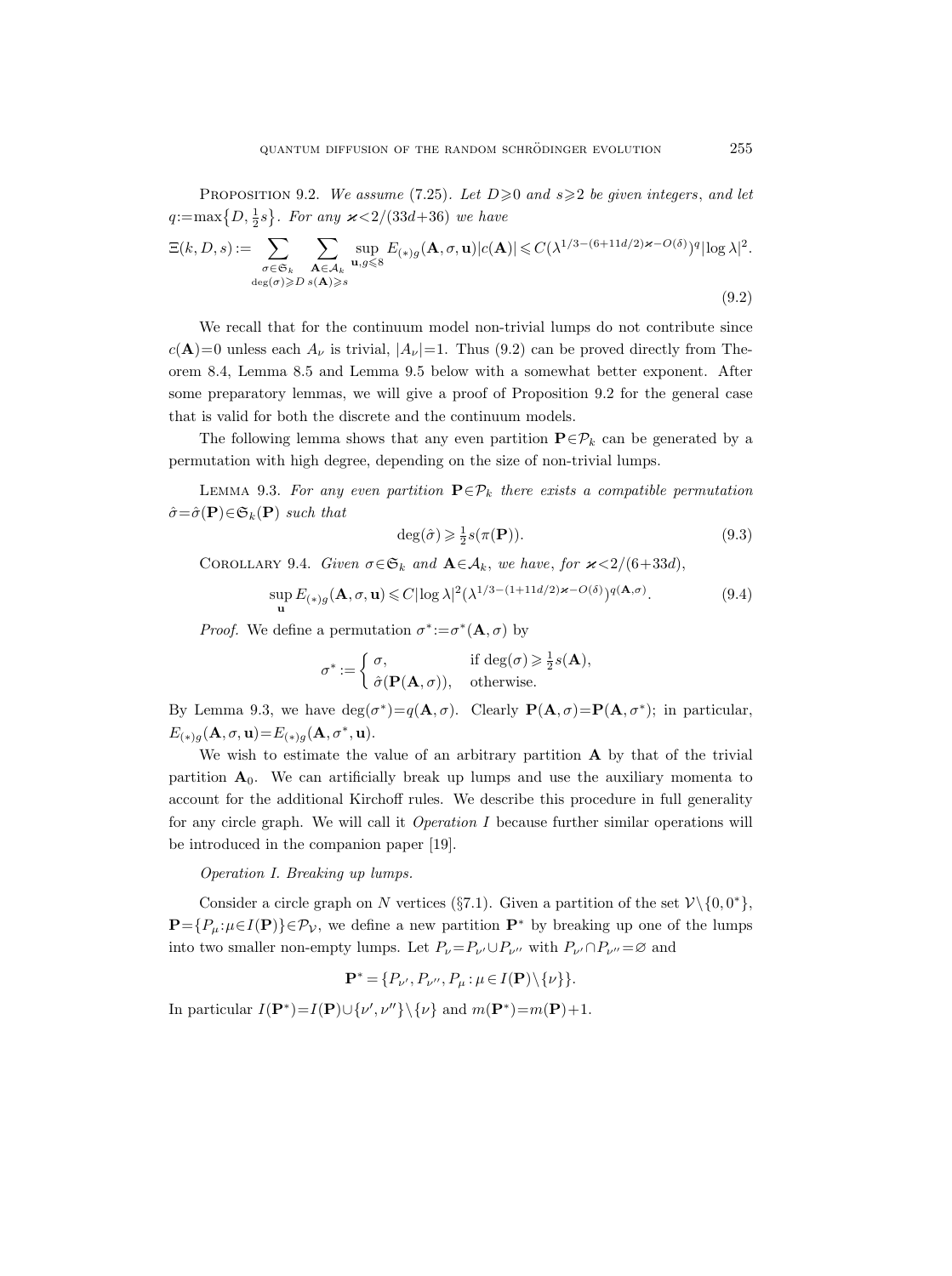PROPOSITION 9.2. We assume (7.25). Let  $D \geq 0$  and  $s \geq 2$  be given integers, and let  $q:=\max\{D,\frac{1}{2}s\}$ . For any  $\varkappa < 2/(33d+36)$  we have

$$
\Xi(k, D, s) := \sum_{\substack{\sigma \in \mathfrak{S}_k \\ \deg(\sigma) \geq D}} \sum_{\substack{\mathbf{A} \in \mathcal{A}_k \\ \mathbf{A} \geq s}} \sup_{\mathbf{u}, g \leq 8} E_{(*)g}(\mathbf{A}, \sigma, \mathbf{u}) |c(\mathbf{A})| \leq C(\lambda^{1/3 - (6 + 11d/2) \varkappa - O(\delta)})^q |\log \lambda|^2.
$$
\n(9.2)

We recall that for the continuum model non-trivial lumps do not contribute since  $c(\mathbf{A})=0$  unless each  $A_{\nu}$  is trivial,  $|A_{\nu}|=1$ . Thus (9.2) can be proved directly from Theorem 8.4, Lemma 8.5 and Lemma 9.5 below with a somewhat better exponent. After some preparatory lemmas, we will give a proof of Proposition 9.2 for the general case that is valid for both the discrete and the continuum models.

The following lemma shows that any even partition  $\mathbf{P} \in \mathcal{P}_k$  can be generated by a permutation with high degree, depending on the size of non-trivial lumps.

LEMMA 9.3. For any even partition  $\mathbf{P} \in \mathcal{P}_k$  there exists a compatible permutation  $\hat{\sigma} = \hat{\sigma}(\mathbf{P}) \in \mathfrak{S}_k(\mathbf{P})$  such that

$$
\deg(\hat{\sigma}) \geq \frac{1}{2}s(\pi(\mathbf{P})).\tag{9.3}
$$

COROLLARY 9.4. Given  $\sigma \in \mathfrak{S}_k$  and  $\mathbf{A} \in \mathcal{A}_k$ , we have, for  $\varkappa < 2/(6+33d)$ ,

$$
\sup_{\mathbf{u}} E_{(*)g}(\mathbf{A}, \sigma, \mathbf{u}) \leq C |\log \lambda|^2 (\lambda^{1/3 - (1 + 11d/2) \varkappa - O(\delta)})^{q(\mathbf{A}, \sigma)}.
$$
\n(9.4)

*Proof.* We define a permutation  $\sigma^* := \sigma^*(\mathbf{A}, \sigma)$  by

$$
\sigma^* := \begin{cases} \sigma, & \text{if } \deg(\sigma) \geq \frac{1}{2}s(\mathbf{A}), \\ \hat{\sigma}(\mathbf{P}(\mathbf{A}, \sigma)), & \text{otherwise.} \end{cases}
$$

By Lemma 9.3, we have  $deg(\sigma^*) = q(\mathbf{A}, \sigma)$ . Clearly  $\mathbf{P}(\mathbf{A}, \sigma) = \mathbf{P}(\mathbf{A}, \sigma^*)$ ; in particular,  $E_{(*)g}(\mathbf{A}, \sigma, \mathbf{u}) = E_{(*)g}(\mathbf{A}, \sigma^*, \mathbf{u}).$ 

We wish to estimate the value of an arbitrary partition  $A$  by that of the trivial partition  $A_0$ . We can artificially break up lumps and use the auxiliary momenta to account for the additional Kirchoff rules. We describe this procedure in full generality for any circle graph. We will call it  $Operation I$  because further similar operations will be introduced in the companion paper [19].

Operation I. Breaking up lumps.

Consider a circle graph on N vertices (§7.1). Given a partition of the set  $\mathcal{V} \setminus \{0, 0^*\},$  $\mathbf{P}=\{P_{\mu}:\mu\in I(\mathbf{P})\}\in\mathcal{P}_{\mathcal{V}}$ , we define a new partition  $\mathbf{P}^*$  by breaking up one of the lumps into two smaller non-empty lumps. Let  $P_{\nu}=P_{\nu'}\cup P_{\nu''}$  with  $P_{\nu'}\cap P_{\nu''}=\varnothing$  and

$$
\mathbf{P}^* = \{P_{\nu'}, P_{\nu''}, P_{\mu} : \mu \in I(\mathbf{P}) \backslash \{\nu\} \}.
$$

In particular  $I(\mathbf{P}^*)=I(\mathbf{P})\cup \{\nu',\nu''\}\setminus \{\nu\}$  and  $m(\mathbf{P}^*)=m(\mathbf{P})+1$ .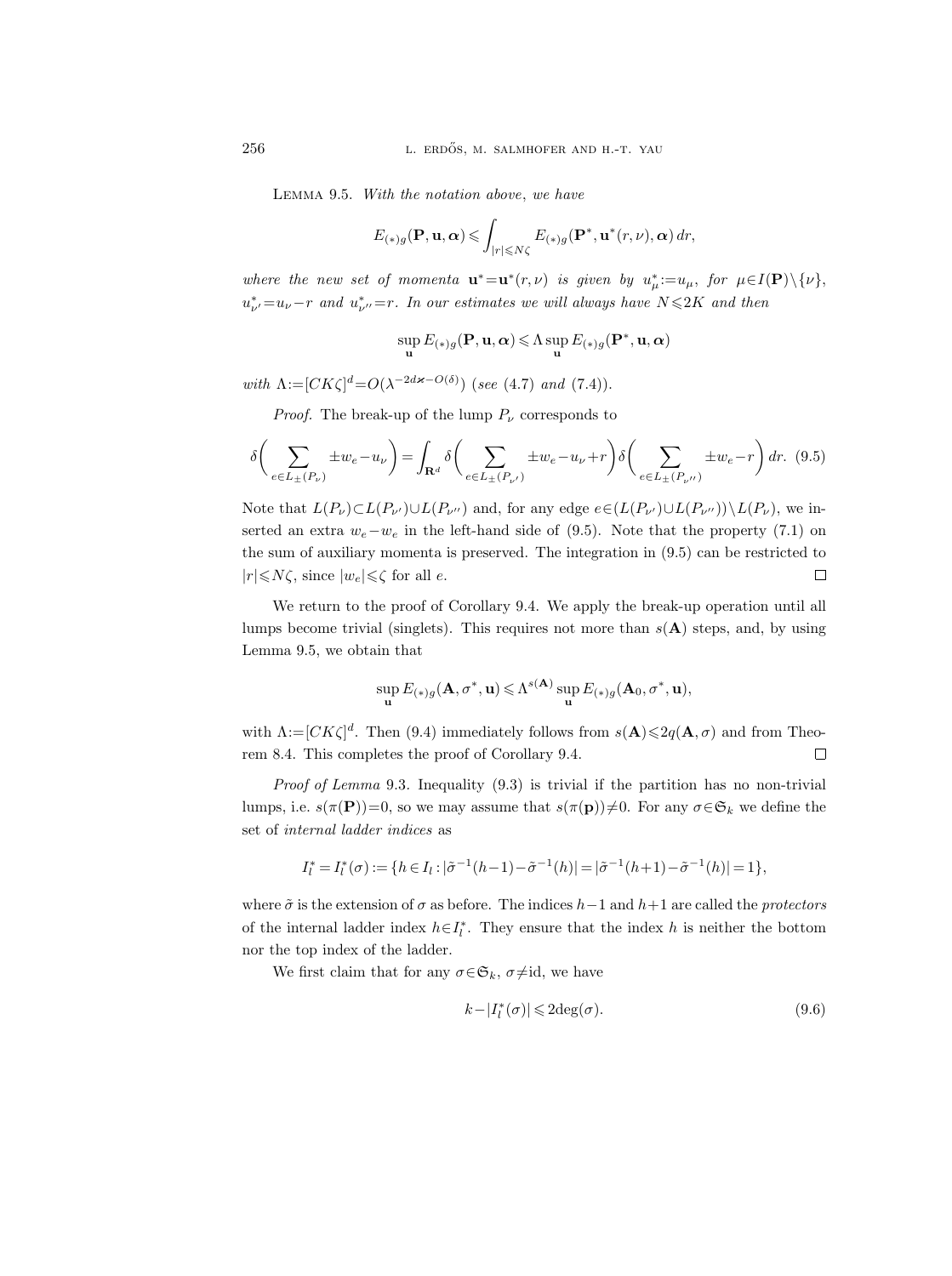Lemma 9.5. With the notation above, we have

$$
E_{(*)g}(\mathbf{P}, \mathbf{u}, \alpha) \leqslant \int_{|r| \leqslant N\zeta} E_{(*)g}(\mathbf{P}^*, \mathbf{u}^*(r, \nu), \alpha) \, dr,
$$

where the new set of momenta  $\mathbf{u}^* = \mathbf{u}^*(r,\nu)$  is given by  $u^*_{\mu} := u_{\mu}$ , for  $\mu \in I(\mathbf{P}) \setminus \{\nu\}$ ,  $u^*_{\nu'}=u_{\nu}-r$  and  $u^*_{\nu''}=r$ . In our estimates we will always have  $N\leqslant 2K$  and then

$$
\sup_{\mathbf{u}} E_{(*)g}(\mathbf{P}, \mathbf{u}, \boldsymbol{\alpha}) \leqslant \Lambda \sup_{\mathbf{u}} E_{(*)g}(\mathbf{P}^*, \mathbf{u}, \boldsymbol{\alpha})
$$

with  $\Lambda := [CK\zeta]^d = O(\lambda^{-2d\varkappa - O(\delta)})$  (see (4.7) and (7.4)).

*Proof.* The break-up of the lump  $P_{\nu}$  corresponds to

$$
\delta\left(\sum_{e\in L_{\pm}(P_{\nu})}\pm w_e - u_{\nu}\right) = \int_{\mathbf{R}^d} \delta\left(\sum_{e\in L_{\pm}(P_{\nu'})}\pm w_e - u_{\nu} + r\right) \delta\left(\sum_{e\in L_{\pm}(P_{\nu''})}\pm w_e - r\right) dr. (9.5)
$$

Note that  $L(P_{\nu}) \subset L(P_{\nu'}) \cup L(P_{\nu''})$  and, for any edge  $e \in (L(P_{\nu'}) \cup L(P_{\nu''})) \setminus L(P_{\nu})$ , we inserted an extra  $w_e-w_e$  in the left-hand side of (9.5). Note that the property (7.1) on the sum of auxiliary momenta is preserved. The integration in (9.5) can be restricted to  $|r| \le N\zeta$ , since  $|w_e| \le \zeta$  for all e.  $\Box$ 

We return to the proof of Corollary 9.4. We apply the break-up operation until all lumps become trivial (singlets). This requires not more than  $s(A)$  steps, and, by using Lemma 9.5, we obtain that

$$
\sup_{\mathbf{u}} E_{(*)g}(\mathbf{A}, \sigma^*, \mathbf{u}) \leqslant \Lambda^{s(\mathbf{A})} \sup_{\mathbf{u}} E_{(*)g}(\mathbf{A}_0, \sigma^*, \mathbf{u}),
$$

with  $\Lambda := [CK\zeta]^d$ . Then (9.4) immediately follows from  $s(\mathbf{A}) \leq 2q(\mathbf{A}, \sigma)$  and from Theorem 8.4. This completes the proof of Corollary 9.4.  $\Box$ 

Proof of Lemma 9.3. Inequality (9.3) is trivial if the partition has no non-trivial lumps, i.e.  $s(\pi(P))=0$ , so we may assume that  $s(\pi(p))\neq0$ . For any  $\sigma \in \mathfrak{S}_k$  we define the set of internal ladder indices as

$$
I_l^* = I_l^*(\sigma) := \{ h \in I_l : |\tilde{\sigma}^{-1}(h-1) - \tilde{\sigma}^{-1}(h)| = |\tilde{\sigma}^{-1}(h+1) - \tilde{\sigma}^{-1}(h)| = 1 \},\
$$

where  $\tilde{\sigma}$  is the extension of  $\sigma$  as before. The indices  $h-1$  and  $h+1$  are called the protectors of the internal ladder index  $h \in I_l^*$ . They ensure that the index h is neither the bottom nor the top index of the ladder.

We first claim that for any  $\sigma \in \mathfrak{S}_k$ ,  $\sigma \neq id$ , we have

$$
k - |I_l^*(\sigma)| \leq 2 \deg(\sigma). \tag{9.6}
$$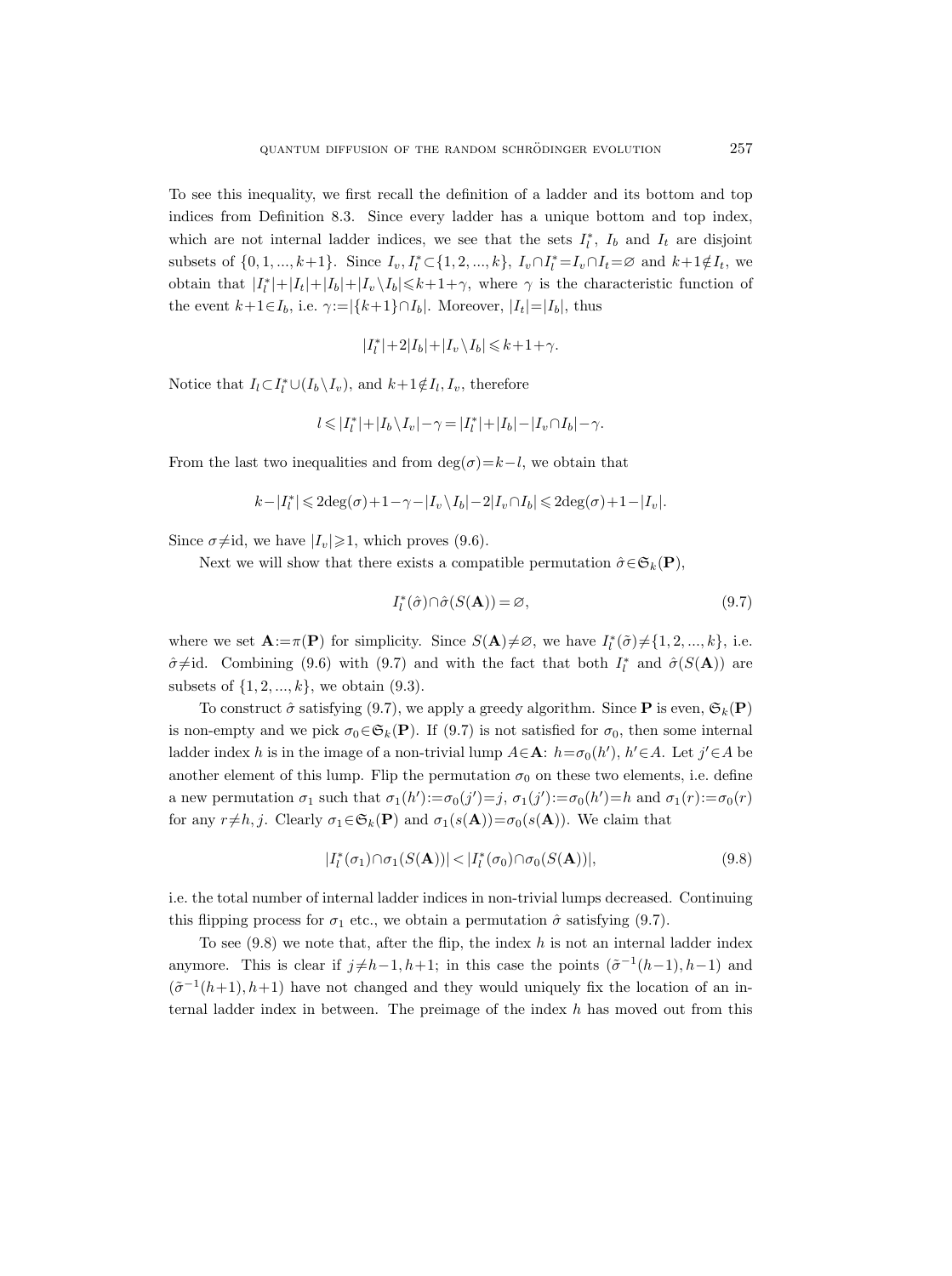To see this inequality, we first recall the definition of a ladder and its bottom and top indices from Definition 8.3. Since every ladder has a unique bottom and top index, which are not internal ladder indices, we see that the sets  $I_l^*$ ,  $I_b$  and  $I_t$  are disjoint subsets of  $\{0, 1, ..., k+1\}$ . Since  $I_v, I_l^* \subset \{1, 2, ..., k\}, I_v \cap I_l^* = I_v \cap I_t = \emptyset$  and  $k+1 \notin I_t$ , we obtain that  $|I_l^*|+|I_t|+|I_b|+|I_v \setminus I_b| \leq k+1+\gamma$ , where  $\gamma$  is the characteristic function of the event  $k+1\in I_b$ , i.e.  $\gamma:=|\{k+1\}\cap I_b|$ . Moreover,  $|I_t|=|I_b|$ , thus

$$
|I_l^*|+2|I_b|+|I_v\,\backslash I_b|\leqslant k+1+\gamma.
$$

Notice that  $I_l \subset I_l^* \cup (I_b \setminus I_v)$ , and  $k+1 \notin I_l, I_v$ , therefore

$$
l\leqslant |I_l^*|+|I_b\,\backslash\, I_v|-\gamma=|I_l^*|+|I_b|-|I_v\cap I_b|-\gamma.
$$

From the last two inequalities and from  $\deg(\sigma)=k-l$ , we obtain that

$$
k - |I_l^*| \leqslant 2\mathrm{deg}(\sigma) + 1 - \gamma - |I_v \setminus I_b| - 2|I_v \cap I_b| \leqslant 2\mathrm{deg}(\sigma) + 1 - |I_v|.
$$

Since  $\sigma\neq id$ , we have  $|I_v|\geq 1$ , which proves (9.6).

Next we will show that there exists a compatible permutation  $\hat{\sigma} \in \mathfrak{S}_k(\mathbf{P}),$ 

$$
I_l^*(\hat{\sigma}) \cap \hat{\sigma}(S(\mathbf{A})) = \varnothing, \tag{9.7}
$$

where we set  $\mathbf{A} := \pi(\mathbf{P})$  for simplicity. Since  $S(\mathbf{A})\neq\emptyset$ , we have  $I_l^*(\tilde{\sigma})\neq\{1, 2, ..., k\}$ , i.e.  $\hat{\sigma} \neq id$ . Combining (9.6) with (9.7) and with the fact that both  $I_l^*$  and  $\hat{\sigma}(S(\mathbf{A}))$  are subsets of  $\{1, 2, ..., k\}$ , we obtain  $(9.3)$ .

To construct  $\hat{\sigma}$  satisfying (9.7), we apply a greedy algorithm. Since **P** is even,  $\mathfrak{S}_k(\mathbf{P})$ is non-empty and we pick  $\sigma_0 \in \mathfrak{S}_k(\mathbf{P})$ . If (9.7) is not satisfied for  $\sigma_0$ , then some internal ladder index h is in the image of a non-trivial lump  $A \in \mathbf{A}$ :  $h = \sigma_0(h)$ ,  $h' \in A$ . Let  $j' \in A$  be another element of this lump. Flip the permutation  $\sigma_0$  on these two elements, i.e. define a new permutation  $\sigma_1$  such that  $\sigma_1(h') := \sigma_0(j') = j$ ,  $\sigma_1(j') := \sigma_0(h') = h$  and  $\sigma_1(r) := \sigma_0(r)$ for any  $r \neq h, j$ . Clearly  $\sigma_1 \in \mathfrak{S}_k(\mathbf{P})$  and  $\sigma_1(s(\mathbf{A})) = \sigma_0(s(\mathbf{A}))$ . We claim that

$$
|I_l^*(\sigma_1) \cap \sigma_1(S(\mathbf{A}))| < |I_l^*(\sigma_0) \cap \sigma_0(S(\mathbf{A}))|,
$$
\n(9.8)

i.e. the total number of internal ladder indices in non-trivial lumps decreased. Continuing this flipping process for  $\sigma_1$  etc., we obtain a permutation  $\hat{\sigma}$  satisfying (9.7).

To see  $(9.8)$  we note that, after the flip, the index h is not an internal ladder index anymore. This is clear if  $j \neq h-1, h+1$ ; in this case the points  $(\tilde{\sigma}^{-1}(h-1), h-1)$  and  $(\tilde{\sigma}^{-1}(h+1), h+1)$  have not changed and they would uniquely fix the location of an internal ladder index in between. The preimage of the index  $h$  has moved out from this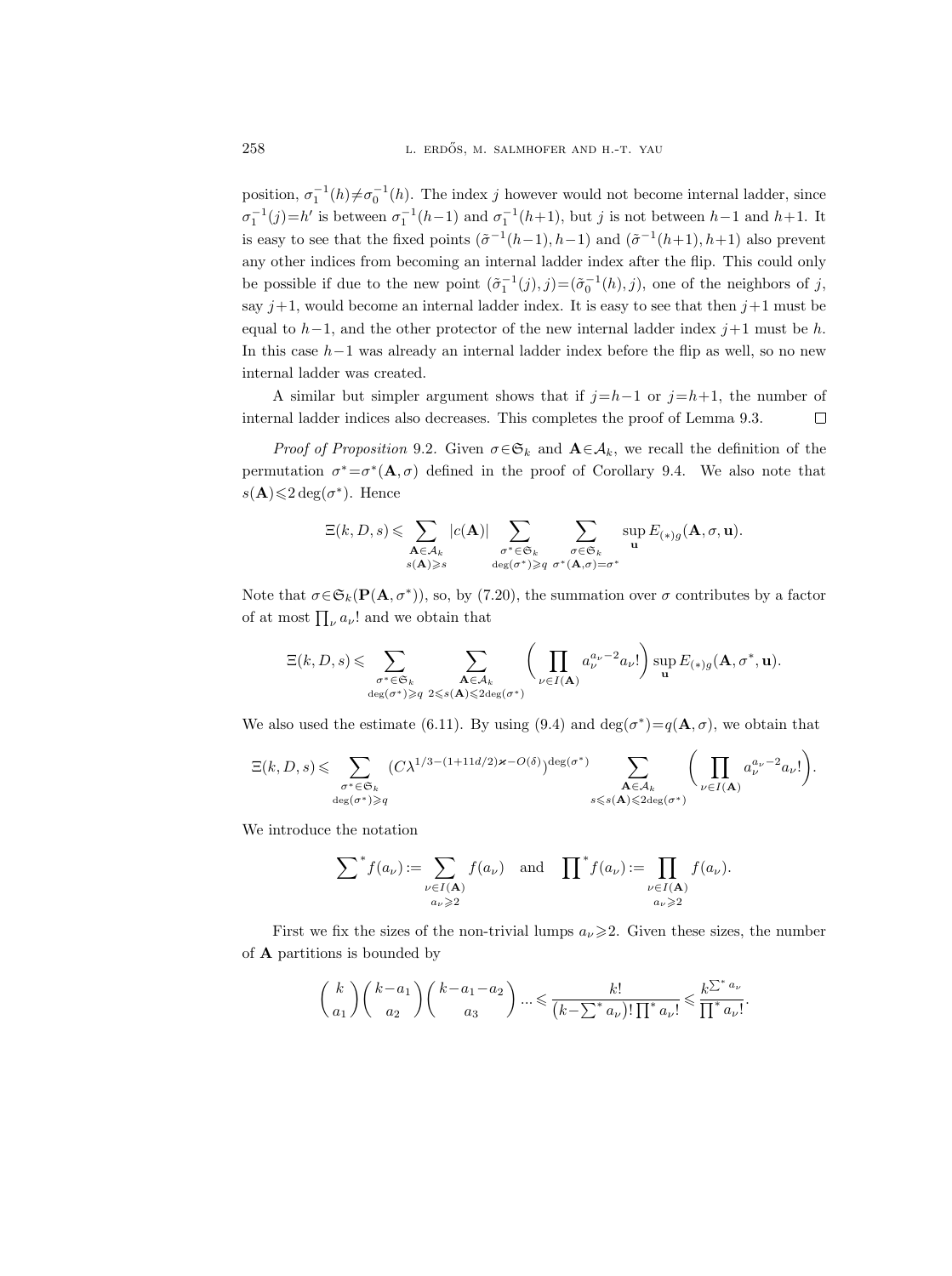position,  $\sigma_1^{-1}(h) \neq \sigma_0^{-1}(h)$ . The index j however would not become internal ladder, since  $\sigma_1^{-1}(j) = h'$  is between  $\sigma_1^{-1}(h-1)$  and  $\sigma_1^{-1}(h+1)$ , but j is not between  $h-1$  and  $h+1$ . It is easy to see that the fixed points  $(\tilde{\sigma}^{-1}(h-1), h-1)$  and  $(\tilde{\sigma}^{-1}(h+1), h+1)$  also prevent any other indices from becoming an internal ladder index after the flip. This could only be possible if due to the new point  $(\tilde{\sigma}_1^{-1}(j), j) = (\tilde{\sigma}_0^{-1}(h), j)$ , one of the neighbors of j, say  $j+1$ , would become an internal ladder index. It is easy to see that then  $j+1$  must be equal to  $h-1$ , and the other protector of the new internal ladder index j+1 must be h. In this case h−1 was already an internal ladder index before the flip as well, so no new internal ladder was created.

A similar but simpler argument shows that if  $j=h-1$  or  $j=h+1$ , the number of internal ladder indices also decreases. This completes the proof of Lemma 9.3.  $\Box$ 

*Proof of Proposition* 9.2. Given  $\sigma \in \mathfrak{S}_k$  and  $\mathbf{A} \in \mathcal{A}_k$ , we recall the definition of the permutation  $\sigma^* = \sigma^*(\mathbf{A}, \sigma)$  defined in the proof of Corollary 9.4. We also note that  $s(\mathbf{A}) \leq 2 \deg(\sigma^*)$ . Hence

$$
\Xi(k,D,s) \leqslant \sum_{\substack{\mathbf{A} \in \mathcal{A}_k \\ s(\mathbf{A}) \geqslant s}} |c(\mathbf{A})| \sum_{\substack{\sigma^* \in \mathfrak{S}_k \\ \deg(\sigma^*) \geqslant q}} \sum_{\substack{\sigma \in \mathfrak{S}_k \\ \sigma^*(\mathbf{A},\sigma) = \sigma^*}} \sup{\mathbf{E}_{(*)g}(\mathbf{A},\sigma,\mathbf{u})}.
$$

Note that  $\sigma \in \mathfrak{S}_k(\mathbf{P}(\mathbf{A}, \sigma^*))$ , so, by (7.20), the summation over  $\sigma$  contributes by a factor of at most  $\prod_{\nu} a_{\nu}!$  and we obtain that

$$
\Xi(k,D,s) \leqslant \sum_{\substack{\sigma^* \in \mathfrak{S}_k \\ \deg(\sigma^*) \geqslant q}} \sum_{\substack{\mathbf{A} \in \mathcal{A}_k \\ 2 \leqslant s(\mathbf{A}) \leqslant 2 \deg(\sigma^*)}} \left( \prod_{\nu \in I(\mathbf{A})} a_{\nu}^{a_{\nu}-2} a_{\nu}! \right) \sup_{\mathbf{u}} E_{(*)g}(\mathbf{A}, \sigma^*, \mathbf{u}).
$$

We also used the estimate (6.11). By using (9.4) and  $deg(\sigma^*) = q(\mathbf{A}, \sigma)$ , we obtain that

$$
\Xi(k,D,s) \leqslant \sum_{\substack{\sigma^* \in \mathfrak{S}_k \\ \deg(\sigma^*) \geqslant q}} (C\lambda^{1/3 - (1+11d/2)\varkappa - O(\delta)})^{\deg(\sigma^*)} \sum_{\substack{\mathbf{A} \in \mathcal{A}_k \\ s \leqslant s(\mathbf{A}) \leqslant 2\deg(\sigma^*)}} \Big( \prod_{\nu \in I(\mathbf{A})} a_{\nu}^{a_{\nu} - 2} a_{\nu}! \Big).
$$

We introduce the notation

$$
\sum^* f(a_\nu) := \sum_{\substack{\nu \in I(\mathbf{A}) \\ a_\nu \geqslant 2}} f(a_\nu) \quad \text{and} \quad \prod^* f(a_\nu) := \prod_{\substack{\nu \in I(\mathbf{A}) \\ a_\nu \geqslant 2}} f(a_\nu).
$$

First we fix the sizes of the non-trivial lumps  $a_{\nu} \geq 2$ . Given these sizes, the number of A partitions is bounded by

$$
\binom{k}{a_1}\binom{k-a_1}{a_2}\binom{k-a_1-a_2}{a_3}\dots \leqslant \frac{k!}{(k-\sum^* a_\nu)!\prod^* a_\nu!} \leqslant \frac{k^{\sum^* a_\nu}}{\prod^* a_\nu!}.
$$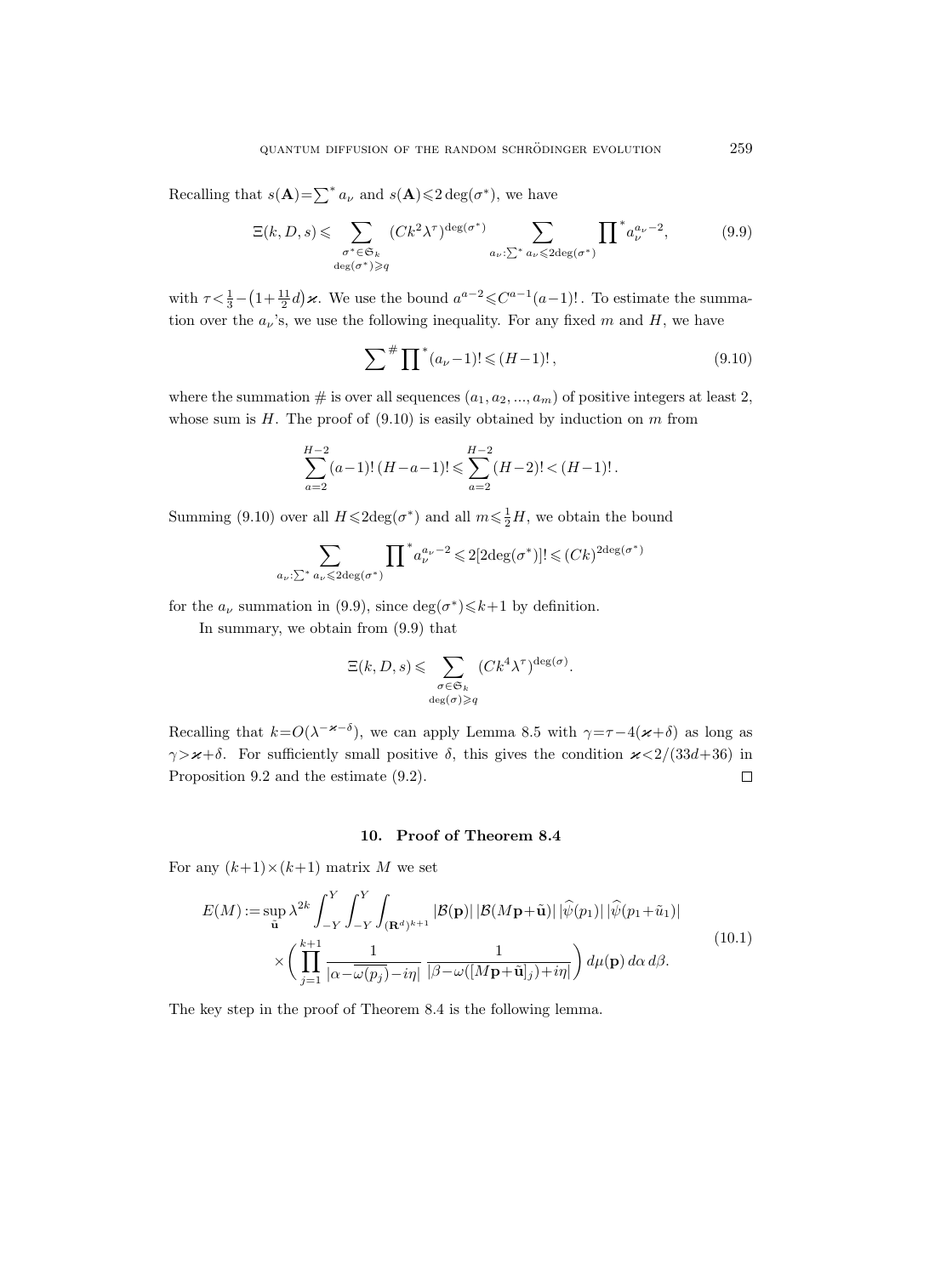Recalling that  $s(\mathbf{A}) = \sum^* a_{\nu}$  and  $s(\mathbf{A}) \leq 2 \deg(\sigma^*)$ , we have

$$
\Xi(k,D,s) \leqslant \sum_{\substack{\sigma^* \in \mathfrak{S}_k \\ \deg(\sigma^*) \geqslant q}} (Ck^2 \lambda^{\tau})^{\deg(\sigma^*)} \sum_{a_{\nu} : \sum^* a_{\nu} \leqslant 2 \deg(\sigma^*)} \prod^* a_{\nu}^{a_{\nu} - 2},
$$
(9.9)

with  $\tau < \frac{1}{3} - (1 + \frac{11}{2}d)\varkappa$ . We use the bound  $a^{a-2} \leq C^{a-1}(a-1)!$ . To estimate the summation over the  $a_{\nu}$ 's, we use the following inequality. For any fixed m and H, we have

$$
\sum^{\#} \prod^* (a_{\nu} - 1)! \leq (H - 1)!,\tag{9.10}
$$

where the summation  $\#$  is over all sequences  $(a_1, a_2, ..., a_m)$  of positive integers at least 2, whose sum is  $H$ . The proof of  $(9.10)$  is easily obtained by induction on  $m$  from

$$
\sum_{a=2}^{H-2} (a-1)!(H-a-1)! \leqslant \sum_{a=2}^{H-2} (H-2)! < (H-1)! \, .
$$

Summing (9.10) over all  $H \leq 2 \text{deg}(\sigma^*)$  and all  $m \leq \frac{1}{2}H$ , we obtain the bound

$$
\sum_{a_{\nu}:\sum^* a_{\nu} \leqslant 2 \deg(\sigma^*)} \prod^* a_{\nu}^{a_{\nu}-2} \leqslant 2[2 \deg(\sigma^*)]! \leqslant (Ck)^{2 \deg(\sigma^*)}
$$

for the  $a_{\nu}$  summation in (9.9), since  $\deg(\sigma^*) \le k+1$  by definition.

In summary, we obtain from (9.9) that

$$
\Xi(k, D, s) \leqslant \sum_{\substack{\sigma \in \mathfrak{S}_k \\ \deg(\sigma) \geqslant q}} (Ck^4 \lambda^{\tau})^{\deg(\sigma)}.
$$

Recalling that  $k = O(\lambda^{-\varkappa-\delta})$ , we can apply Lemma 8.5 with  $\gamma = \tau - 4(\varkappa + \delta)$  as long as  $\gamma > \varkappa + \delta$ . For sufficiently small positive  $\delta$ , this gives the condition  $\varkappa < 2/(33d+36)$  in Proposition 9.2 and the estimate (9.2).  $\Box$ 

### 10. Proof of Theorem 8.4

For any  $(k+1) \times (k+1)$  matrix M we set

$$
E(M) := \sup_{\tilde{\mathbf{u}}} \lambda^{2k} \int_{-Y}^{Y} \int_{-Y}^{Y} \int_{(\mathbf{R}^{d})^{k+1}} |\mathcal{B}(\mathbf{p})| |\mathcal{B}(M\mathbf{p}+\tilde{\mathbf{u}})| |\hat{\psi}(p_1)| |\hat{\psi}(p_1+\tilde{u}_1)|
$$
  
 
$$
\times \left( \prod_{j=1}^{k+1} \frac{1}{|\alpha - \overline{\omega(p_j)} - i\eta|} \frac{1}{|\beta - \omega([M\mathbf{p}+\tilde{\mathbf{u}}]_j) + i\eta|} \right) d\mu(\mathbf{p}) d\alpha d\beta.
$$
 (10.1)

The key step in the proof of Theorem 8.4 is the following lemma.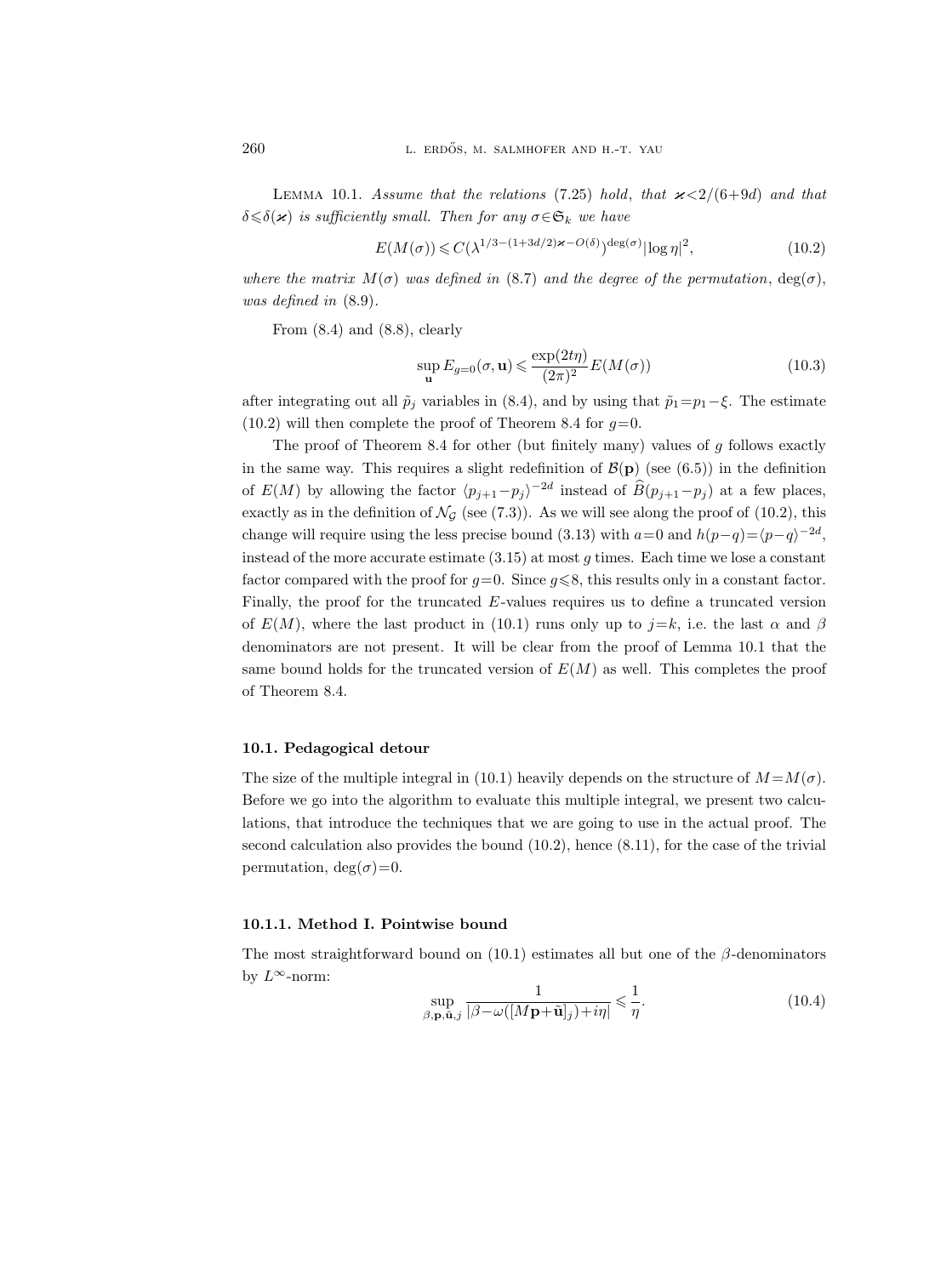LEMMA 10.1. Assume that the relations (7.25) hold, that  $\varkappa < 2/(6+9d)$  and that  $\delta \leq \delta(\varkappa)$  is sufficiently small. Then for any  $\sigma \in \mathfrak{S}_k$  we have

$$
E(M(\sigma)) \leqslant C(\lambda^{1/3 - (1+3d/2)\varkappa - O(\delta)})^{\deg(\sigma)} |\log \eta|^2, \tag{10.2}
$$

where the matrix  $M(\sigma)$  was defined in (8.7) and the degree of the permutation,  $deg(\sigma)$ , was defined in (8.9).

From  $(8.4)$  and  $(8.8)$ , clearly

$$
\sup_{\mathbf{u}} E_{g=0}(\sigma, \mathbf{u}) \leqslant \frac{\exp(2t\eta)}{(2\pi)^2} E(M(\sigma))
$$
\n(10.3)

after integrating out all  $\tilde{p}_j$  variables in (8.4), and by using that  $\tilde{p}_1=p_1-\xi$ . The estimate  $(10.2)$  will then complete the proof of Theorem 8.4 for  $g=0$ .

The proof of Theorem 8.4 for other (but finitely many) values of  $q$  follows exactly in the same way. This requires a slight redefinition of  $\mathcal{B}(\mathbf{p})$  (see (6.5)) in the definition of  $E(M)$  by allowing the factor  $\langle p_{j+1}-p_j \rangle^{-2d}$  instead of  $\hat{B}(p_{j+1}-p_j)$  at a few places, exactly as in the definition of  $\mathcal{N}_{\mathcal{G}}$  (see (7.3)). As we will see along the proof of (10.2), this change will require using the less precise bound (3.13) with  $a=0$  and  $h(p-q)=\langle p-q \rangle^{-2d}$ , instead of the more accurate estimate  $(3.15)$  at most g times. Each time we lose a constant factor compared with the proof for  $g=0$ . Since  $g\leqslant 8$ , this results only in a constant factor. Finally, the proof for the truncated  $E$ -values requires us to define a truncated version of  $E(M)$ , where the last product in (10.1) runs only up to  $j=k$ , i.e. the last  $\alpha$  and  $\beta$ denominators are not present. It will be clear from the proof of Lemma 10.1 that the same bound holds for the truncated version of  $E(M)$  as well. This completes the proof of Theorem 8.4.

## 10.1. Pedagogical detour

The size of the multiple integral in (10.1) heavily depends on the structure of  $M = M(\sigma)$ . Before we go into the algorithm to evaluate this multiple integral, we present two calculations, that introduce the techniques that we are going to use in the actual proof. The second calculation also provides the bound (10.2), hence (8.11), for the case of the trivial permutation,  $\deg(\sigma)=0$ .

#### 10.1.1. Method I. Pointwise bound

The most straightforward bound on (10.1) estimates all but one of the  $\beta$ -denominators by  $L^{\infty}$ -norm:

$$
\sup_{\beta, \mathbf{p}, \tilde{\mathbf{u}}, j} \frac{1}{|\beta - \omega([\boldsymbol{M}\mathbf{p} + \tilde{\mathbf{u}}]_j) + i\eta|} \leq \frac{1}{\eta}.
$$
\n(10.4)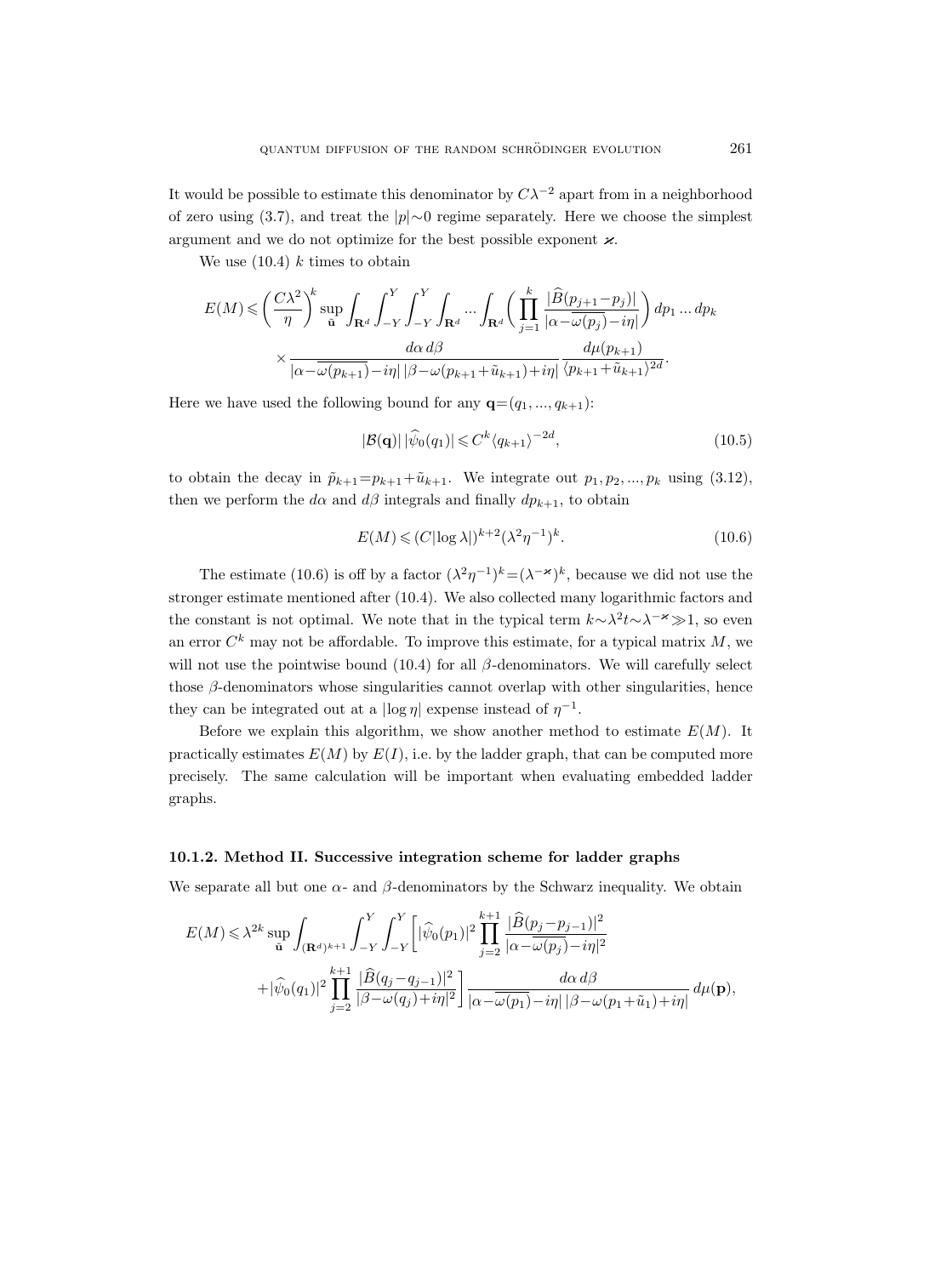It would be possible to estimate this denominator by  $C\lambda^{-2}$  apart from in a neighborhood of zero using (3.7), and treat the |p|∼0 regime separately. Here we choose the simplest argument and we do not optimize for the best possible exponent  $\varkappa$ .

We use  $(10.4)$  k times to obtain

$$
E(M) \leqslant \left(\frac{C\lambda^2}{\eta}\right)^k \sup_{\tilde{\mathbf{u}}} \int_{\mathbf{R}^d} \int_{-Y}^Y \int_{-Y}^Y \int_{\mathbf{R}^d} \dots \int_{\mathbf{R}^d} \left(\prod_{j=1}^k \frac{|\widehat{B}(p_{j+1}-p_j)|}{|\alpha - \overline{\omega(p_j)} - i\eta|}\right) dp_1 \dots dp_k
$$

$$
\times \frac{d\alpha d\beta}{|\alpha - \overline{\omega(p_{k+1})} - i\eta| |\beta - \omega(p_{k+1} + \tilde{u}_{k+1}) + i\eta|} \frac{d\mu(p_{k+1})}{\langle p_{k+1} + \tilde{u}_{k+1} \rangle^{2d}}.
$$

Here we have used the following bound for any  $\mathbf{q} = (q_1, ..., q_{k+1})$ :

$$
|\mathcal{B}(\mathbf{q})| |\widehat{\psi}_0(q_1)| \leq C^k \langle q_{k+1} \rangle^{-2d}, \qquad (10.5)
$$

to obtain the decay in  $\tilde{p}_{k+1}=p_{k+1}+\tilde{u}_{k+1}$ . We integrate out  $p_1, p_2, ..., p_k$  using (3.12), then we perform the  $d\alpha$  and  $d\beta$  integrals and finally  $dp_{k+1}$ , to obtain

$$
E(M) \leqslant (C|\log \lambda|)^{k+2} (\lambda^2 \eta^{-1})^k. \tag{10.6}
$$

The estimate (10.6) is off by a factor  $(\lambda^2 \eta^{-1})^k = (\lambda^{-\varkappa})^k$ , because we did not use the stronger estimate mentioned after (10.4). We also collected many logarithmic factors and the constant is not optimal. We note that in the typical term  $k \sim \lambda^2 t \sim \lambda^{-\varkappa} \gg 1$ , so even an error  $C^k$  may not be affordable. To improve this estimate, for a typical matrix  $M$ , we will not use the pointwise bound (10.4) for all  $\beta$ -denominators. We will carefully select those  $\beta$ -denominators whose singularities cannot overlap with other singularities, hence they can be integrated out at a  $|\log \eta|$  expense instead of  $\eta^{-1}$ .

Before we explain this algorithm, we show another method to estimate  $E(M)$ . It practically estimates  $E(M)$  by  $E(I)$ , i.e. by the ladder graph, that can be computed more precisely. The same calculation will be important when evaluating embedded ladder graphs.

#### 10.1.2. Method II. Successive integration scheme for ladder graphs

We separate all but one  $\alpha$ - and  $\beta$ -denominators by the Schwarz inequality. We obtain

$$
E(M) \leq \lambda^{2k} \sup_{\tilde{\mathbf{u}}} \int_{(\mathbf{R}^d)^{k+1}} \int_{-Y}^{Y} \int_{-Y}^{Y} \left[ |\widehat{\psi}_0(p_1)|^2 \prod_{j=2}^{k+1} \frac{|\widehat{B}(p_j - p_{j-1})|^2}{|\alpha - \overline{\omega}(p_j) - i\eta|^2} + |\widehat{\psi}_0(q_1)|^2 \prod_{j=2}^{k+1} \frac{|\widehat{B}(q_j - q_{j-1})|^2}{|\beta - \omega(q_j) + i\eta|^2} \right] \frac{d\alpha d\beta}{|\alpha - \overline{\omega}(p_1) - i\eta| |\beta - \omega(p_1 + \tilde{u}_1) + i\eta|} d\mu(\mathbf{p}),
$$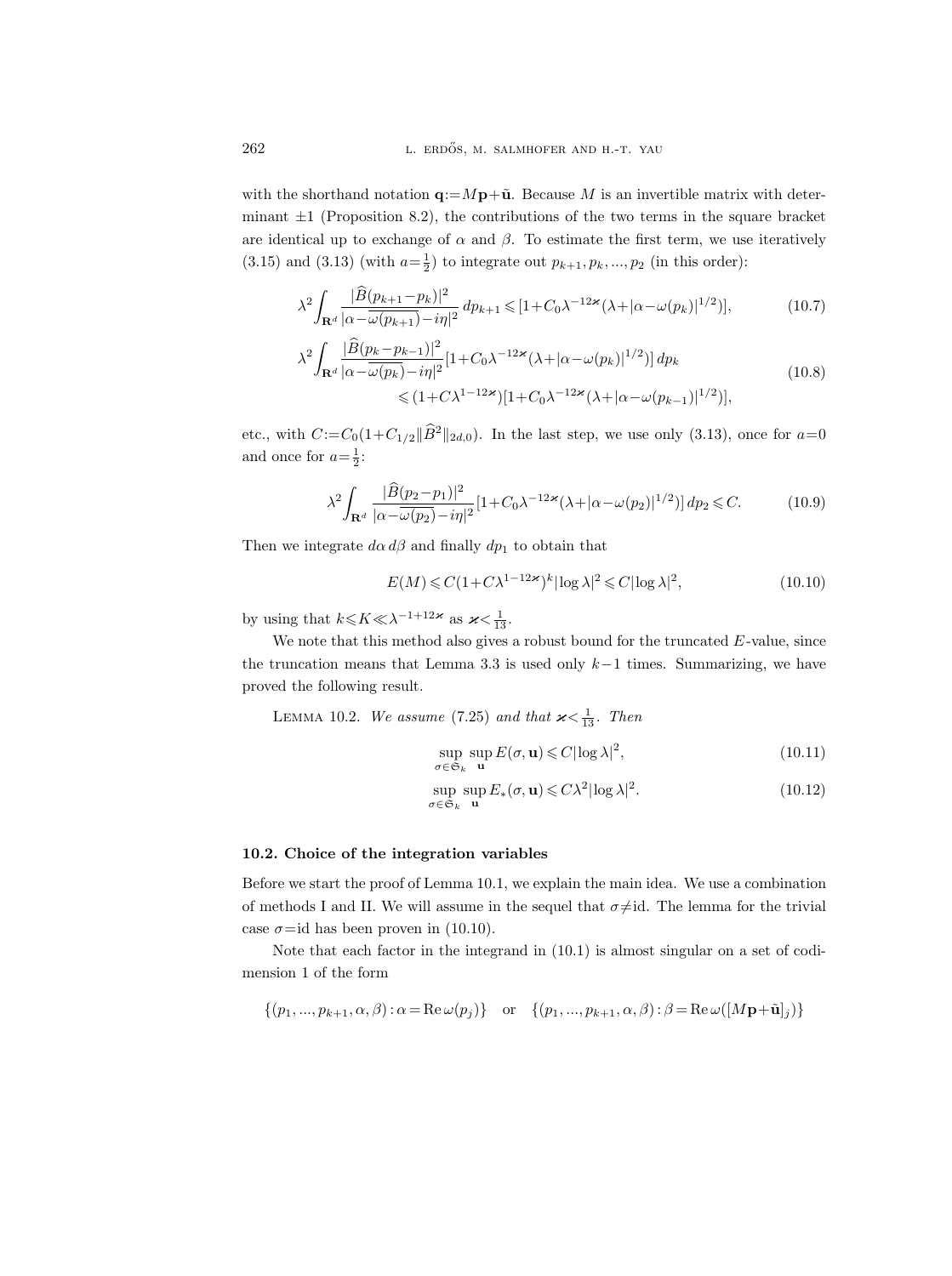with the shorthand notation  $\mathbf{q}:=M\mathbf{p}+\tilde{\mathbf{u}}$ . Because M is an invertible matrix with determinant  $\pm 1$  (Proposition 8.2), the contributions of the two terms in the square bracket are identical up to exchange of  $\alpha$  and  $\beta$ . To estimate the first term, we use iteratively  $(3.15)$  and  $(3.13)$  (with  $a=\frac{1}{2}$ ) to integrate out  $p_{k+1}, p_k, ..., p_2$  (in this order):

$$
\lambda^{2} \int_{\mathbf{R}^{d}} \frac{|\widehat{B}(p_{k+1}-p_{k})|^{2}}{|\alpha - \omega(p_{k+1}) - i\eta|^{2}} dp_{k+1} \leq [1 + C_{0}\lambda^{-12\ast}(\lambda + |\alpha - \omega(p_{k})|^{1/2})],
$$
\n
$$
\lambda^{2} \int_{\mathbf{R}^{d}} \frac{|\widehat{B}(p_{k}-p_{k-1})|^{2}}{|\alpha - \omega(p_{k}) - i\eta|^{2}} [1 + C_{0}\lambda^{-12\ast}(\lambda + |\alpha - \omega(p_{k})|^{1/2})] dp_{k}
$$
\n(10.8)

$$
\leq (1 + C\lambda^{1-12\varkappa})[1 + C_0\lambda^{-12\varkappa}(\lambda + |\alpha - \omega(p_{k-1})|^{1/2})],
$$

etc., with  $C:=C_0(1+C_{1/2}\|\widehat{B}^2\|_{2d,0})$ . In the last step, we use only (3.13), once for  $a=0$ and once for  $a=\frac{1}{2}$ :

$$
\lambda^2 \int_{\mathbf{R}^d} \frac{|\widehat{B}(p_2 - p_1)|^2}{|\alpha - \omega(p_2) - i\eta|^2} [1 + C_0 \lambda^{-12\varkappa} (\lambda + |\alpha - \omega(p_2)|^{1/2})] dp_2 \leq C. \tag{10.9}
$$

Then we integrate  $d\alpha d\beta$  and finally  $dp_1$  to obtain that

$$
E(M) \leq C(1 + C\lambda^{1-12\varkappa})^k |\log \lambda|^2 \leq C|\log \lambda|^2,\tag{10.10}
$$

by using that  $k \leq K \ll \lambda^{-1+12\varkappa}$  as  $\varkappa < \frac{1}{13}$ .

We note that this method also gives a robust bound for the truncated  $E$ -value, since the truncation means that Lemma 3.3 is used only  $k-1$  times. Summarizing, we have proved the following result.

LEMMA 10.2. We assume (7.25) and that  $\varkappa < \frac{1}{13}$ . Then

$$
\sup_{\sigma \in \mathfrak{S}_k} \sup_{\mathbf{u}} E(\sigma, \mathbf{u}) \leqslant C |\log \lambda|^2, \tag{10.11}
$$

$$
\sup_{\sigma \in \mathfrak{S}_k} \sup_{\mathbf{u}} E_*(\sigma, \mathbf{u}) \leqslant C\lambda^2 |\log \lambda|^2. \tag{10.12}
$$

#### 10.2. Choice of the integration variables

Before we start the proof of Lemma 10.1, we explain the main idea. We use a combination of methods I and II. We will assume in the sequel that  $\sigma\neq id$ . The lemma for the trivial case  $\sigma$ =id has been proven in (10.10).

Note that each factor in the integrand in (10.1) is almost singular on a set of codimension 1 of the form

$$
\{(p_1, ..., p_{k+1}, \alpha, \beta) : \alpha = \text{Re}\,\omega(p_j)\} \quad \text{or} \quad \{(p_1, ..., p_{k+1}, \alpha, \beta) : \beta = \text{Re}\,\omega([M\mathbf{p}+\tilde{\mathbf{u}}]_j)\}
$$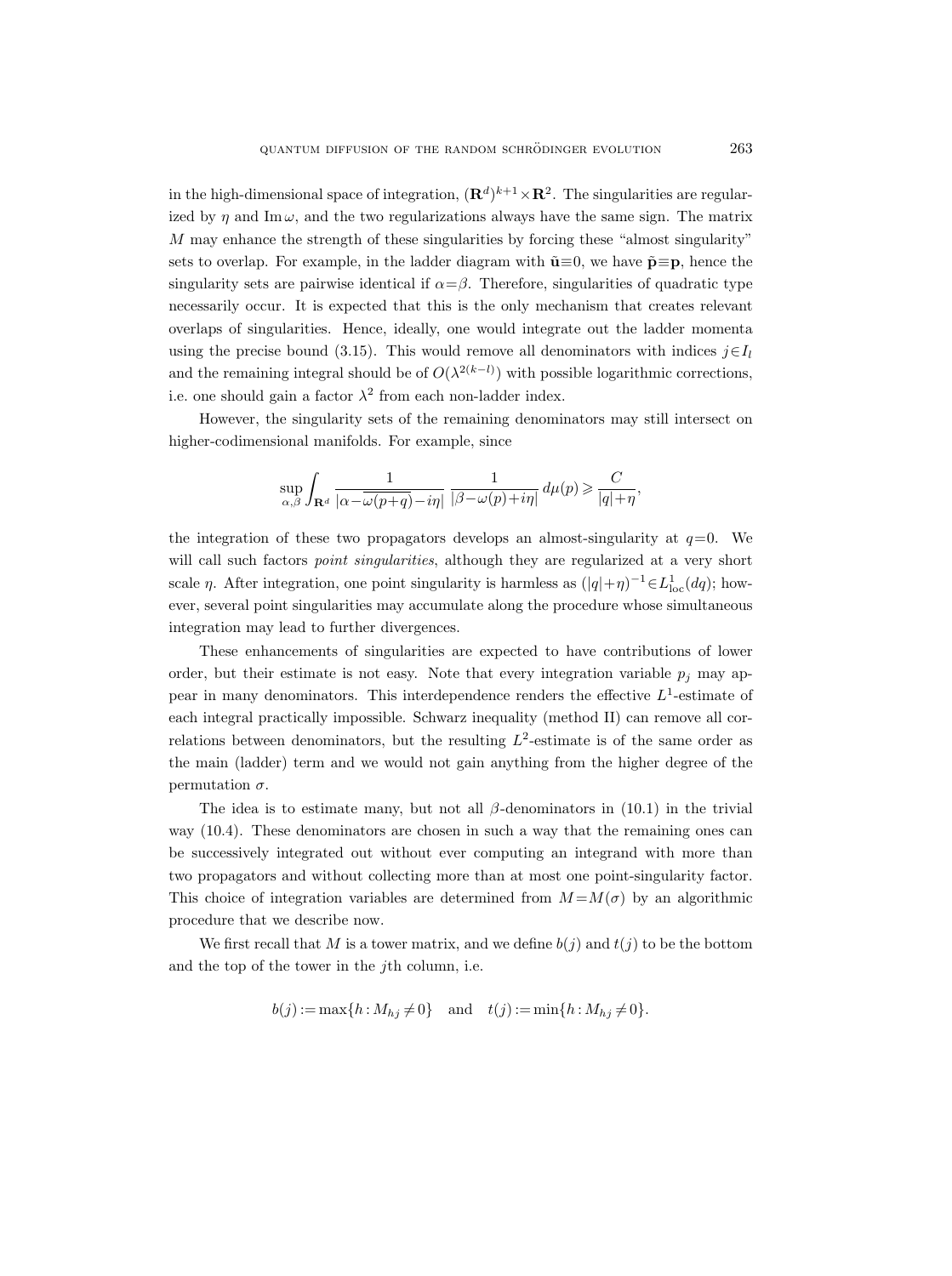in the high-dimensional space of integration,  $(\mathbf{R}^d)^{k+1} \times \mathbf{R}^2$ . The singularities are regularized by  $\eta$  and Im  $\omega$ , and the two regularizations always have the same sign. The matrix M may enhance the strength of these singularities by forcing these "almost singularity" sets to overlap. For example, in the ladder diagram with  $\tilde{\mathbf{u}}=0$ , we have  $\tilde{\mathbf{p}}\equiv\mathbf{p}$ , hence the singularity sets are pairwise identical if  $\alpha = \beta$ . Therefore, singularities of quadratic type necessarily occur. It is expected that this is the only mechanism that creates relevant overlaps of singularities. Hence, ideally, one would integrate out the ladder momenta using the precise bound (3.15). This would remove all denominators with indices  $j \in I_l$ and the remaining integral should be of  $O(\lambda^{2(k-l)})$  with possible logarithmic corrections, i.e. one should gain a factor  $\lambda^2$  from each non-ladder index.

However, the singularity sets of the remaining denominators may still intersect on higher-codimensional manifolds. For example, since

$$
\sup_{\alpha,\beta}\int_{\mathbf{R}^d}\frac{1}{|\alpha\!-\!\overline{\omega(p\!+\!q)}\!-\!i\eta|}\,\frac{1}{|\beta\!-\!\omega(p)\!+\!i\eta|}\,d\mu(p)\geqslant \frac{C}{|q|\!+\!\eta},
$$

the integration of these two propagators develops an almost-singularity at  $q=0$ . We will call such factors *point singularities*, although they are regularized at a very short scale  $\eta$ . After integration, one point singularity is harmless as  $(|q| + \eta)^{-1} \in L^1_{loc}(dq)$ ; however, several point singularities may accumulate along the procedure whose simultaneous integration may lead to further divergences.

These enhancements of singularities are expected to have contributions of lower order, but their estimate is not easy. Note that every integration variable  $p_i$  may appear in many denominators. This interdependence renders the effective  $L^1$ -estimate of each integral practically impossible. Schwarz inequality (method II) can remove all correlations between denominators, but the resulting  $L^2$ -estimate is of the same order as the main (ladder) term and we would not gain anything from the higher degree of the permutation  $\sigma$ .

The idea is to estimate many, but not all  $\beta$ -denominators in (10.1) in the trivial way (10.4). These denominators are chosen in such a way that the remaining ones can be successively integrated out without ever computing an integrand with more than two propagators and without collecting more than at most one point-singularity factor. This choice of integration variables are determined from  $M = M(\sigma)$  by an algorithmic procedure that we describe now.

We first recall that M is a tower matrix, and we define  $b(i)$  and  $t(i)$  to be the bottom and the top of the tower in the jth column, i.e.

$$
b(j) := \max\{h : M_{hj} \neq 0\}
$$
 and  $t(j) := \min\{h : M_{hj} \neq 0\}.$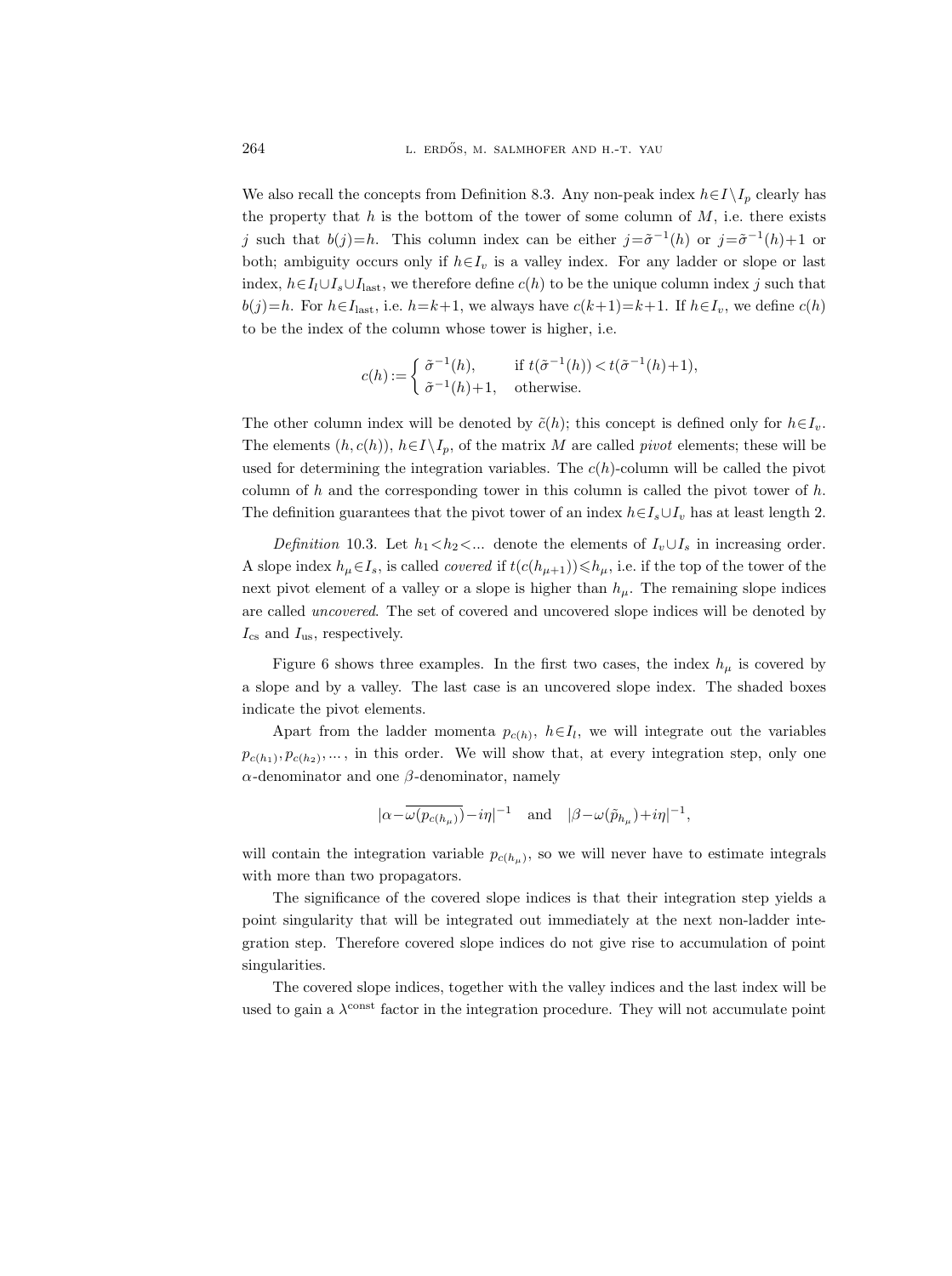We also recall the concepts from Definition 8.3. Any non-peak index  $h \in I \setminus I_p$  clearly has the property that  $h$  is the bottom of the tower of some column of  $M$ , i.e. there exists j such that  $b(j)=h$ . This column index can be either  $j=\tilde{\sigma}^{-1}(h)$  or  $j=\tilde{\sigma}^{-1}(h)+1$  or both; ambiguity occurs only if  $h \in I_v$  is a valley index. For any ladder or slope or last index,  $h \in I_l \cup I_s \cup I_{\text{last}}$ , we therefore define  $c(h)$  to be the unique column index j such that  $b(j)=h$ . For  $h \in I_{\text{last}}$ , i.e.  $h=k+1$ , we always have  $c(k+1)=k+1$ . If  $h \in I_v$ , we define  $c(h)$ to be the index of the column whose tower is higher, i.e.

$$
c(h) := \begin{cases} \tilde{\sigma}^{-1}(h), & \text{if } t(\tilde{\sigma}^{-1}(h)) < t(\tilde{\sigma}^{-1}(h)+1), \\ \tilde{\sigma}^{-1}(h)+1, & \text{otherwise.} \end{cases}
$$

The other column index will be denoted by  $\tilde{c}(h)$ ; this concept is defined only for  $h \in I_v$ . The elements  $(h, c(h))$ ,  $h \in I \setminus I_p$ , of the matrix M are called *pivot* elements; these will be used for determining the integration variables. The  $c(h)$ -column will be called the pivot column of  $h$  and the corresponding tower in this column is called the pivot tower of  $h$ . The definition guarantees that the pivot tower of an index  $h \in I_s \cup I_v$  has at least length 2.

Definition 10.3. Let  $h_1 < h_2 < ...$  denote the elements of  $I_v \cup I_s$  in increasing order. A slope index  $h_\mu \in I_s$ , is called *covered* if  $t(c(h_{\mu+1})) \leq h_\mu$ , i.e. if the top of the tower of the next pivot element of a valley or a slope is higher than  $h_{\mu}$ . The remaining slope indices are called uncovered. The set of covered and uncovered slope indices will be denoted by  $I_{\text{cs}}$  and  $I_{\text{us}}$ , respectively.

Figure 6 shows three examples. In the first two cases, the index  $h_{\mu}$  is covered by a slope and by a valley. The last case is an uncovered slope index. The shaded boxes indicate the pivot elements.

Apart from the ladder momenta  $p_{c(h)}$ ,  $h \in I_l$ , we will integrate out the variables  $p_{c(h_1)}, p_{c(h_2)}, \ldots$ , in this order. We will show that, at every integration step, only one  $\alpha$ -denominator and one  $\beta$ -denominator, namely

$$
|\alpha\!-\!\overline{\omega(p_{c(h_\mu)})}\!-\!i\eta|^{-1}\quad\text{and}\quad |\beta\!-\!\omega(\tilde{p}_{h_\mu})\!+\!i\eta|^{-1},
$$

will contain the integration variable  $p_{c(h_\mu)}$ , so we will never have to estimate integrals with more than two propagators.

The significance of the covered slope indices is that their integration step yields a point singularity that will be integrated out immediately at the next non-ladder integration step. Therefore covered slope indices do not give rise to accumulation of point singularities.

The covered slope indices, together with the valley indices and the last index will be used to gain a  $\lambda^{\text{const}}$  factor in the integration procedure. They will not accumulate point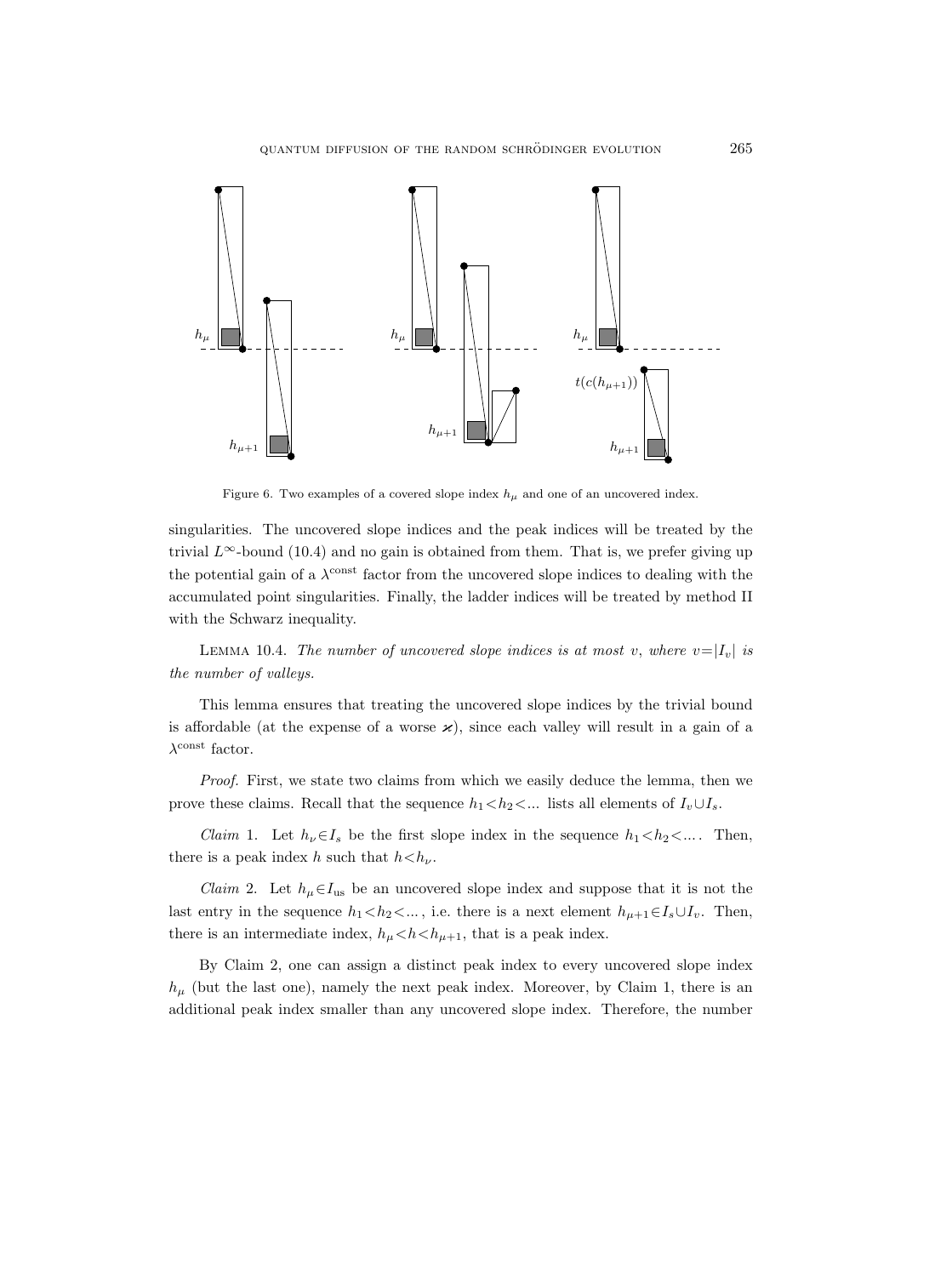

Figure 6. Two examples of a covered slope index  $h_{\mu}$  and one of an uncovered index.

singularities. The uncovered slope indices and the peak indices will be treated by the trivial  $L^{\infty}$ -bound (10.4) and no gain is obtained from them. That is, we prefer giving up the potential gain of a  $\lambda^{\text{const}}$  factor from the uncovered slope indices to dealing with the accumulated point singularities. Finally, the ladder indices will be treated by method II with the Schwarz inequality.

LEMMA 10.4. The number of uncovered slope indices is at most v, where  $v=|I_v|$  is the number of valleys.

This lemma ensures that treating the uncovered slope indices by the trivial bound is affordable (at the expense of a worse  $\varkappa$ ), since each valley will result in a gain of a  $\lambda^{\text{const}}$  factor.

Proof. First, we state two claims from which we easily deduce the lemma, then we prove these claims. Recall that the sequence  $h_1 < h_2 < ...$  lists all elements of  $I_v \cup I_s$ .

*Claim* 1. Let  $h_{\nu} \in I_s$  be the first slope index in the sequence  $h_1 < h_2 < ...$ . Then, there is a peak index h such that  $h < h_{\nu}$ .

*Claim* 2. Let  $h_{\mu} \in I_{\text{us}}$  be an uncovered slope index and suppose that it is not the last entry in the sequence  $h_1 < h_2 < ...$ , i.e. there is a next element  $h_{\mu+1} \in I_s \cup I_v$ . Then, there is an intermediate index,  $h_{\mu} < h < h_{\mu+1}$ , that is a peak index.

By Claim 2, one can assign a distinct peak index to every uncovered slope index  $h_{\mu}$  (but the last one), namely the next peak index. Moreover, by Claim 1, there is an additional peak index smaller than any uncovered slope index. Therefore, the number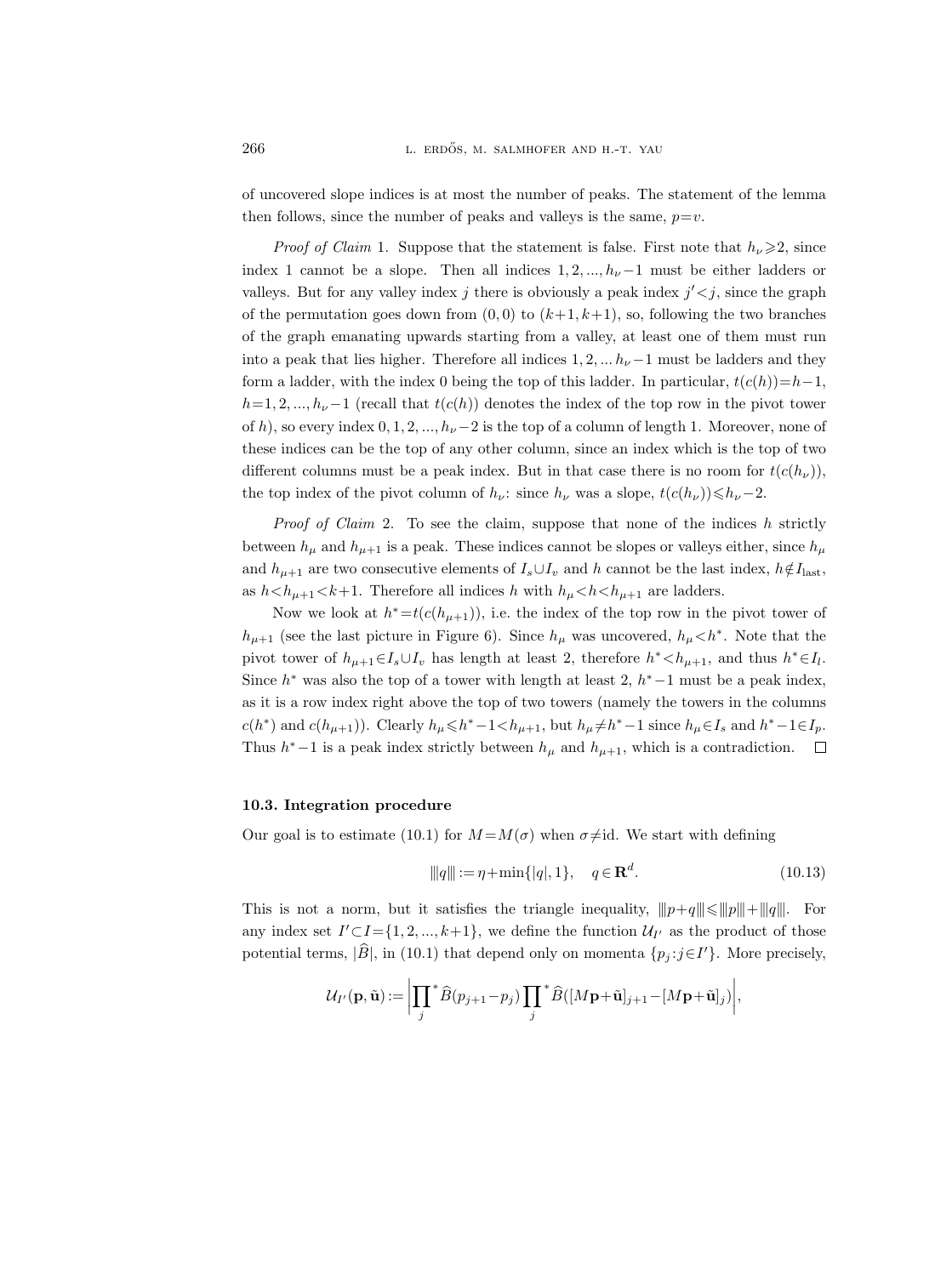of uncovered slope indices is at most the number of peaks. The statement of the lemma then follows, since the number of peaks and valleys is the same,  $p=v$ .

*Proof of Claim* 1. Suppose that the statement is false. First note that  $h_{\nu}\geqslant 2$ , since index 1 cannot be a slope. Then all indices  $1, 2, ..., h_{\nu}-1$  must be either ladders or valleys. But for any valley index j there is obviously a peak index  $j' < j$ , since the graph of the permutation goes down from  $(0,0)$  to  $(k+1, k+1)$ , so, following the two branches of the graph emanating upwards starting from a valley, at least one of them must run into a peak that lies higher. Therefore all indices  $1, 2, \ldots h_{\nu}-1$  must be ladders and they form a ladder, with the index 0 being the top of this ladder. In particular,  $t(c(h))=h-1$ ,  $h=1, 2, ..., h_{\nu}-1$  (recall that  $t(c(h))$  denotes the index of the top row in the pivot tower of h), so every index  $0, 1, 2, ..., h_{\nu}-2$  is the top of a column of length 1. Moreover, none of these indices can be the top of any other column, since an index which is the top of two different columns must be a peak index. But in that case there is no room for  $t(c(h_{\nu}))$ , the top index of the pivot column of  $h_{\nu}$ : since  $h_{\nu}$  was a slope,  $t(c(h_{\nu}))\leq h_{\nu}-2$ .

*Proof of Claim 2.* To see the claim, suppose that none of the indices  $h$  strictly between  $h_{\mu}$  and  $h_{\mu+1}$  is a peak. These indices cannot be slopes or valleys either, since  $h_{\mu}$ and  $h_{\mu+1}$  are two consecutive elements of  $I_s \cup I_v$  and h cannot be the last index,  $h \notin I_{\text{last}}$ , as  $h < h_{\mu+1} < k+1$ . Therefore all indices h with  $h_{\mu} < h < h_{\mu+1}$  are ladders.

Now we look at  $h^* = t(c(h_{\mu+1}))$ , i.e. the index of the top row in the pivot tower of  $h_{\mu+1}$  (see the last picture in Figure 6). Since  $h_{\mu}$  was uncovered,  $h_{\mu} < h^*$ . Note that the pivot tower of  $h_{\mu+1} \in I_s \cup I_v$  has length at least 2, therefore  $h^* < h_{\mu+1}$ , and thus  $h^* \in I_l$ . Since  $h^*$  was also the top of a tower with length at least 2,  $h^*$  –1 must be a peak index, as it is a row index right above the top of two towers (namely the towers in the columns  $c(h^*)$  and  $c(h_{\mu+1})$ ). Clearly  $h_{\mu} \leq h^* - 1 < h_{\mu+1}$ , but  $h_{\mu} \neq h^* - 1$  since  $h_{\mu} \in I_s$  and  $h^* - 1 \in I_p$ . Thus  $h^*$  –1 is a peak index strictly between  $h_\mu$  and  $h_{\mu+1}$ , which is a contradiction.

#### 10.3. Integration procedure

Our goal is to estimate (10.1) for  $M = M(\sigma)$  when  $\sigma \neq id$ . We start with defining

$$
\|q\| := \eta + \min\{|q|, 1\}, \quad q \in \mathbf{R}^d. \tag{10.13}
$$

This is not a norm, but it satisfies the triangle inequality,  $||p+q|| \le ||p|| + ||q||$ . For any index set  $I' \subset I = \{1, 2, ..., k+1\}$ , we define the function  $U_{I'}$  as the product of those potential terms,  $|\hat{B}|$ , in (10.1) that depend only on momenta  $\{p_j : j \in I'\}$ . More precisely,

$$
\mathcal{U}_{I'}(\mathbf{p}, \tilde{\mathbf{u}}) := \bigg|\prod_{j} {}^{*}\widehat{B}(p_{j+1}-p_{j})\prod_{j} {}^{*}\widehat{B}([M\mathbf{p}+\tilde{\mathbf{u}}]_{j+1} - [M\mathbf{p}+\tilde{\mathbf{u}}]_{j})\bigg|,
$$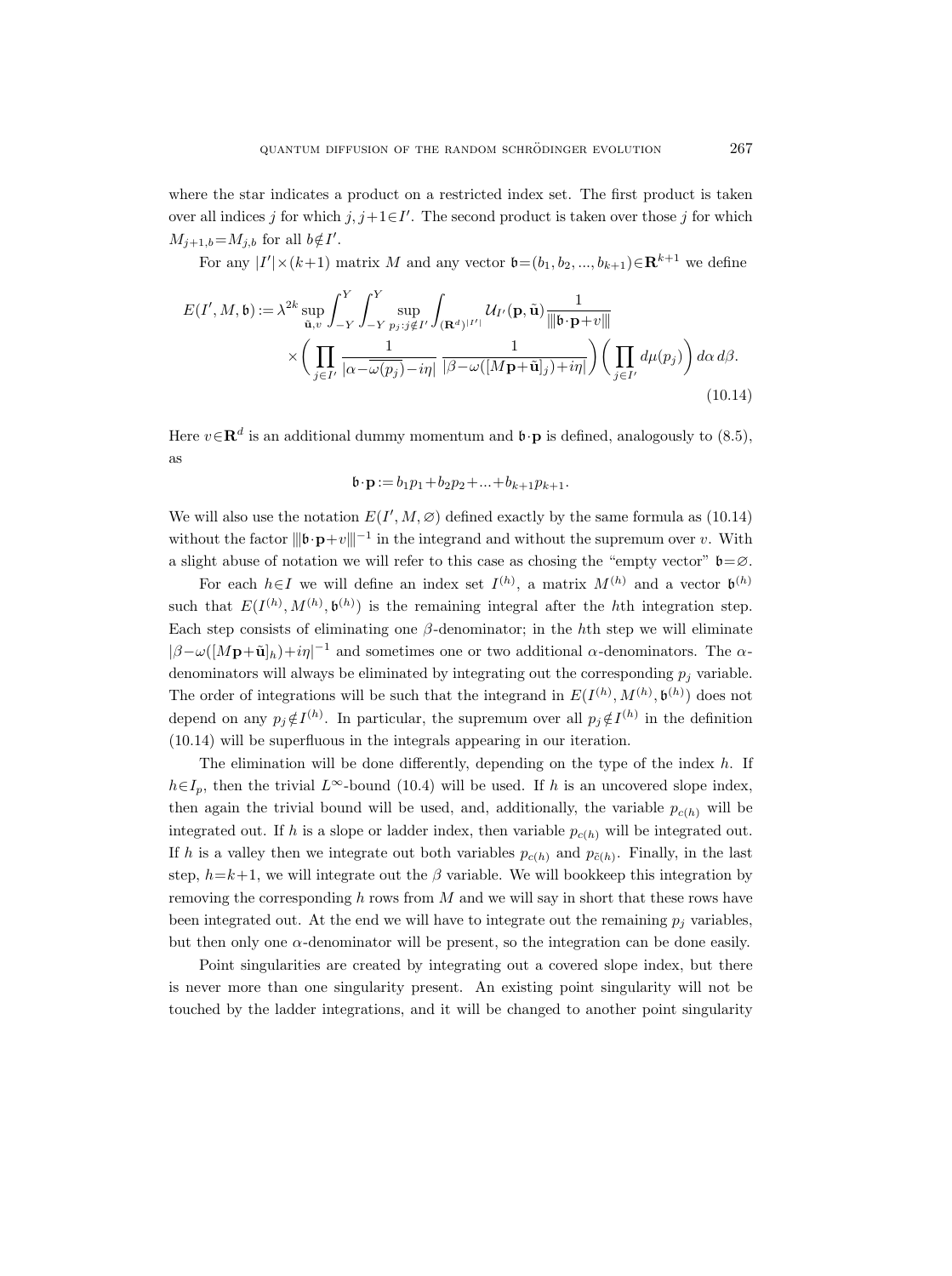where the star indicates a product on a restricted index set. The first product is taken over all indices j for which  $j, j+1 \in I'$ . The second product is taken over those j for which  $M_{j+1,b} = M_{j,b}$  for all  $b \notin I'$ .

For any  $|I'| \times (k+1)$  matrix M and any vector  $\mathfrak{b}=(b_1, b_2, ..., b_{k+1}) \in \mathbf{R}^{k+1}$  we define

$$
E(I', M, \mathfrak{b}) := \lambda^{2k} \sup_{\tilde{\mathbf{u}}, v} \int_{-Y}^{Y} \int_{-Y}^{Y} \sup_{p_j : j \notin I'} \int_{(\mathbf{R}^d)^{|I'|}} \mathcal{U}_{I'}(\mathbf{p}, \tilde{\mathbf{u}}) \frac{1}{\|\|\mathfrak{b} \cdot \mathbf{p} + v\|}
$$

$$
\times \left( \prod_{j \in I'} \frac{1}{|\alpha - \overline{\omega(p_j)} - i\eta|} \frac{1}{|\beta - \omega([M\mathbf{p} + \tilde{\mathbf{u}}]_j) + i\eta|} \right) \left( \prod_{j \in I'} d\mu(p_j) \right) d\alpha d\beta.
$$
(10.14)

Here  $v \in \mathbf{R}^d$  is an additional dummy momentum and  $\mathfrak{b} \cdot \mathbf{p}$  is defined, analogously to (8.5), as

$$
\mathbf{b} \cdot \mathbf{p} := b_1 p_1 + b_2 p_2 + \ldots + b_{k+1} p_{k+1}.
$$

We will also use the notation  $E(I', M, \varnothing)$  defined exactly by the same formula as (10.14) without the factor  $||\mathbf{b} \cdot \mathbf{p} + v||^{-1}$  in the integrand and without the supremum over v. With a slight abuse of notation we will refer to this case as chosing the "empty vector"  $\mathfrak{b} = \emptyset$ .

For each  $h \in I$  we will define an index set  $I^{(h)}$ , a matrix  $M^{(h)}$  and a vector  $\mathfrak{b}^{(h)}$ such that  $E(I^{(h)}, M^{(h)}, \mathfrak{b}^{(h)})$  is the remaining integral after the hth integration step. Each step consists of eliminating one  $\beta$ -denominator; in the hth step we will eliminate  $|\beta-\omega([M\mathbf{p}+\tilde{\mathbf{u}}]_h)+i\eta|^{-1}$  and sometimes one or two additional  $\alpha$ -denominators. The  $\alpha$ denominators will always be eliminated by integrating out the corresponding  $p_i$  variable. The order of integrations will be such that the integrand in  $E(I^{(h)}, M^{(h)}, \mathfrak{b}^{(h)})$  does not depend on any  $p_j \notin I^{(h)}$ . In particular, the supremum over all  $p_j \notin I^{(h)}$  in the definition (10.14) will be superfluous in the integrals appearing in our iteration.

The elimination will be done differently, depending on the type of the index  $h$ . If  $h \in I_p$ , then the trivial  $L^{\infty}$ -bound (10.4) will be used. If h is an uncovered slope index, then again the trivial bound will be used, and, additionally, the variable  $p_{c(h)}$  will be integrated out. If h is a slope or ladder index, then variable  $p_{c(h)}$  will be integrated out. If h is a valley then we integrate out both variables  $p_{c(h)}$  and  $p_{\tilde{c}(h)}$ . Finally, in the last step,  $h=k+1$ , we will integrate out the  $\beta$  variable. We will bookkeep this integration by removing the corresponding  $h$  rows from  $M$  and we will say in short that these rows have been integrated out. At the end we will have to integrate out the remaining  $p_j$  variables, but then only one  $\alpha$ -denominator will be present, so the integration can be done easily.

Point singularities are created by integrating out a covered slope index, but there is never more than one singularity present. An existing point singularity will not be touched by the ladder integrations, and it will be changed to another point singularity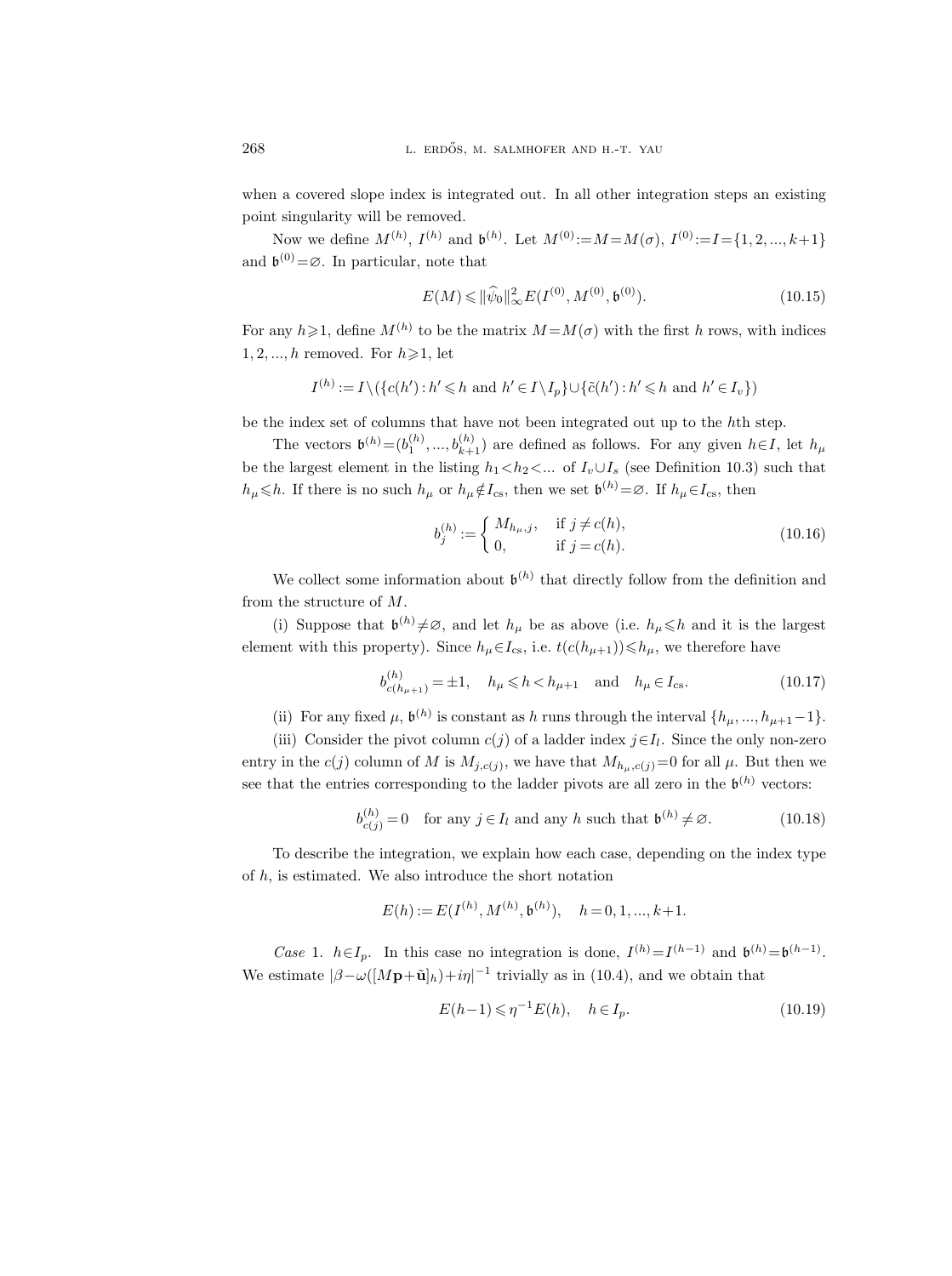when a covered slope index is integrated out. In all other integration steps an existing point singularity will be removed.

Now we define  $M^{(h)}$ ,  $I^{(h)}$  and  $\mathfrak{b}^{(h)}$ . Let  $M^{(0)} := M = M(\sigma)$ ,  $I^{(0)} := I = \{1, 2, ..., k+1\}$ and  $\mathfrak{b}^{(0)} = \emptyset$ . In particular, note that

$$
E(M) \leq \|\hat{\psi}_0\|_{\infty}^2 E(I^{(0)}, M^{(0)}, \mathfrak{b}^{(0)}).
$$
 (10.15)

For any  $h \geq 1$ , define  $M^{(h)}$  to be the matrix  $M = M(\sigma)$  with the first h rows, with indices  $1, 2, \ldots, h$  removed. For  $h \geqslant 1$ , let

$$
I^{(h)} := I \setminus (\{c(h') : h' \leq h \text{ and } h' \in I \setminus I_p\} \cup \{\tilde{c}(h') : h' \leq h \text{ and } h' \in I_v\})
$$

be the index set of columns that have not been integrated out up to the hth step.

The vectors  $\mathfrak{b}^{(h)} = (b_1^{(h)}, ..., b_{k+1}^{(h)})$  are defined as follows. For any given  $h \in I$ , let  $h_\mu$ be the largest element in the listing  $h_1 < h_2 < ...$  of  $I_v \cup I_s$  (see Definition 10.3) such that  $h_\mu \leq h$ . If there is no such  $h_\mu$  or  $h_\mu \notin I_{\text{cs}}$ , then we set  $\mathfrak{b}^{(h)} = \varnothing$ . If  $h_\mu \in I_{\text{cs}}$ , then

$$
b_j^{(h)} := \begin{cases} M_{h_\mu, j}, & \text{if } j \neq c(h), \\ 0, & \text{if } j = c(h). \end{cases}
$$
 (10.16)

We collect some information about  $\mathfrak{b}^{(h)}$  that directly follow from the definition and from the structure of M.

(i) Suppose that  $\mathfrak{b}^{(h)}\neq\emptyset$ , and let  $h_{\mu}$  be as above (i.e.  $h_{\mu}\leq h$  and it is the largest element with this property). Since  $h_\mu \in I_{\text{cs}}$ , i.e.  $t(c(h_{\mu+1})) \leq h_\mu$ , we therefore have

$$
b_{c(h_{\mu+1})}^{(h)} = \pm 1
$$
,  $h_{\mu} \le h < h_{\mu+1}$  and  $h_{\mu} \in I_{cs}$ . (10.17)

(ii) For any fixed  $\mu$ ,  $\mathfrak{b}^{(h)}$  is constant as h runs through the interval  $\{h_{\mu},...,h_{\mu+1}-1\}$ .

(iii) Consider the pivot column  $c(j)$  of a ladder index  $j \in I_l$ . Since the only non-zero entry in the  $c(j)$  column of M is  $M_{j,c(j)}$ , we have that  $M_{h_\mu,c(j)}=0$  for all  $\mu$ . But then we see that the entries corresponding to the ladder pivots are all zero in the  $\mathfrak{b}^{(h)}$  vectors:

$$
b_{c(j)}^{(h)} = 0 \quad \text{for any } j \in I_l \text{ and any } h \text{ such that } \mathfrak{b}^{(h)} \neq \emptyset. \tag{10.18}
$$

To describe the integration, we explain how each case, depending on the index type of  $h$ , is estimated. We also introduce the short notation

$$
E(h) := E(I^{(h)}, M^{(h)}, \mathfrak{b}^{(h)}), \quad h = 0, 1, ..., k+1.
$$

Case 1.  $h \in I_p$ . In this case no integration is done,  $I^{(h)} = I^{(h-1)}$  and  $\mathfrak{b}^{(h)} = \mathfrak{b}^{(h-1)}$ . We estimate  $\left|\beta-\omega\right(\left[M\mathbf{p}+\tilde{\mathbf{u}}\right]_h\right)+i\eta|^{-1}$  trivially as in (10.4), and we obtain that

$$
E(h-1) \leqslant \eta^{-1} E(h), \quad h \in I_p. \tag{10.19}
$$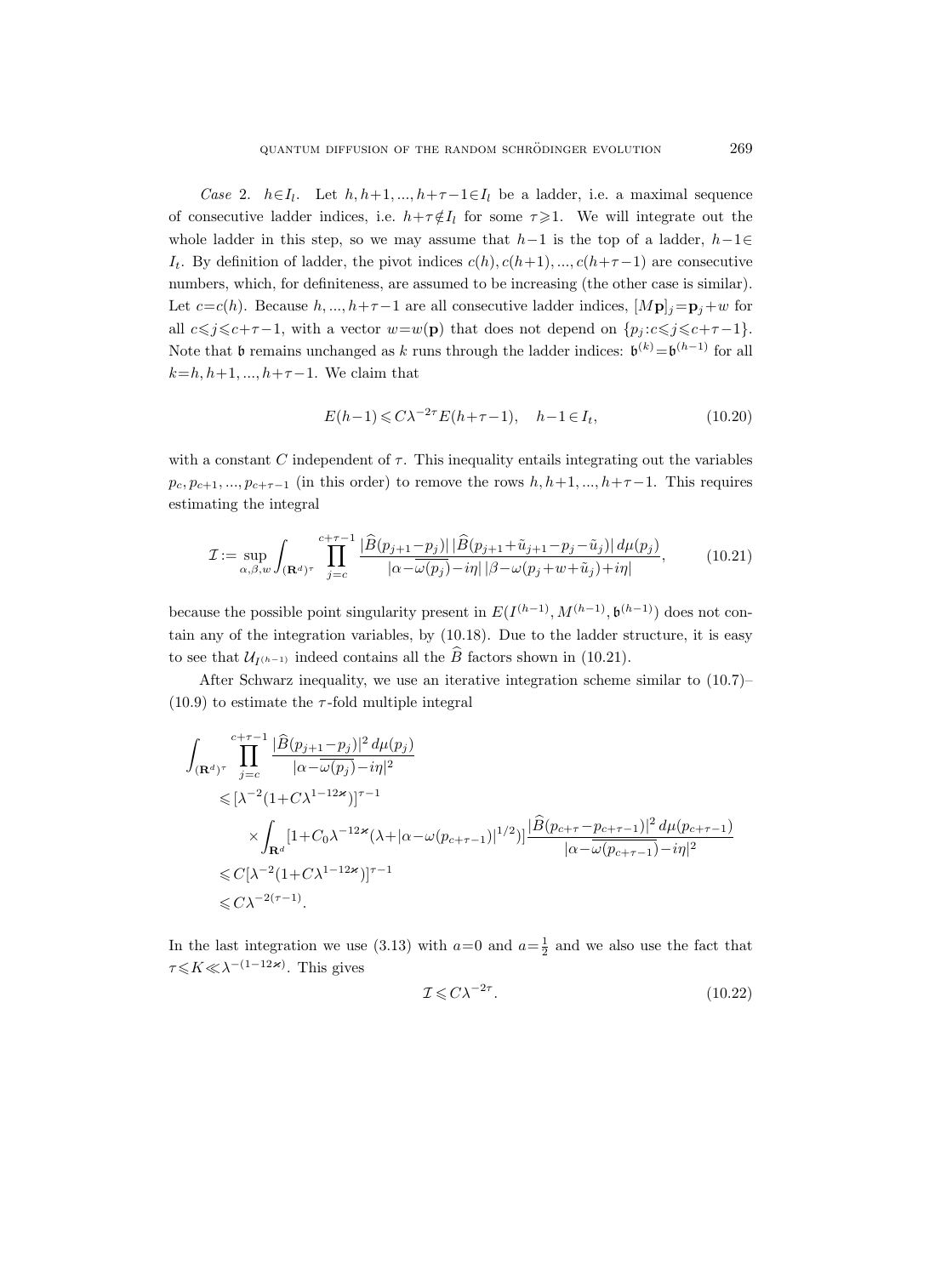Case 2.  $h \in I_l$ . Let  $h, h+1, ..., h+\tau-1 \in I_l$  be a ladder, i.e. a maximal sequence of consecutive ladder indices, i.e.  $h+\tau \notin I_l$  for some  $\tau \geq 1$ . We will integrate out the whole ladder in this step, so we may assume that  $h-1$  is the top of a ladder,  $h-1 \in$  $I_t$ . By definition of ladder, the pivot indices  $c(h), c(h+1), ..., c(h+\tau-1)$  are consecutive numbers, which, for definiteness, are assumed to be increasing (the other case is similar). Let  $c=c(h)$ . Because  $h, ..., h+\tau-1$  are all consecutive ladder indices,  $[M\mathbf{p}]_j=\mathbf{p}_j+w$  for all  $c\leq j\leq c+\tau-1$ , with a vector  $w=w(\mathbf{p})$  that does not depend on  $\{p_j : c\leq j\leq c+\tau-1\}$ . Note that  $\mathfrak b$  remains unchanged as k runs through the ladder indices:  $\mathfrak b^{(k)} = \mathfrak b^{(h-1)}$  for all  $k=h, h+1, ..., h+\tau-1$ . We claim that

$$
E(h-1) \le C\lambda^{-2\tau} E(h+\tau-1), \quad h-1 \in I_t,
$$
\n
$$
(10.20)
$$

with a constant C independent of  $\tau$ . This inequality entails integrating out the variables  $p_c, p_{c+1}, \ldots, p_{c+\tau-1}$  (in this order) to remove the rows  $h, h+1, \ldots, h+\tau-1$ . This requires estimating the integral

$$
\mathcal{I} := \sup_{\alpha,\beta,w} \int_{(\mathbf{R}^d)^{\tau}} \prod_{j=c}^{c+\tau-1} \frac{|\widehat{B}(p_{j+1}-p_j)| |\widehat{B}(p_{j+1}+\tilde{u}_{j+1}-p_j-\tilde{u}_j)| d\mu(p_j)}{|\alpha - \omega(p_j) - i\eta| |\beta - \omega(p_j + w + \tilde{u}_j) + i\eta|},\tag{10.21}
$$

because the possible point singularity present in  $E(I^{(h-1)}, M^{(h-1)}, \mathfrak{b}^{(h-1)})$  does not contain any of the integration variables, by (10.18). Due to the ladder structure, it is easy to see that  $\mathcal{U}_{I^{(h-1)}}$  indeed contains all the B factors shown in (10.21).

After Schwarz inequality, we use an iterative integration scheme similar to (10.7)–  $(10.9)$  to estimate the  $\tau$ -fold multiple integral

$$
\int_{(\mathbf{R}^d)^{\tau}} \prod_{j=c}^{c+\tau-1} \frac{|\widehat{B}(p_{j+1}-p_j)|^2 d\mu(p_j)}{|\alpha-\overline{\omega}(p_j)-i\eta|^2} \leqslant \left[\lambda^{-2} (1+C\lambda^{1-12\varkappa})\right]^{\tau-1} \times \int_{\mathbf{R}^d} [1+C_0\lambda^{-12\varkappa} (\lambda+|\alpha-\omega(p_{c+\tau-1})|^{1/2})] \frac{|\widehat{B}(p_{c+\tau}-p_{c+\tau-1})|^2 d\mu(p_{c+\tau-1})}{|\alpha-\overline{\omega}(p_{c+\tau-1})-i\eta|^2} \leqslant C[\lambda^{-2} (1+C\lambda^{1-12\varkappa})]^{\tau-1} \leqslant C\lambda^{-2(\tau-1)}.
$$

In the last integration we use (3.13) with  $a=0$  and  $a=\frac{1}{2}$  and we also use the fact that  $\tau \leq K \ll \lambda^{-(1-12\varkappa)}$ . This gives

$$
\mathcal{I} \leqslant C\lambda^{-2\tau}.\tag{10.22}
$$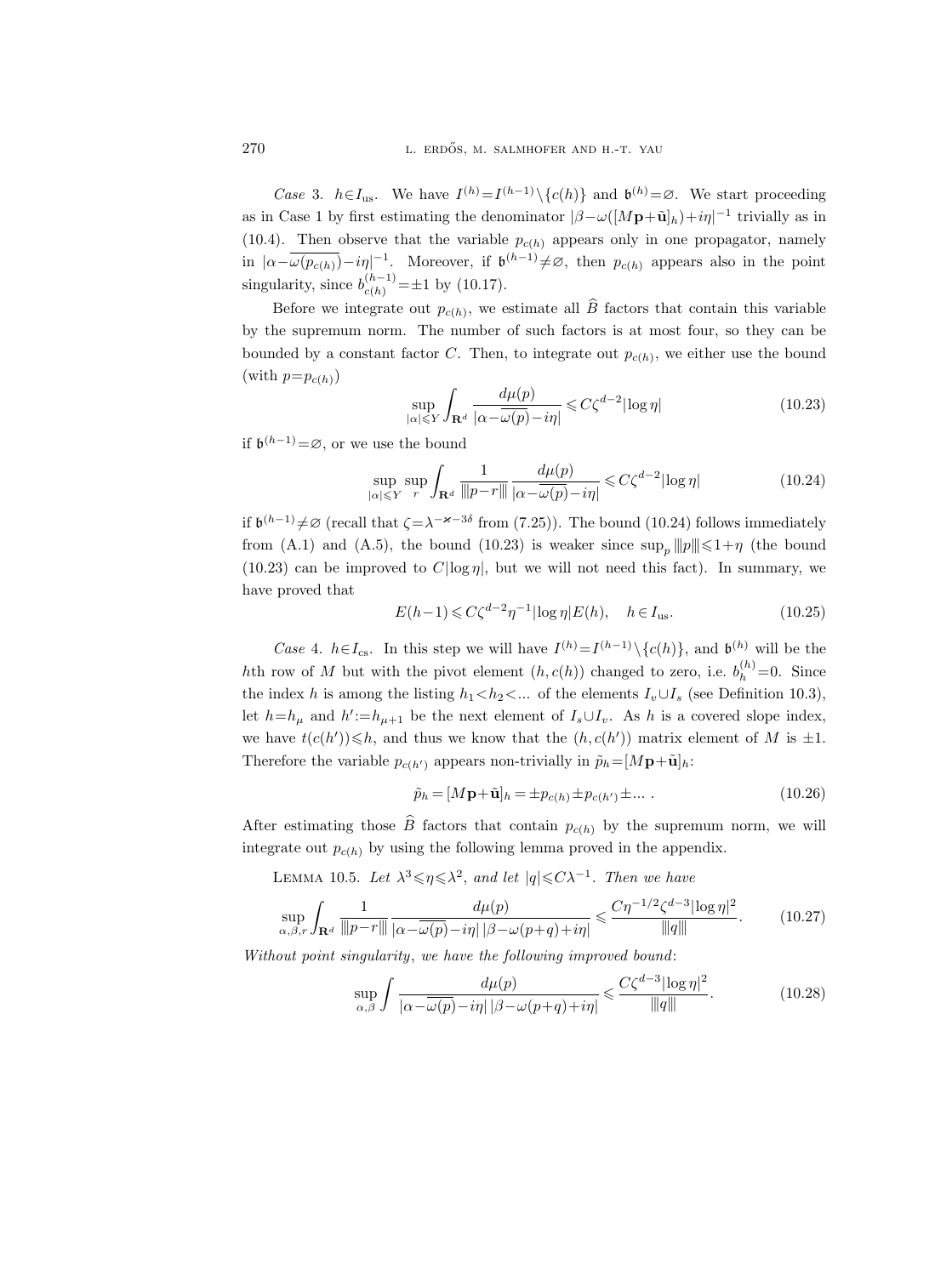Case 3.  $h \in I_{\text{us}}$ . We have  $I^{(h)} = I^{(h-1)} \setminus \{c(h)\}$  and  $\mathfrak{b}^{(h)} = \emptyset$ . We start proceeding as in Case 1 by first estimating the denominator  $|\beta-\omega([M\mathbf{p}+\tilde{\mathbf{u}}]_h)+i\eta|^{-1}$  trivially as in (10.4). Then observe that the variable  $p_{c(h)}$  appears only in one propagator, namely in  $|\alpha-\overline{\omega(p_{c(h)})}-i\eta|^{-1}$ . Moreover, if  $\mathfrak{b}^{(h-1)}\neq\varnothing$ , then  $p_{c(h)}$  appears also in the point singularity, since  $b_{c(h)}^{(h-1)} = \pm 1$  by (10.17).

Before we integrate out  $p_{c(h)}$ , we estimate all B factors that contain this variable by the supremum norm. The number of such factors is at most four, so they can be bounded by a constant factor C. Then, to integrate out  $p_{c(h)}$ , we either use the bound (with  $p=p_{c(h)}$ )

$$
\sup_{|\alpha| \leq Y} \int_{\mathbf{R}^d} \frac{d\mu(p)}{|\alpha - \omega(p) - i\eta|} \leq C\zeta^{d-2} |\log \eta| \tag{10.23}
$$

if  $\mathfrak{b}^{(h-1)} = \emptyset$ , or we use the bound

$$
\sup_{|\alpha| \leqslant Y} \sup_{r} \int_{\mathbf{R}^d} \frac{1}{\|p - r\|} \frac{d\mu(p)}{|\alpha - \omega(p) - i\eta|} \leqslant C\zeta^{d-2} |\log \eta| \tag{10.24}
$$

if  $\mathfrak{b}^{(h-1)} \neq \emptyset$  (recall that  $\zeta = \lambda^{-\varkappa - 3\delta}$  from (7.25)). The bound (10.24) follows immediately from (A.1) and (A.5), the bound (10.23) is weaker since  $\sup_p ||p|| \leq 1 + \eta$  (the bound  $(10.23)$  can be improved to  $C|\log \eta|$ , but we will not need this fact). In summary, we have proved that

$$
E(h-1) \leqslant C\zeta^{d-2}\eta^{-1}|\log\eta|E(h), \quad h \in I_{\text{us}}.\tag{10.25}
$$

Case 4.  $h \in I_{\text{cs}}$ . In this step we will have  $I^{(h)} = I^{(h-1)} \setminus \{c(h)\}\)$ , and  $\mathfrak{b}^{(h)}$  will be the hth row of M but with the pivot element  $(h, c(h))$  changed to zero, i.e.  $b_h^{(h)} = 0$ . Since the index h is among the listing  $h_1 < h_2 < ...$  of the elements  $I_v \cup I_s$  (see Definition 10.3), let  $h=h_{\mu}$  and  $h' := h_{\mu+1}$  be the next element of  $I_s \cup I_v$ . As h is a covered slope index, we have  $t(c(h')) \leq h$ , and thus we know that the  $(h, c(h'))$  matrix element of M is  $\pm 1$ . Therefore the variable  $p_{c(h')}$  appears non-trivially in  $\tilde{p}_h=[M\mathbf{p}+\tilde{\mathbf{u}}]_h$ :

$$
\tilde{p}_h = [M\mathbf{p} + \tilde{\mathbf{u}}]_h = \pm p_{c(h)} \pm p_{c(h')} \pm \dots \tag{10.26}
$$

After estimating those  $\widehat{B}$  factors that contain  $p_{c(h)}$  by the supremum norm, we will integrate out  $p_{c(h)}$  by using the following lemma proved in the appendix.

LEMMA 10.5. Let  $\lambda^3 \leq \eta \leq \lambda^2$ , and let  $|q| \leq C \lambda^{-1}$ . Then we have

$$
\sup_{\alpha,\beta,r} \int_{\mathbf{R}^d} \frac{1}{\| |p-r||} \frac{d\mu(p)}{|\alpha - \overline{\omega(p)} - i\eta| |\beta - \omega(p+q) + i\eta|} \leq \frac{C\eta^{-1/2} \zeta^{d-3} |\log \eta|^2}{\|q\|}.
$$
 (10.27)

Without point singularity, we have the following improved bound:

$$
\sup_{\alpha,\beta} \int \frac{d\mu(p)}{|\alpha - \overline{\omega(p)} - i\eta| \, |\beta - \omega(p+q) + i\eta|} \leq \frac{C\zeta^{d-3} |\log \eta|^2}{\|q\|}.\tag{10.28}
$$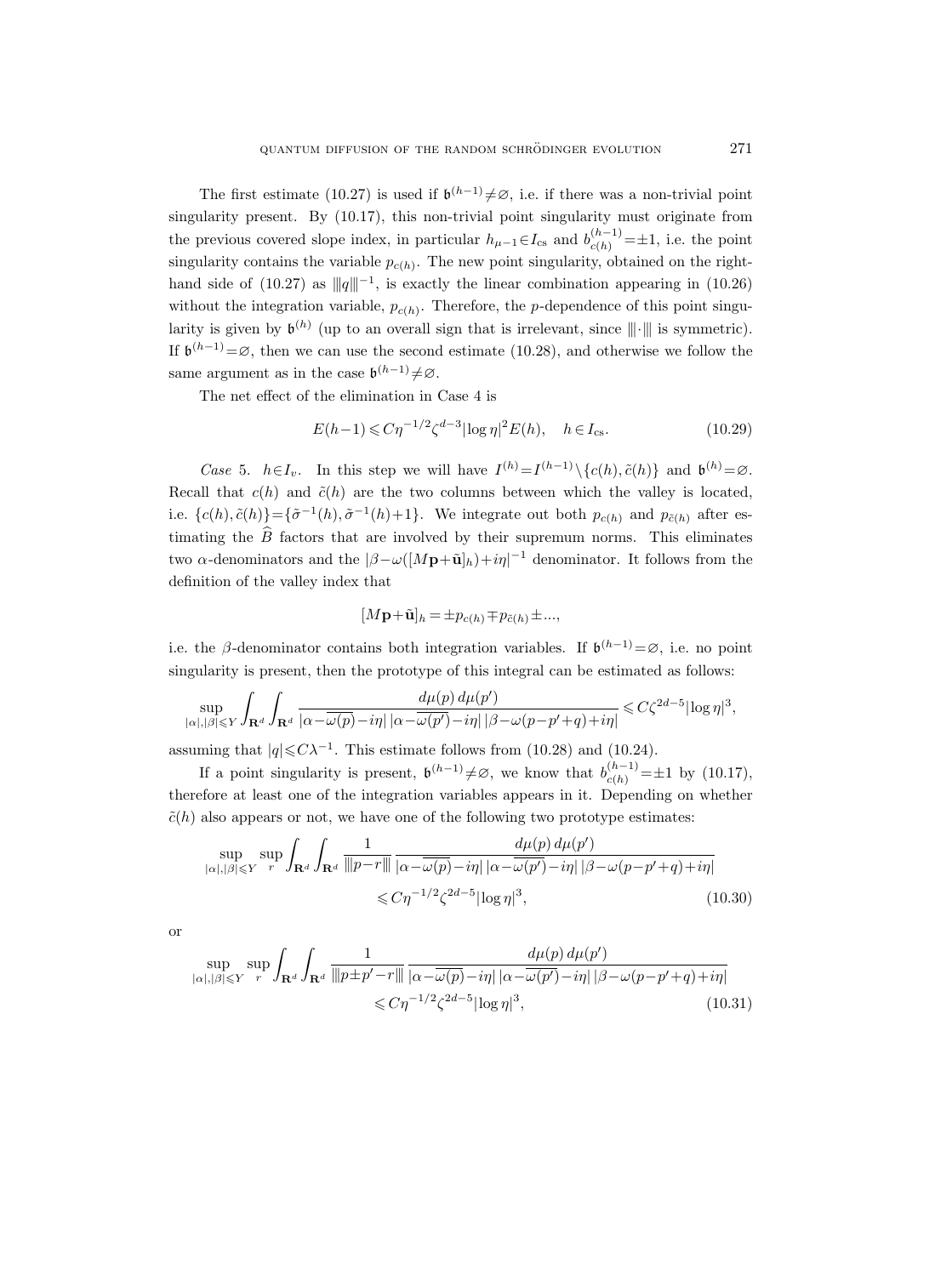The first estimate (10.27) is used if  $\mathfrak{b}^{(h-1)}\neq\emptyset$ , i.e. if there was a non-trivial point singularity present. By (10.17), this non-trivial point singularity must originate from the previous covered slope index, in particular  $h_{\mu-1} \in I_{cs}$  and  $b_{c(h)}^{(h-1)} = \pm 1$ , i.e. the point singularity contains the variable  $p_{c(h)}$ . The new point singularity, obtained on the righthand side of (10.27) as  $||q||^{-1}$ , is exactly the linear combination appearing in (10.26) without the integration variable,  $p_{c(h)}$ . Therefore, the p-dependence of this point singularity is given by  $\mathfrak{b}^{(h)}$  (up to an overall sign that is irrelevant, since  $\|\cdot\|$  is symmetric). If  $\mathfrak{b}^{(h-1)}=\emptyset$ , then we can use the second estimate (10.28), and otherwise we follow the same argument as in the case  $\mathfrak{b}^{(h-1)} \neq \emptyset$ .

The net effect of the elimination in Case 4 is

$$
E(h-1) \leq C\eta^{-1/2} \zeta^{d-3} |\log \eta|^2 E(h), \quad h \in I_{\text{cs}}.\tag{10.29}
$$

Case 5.  $h \in I_v$ . In this step we will have  $I^{(h)} = I^{(h-1)} \setminus \{c(h), \tilde{c}(h)\}\$  and  $\mathfrak{b}^{(h)} = \emptyset$ . Recall that  $c(h)$  and  $\tilde{c}(h)$  are the two columns between which the valley is located, i.e.  $\{c(h), \tilde{c}(h)\} = \{\tilde{\sigma}^{-1}(h), \tilde{\sigma}^{-1}(h)+1\}$ . We integrate out both  $p_{c(h)}$  and  $p_{\tilde{c}(h)}$  after estimating the  $\widehat{B}$  factors that are involved by their supremum norms. This eliminates two  $\alpha$ -denominators and the  $|\beta-\omega([M\mathbf{p}+\tilde{\mathbf{u}}]_h)+i\eta|^{-1}$  denominator. It follows from the definition of the valley index that

$$
[M\mathbf{p}+\tilde{\mathbf{u}}]_h = \pm p_{c(h)} \mp p_{\tilde{c}(h)} \pm \dots,
$$

i.e. the  $\beta$ -denominator contains both integration variables. If  $\mathfrak{b}^{(h-1)} = \emptyset$ , i.e. no point singularity is present, then the prototype of this integral can be estimated as follows:

$$
\sup_{|\alpha|,|\beta|\leqslant Y}\int_{\mathbf{R}^d}\int_{\mathbf{R}^d}\frac{d\mu(p)\,d\mu(p')}{|\alpha-\overline{\omega(p)}-i\eta|\,|\alpha-\overline{\omega(p')}-i\eta|\,|\beta-\omega(p-p'+q)+i\eta|}\leqslant C\zeta^{2d-5}|\log\eta|^3,
$$

assuming that  $|q| \leq C\lambda^{-1}$ . This estimate follows from (10.28) and (10.24).

If a point singularity is present,  $\mathfrak{b}^{(h-1)} \neq \emptyset$ , we know that  $b_{c(h)}^{(h-1)} = \pm 1$  by (10.17), therefore at least one of the integration variables appears in it. Depending on whether  $\tilde{c}(h)$  also appears or not, we have one of the following two prototype estimates:

$$
\sup_{|\alpha|,|\beta| \leq Y} \sup_{r} \int_{\mathbf{R}^d} \int_{\mathbf{R}^d} \frac{1}{\|p-r\|} \frac{d\mu(p) d\mu(p')}{|\alpha - \overline{\omega(p)} - i\eta| |\alpha - \overline{\omega(p')} - i\eta| |\beta - \omega(p - p' + q) + i\eta|} \leq C\eta^{-1/2} \zeta^{2d-5} |\log \eta|^3,
$$
\n(10.30)

or

$$
\sup_{|\alpha|,|\beta| \leq Y} \sup_{r} \int_{\mathbf{R}^d} \frac{1}{\left\|p \pm p' - r\right\|} \frac{d\mu(p) d\mu(p')}{\left|\alpha - \overline{\omega(p)} - i\eta\right| \left|\alpha - \overline{\omega(p')} - i\eta\right| |\beta - \omega(p - p' + q) + i\eta|} \leq C\eta^{-1/2} \zeta^{2d-5} |\log \eta|^3,
$$
\n(10.31)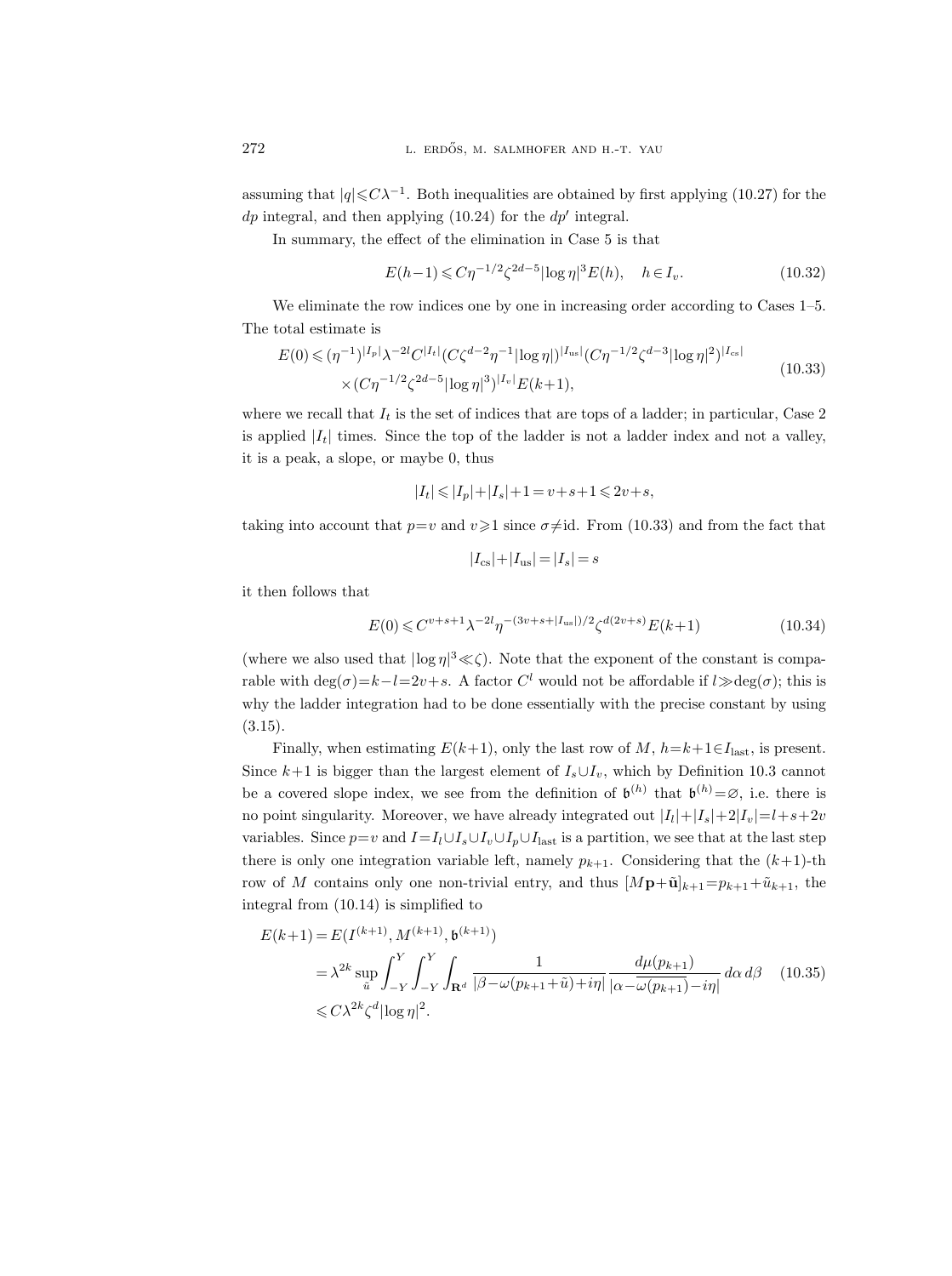assuming that  $|q| \leq C \lambda^{-1}$ . Both inequalities are obtained by first applying (10.27) for the  $dp$  integral, and then applying (10.24) for the  $dp'$  integral.

In summary, the effect of the elimination in Case 5 is that

$$
E(h-1) \leq C\eta^{-1/2} \zeta^{2d-5} |\log \eta|^3 E(h), \quad h \in I_v.
$$
 (10.32)

We eliminate the row indices one by one in increasing order according to Cases 1–5. The total estimate is

$$
E(0) \le (\eta^{-1})^{|I_p|} \lambda^{-2l} C^{|I_t|} (C \zeta^{d-2} \eta^{-1} |\log \eta|)^{|I_{\text{us}}|} (C \eta^{-1/2} \zeta^{d-3} |\log \eta|^2)^{|I_{\text{cs}}|}
$$
  
×  $(C \eta^{-1/2} \zeta^{2d-5} |\log \eta|^3)^{|I_v|} E(k+1)$ , (10.33)

where we recall that  $I_t$  is the set of indices that are tops of a ladder; in particular, Case 2 is applied  $|I_t|$  times. Since the top of the ladder is not a ladder index and not a valley, it is a peak, a slope, or maybe 0, thus

$$
|I_t|\leqslant |I_p|+|I_s|+1=v+s+1\leqslant 2v+s,
$$

taking into account that  $p=v$  and  $v\geqslant1$  since  $\sigma\neq\mathrm{id}$ . From (10.33) and from the fact that

$$
|I_{cs}|+|I_{us}|=|I_s|=s
$$

it then follows that

$$
E(0) \leq C^{v+s+1} \lambda^{-2l} \eta^{-(3v+s+|I_{\text{us}}|)/2} \zeta^{d(2v+s)} E(k+1)
$$
\n(10.34)

(where we also used that  $|\log \eta|^3 \ll \zeta$ ). Note that the exponent of the constant is comparable with  $\deg(\sigma) = k - l = 2v + s$ . A factor  $C^l$  would not be affordable if  $l \gg \deg(\sigma)$ ; this is why the ladder integration had to be done essentially with the precise constant by using (3.15).

Finally, when estimating  $E(k+1)$ , only the last row of M,  $h=k+1 \in I<sub>last</sub>$ , is present. Since  $k+1$  is bigger than the largest element of  $I_s \cup I_v$ , which by Definition 10.3 cannot be a covered slope index, we see from the definition of  $\mathfrak{b}^{(h)}$  that  $\mathfrak{b}^{(h)} = \emptyset$ , i.e. there is no point singularity. Moreover, we have already integrated out  $|I_l|+|I_s|+2|I_v|=l+s+2v$ variables. Since  $p=v$  and  $I=I_l\cup I_s\cup I_p\cup I_{\text{last}}$  is a partition, we see that at the last step there is only one integration variable left, namely  $p_{k+1}$ . Considering that the  $(k+1)$ -th row of M contains only one non-trivial entry, and thus  $[M\mathbf{p}+\tilde{\mathbf{u}}]_{k+1}=p_{k+1}+\tilde{u}_{k+1}$ , the integral from (10.14) is simplified to

$$
E(k+1) = E(I^{(k+1)}, M^{(k+1)}, \mathfrak{b}^{(k+1)})
$$
  
=  $\lambda^{2k} \sup_{\tilde{u}} \int_{-Y}^{Y} \int_{-Y}^{Y} \int_{\mathbf{R}^d} \frac{1}{|\beta - \omega(p_{k+1} + \tilde{u}) + i\eta|} \frac{d\mu(p_{k+1})}{|\alpha - \omega(p_{k+1}) - i\eta|} d\alpha d\beta$  (10.35)  
 $\leq C\lambda^{2k} \zeta^d |\log \eta|^2$ .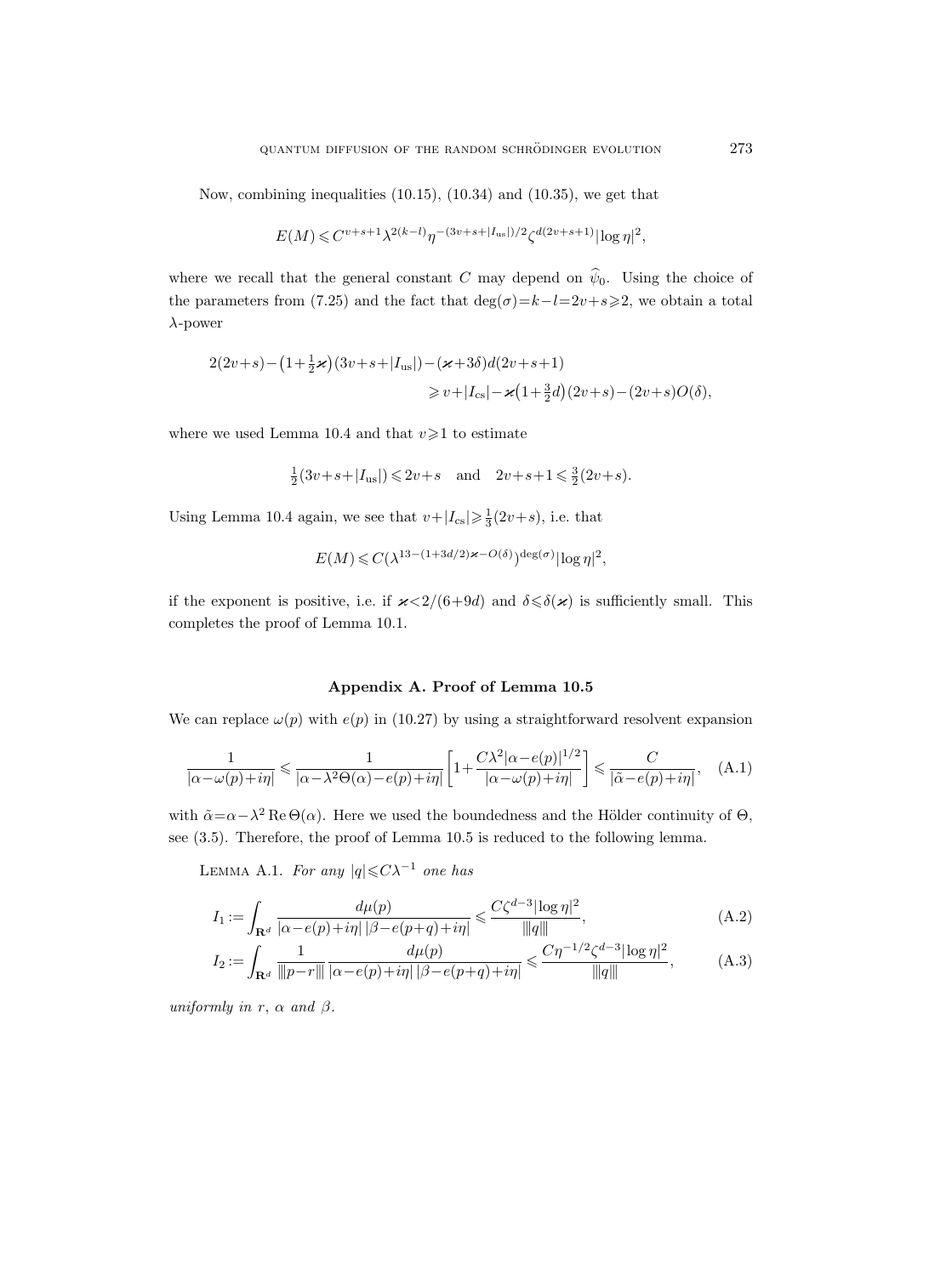Now, combining inequalities (10.15), (10.34) and (10.35), we get that

$$
E(M) \! \leqslant \! C^{v+s+1} \lambda^{2(k-l)} \eta^{-(3v+s+|I_{\mathrm{us}}|)/2} \zeta^{d(2v+s+1)} |\!\log \eta|^2,
$$

where we recall that the general constant C may depend on  $\hat{\psi}_0$ . Using the choice of the parameters from (7.25) and the fact that  $\deg(\sigma)=k-l=2v+s\geqslant 2$ , we obtain a total  $\lambda$ -power

$$
2(2v+s) - (1+\frac{1}{2}\varkappa)(3v+s+|I_{us}|) - (\varkappa+3\delta)d(2v+s+1)
$$
  

$$
\geq v+|I_{cs}| - \varkappa(1+\frac{3}{2}d)(2v+s) - (2v+s)O(\delta),
$$

where we used Lemma 10.4 and that  $v \geq 1$  to estimate

$$
\frac{1}{2}(3v+s+|I_{us}|) \le 2v+s
$$
 and  $2v+s+1 \le \frac{3}{2}(2v+s)$ .

Using Lemma 10.4 again, we see that  $v+|I_{cs}|\geq \frac{1}{3}(2v+s)$ , i.e. that

$$
E(M) \leqslant C(\lambda^{13 - (1 + 3d/2)\varkappa - O(\delta)})^{\deg(\sigma)} |\log \eta|^2,
$$

if the exponent is positive, i.e. if  $\varkappa < 2/(6+9d)$  and  $\delta \leq \delta(\varkappa)$  is sufficiently small. This completes the proof of Lemma 10.1.

## Appendix A. Proof of Lemma 10.5

We can replace  $\omega(p)$  with  $e(p)$  in (10.27) by using a straightforward resolvent expansion

$$
\frac{1}{|\alpha - \omega(p) + i\eta|} \le \frac{1}{|\alpha - \lambda^2 \Theta(\alpha) - e(p) + i\eta|} \left[ 1 + \frac{C\lambda^2 |\alpha - e(p)|^{1/2}}{|\alpha - \omega(p) + i\eta|} \right] \le \frac{C}{|\tilde{\alpha} - e(p) + i\eta|}, \quad (A.1)
$$

with  $\tilde{\alpha} = \alpha - \lambda^2 \operatorname{Re} \Theta(\alpha)$ . Here we used the boundedness and the Hölder continuity of  $\Theta$ , see (3.5). Therefore, the proof of Lemma 10.5 is reduced to the following lemma.

LEMMA A.1. For any  $|q|{\leq}C\lambda^{-1}$  one has

$$
I_1 := \int_{\mathbf{R}^d} \frac{d\mu(p)}{|\alpha - e(p) + i\eta| |\beta - e(p + q) + i\eta|} \leqslant \frac{C\zeta^{d-3} |\log \eta|^2}{\|q\|},\tag{A.2}
$$

$$
I_2 := \int_{\mathbf{R}^d} \frac{1}{\|p - r\|} \frac{d\mu(p)}{|\alpha - e(p) + i\eta| |\beta - e(p + q) + i\eta|} \leq \frac{C\eta^{-1/2} \zeta^{d-3} |\log \eta|^2}{\|q\|},\tag{A.3}
$$

uniformly in r,  $\alpha$  and  $\beta$ .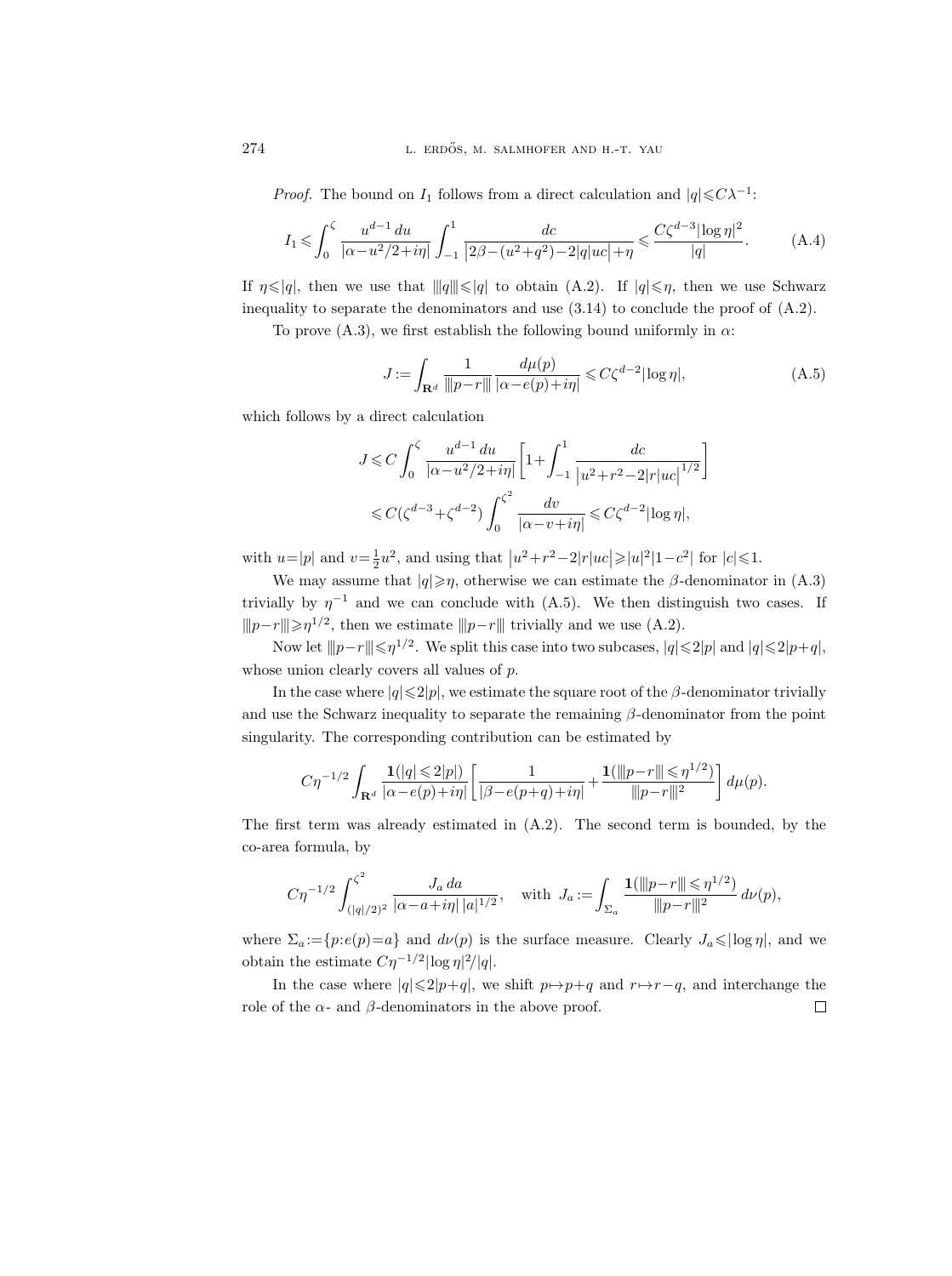*Proof.* The bound on  $I_1$  follows from a direct calculation and  $|q| \leq C\lambda^{-1}$ :

$$
I_1 \leqslant \int_0^{\zeta} \frac{u^{d-1} \, du}{|\alpha - u^2/2 + i\eta|} \int_{-1}^1 \frac{dc}{|2\beta - (u^2 + q^2) - 2|q| \, u^2| + \eta} \leqslant \frac{C \zeta^{d-3} |\log \eta|^2}{|q|}. \tag{A.4}
$$

If  $\eta \leq |q|$ , then we use that  $||q|| \leq |q|$  to obtain (A.2). If  $|q| \leq \eta$ , then we use Schwarz inequality to separate the denominators and use  $(3.14)$  to conclude the proof of  $(A.2)$ .

To prove (A.3), we first establish the following bound uniformly in  $\alpha$ :

$$
J := \int_{\mathbf{R}^d} \frac{1}{\|p - r\|} \frac{d\mu(p)}{|\alpha - e(p) + i\eta|} \leq C\zeta^{d-2} |\log \eta|,\tag{A.5}
$$

which follows by a direct calculation

$$
J \leqslant C \int_0^{\zeta} \frac{u^{d-1} \, du}{|\alpha - u^2/2 + i\eta|} \left[ 1 + \int_{-1}^1 \frac{dc}{|u^2 + r^2 - 2|r|u c|^{1/2}} \right]
$$
  

$$
\leqslant C(\zeta^{d-3} + \zeta^{d-2}) \int_0^{\zeta^2} \frac{dv}{|\alpha - v + i\eta|} \leqslant C\zeta^{d-2} |\log \eta|,
$$

with  $u=|p|$  and  $v=\frac{1}{2}u^2$ , and using that  $|u^2+r^2-2|r|uc| \geq |u|^2|1-c^2|$  for  $|c|\leq 1$ .

We may assume that  $|q| \geq \eta$ , otherwise we can estimate the  $\beta$ -denominator in (A.3) trivially by  $\eta^{-1}$  and we can conclude with (A.5). We then distinguish two cases. If  $||p-r|| \geq \eta^{1/2}$ , then we estimate  $||p-r||$  trivially and we use (A.2).

Now let  $||p-r|| \le \eta^{1/2}$ . We split this case into two subcases,  $|q| \le 2|p|$  and  $|q| \le 2|p+q|$ , whose union clearly covers all values of  $p$ .

In the case where  $|q|\leq 2|p|$ , we estimate the square root of the  $\beta$ -denominator trivially and use the Schwarz inequality to separate the remaining  $\beta$ -denominator from the point singularity. The corresponding contribution can be estimated by

$$
C\eta^{-1/2}\int_{\mathbf{R}^d}\frac{\mathbf{1}(|q|\leqslant 2|p|)}{|\alpha-e(p)+i\eta|}\bigg[\frac{1}{|\beta-e(p+q)+i\eta|}+\frac{\mathbf{1}(\|p-r\|\leqslant \eta^{1/2})}{\|p-r\|^2}\bigg]\,d\mu(p).
$$

The first term was already estimated in  $(A.2)$ . The second term is bounded, by the co-area formula, by

$$
C\eta^{-1/2} \int_{(|q|/2)^2}^{\zeta^2} \frac{J_a \, da}{|\alpha - a + i\eta| \, |a|^{1/2}}, \quad \text{with} \ \ J_a := \int_{\Sigma_a} \frac{\mathbf{1}(\|p - r\| \leq \eta^{1/2})}{\|p - r\|^2} \, d\nu(p),
$$

where  $\Sigma_a:=\{p: e(p)=a\}$  and  $d\nu(p)$  is the surface measure. Clearly  $J_a \leqslant |\log \eta|$ , and we obtain the estimate  $C\eta^{-1/2}|\log \eta|^2/|q|.$ 

In the case where  $|q|\leq 2|p+q|$ , we shift  $p\mapsto p+q$  and  $r\mapsto r-q$ , and interchange the role of the  $\alpha$ - and  $\beta$ -denominators in the above proof.  $\Box$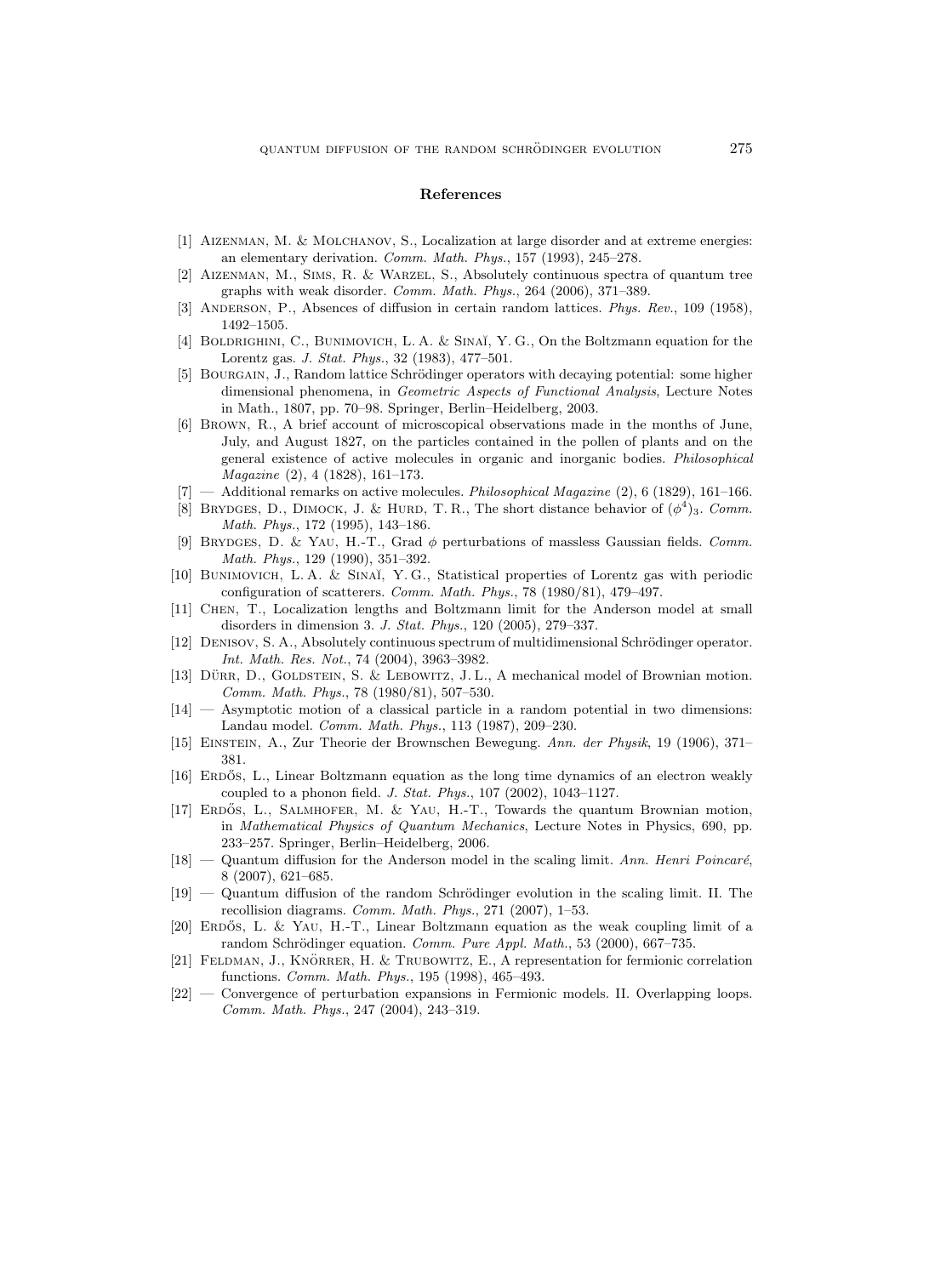#### References

- [1] Aizenman, M. & Molchanov, S., Localization at large disorder and at extreme energies: an elementary derivation. Comm. Math. Phys., 157 (1993), 245–278.
- [2] Aizenman, M., Sims, R. & Warzel, S., Absolutely continuous spectra of quantum tree graphs with weak disorder. Comm. Math. Phys., 264 (2006), 371–389.
- [3] ANDERSON, P., Absences of diffusion in certain random lattices. Phys. Rev., 109 (1958), 1492–1505.
- [4] BOLDRIGHINI, C., BUNIMOVICH, L. A. & SINAĬ, Y. G., On the Boltzmann equation for the Lorentz gas. J. Stat. Phys., 32 (1983), 477–501.
- [5] BOURGAIN, J., Random lattice Schrödinger operators with decaying potential: some higher dimensional phenomena, in Geometric Aspects of Functional Analysis, Lecture Notes in Math., 1807, pp. 70–98. Springer, Berlin–Heidelberg, 2003.
- [6] Brown, R., A brief account of microscopical observations made in the months of June, July, and August 1827, on the particles contained in the pollen of plants and on the general existence of active molecules in organic and inorganic bodies. Philosophical Magazine (2), 4 (1828), 161–173.
- $-$  Additional remarks on active molecules. *Philosophical Magazine*  $(2)$ , 6 (1829), 161–166.
- [8] BRYDGES, D., DIMOCK, J. & HURD, T.R., The short distance behavior of  $(\phi^4)$ <sub>3</sub>. Comm. Math. Phys., 172 (1995), 143–186.
- [9] BRYDGES, D. & YAU, H.-T., Grad  $\phi$  perturbations of massless Gaussian fields. Comm. Math. Phys., 129 (1990), 351–392.
- [10] BUNIMOVICH, L.A. & SINAĬ, Y.G., Statistical properties of Lorentz gas with periodic configuration of scatterers. Comm. Math. Phys., 78 (1980/81), 479–497.
- [11] Chen, T., Localization lengths and Boltzmann limit for the Anderson model at small disorders in dimension 3. J. Stat. Phys., 120 (2005), 279–337.
- [12] DENISOV, S. A., Absolutely continuous spectrum of multidimensional Schrödinger operator. Int. Math. Res. Not., 74 (2004), 3963–3982.
- [13] DÜRR, D., GOLDSTEIN, S. & LEBOWITZ, J. L., A mechanical model of Brownian motion. Comm. Math. Phys., 78 (1980/81), 507–530.
- [14] Asymptotic motion of a classical particle in a random potential in two dimensions: Landau model. Comm. Math. Phys., 113 (1987), 209–230.
- [15] Einstein, A., Zur Theorie der Brownschen Bewegung. Ann. der Physik, 19 (1906), 371– 381.
- [16] ERDÓS, L., Linear Boltzmann equation as the long time dynamics of an electron weakly coupled to a phonon field. J. Stat. Phys., 107 (2002), 1043–1127.
- [17] ERDŐS, L., SALMHOFER, M. & YAU, H.-T., Towards the quantum Brownian motion, in Mathematical Physics of Quantum Mechanics, Lecture Notes in Physics, 690, pp. 233–257. Springer, Berlin–Heidelberg, 2006.
- $[18]$  Quantum diffusion for the Anderson model in the scaling limit. Ann. Henri Poincaré, 8 (2007), 621–685.
- $[19]$  Quantum diffusion of the random Schrödinger evolution in the scaling limit. II. The recollision diagrams. Comm. Math. Phys., 271 (2007), 1–53.
- $[20]$  ERDŐS, L. & YAU, H.-T., Linear Boltzmann equation as the weak coupling limit of a random Schrödinger equation. Comm. Pure Appl. Math., 53 (2000), 667-735.
- [21] FELDMAN, J., KNÖRRER, H. & TRUBOWITZ, E., A representation for fermionic correlation functions. Comm. Math. Phys., 195 (1998), 465–493.
- [22] Convergence of perturbation expansions in Fermionic models. II. Overlapping loops. Comm. Math. Phys., 247 (2004), 243–319.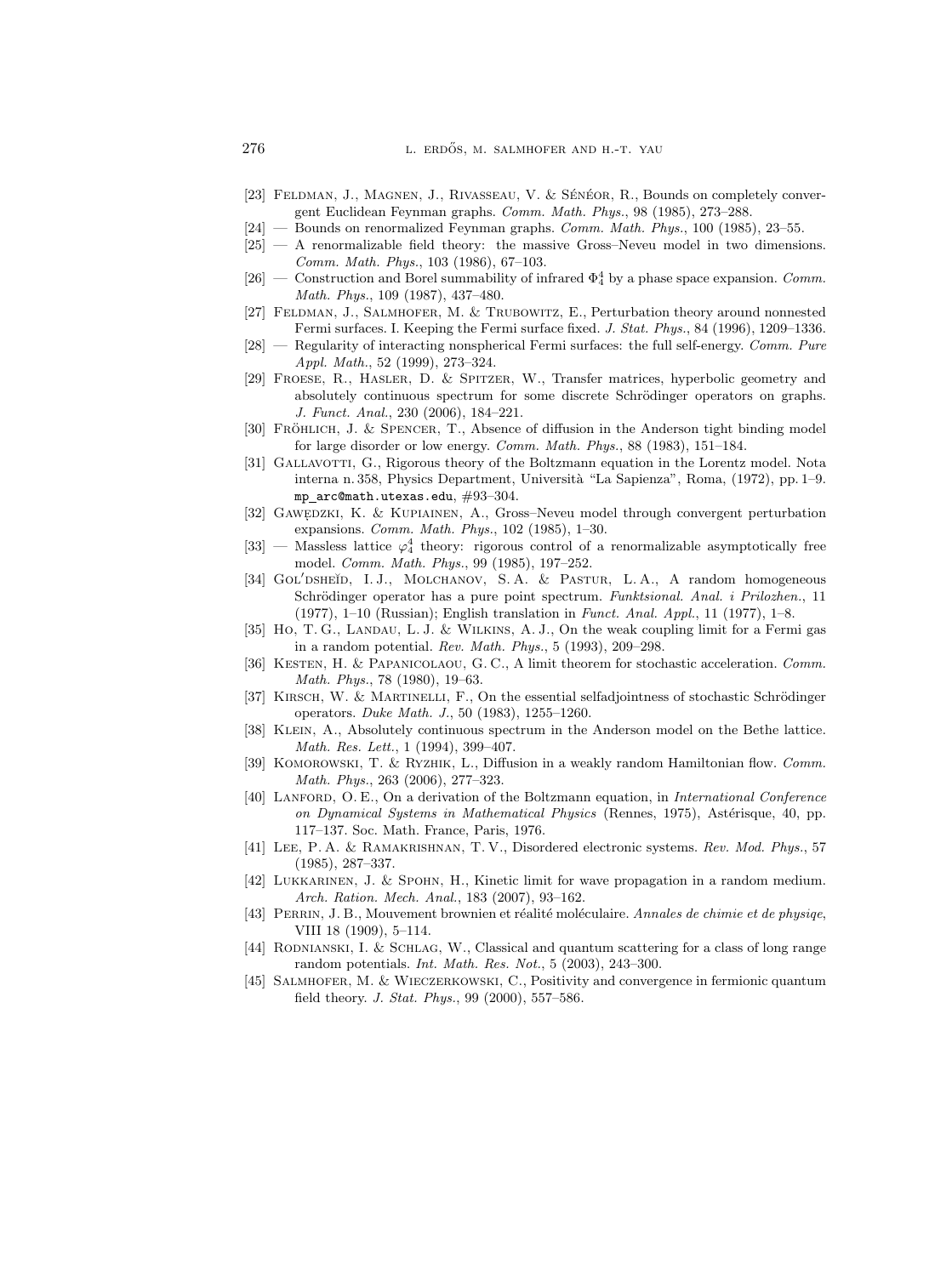- [23] FELDMAN, J., MAGNEN, J., RIVASSEAU, V. & SÉNÉOR, R., Bounds on completely convergent Euclidean Feynman graphs. Comm. Math. Phys., 98 (1985), 273–288.
- $[24]$  Bounds on renormalized Feynman graphs. *Comm. Math. Phys.*, 100 (1985), 23–55.
- [25] A renormalizable field theory: the massive Gross–Neveu model in two dimensions. Comm. Math. Phys., 103 (1986), 67–103.
- [26] Construction and Borel summability of infrared  $\Phi_4^4$  by a phase space expansion. Comm. Math. Phys., 109 (1987), 437–480.
- [27] Feldman, J., Salmhofer, M. & Trubowitz, E., Perturbation theory around nonnested Fermi surfaces. I. Keeping the Fermi surface fixed. J. Stat. Phys., 84 (1996), 1209–1336.
- $[28]$  Regularity of interacting nonspherical Fermi surfaces: the full self-energy. Comm. Pure Appl. Math., 52 (1999), 273–324.
- [29] Froese, R., Hasler, D. & Spitzer, W., Transfer matrices, hyperbolic geometry and absolutely continuous spectrum for some discrete Schrödinger operators on graphs. J. Funct. Anal., 230 (2006), 184–221.
- [30] FRÖHLICH, J. & SPENCER, T., Absence of diffusion in the Anderson tight binding model for large disorder or low energy. Comm. Math. Phys., 88 (1983), 151–184.
- [31] GALLAVOTTI, G., Rigorous theory of the Boltzmann equation in the Lorentz model. Nota interna n. 358, Physics Department, Universit`a "La Sapienza", Roma, (1972), pp. 1–9. mp arc@math.utexas.edu, #93–304.
- [32] GAWEDZKI, K. & KUPIAINEN, A., Gross–Neveu model through convergent perturbation expansions. Comm. Math. Phys., 102 (1985), 1–30.
- [33] Massless lattice  $\varphi_4^4$  theory: rigorous control of a renormalizable asymptotically free model. Comm. Math. Phys., 99 (1985), 197–252.
- [34] GOL'DSHEĬD, I.J., MOLCHANOV, S.A. & PASTUR, L.A., A random homogeneous Schrödinger operator has a pure point spectrum. Funktsional. Anal. i Prilozhen., 11 (1977), 1–10 (Russian); English translation in Funct. Anal. Appl., 11 (1977), 1–8.
- [35] Ho, T. G., Landau, L. J. & Wilkins, A. J., On the weak coupling limit for a Fermi gas in a random potential. Rev. Math. Phys., 5 (1993), 209–298.
- [36] KESTEN, H. & PAPANICOLAOU, G. C., A limit theorem for stochastic acceleration. Comm. Math. Phys., 78 (1980), 19–63.
- [37] KIRSCH, W. & MARTINELLI, F., On the essential selfadjointness of stochastic Schrödinger operators. Duke Math. J., 50 (1983), 1255–1260.
- [38] Klein, A., Absolutely continuous spectrum in the Anderson model on the Bethe lattice. Math. Res. Lett., 1 (1994), 399–407.
- [39] KOMOROWSKI, T. & RYZHIK, L., Diffusion in a weakly random Hamiltonian flow. Comm. Math. Phys., 263 (2006), 277–323.
- [40] LANFORD, O. E., On a derivation of the Boltzmann equation, in International Conference on Dynamical Systems in Mathematical Physics (Rennes, 1975), Astérisque, 40, pp. 117–137. Soc. Math. France, Paris, 1976.
- [41] Lee, P. A. & Ramakrishnan, T. V., Disordered electronic systems. Rev. Mod. Phys., 57 (1985), 287–337.
- [42] Lukkarinen, J. & Spohn, H., Kinetic limit for wave propagation in a random medium. Arch. Ration. Mech. Anal., 183 (2007), 93–162.
- [43] PERRIN, J. B., Mouvement brownien et réalité moléculaire. Annales de chimie et de physiqe, VIII 18 (1909), 5–114.
- [44] RODNIANSKI, I. & SCHLAG, W., Classical and quantum scattering for a class of long range random potentials. Int. Math. Res. Not., 5 (2003), 243–300.
- [45] Salmhofer, M. & Wieczerkowski, C., Positivity and convergence in fermionic quantum field theory. J. Stat. Phys., 99 (2000), 557–586.